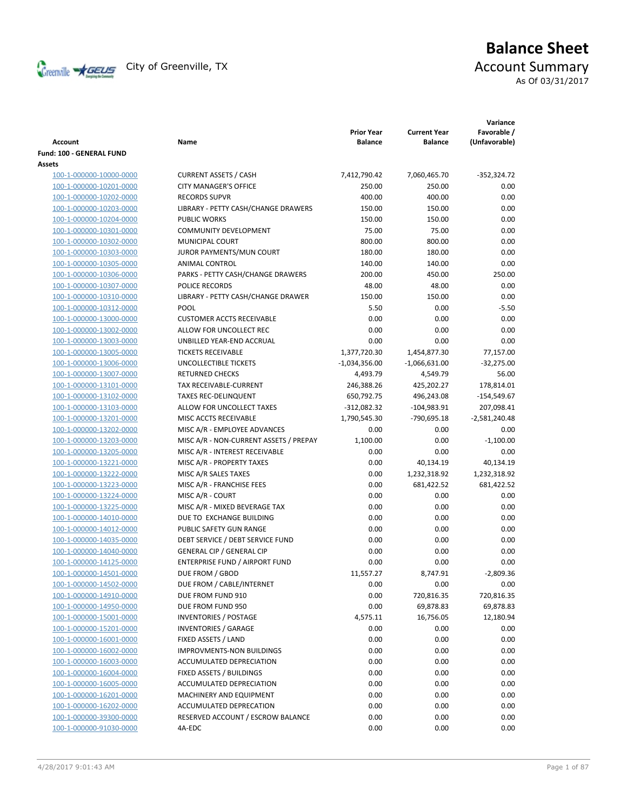

# **Balance Sheet** Creenville  $\star$  GEUS</del> City of Greenville, TX **Account Summary** As Of 03/31/2017

|                                           |                                        | <b>Prior Year</b> | <b>Current Year</b> | Variance<br>Favorable / |
|-------------------------------------------|----------------------------------------|-------------------|---------------------|-------------------------|
| <b>Account</b>                            | Name                                   | <b>Balance</b>    | <b>Balance</b>      | (Unfavorable)           |
| Fund: 100 - GENERAL FUND<br><b>Assets</b> |                                        |                   |                     |                         |
| 100-1-000000-10000-0000                   | <b>CURRENT ASSETS / CASH</b>           | 7,412,790.42      | 7,060,465.70        | $-352,324.72$           |
| 100-1-000000-10201-0000                   | <b>CITY MANAGER'S OFFICE</b>           | 250.00            | 250.00              | 0.00                    |
| 100-1-000000-10202-0000                   | <b>RECORDS SUPVR</b>                   | 400.00            | 400.00              | 0.00                    |
| 100-1-000000-10203-0000                   | LIBRARY - PETTY CASH/CHANGE DRAWERS    | 150.00            | 150.00              | 0.00                    |
| 100-1-000000-10204-0000                   | <b>PUBLIC WORKS</b>                    | 150.00            | 150.00              | 0.00                    |
| 100-1-000000-10301-0000                   | <b>COMMUNITY DEVELOPMENT</b>           | 75.00             | 75.00               | 0.00                    |
| 100-1-000000-10302-0000                   | MUNICIPAL COURT                        | 800.00            | 800.00              | 0.00                    |
| 100-1-000000-10303-0000                   | JUROR PAYMENTS/MUN COURT               | 180.00            | 180.00              | 0.00                    |
| 100-1-000000-10305-0000                   | ANIMAL CONTROL                         | 140.00            | 140.00              | 0.00                    |
| 100-1-000000-10306-0000                   | PARKS - PETTY CASH/CHANGE DRAWERS      | 200.00            | 450.00              | 250.00                  |
| 100-1-000000-10307-0000                   | POLICE RECORDS                         | 48.00             | 48.00               | 0.00                    |
| 100-1-000000-10310-0000                   | LIBRARY - PETTY CASH/CHANGE DRAWER     | 150.00            | 150.00              | 0.00                    |
| 100-1-000000-10312-0000                   | <b>POOL</b>                            | 5.50              | 0.00                | $-5.50$                 |
| 100-1-000000-13000-0000                   | <b>CUSTOMER ACCTS RECEIVABLE</b>       | 0.00              | 0.00                | 0.00                    |
| 100-1-000000-13002-0000                   | ALLOW FOR UNCOLLECT REC                | 0.00              | 0.00                | 0.00                    |
| 100-1-000000-13003-0000                   | UNBILLED YEAR-END ACCRUAL              | 0.00              | 0.00                | 0.00                    |
| 100-1-000000-13005-0000                   | <b>TICKETS RECEIVABLE</b>              | 1,377,720.30      | 1,454,877.30        | 77,157.00               |
| 100-1-000000-13006-0000                   | <b>UNCOLLECTIBLE TICKETS</b>           | $-1,034,356.00$   | $-1,066,631.00$     | $-32,275.00$            |
| 100-1-000000-13007-0000                   | <b>RETURNED CHECKS</b>                 | 4,493.79          | 4,549.79            | 56.00                   |
| 100-1-000000-13101-0000                   | TAX RECEIVABLE-CURRENT                 | 246,388.26        | 425,202.27          | 178,814.01              |
| 100-1-000000-13102-0000                   | <b>TAXES REC-DELINQUENT</b>            | 650,792.75        | 496,243.08          | $-154,549.67$           |
| 100-1-000000-13103-0000                   | ALLOW FOR UNCOLLECT TAXES              | $-312,082.32$     | $-104,983.91$       | 207,098.41              |
| 100-1-000000-13201-0000                   | MISC ACCTS RECEIVABLE                  | 1,790,545.30      | -790,695.18         | $-2,581,240.48$         |
| 100-1-000000-13202-0000                   | MISC A/R - EMPLOYEE ADVANCES           | 0.00              | 0.00                | 0.00                    |
| 100-1-000000-13203-0000                   | MISC A/R - NON-CURRENT ASSETS / PREPAY | 1,100.00          | 0.00                | $-1,100.00$             |
| 100-1-000000-13205-0000                   | MISC A/R - INTEREST RECEIVABLE         | 0.00              | 0.00                | 0.00                    |
| 100-1-000000-13221-0000                   | MISC A/R - PROPERTY TAXES              | 0.00              | 40,134.19           | 40,134.19               |
| 100-1-000000-13222-0000                   | MISC A/R SALES TAXES                   | 0.00              | 1,232,318.92        | 1,232,318.92            |
| 100-1-000000-13223-0000                   | MISC A/R - FRANCHISE FEES              | 0.00              | 681,422.52          | 681,422.52              |
| 100-1-000000-13224-0000                   | MISC A/R - COURT                       | 0.00              | 0.00                | 0.00                    |
| 100-1-000000-13225-0000                   | MISC A/R - MIXED BEVERAGE TAX          | 0.00              | 0.00                | 0.00                    |
| 100-1-000000-14010-0000                   | DUE TO EXCHANGE BUILDING               | 0.00              | 0.00                | 0.00                    |
| 100-1-000000-14012-0000                   | PUBLIC SAFETY GUN RANGE                | 0.00              | 0.00                | 0.00                    |
| 100-1-000000-14035-0000                   | DEBT SERVICE / DEBT SERVICE FUND       | 0.00              | 0.00                | 0.00                    |
| 100-1-000000-14040-0000                   | <b>GENERAL CIP / GENERAL CIP</b>       | 0.00              | 0.00                | 0.00                    |
| 100-1-000000-14125-0000                   | ENTERPRISE FUND / AIRPORT FUND         | 0.00              | 0.00                | 0.00                    |
| 100-1-000000-14501-0000                   | DUE FROM / GBOD                        | 11,557.27         | 8,747.91            | $-2,809.36$             |
| 100-1-000000-14502-0000                   | DUE FROM / CABLE/INTERNET              | 0.00              | 0.00                | 0.00                    |
| 100-1-000000-14910-0000                   | DUE FROM FUND 910                      | 0.00              | 720,816.35          | 720,816.35              |
| 100-1-000000-14950-0000                   | DUE FROM FUND 950                      | 0.00              | 69,878.83           | 69,878.83               |
| 100-1-000000-15001-0000                   | <b>INVENTORIES / POSTAGE</b>           | 4,575.11          | 16,756.05           | 12,180.94               |
| 100-1-000000-15201-0000                   | <b>INVENTORIES / GARAGE</b>            | 0.00              | 0.00                | 0.00                    |
| 100-1-000000-16001-0000                   | FIXED ASSETS / LAND                    | 0.00              | 0.00                | 0.00                    |
| 100-1-000000-16002-0000                   | <b>IMPROVMENTS-NON BUILDINGS</b>       | 0.00              | 0.00                | 0.00                    |
| 100-1-000000-16003-0000                   | ACCUMULATED DEPRECIATION               | 0.00              | 0.00                | 0.00                    |
| 100-1-000000-16004-0000                   | FIXED ASSETS / BUILDINGS               | 0.00              | 0.00                | 0.00                    |
| 100-1-000000-16005-0000                   | ACCUMULATED DEPRECIATION               | 0.00              | 0.00                | 0.00                    |
| 100-1-000000-16201-0000                   | MACHINERY AND EQUIPMENT                | 0.00              | 0.00                | 0.00                    |
| 100-1-000000-16202-0000                   | ACCUMULATED DEPRECATION                | 0.00              | 0.00                | 0.00                    |
| 100-1-000000-39300-0000                   | RESERVED ACCOUNT / ESCROW BALANCE      | 0.00              | 0.00                | 0.00                    |
| 100-1-000000-91030-0000                   | 4A-EDC                                 | 0.00              | 0.00                | 0.00                    |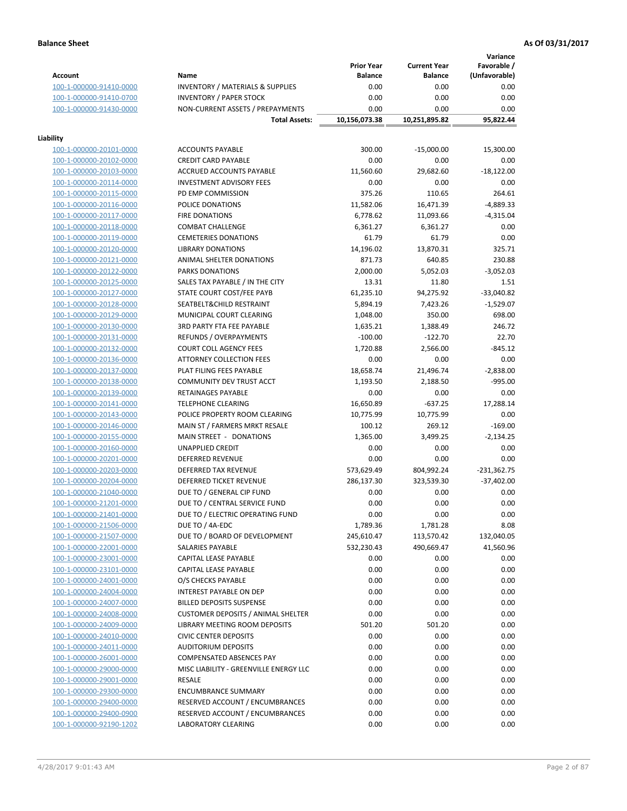**Variance**

|                                                    |                                                        | <b>Prior Year</b> | <b>Current Year</b> | vanance<br>Favorable / |
|----------------------------------------------------|--------------------------------------------------------|-------------------|---------------------|------------------------|
| <b>Account</b>                                     | Name                                                   | <b>Balance</b>    | <b>Balance</b>      | (Unfavorable)          |
| 100-1-000000-91410-0000                            | <b>INVENTORY / MATERIALS &amp; SUPPLIES</b>            | 0.00              | 0.00                | 0.00                   |
| 100-1-000000-91410-0700                            | <b>INVENTORY / PAPER STOCK</b>                         | 0.00              | 0.00                | 0.00                   |
| 100-1-000000-91430-0000                            | NON-CURRENT ASSETS / PREPAYMENTS                       | 0.00              | 0.00                | 0.00                   |
|                                                    | <b>Total Assets:</b>                                   | 10,156,073.38     | 10,251,895.82       | 95,822.44              |
| Liability                                          |                                                        |                   |                     |                        |
| 100-1-000000-20101-0000                            | <b>ACCOUNTS PAYABLE</b>                                | 300.00            | $-15,000.00$        | 15,300.00              |
| 100-1-000000-20102-0000                            | <b>CREDIT CARD PAYABLE</b>                             | 0.00              | 0.00                | 0.00                   |
| 100-1-000000-20103-0000                            | ACCRUED ACCOUNTS PAYABLE                               | 11,560.60         | 29,682.60           | $-18,122.00$           |
| 100-1-000000-20114-0000                            | <b>INVESTMENT ADVISORY FEES</b>                        | 0.00              | 0.00                | 0.00                   |
| 100-1-000000-20115-0000                            | PD EMP COMMISSION                                      | 375.26            | 110.65              | 264.61                 |
| 100-1-000000-20116-0000                            | POLICE DONATIONS                                       | 11,582.06         | 16,471.39           | $-4,889.33$            |
| 100-1-000000-20117-0000                            | <b>FIRE DONATIONS</b>                                  | 6,778.62          | 11,093.66           | $-4,315.04$            |
| 100-1-000000-20118-0000                            | <b>COMBAT CHALLENGE</b>                                | 6,361.27          | 6,361.27            | 0.00                   |
| 100-1-000000-20119-0000                            | <b>CEMETERIES DONATIONS</b>                            | 61.79             | 61.79               | 0.00                   |
| 100-1-000000-20120-0000                            | <b>LIBRARY DONATIONS</b>                               | 14,196.02         | 13,870.31           | 325.71                 |
| 100-1-000000-20121-0000                            | ANIMAL SHELTER DONATIONS                               | 871.73            | 640.85              | 230.88                 |
| 100-1-000000-20122-0000                            | PARKS DONATIONS                                        | 2,000.00          | 5,052.03            | $-3,052.03$            |
| 100-1-000000-20125-0000                            | SALES TAX PAYABLE / IN THE CITY                        | 13.31             | 11.80               | 1.51                   |
| 100-1-000000-20127-0000                            | STATE COURT COST/FEE PAYB                              | 61,235.10         | 94,275.92           | $-33,040.82$           |
| 100-1-000000-20128-0000                            | SEATBELT&CHILD RESTRAINT                               | 5,894.19          | 7,423.26            | $-1,529.07$            |
| 100-1-000000-20129-0000                            | MUNICIPAL COURT CLEARING                               | 1,048.00          | 350.00              | 698.00                 |
| 100-1-000000-20130-0000                            | <b>3RD PARTY FTA FEE PAYABLE</b>                       | 1,635.21          | 1,388.49            | 246.72                 |
| 100-1-000000-20131-0000                            | <b>REFUNDS / OVERPAYMENTS</b>                          | $-100.00$         | $-122.70$           | 22.70                  |
| 100-1-000000-20132-0000                            | <b>COURT COLL AGENCY FEES</b>                          | 1,720.88          | 2,566.00            | $-845.12$              |
| 100-1-000000-20136-0000                            | ATTORNEY COLLECTION FEES                               | 0.00              | 0.00                | 0.00                   |
| 100-1-000000-20137-0000                            | PLAT FILING FEES PAYABLE                               | 18,658.74         | 21,496.74           | $-2,838.00$            |
| 100-1-000000-20138-0000                            | COMMUNITY DEV TRUST ACCT                               | 1,193.50          | 2,188.50            | $-995.00$              |
| 100-1-000000-20139-0000                            | RETAINAGES PAYABLE                                     | 0.00              | 0.00                | 0.00                   |
| 100-1-000000-20141-0000                            | <b>TELEPHONE CLEARING</b>                              | 16,650.89         | $-637.25$           | 17,288.14              |
| 100-1-000000-20143-0000                            | POLICE PROPERTY ROOM CLEARING                          | 10,775.99         | 10,775.99           | 0.00                   |
| 100-1-000000-20146-0000                            | MAIN ST / FARMERS MRKT RESALE                          | 100.12            | 269.12              | $-169.00$              |
| 100-1-000000-20155-0000                            | MAIN STREET - DONATIONS                                | 1,365.00          | 3,499.25            | $-2,134.25$            |
| 100-1-000000-20160-0000                            | UNAPPLIED CREDIT                                       | 0.00              | 0.00                | 0.00                   |
| 100-1-000000-20201-0000                            | <b>DEFERRED REVENUE</b>                                | 0.00              | 0.00                | 0.00                   |
| 100-1-000000-20203-0000                            | DEFERRED TAX REVENUE                                   | 573,629.49        | 804,992.24          | $-231,362.75$          |
| 100-1-000000-20204-0000                            | DEFERRED TICKET REVENUE                                | 286,137.30        | 323,539.30          | $-37,402.00$           |
| 100-1-000000-21040-0000                            | DUE TO / GENERAL CIP FUND                              | 0.00              | 0.00                | 0.00                   |
| 100-1-000000-21201-0000                            | DUE TO / CENTRAL SERVICE FUND                          | 0.00              | 0.00                | 0.00                   |
| 100-1-000000-21401-0000                            | DUE TO / ELECTRIC OPERATING FUND                       | 0.00              | 0.00                | 0.00                   |
| 100-1-000000-21506-0000                            | DUE TO / 4A-EDC                                        | 1,789.36          | 1,781.28            | 8.08                   |
| 100-1-000000-21507-0000                            | DUE TO / BOARD OF DEVELOPMENT                          | 245,610.47        | 113,570.42          | 132,040.05             |
| 100-1-000000-22001-0000                            | SALARIES PAYABLE                                       | 532,230.43        | 490,669.47          | 41,560.96              |
| 100-1-000000-23001-0000                            | CAPITAL LEASE PAYABLE                                  | 0.00              | 0.00                | 0.00                   |
| 100-1-000000-23101-0000                            | CAPITAL LEASE PAYABLE                                  | 0.00              | 0.00                | 0.00                   |
| 100-1-000000-24001-0000                            | O/S CHECKS PAYABLE                                     | 0.00              | 0.00                | 0.00                   |
| 100-1-000000-24004-0000                            | <b>INTEREST PAYABLE ON DEP</b>                         | 0.00              | 0.00                | 0.00                   |
| 100-1-000000-24007-0000                            | <b>BILLED DEPOSITS SUSPENSE</b>                        | 0.00              | 0.00                | 0.00                   |
| 100-1-000000-24008-0000                            | <b>CUSTOMER DEPOSITS / ANIMAL SHELTER</b>              | 0.00              | 0.00                | 0.00                   |
| 100-1-000000-24009-0000                            | LIBRARY MEETING ROOM DEPOSITS                          | 501.20            | 501.20              | 0.00                   |
| 100-1-000000-24010-0000                            | <b>CIVIC CENTER DEPOSITS</b>                           | 0.00              | 0.00                | 0.00                   |
| 100-1-000000-24011-0000                            | <b>AUDITORIUM DEPOSITS</b>                             | 0.00              | 0.00                | 0.00                   |
| 100-1-000000-26001-0000                            | <b>COMPENSATED ABSENCES PAY</b>                        | 0.00              | 0.00                | 0.00                   |
| 100-1-000000-29000-0000                            | MISC LIABILITY - GREENVILLE ENERGY LLC                 | 0.00              | 0.00                | 0.00                   |
| 100-1-000000-29001-0000                            | RESALE                                                 | 0.00              | 0.00                | 0.00                   |
| 100-1-000000-29300-0000                            | <b>ENCUMBRANCE SUMMARY</b>                             | 0.00              | 0.00                | 0.00                   |
| 100-1-000000-29400-0000                            | RESERVED ACCOUNT / ENCUMBRANCES                        | 0.00              | 0.00                | 0.00                   |
|                                                    |                                                        |                   |                     |                        |
| 100-1-000000-29400-0900<br>100-1-000000-92190-1202 | RESERVED ACCOUNT / ENCUMBRANCES<br>LABORATORY CLEARING | 0.00<br>0.00      | 0.00<br>0.00        | 0.00<br>0.00           |
|                                                    |                                                        |                   |                     |                        |
|                                                    |                                                        |                   |                     |                        |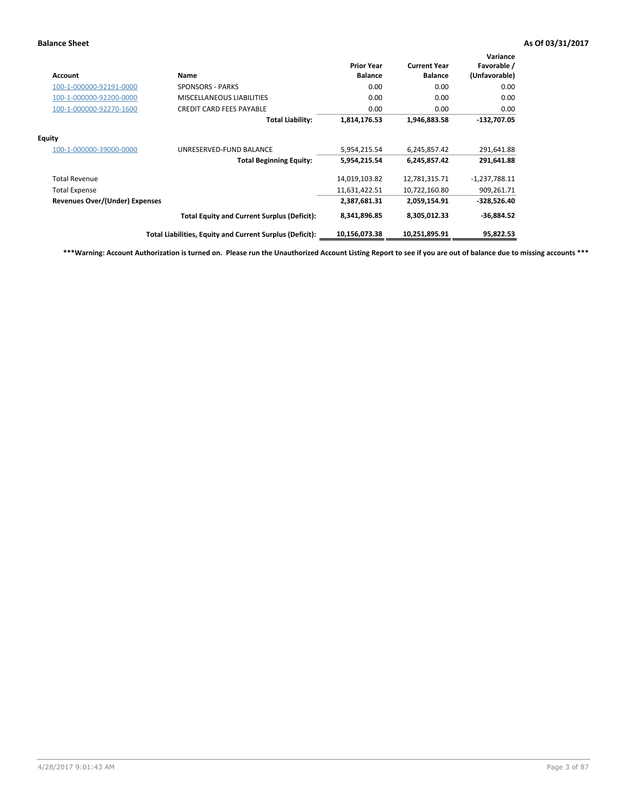| <b>Account</b>                        | Name                                                     | <b>Prior Year</b><br><b>Balance</b> | <b>Current Year</b><br><b>Balance</b> | Variance<br>Favorable /<br>(Unfavorable) |
|---------------------------------------|----------------------------------------------------------|-------------------------------------|---------------------------------------|------------------------------------------|
| 100-1-000000-92191-0000               | <b>SPONSORS - PARKS</b>                                  | 0.00                                | 0.00                                  | 0.00                                     |
| 100-1-000000-92200-0000               | <b>MISCELLANEOUS LIABILITIES</b>                         | 0.00                                | 0.00                                  | 0.00                                     |
| 100-1-000000-92270-1600               | <b>CREDIT CARD FEES PAYABLE</b>                          | 0.00                                | 0.00                                  | 0.00                                     |
|                                       | <b>Total Liability:</b>                                  | 1,814,176.53                        | 1,946,883.58                          | $-132,707.05$                            |
| <b>Equity</b>                         |                                                          |                                     |                                       |                                          |
| 100-1-000000-39000-0000               | UNRESERVED-FUND BALANCE                                  | 5,954,215.54                        | 6,245,857.42                          | 291,641.88                               |
|                                       | <b>Total Beginning Equity:</b>                           | 5,954,215.54                        | 6,245,857.42                          | 291,641.88                               |
| <b>Total Revenue</b>                  |                                                          | 14,019,103.82                       | 12,781,315.71                         | $-1,237,788.11$                          |
| <b>Total Expense</b>                  |                                                          | 11,631,422.51                       | 10,722,160.80                         | 909,261.71                               |
| <b>Revenues Over/(Under) Expenses</b> |                                                          | 2,387,681.31                        | 2,059,154.91                          | $-328,526.40$                            |
|                                       | <b>Total Equity and Current Surplus (Deficit):</b>       | 8,341,896.85                        | 8,305,012.33                          | $-36,884.52$                             |
|                                       | Total Liabilities, Equity and Current Surplus (Deficit): | 10,156,073.38                       | 10,251,895.91                         | 95,822.53                                |

**\*\*\*Warning: Account Authorization is turned on. Please run the Unauthorized Account Listing Report to see if you are out of balance due to missing accounts \*\*\***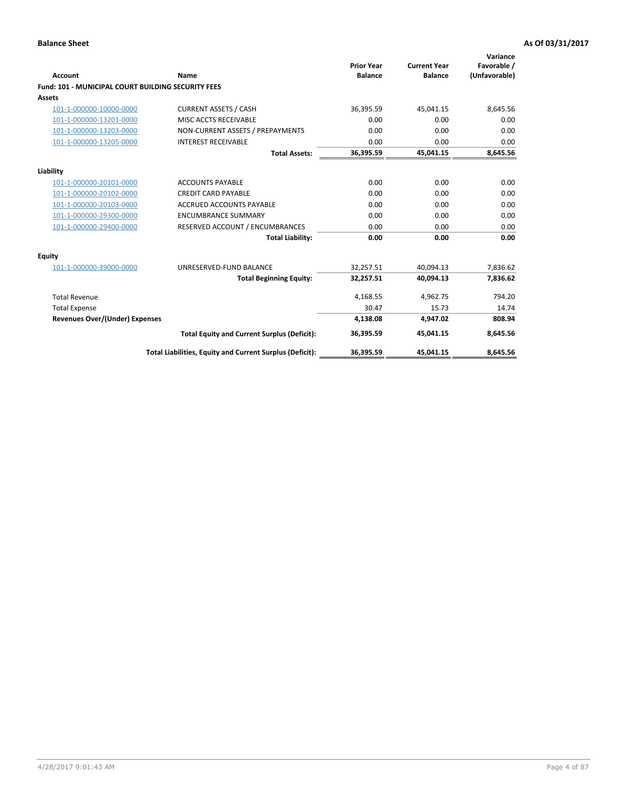| Account                                                   | <b>Name</b>                                              | <b>Prior Year</b><br><b>Balance</b> | <b>Current Year</b><br><b>Balance</b> | Variance<br>Favorable /<br>(Unfavorable) |
|-----------------------------------------------------------|----------------------------------------------------------|-------------------------------------|---------------------------------------|------------------------------------------|
| <b>Fund: 101 - MUNICIPAL COURT BUILDING SECURITY FEES</b> |                                                          |                                     |                                       |                                          |
| Assets                                                    |                                                          |                                     |                                       |                                          |
| 101-1-000000-10000-0000                                   | <b>CURRENT ASSETS / CASH</b>                             | 36,395.59                           | 45,041.15                             | 8,645.56                                 |
| 101-1-000000-13201-0000                                   | MISC ACCTS RECEIVABLE                                    | 0.00                                | 0.00                                  | 0.00                                     |
| 101-1-000000-13203-0000                                   | NON-CURRENT ASSETS / PREPAYMENTS                         | 0.00                                | 0.00                                  | 0.00                                     |
| 101-1-000000-13205-0000                                   | <b>INTEREST RECEIVABLE</b>                               | 0.00                                | 0.00                                  | 0.00                                     |
|                                                           | <b>Total Assets:</b>                                     | 36,395.59                           | 45,041.15                             | 8,645.56                                 |
| Liability                                                 |                                                          |                                     |                                       |                                          |
| 101-1-000000-20101-0000                                   | <b>ACCOUNTS PAYABLE</b>                                  | 0.00                                | 0.00                                  | 0.00                                     |
| 101-1-000000-20102-0000                                   | <b>CREDIT CARD PAYABLE</b>                               | 0.00                                | 0.00                                  | 0.00                                     |
| 101-1-000000-20103-0000                                   | <b>ACCRUED ACCOUNTS PAYABLE</b>                          | 0.00                                | 0.00                                  | 0.00                                     |
| 101-1-000000-29300-0000                                   | <b>ENCUMBRANCE SUMMARY</b>                               | 0.00                                | 0.00                                  | 0.00                                     |
| 101-1-000000-29400-0000                                   | RESERVED ACCOUNT / ENCUMBRANCES                          | 0.00                                | 0.00                                  | 0.00                                     |
|                                                           | <b>Total Liability:</b>                                  | 0.00                                | 0.00                                  | 0.00                                     |
| <b>Equity</b>                                             |                                                          |                                     |                                       |                                          |
| 101-1-000000-39000-0000                                   | UNRESERVED-FUND BALANCE                                  | 32,257.51                           | 40,094.13                             | 7,836.62                                 |
|                                                           | <b>Total Beginning Equity:</b>                           | 32,257.51                           | 40.094.13                             | 7,836.62                                 |
| <b>Total Revenue</b>                                      |                                                          | 4,168.55                            | 4,962.75                              | 794.20                                   |
| <b>Total Expense</b>                                      |                                                          | 30.47                               | 15.73                                 | 14.74                                    |
| Revenues Over/(Under) Expenses                            |                                                          | 4,138.08                            | 4,947.02                              | 808.94                                   |
|                                                           | <b>Total Equity and Current Surplus (Deficit):</b>       | 36,395.59                           | 45.041.15                             | 8,645.56                                 |
|                                                           | Total Liabilities, Equity and Current Surplus (Deficit): | 36,395.59                           | 45,041.15                             | 8,645.56                                 |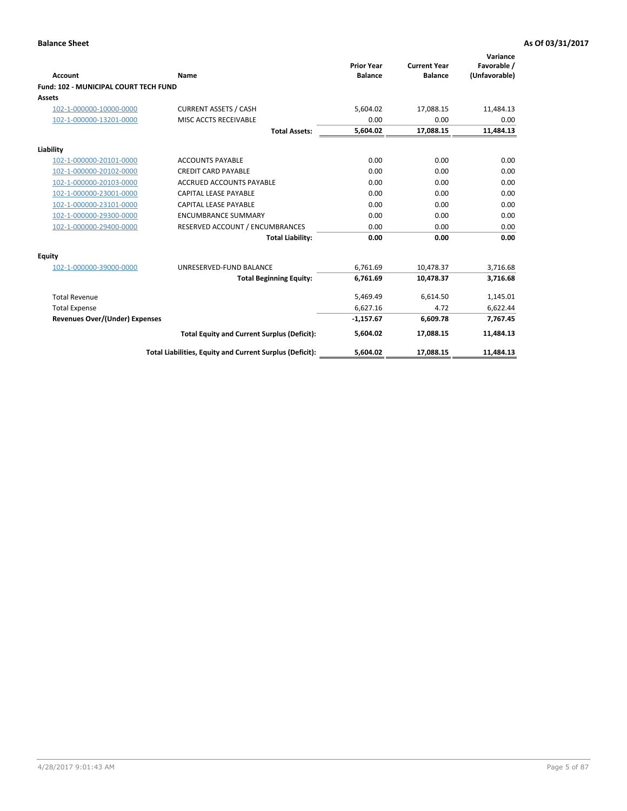| <b>Account</b>                               | Name                                                     | <b>Prior Year</b><br><b>Balance</b> | <b>Current Year</b><br><b>Balance</b> | Variance<br>Favorable /<br>(Unfavorable) |
|----------------------------------------------|----------------------------------------------------------|-------------------------------------|---------------------------------------|------------------------------------------|
| <b>Fund: 102 - MUNICIPAL COURT TECH FUND</b> |                                                          |                                     |                                       |                                          |
| Assets                                       |                                                          |                                     |                                       |                                          |
| 102-1-000000-10000-0000                      | <b>CURRENT ASSETS / CASH</b>                             | 5,604.02                            | 17,088.15                             | 11,484.13                                |
| 102-1-000000-13201-0000                      | MISC ACCTS RECEIVABLE                                    | 0.00                                | 0.00                                  | 0.00                                     |
|                                              | <b>Total Assets:</b>                                     | 5,604.02                            | 17,088.15                             | 11,484.13                                |
| Liability                                    |                                                          |                                     |                                       |                                          |
| 102-1-000000-20101-0000                      | <b>ACCOUNTS PAYABLE</b>                                  | 0.00                                | 0.00                                  | 0.00                                     |
| 102-1-000000-20102-0000                      | <b>CREDIT CARD PAYABLE</b>                               | 0.00                                | 0.00                                  | 0.00                                     |
| 102-1-000000-20103-0000                      | <b>ACCRUED ACCOUNTS PAYABLE</b>                          | 0.00                                | 0.00                                  | 0.00                                     |
| 102-1-000000-23001-0000                      | <b>CAPITAL LEASE PAYABLE</b>                             | 0.00                                | 0.00                                  | 0.00                                     |
| 102-1-000000-23101-0000                      | <b>CAPITAL LEASE PAYABLE</b>                             | 0.00                                | 0.00                                  | 0.00                                     |
| 102-1-000000-29300-0000                      | <b>ENCUMBRANCE SUMMARY</b>                               | 0.00                                | 0.00                                  | 0.00                                     |
| 102-1-000000-29400-0000                      | RESERVED ACCOUNT / ENCUMBRANCES                          | 0.00                                | 0.00                                  | 0.00                                     |
|                                              | <b>Total Liability:</b>                                  | 0.00                                | 0.00                                  | 0.00                                     |
| Equity                                       |                                                          |                                     |                                       |                                          |
| 102-1-000000-39000-0000                      | UNRESERVED-FUND BALANCE                                  | 6,761.69                            | 10,478.37                             | 3,716.68                                 |
|                                              | <b>Total Beginning Equity:</b>                           | 6,761.69                            | 10,478.37                             | 3,716.68                                 |
| <b>Total Revenue</b>                         |                                                          | 5,469.49                            | 6,614.50                              | 1,145.01                                 |
| <b>Total Expense</b>                         |                                                          | 6,627.16                            | 4.72                                  | 6,622.44                                 |
| <b>Revenues Over/(Under) Expenses</b>        |                                                          | $-1,157.67$                         | 6,609.78                              | 7,767.45                                 |
|                                              | <b>Total Equity and Current Surplus (Deficit):</b>       | 5,604.02                            | 17,088.15                             | 11,484.13                                |
|                                              | Total Liabilities, Equity and Current Surplus (Deficit): | 5,604.02                            | 17,088.15                             | 11,484.13                                |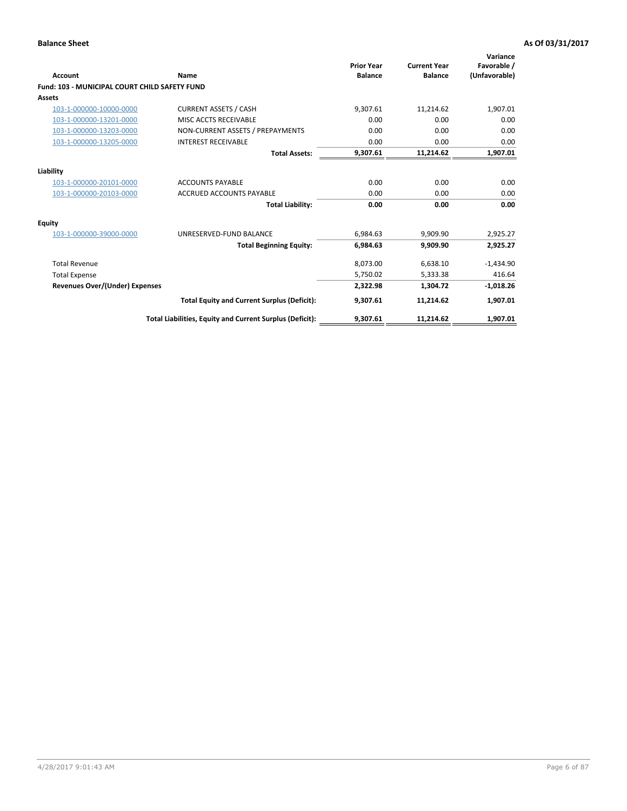| <b>Account</b>                                       | Name                                                     | <b>Prior Year</b><br><b>Balance</b> | <b>Current Year</b><br><b>Balance</b> | Variance<br>Favorable /<br>(Unfavorable) |
|------------------------------------------------------|----------------------------------------------------------|-------------------------------------|---------------------------------------|------------------------------------------|
| <b>Fund: 103 - MUNICIPAL COURT CHILD SAFETY FUND</b> |                                                          |                                     |                                       |                                          |
| <b>Assets</b>                                        |                                                          |                                     |                                       |                                          |
| 103-1-000000-10000-0000                              | <b>CURRENT ASSETS / CASH</b>                             | 9,307.61                            | 11,214.62                             | 1,907.01                                 |
| 103-1-000000-13201-0000                              | MISC ACCTS RECEIVABLE                                    | 0.00                                | 0.00                                  | 0.00                                     |
| 103-1-000000-13203-0000                              | NON-CURRENT ASSETS / PREPAYMENTS                         | 0.00                                | 0.00                                  | 0.00                                     |
| 103-1-000000-13205-0000                              | <b>INTEREST RECEIVABLE</b>                               | 0.00                                | 0.00                                  | 0.00                                     |
|                                                      | <b>Total Assets:</b>                                     | 9,307.61                            | 11,214.62                             | 1,907.01                                 |
| Liability                                            |                                                          |                                     |                                       |                                          |
| 103-1-000000-20101-0000                              | <b>ACCOUNTS PAYABLE</b>                                  | 0.00                                | 0.00                                  | 0.00                                     |
| 103-1-000000-20103-0000                              | <b>ACCRUED ACCOUNTS PAYABLE</b>                          | 0.00                                | 0.00                                  | 0.00                                     |
|                                                      | <b>Total Liability:</b>                                  | 0.00                                | 0.00                                  | 0.00                                     |
| Equity                                               |                                                          |                                     |                                       |                                          |
| 103-1-000000-39000-0000                              | UNRESERVED-FUND BALANCE                                  | 6,984.63                            | 9,909.90                              | 2,925.27                                 |
|                                                      | <b>Total Beginning Equity:</b>                           | 6,984.63                            | 9.909.90                              | 2,925.27                                 |
| <b>Total Revenue</b>                                 |                                                          | 8,073.00                            | 6,638.10                              | $-1,434.90$                              |
| <b>Total Expense</b>                                 |                                                          | 5,750.02                            | 5,333.38                              | 416.64                                   |
| Revenues Over/(Under) Expenses                       |                                                          | 2,322.98                            | 1,304.72                              | $-1,018.26$                              |
|                                                      | <b>Total Equity and Current Surplus (Deficit):</b>       | 9,307.61                            | 11,214.62                             | 1,907.01                                 |
|                                                      | Total Liabilities, Equity and Current Surplus (Deficit): | 9,307.61                            | 11,214.62                             | 1,907.01                                 |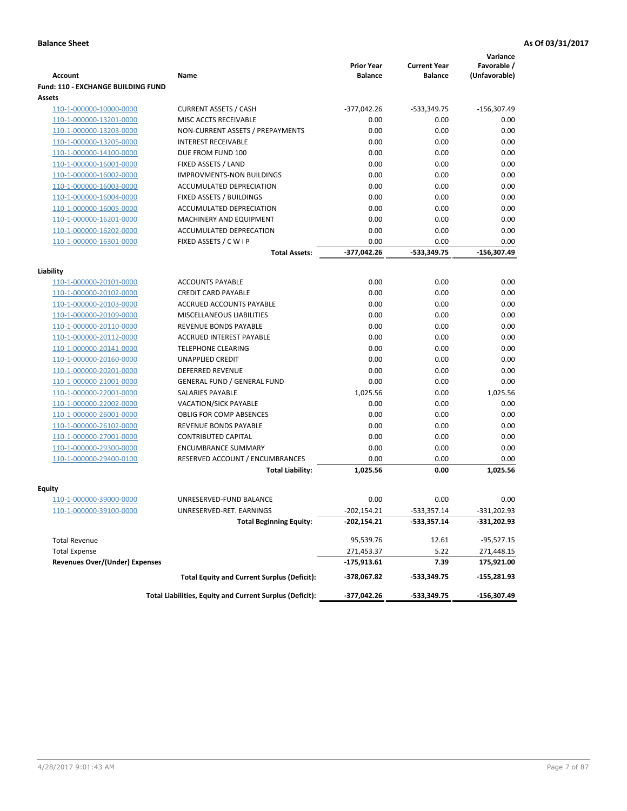|                                       |                                                          | <b>Prior Year</b> | <b>Current Year</b> | Variance<br>Favorable / |
|---------------------------------------|----------------------------------------------------------|-------------------|---------------------|-------------------------|
| Account                               | Name                                                     | <b>Balance</b>    | <b>Balance</b>      | (Unfavorable)           |
| Fund: 110 - EXCHANGE BUILDING FUND    |                                                          |                   |                     |                         |
| Assets                                |                                                          |                   |                     |                         |
| 110-1-000000-10000-0000               | <b>CURRENT ASSETS / CASH</b>                             | $-377,042.26$     | -533,349.75         | $-156,307.49$           |
| 110-1-000000-13201-0000               | MISC ACCTS RECEIVABLE                                    | 0.00              | 0.00                | 0.00                    |
| 110-1-000000-13203-0000               | NON-CURRENT ASSETS / PREPAYMENTS                         | 0.00              | 0.00                | 0.00                    |
| 110-1-000000-13205-0000               | <b>INTEREST RECEIVABLE</b>                               | 0.00              | 0.00                | 0.00                    |
| 110-1-000000-14100-0000               | DUE FROM FUND 100                                        | 0.00              | 0.00                | 0.00                    |
| 110-1-000000-16001-0000               | FIXED ASSETS / LAND                                      | 0.00              | 0.00                | 0.00                    |
| 110-1-000000-16002-0000               | <b>IMPROVMENTS-NON BUILDINGS</b>                         | 0.00              | 0.00                | 0.00                    |
| 110-1-000000-16003-0000               | ACCUMULATED DEPRECIATION                                 | 0.00              | 0.00                | 0.00                    |
| 110-1-000000-16004-0000               | <b>FIXED ASSETS / BUILDINGS</b>                          | 0.00              | 0.00                | 0.00                    |
| 110-1-000000-16005-0000               | ACCUMULATED DEPRECIATION                                 | 0.00              | 0.00                | 0.00                    |
| 110-1-000000-16201-0000               | MACHINERY AND EQUIPMENT                                  | 0.00              | 0.00                | 0.00                    |
| 110-1-000000-16202-0000               | ACCUMULATED DEPRECATION                                  | 0.00              | 0.00                | 0.00                    |
| 110-1-000000-16301-0000               | FIXED ASSETS / C W I P                                   | 0.00              | 0.00                | 0.00                    |
|                                       | <b>Total Assets:</b>                                     | $-377,042.26$     | -533,349.75         | $-156,307.49$           |
| Liability                             |                                                          |                   |                     |                         |
| 110-1-000000-20101-0000               | <b>ACCOUNTS PAYABLE</b>                                  | 0.00              | 0.00                | 0.00                    |
| 110-1-000000-20102-0000               | <b>CREDIT CARD PAYABLE</b>                               | 0.00              | 0.00                | 0.00                    |
| 110-1-000000-20103-0000               | <b>ACCRUED ACCOUNTS PAYABLE</b>                          | 0.00              | 0.00                | 0.00                    |
| 110-1-000000-20109-0000               | MISCELLANEOUS LIABILITIES                                | 0.00              | 0.00                | 0.00                    |
| 110-1-000000-20110-0000               | <b>REVENUE BONDS PAYABLE</b>                             | 0.00              | 0.00                | 0.00                    |
| 110-1-000000-20112-0000               | <b>ACCRUED INTEREST PAYABLE</b>                          | 0.00              | 0.00                | 0.00                    |
| 110-1-000000-20141-0000               | <b>TELEPHONE CLEARING</b>                                | 0.00              | 0.00                | 0.00                    |
| 110-1-000000-20160-0000               | <b>UNAPPLIED CREDIT</b>                                  | 0.00              | 0.00                | 0.00                    |
| 110-1-000000-20201-0000               | <b>DEFERRED REVENUE</b>                                  | 0.00              | 0.00                | 0.00                    |
| 110-1-000000-21001-0000               | <b>GENERAL FUND / GENERAL FUND</b>                       | 0.00              | 0.00                | 0.00                    |
| 110-1-000000-22001-0000               | SALARIES PAYABLE                                         | 1,025.56          | 0.00                | 1,025.56                |
| 110-1-000000-22002-0000               | <b>VACATION/SICK PAYABLE</b>                             | 0.00              | 0.00                | 0.00                    |
| 110-1-000000-26001-0000               | <b>OBLIG FOR COMP ABSENCES</b>                           | 0.00              | 0.00                | 0.00                    |
| 110-1-000000-26102-0000               | REVENUE BONDS PAYABLE                                    | 0.00              | 0.00                | 0.00                    |
| 110-1-000000-27001-0000               | <b>CONTRIBUTED CAPITAL</b>                               | 0.00              | 0.00                | 0.00                    |
| 110-1-000000-29300-0000               | <b>ENCUMBRANCE SUMMARY</b>                               | 0.00              | 0.00                | 0.00                    |
| 110-1-000000-29400-0100               | RESERVED ACCOUNT / ENCUMBRANCES                          | 0.00              | 0.00                | 0.00                    |
|                                       | <b>Total Liability:</b>                                  | 1,025.56          | 0.00                | 1.025.56                |
| <b>Equity</b>                         |                                                          |                   |                     |                         |
| 110-1-000000-39000-0000               | UNRESERVED-FUND BALANCE                                  | 0.00              | 0.00                | 0.00                    |
| 110-1-000000-39100-0000               | UNRESERVED-RET. EARNINGS                                 | $-202,154.21$     | -533,357.14         | -331,202.93             |
|                                       | <b>Total Beginning Equity:</b>                           | $-202,154.21$     | -533,357.14         | -331,202.93             |
|                                       |                                                          |                   |                     |                         |
| <b>Total Revenue</b>                  |                                                          | 95,539.76         | 12.61               | $-95,527.15$            |
| <b>Total Expense</b>                  |                                                          | 271,453.37        | 5.22                | 271,448.15              |
| <b>Revenues Over/(Under) Expenses</b> |                                                          | -175,913.61       | 7.39                | 175,921.00              |
|                                       | <b>Total Equity and Current Surplus (Deficit):</b>       | -378,067.82       | -533,349.75         | -155,281.93             |
|                                       | Total Liabilities, Equity and Current Surplus (Deficit): | -377,042.26       | -533,349.75         | -156,307.49             |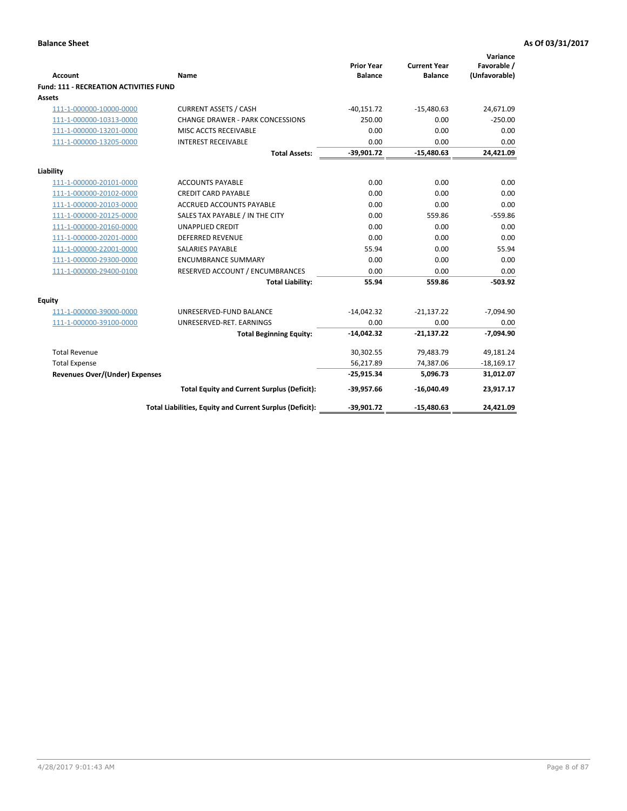|                                                          |                                                          | <b>Prior Year</b><br><b>Balance</b> | <b>Current Year</b><br><b>Balance</b> | Variance<br>Favorable / |
|----------------------------------------------------------|----------------------------------------------------------|-------------------------------------|---------------------------------------|-------------------------|
| <b>Account</b><br>Fund: 111 - RECREATION ACTIVITIES FUND | <b>Name</b>                                              |                                     |                                       | (Unfavorable)           |
| <b>Assets</b>                                            |                                                          |                                     |                                       |                         |
| 111-1-000000-10000-0000                                  | <b>CURRENT ASSETS / CASH</b>                             | $-40,151.72$                        | $-15,480.63$                          | 24,671.09               |
| 111-1-000000-10313-0000                                  | <b>CHANGE DRAWER - PARK CONCESSIONS</b>                  | 250.00                              | 0.00                                  | $-250.00$               |
| 111-1-000000-13201-0000                                  | MISC ACCTS RECEIVABLE                                    | 0.00                                | 0.00                                  | 0.00                    |
| 111-1-000000-13205-0000                                  | <b>INTEREST RECEIVABLE</b>                               | 0.00                                | 0.00                                  | 0.00                    |
|                                                          | <b>Total Assets:</b>                                     | $-39,901.72$                        | $-15,480.63$                          | 24,421.09               |
|                                                          |                                                          |                                     |                                       |                         |
| Liability                                                |                                                          |                                     |                                       |                         |
| 111-1-000000-20101-0000                                  | <b>ACCOUNTS PAYABLE</b>                                  | 0.00                                | 0.00                                  | 0.00                    |
| 111-1-000000-20102-0000                                  | <b>CREDIT CARD PAYABLE</b>                               | 0.00                                | 0.00                                  | 0.00                    |
| 111-1-000000-20103-0000                                  | <b>ACCRUED ACCOUNTS PAYABLE</b>                          | 0.00                                | 0.00                                  | 0.00                    |
| 111-1-000000-20125-0000                                  | SALES TAX PAYABLE / IN THE CITY                          | 0.00                                | 559.86                                | $-559.86$               |
| 111-1-000000-20160-0000                                  | <b>UNAPPLIED CREDIT</b>                                  | 0.00                                | 0.00                                  | 0.00                    |
| 111-1-000000-20201-0000                                  | <b>DEFERRED REVENUE</b>                                  | 0.00                                | 0.00                                  | 0.00                    |
| 111-1-000000-22001-0000                                  | <b>SALARIES PAYABLE</b>                                  | 55.94                               | 0.00                                  | 55.94                   |
| 111-1-000000-29300-0000                                  | <b>ENCUMBRANCE SUMMARY</b>                               | 0.00                                | 0.00                                  | 0.00                    |
| 111-1-000000-29400-0100                                  | RESERVED ACCOUNT / ENCUMBRANCES                          | 0.00                                | 0.00                                  | 0.00                    |
|                                                          | <b>Total Liability:</b>                                  | 55.94                               | 559.86                                | $-503.92$               |
| <b>Equity</b>                                            |                                                          |                                     |                                       |                         |
| 111-1-000000-39000-0000                                  | UNRESERVED-FUND BALANCE                                  | $-14,042.32$                        | $-21,137.22$                          | $-7,094.90$             |
| 111-1-000000-39100-0000                                  | UNRESERVED-RET. EARNINGS                                 | 0.00                                | 0.00                                  | 0.00                    |
|                                                          | <b>Total Beginning Equity:</b>                           | $-14,042.32$                        | $-21,137.22$                          | $-7,094.90$             |
| <b>Total Revenue</b>                                     |                                                          | 30,302.55                           | 79,483.79                             | 49,181.24               |
| <b>Total Expense</b>                                     |                                                          | 56,217.89                           | 74,387.06                             | $-18,169.17$            |
| <b>Revenues Over/(Under) Expenses</b>                    |                                                          | $-25,915.34$                        | 5,096.73                              | 31,012.07               |
|                                                          | <b>Total Equity and Current Surplus (Deficit):</b>       | $-39,957.66$                        | $-16,040.49$                          | 23,917.17               |
|                                                          | Total Liabilities, Equity and Current Surplus (Deficit): | $-39,901.72$                        | $-15,480.63$                          | 24,421.09               |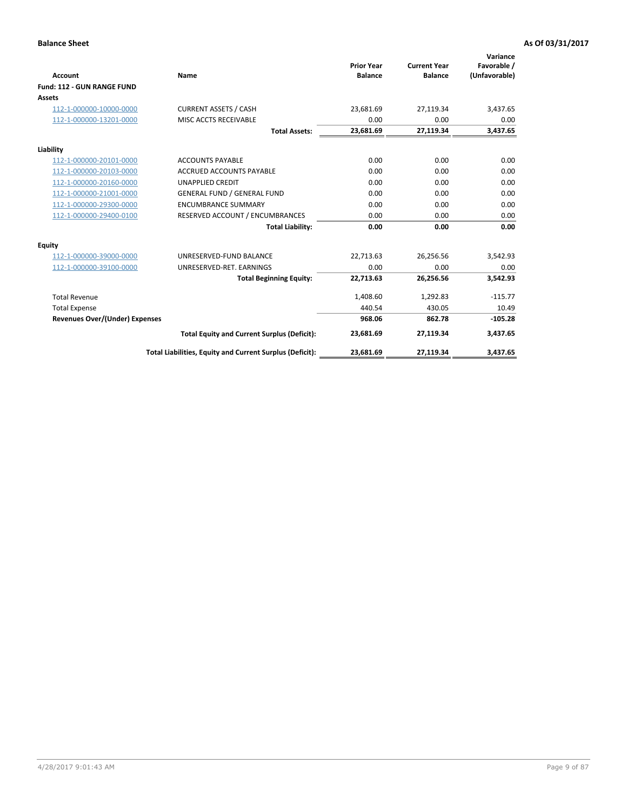|                                       |                                                          |                                     |                                       | Variance                     |
|---------------------------------------|----------------------------------------------------------|-------------------------------------|---------------------------------------|------------------------------|
| <b>Account</b>                        | Name                                                     | <b>Prior Year</b><br><b>Balance</b> | <b>Current Year</b><br><b>Balance</b> | Favorable /<br>(Unfavorable) |
| Fund: 112 - GUN RANGE FUND            |                                                          |                                     |                                       |                              |
| <b>Assets</b>                         |                                                          |                                     |                                       |                              |
| 112-1-000000-10000-0000               | <b>CURRENT ASSETS / CASH</b>                             | 23,681.69                           | 27,119.34                             | 3,437.65                     |
| 112-1-000000-13201-0000               | MISC ACCTS RECEIVABLE                                    | 0.00                                | 0.00                                  | 0.00                         |
|                                       | <b>Total Assets:</b>                                     | 23,681.69                           | 27,119.34                             | 3,437.65                     |
| Liability                             |                                                          |                                     |                                       |                              |
| 112-1-000000-20101-0000               | <b>ACCOUNTS PAYABLE</b>                                  | 0.00                                | 0.00                                  | 0.00                         |
| 112-1-000000-20103-0000               | <b>ACCRUED ACCOUNTS PAYABLE</b>                          | 0.00                                | 0.00                                  | 0.00                         |
| 112-1-000000-20160-0000               | <b>UNAPPLIED CREDIT</b>                                  | 0.00                                | 0.00                                  | 0.00                         |
| 112-1-000000-21001-0000               | <b>GENERAL FUND / GENERAL FUND</b>                       | 0.00                                | 0.00                                  | 0.00                         |
| 112-1-000000-29300-0000               | <b>ENCUMBRANCE SUMMARY</b>                               | 0.00                                | 0.00                                  | 0.00                         |
| 112-1-000000-29400-0100               | RESERVED ACCOUNT / ENCUMBRANCES                          | 0.00                                | 0.00                                  | 0.00                         |
|                                       | <b>Total Liability:</b>                                  | 0.00                                | 0.00                                  | 0.00                         |
| Equity                                |                                                          |                                     |                                       |                              |
| 112-1-000000-39000-0000               | UNRESERVED-FUND BALANCE                                  | 22,713.63                           | 26,256.56                             | 3,542.93                     |
| 112-1-000000-39100-0000               | UNRESERVED-RET. EARNINGS                                 | 0.00                                | 0.00                                  | 0.00                         |
|                                       | <b>Total Beginning Equity:</b>                           | 22,713.63                           | 26,256.56                             | 3,542.93                     |
| <b>Total Revenue</b>                  |                                                          | 1,408.60                            | 1,292.83                              | $-115.77$                    |
| <b>Total Expense</b>                  |                                                          | 440.54                              | 430.05                                | 10.49                        |
| <b>Revenues Over/(Under) Expenses</b> |                                                          | 968.06                              | 862.78                                | $-105.28$                    |
|                                       | <b>Total Equity and Current Surplus (Deficit):</b>       | 23,681.69                           | 27,119.34                             | 3,437.65                     |
|                                       | Total Liabilities, Equity and Current Surplus (Deficit): | 23,681.69                           | 27,119.34                             | 3,437.65                     |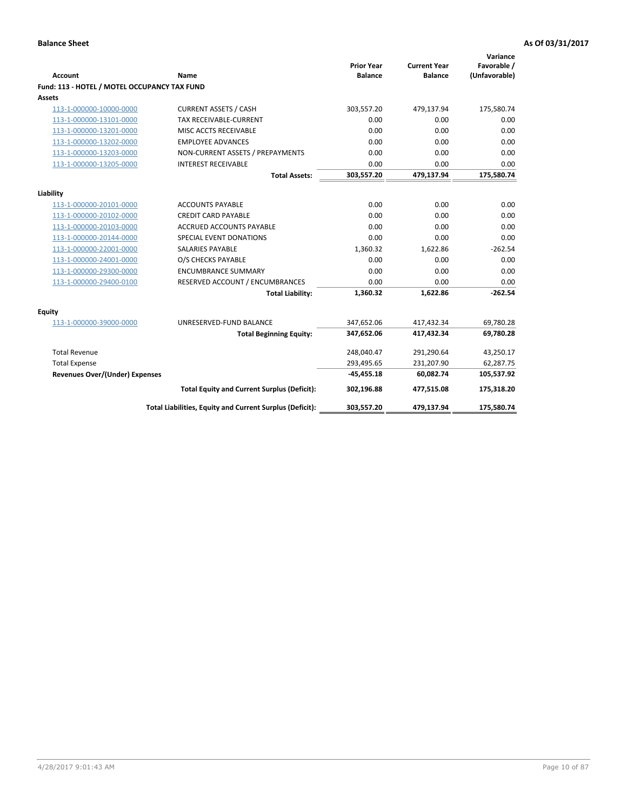| <b>Account</b>                                     | Name                                                     | <b>Prior Year</b><br><b>Balance</b> | <b>Current Year</b><br><b>Balance</b> | Variance<br>Favorable /<br>(Unfavorable) |
|----------------------------------------------------|----------------------------------------------------------|-------------------------------------|---------------------------------------|------------------------------------------|
| Fund: 113 - HOTEL / MOTEL OCCUPANCY TAX FUND       |                                                          |                                     |                                       |                                          |
| Assets                                             |                                                          |                                     |                                       |                                          |
| 113-1-000000-10000-0000                            | <b>CURRENT ASSETS / CASH</b>                             | 303,557.20                          | 479,137.94                            | 175,580.74                               |
| 113-1-000000-13101-0000                            | <b>TAX RECEIVABLE-CURRENT</b>                            | 0.00                                | 0.00                                  | 0.00                                     |
| 113-1-000000-13201-0000                            | MISC ACCTS RECEIVABLE                                    | 0.00                                | 0.00                                  | 0.00                                     |
| 113-1-000000-13202-0000                            | <b>EMPLOYEE ADVANCES</b>                                 | 0.00                                | 0.00                                  | 0.00                                     |
| 113-1-000000-13203-0000                            | NON-CURRENT ASSETS / PREPAYMENTS                         | 0.00                                | 0.00                                  | 0.00                                     |
| 113-1-000000-13205-0000                            | <b>INTEREST RECEIVABLE</b>                               | 0.00                                | 0.00                                  | 0.00                                     |
|                                                    | <b>Total Assets:</b>                                     | 303,557.20                          | 479,137.94                            | 175,580.74                               |
|                                                    |                                                          |                                     |                                       |                                          |
| Liability<br>113-1-000000-20101-0000               | <b>ACCOUNTS PAYABLE</b>                                  | 0.00                                | 0.00                                  | 0.00                                     |
| 113-1-000000-20102-0000                            | <b>CREDIT CARD PAYABLE</b>                               | 0.00                                | 0.00                                  | 0.00                                     |
| 113-1-000000-20103-0000                            | <b>ACCRUED ACCOUNTS PAYABLE</b>                          | 0.00                                | 0.00                                  | 0.00                                     |
| 113-1-000000-20144-0000                            | <b>SPECIAL EVENT DONATIONS</b>                           | 0.00                                | 0.00                                  | 0.00                                     |
| 113-1-000000-22001-0000                            | <b>SALARIES PAYABLE</b>                                  | 1,360.32                            | 1,622.86                              | $-262.54$                                |
| 113-1-000000-24001-0000                            | O/S CHECKS PAYABLE                                       | 0.00                                | 0.00                                  | 0.00                                     |
|                                                    | <b>ENCUMBRANCE SUMMARY</b>                               | 0.00                                | 0.00                                  | 0.00                                     |
| 113-1-000000-29300-0000<br>113-1-000000-29400-0100 | RESERVED ACCOUNT / ENCUMBRANCES                          | 0.00                                | 0.00                                  | 0.00                                     |
|                                                    | <b>Total Liability:</b>                                  | 1,360.32                            | 1,622.86                              | $-262.54$                                |
|                                                    |                                                          |                                     |                                       |                                          |
| Equity                                             |                                                          |                                     |                                       |                                          |
| 113-1-000000-39000-0000                            | UNRESERVED-FUND BALANCE                                  | 347,652.06                          | 417,432.34                            | 69,780.28                                |
|                                                    | <b>Total Beginning Equity:</b>                           | 347,652.06                          | 417,432.34                            | 69,780.28                                |
| <b>Total Revenue</b>                               |                                                          | 248,040.47                          | 291,290.64                            | 43,250.17                                |
| <b>Total Expense</b>                               |                                                          | 293,495.65                          | 231,207.90                            | 62,287.75                                |
| <b>Revenues Over/(Under) Expenses</b>              |                                                          | $-45,455.18$                        | 60,082.74                             | 105,537.92                               |
|                                                    | <b>Total Equity and Current Surplus (Deficit):</b>       | 302,196.88                          | 477,515.08                            | 175,318.20                               |
|                                                    | Total Liabilities, Equity and Current Surplus (Deficit): | 303,557.20                          | 479,137.94                            | 175,580.74                               |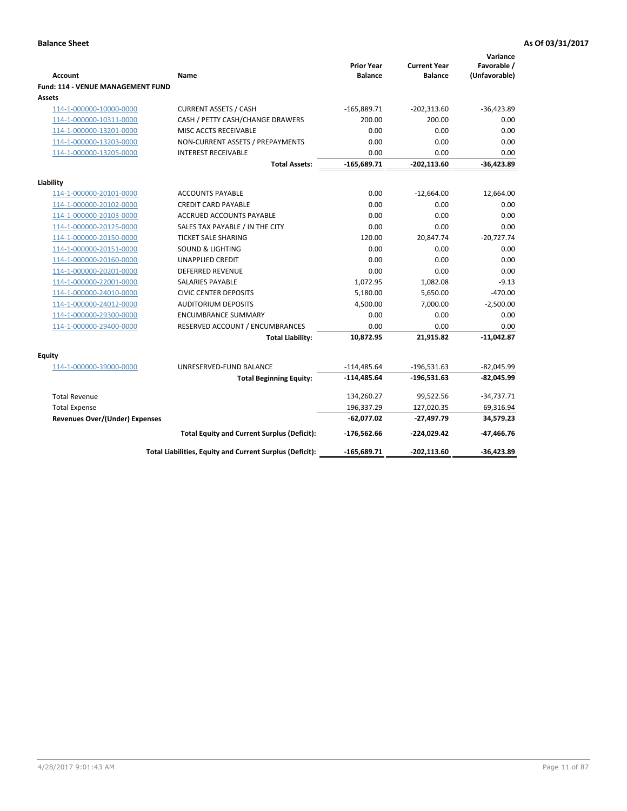| <b>Account</b>                                     | Name                                                     | <b>Prior Year</b><br><b>Balance</b> | <b>Current Year</b><br><b>Balance</b> | Variance<br>Favorable /<br>(Unfavorable) |
|----------------------------------------------------|----------------------------------------------------------|-------------------------------------|---------------------------------------|------------------------------------------|
| <b>Fund: 114 - VENUE MANAGEMENT FUND</b><br>Assets |                                                          |                                     |                                       |                                          |
| 114-1-000000-10000-0000                            | <b>CURRENT ASSETS / CASH</b>                             | $-165,889.71$                       | $-202,313.60$                         | $-36,423.89$                             |
| 114-1-000000-10311-0000                            | CASH / PETTY CASH/CHANGE DRAWERS                         | 200.00                              | 200.00                                | 0.00                                     |
| 114-1-000000-13201-0000                            | MISC ACCTS RECEIVABLE                                    | 0.00                                | 0.00                                  | 0.00                                     |
| 114-1-000000-13203-0000                            | NON-CURRENT ASSETS / PREPAYMENTS                         | 0.00                                | 0.00                                  | 0.00                                     |
| 114-1-000000-13205-0000                            | <b>INTEREST RECEIVABLE</b>                               | 0.00                                | 0.00                                  | 0.00                                     |
|                                                    | <b>Total Assets:</b>                                     | $-165,689.71$                       | $-202,113.60$                         | $-36,423.89$                             |
|                                                    |                                                          |                                     |                                       |                                          |
| Liability                                          |                                                          |                                     |                                       |                                          |
| 114-1-000000-20101-0000                            | <b>ACCOUNTS PAYABLE</b>                                  | 0.00                                | $-12,664.00$                          | 12,664.00                                |
| 114-1-000000-20102-0000                            | <b>CREDIT CARD PAYABLE</b>                               | 0.00                                | 0.00                                  | 0.00                                     |
| 114-1-000000-20103-0000                            | ACCRUED ACCOUNTS PAYABLE                                 | 0.00                                | 0.00                                  | 0.00                                     |
| 114-1-000000-20125-0000                            | SALES TAX PAYABLE / IN THE CITY                          | 0.00                                | 0.00                                  | 0.00                                     |
| 114-1-000000-20150-0000                            | <b>TICKET SALE SHARING</b>                               | 120.00                              | 20,847.74                             | $-20,727.74$                             |
| 114-1-000000-20151-0000                            | <b>SOUND &amp; LIGHTING</b>                              | 0.00                                | 0.00                                  | 0.00                                     |
| 114-1-000000-20160-0000                            | <b>UNAPPLIED CREDIT</b>                                  | 0.00                                | 0.00                                  | 0.00                                     |
| 114-1-000000-20201-0000                            | <b>DEFERRED REVENUE</b>                                  | 0.00                                | 0.00                                  | 0.00                                     |
| 114-1-000000-22001-0000                            | <b>SALARIES PAYABLE</b>                                  | 1,072.95                            | 1,082.08                              | $-9.13$                                  |
| 114-1-000000-24010-0000                            | <b>CIVIC CENTER DEPOSITS</b>                             | 5,180.00                            | 5,650.00                              | $-470.00$                                |
| 114-1-000000-24012-0000                            | <b>AUDITORIUM DEPOSITS</b>                               | 4,500.00                            | 7,000.00                              | $-2,500.00$                              |
| 114-1-000000-29300-0000                            | <b>ENCUMBRANCE SUMMARY</b>                               | 0.00                                | 0.00                                  | 0.00                                     |
| 114-1-000000-29400-0000                            | RESERVED ACCOUNT / ENCUMBRANCES                          | 0.00                                | 0.00                                  | 0.00                                     |
|                                                    | <b>Total Liability:</b>                                  | 10,872.95                           | 21,915.82                             | $-11,042.87$                             |
| Equity                                             |                                                          |                                     |                                       |                                          |
| 114-1-000000-39000-0000                            | UNRESERVED-FUND BALANCE                                  | $-114,485.64$                       | $-196,531.63$                         | $-82,045.99$                             |
|                                                    | <b>Total Beginning Equity:</b>                           | $-114,485.64$                       | $-196,531.63$                         | $-82,045.99$                             |
| <b>Total Revenue</b>                               |                                                          | 134,260.27                          | 99,522.56                             | $-34,737.71$                             |
| <b>Total Expense</b>                               |                                                          | 196,337.29                          | 127,020.35                            | 69,316.94                                |
| <b>Revenues Over/(Under) Expenses</b>              |                                                          | $-62,077.02$                        | -27,497.79                            | 34,579.23                                |
|                                                    | <b>Total Equity and Current Surplus (Deficit):</b>       | $-176,562.66$                       | $-224.029.42$                         | $-47,466.76$                             |
|                                                    | Total Liabilities, Equity and Current Surplus (Deficit): | $-165,689.71$                       | $-202, 113.60$                        | $-36.423.89$                             |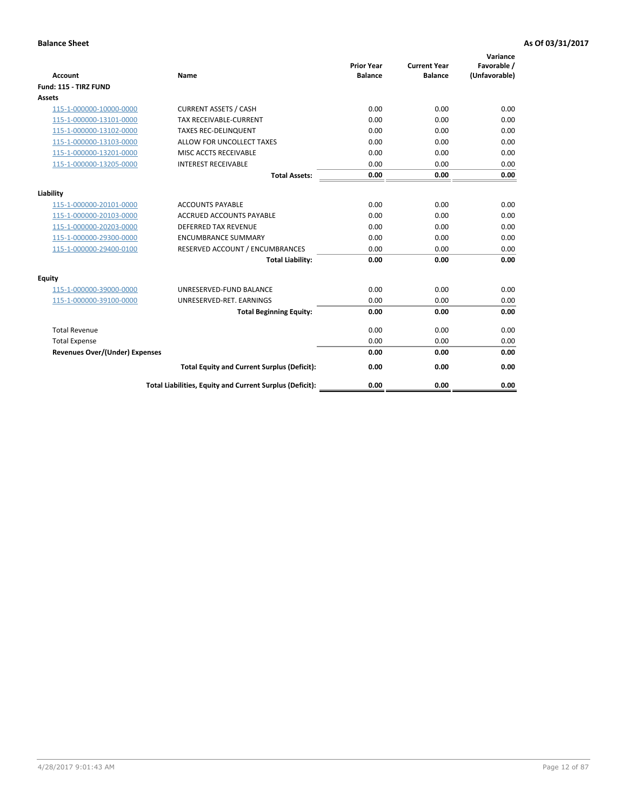|                                       |                                                          |                                     |                                       | Variance                     |
|---------------------------------------|----------------------------------------------------------|-------------------------------------|---------------------------------------|------------------------------|
| <b>Account</b>                        | Name                                                     | <b>Prior Year</b><br><b>Balance</b> | <b>Current Year</b><br><b>Balance</b> | Favorable /<br>(Unfavorable) |
| Fund: 115 - TIRZ FUND                 |                                                          |                                     |                                       |                              |
| <b>Assets</b>                         |                                                          |                                     |                                       |                              |
| 115-1-000000-10000-0000               | <b>CURRENT ASSETS / CASH</b>                             | 0.00                                | 0.00                                  | 0.00                         |
| 115-1-000000-13101-0000               | <b>TAX RECEIVABLE-CURRENT</b>                            | 0.00                                | 0.00                                  | 0.00                         |
| 115-1-000000-13102-0000               | <b>TAXES REC-DELINQUENT</b>                              | 0.00                                | 0.00                                  | 0.00                         |
| 115-1-000000-13103-0000               | ALLOW FOR UNCOLLECT TAXES                                | 0.00                                | 0.00                                  | 0.00                         |
| 115-1-000000-13201-0000               | MISC ACCTS RECEIVABLE                                    | 0.00                                | 0.00                                  | 0.00                         |
| 115-1-000000-13205-0000               | <b>INTEREST RECEIVABLE</b>                               | 0.00                                | 0.00                                  | 0.00                         |
|                                       | <b>Total Assets:</b>                                     | 0.00                                | 0.00                                  | 0.00                         |
|                                       |                                                          |                                     |                                       |                              |
| Liability                             |                                                          |                                     |                                       |                              |
| 115-1-000000-20101-0000               | <b>ACCOUNTS PAYABLE</b>                                  | 0.00                                | 0.00                                  | 0.00                         |
| 115-1-000000-20103-0000               | <b>ACCRUED ACCOUNTS PAYABLE</b>                          | 0.00                                | 0.00                                  | 0.00                         |
| 115-1-000000-20203-0000               | <b>DEFERRED TAX REVENUE</b>                              | 0.00                                | 0.00                                  | 0.00                         |
| 115-1-000000-29300-0000               | <b>ENCUMBRANCE SUMMARY</b>                               | 0.00                                | 0.00                                  | 0.00                         |
| 115-1-000000-29400-0100               | RESERVED ACCOUNT / ENCUMBRANCES                          | 0.00                                | 0.00                                  | 0.00                         |
|                                       | <b>Total Liability:</b>                                  | 0.00                                | 0.00                                  | 0.00                         |
| Equity                                |                                                          |                                     |                                       |                              |
| 115-1-000000-39000-0000               | UNRESERVED-FUND BALANCE                                  | 0.00                                | 0.00                                  | 0.00                         |
| 115-1-000000-39100-0000               | UNRESERVED-RET. EARNINGS                                 | 0.00                                | 0.00                                  | 0.00                         |
|                                       | <b>Total Beginning Equity:</b>                           | 0.00                                | 0.00                                  | 0.00                         |
| <b>Total Revenue</b>                  |                                                          | 0.00                                | 0.00                                  | 0.00                         |
| <b>Total Expense</b>                  |                                                          | 0.00                                | 0.00                                  | 0.00                         |
| <b>Revenues Over/(Under) Expenses</b> |                                                          | 0.00                                | 0.00                                  | 0.00                         |
|                                       | <b>Total Equity and Current Surplus (Deficit):</b>       | 0.00                                | 0.00                                  | 0.00                         |
|                                       | Total Liabilities, Equity and Current Surplus (Deficit): | 0.00                                | 0.00                                  | 0.00                         |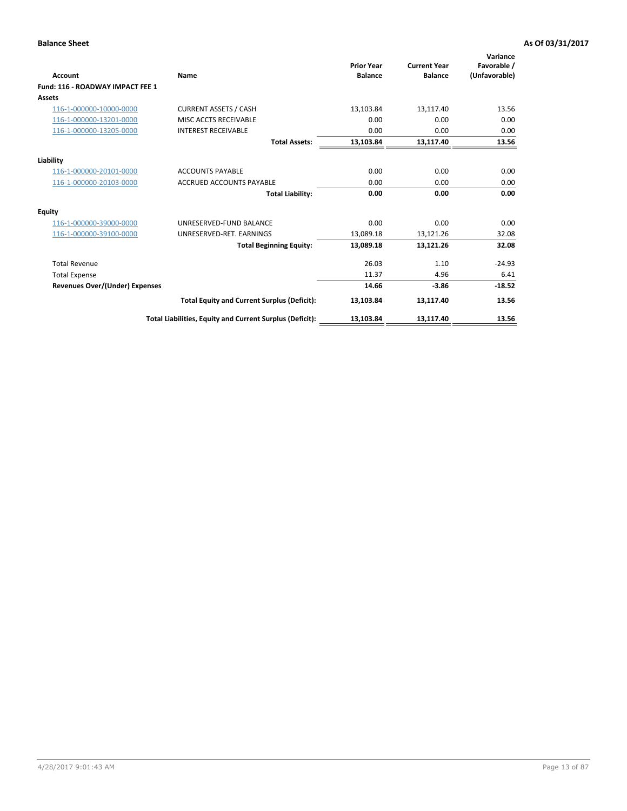| Account                               | Name                                                     | <b>Prior Year</b><br><b>Balance</b> | <b>Current Year</b><br><b>Balance</b> | Variance<br>Favorable /<br>(Unfavorable) |
|---------------------------------------|----------------------------------------------------------|-------------------------------------|---------------------------------------|------------------------------------------|
| Fund: 116 - ROADWAY IMPACT FEE 1      |                                                          |                                     |                                       |                                          |
| Assets                                |                                                          |                                     |                                       |                                          |
| 116-1-000000-10000-0000               | <b>CURRENT ASSETS / CASH</b>                             | 13,103.84                           | 13,117.40                             | 13.56                                    |
| 116-1-000000-13201-0000               | <b>MISC ACCTS RECEIVABLE</b>                             | 0.00                                | 0.00                                  | 0.00                                     |
| 116-1-000000-13205-0000               | <b>INTEREST RECEIVABLE</b>                               | 0.00                                | 0.00                                  | 0.00                                     |
|                                       | <b>Total Assets:</b>                                     | 13,103.84                           | 13,117.40                             | 13.56                                    |
| Liability                             |                                                          |                                     |                                       |                                          |
| 116-1-000000-20101-0000               | <b>ACCOUNTS PAYABLE</b>                                  | 0.00                                | 0.00                                  | 0.00                                     |
| 116-1-000000-20103-0000               | <b>ACCRUED ACCOUNTS PAYABLE</b>                          | 0.00                                | 0.00                                  | 0.00                                     |
|                                       | <b>Total Liability:</b>                                  | 0.00                                | 0.00                                  | 0.00                                     |
| Equity                                |                                                          |                                     |                                       |                                          |
| 116-1-000000-39000-0000               | UNRESERVED-FUND BALANCE                                  | 0.00                                | 0.00                                  | 0.00                                     |
| 116-1-000000-39100-0000               | UNRESERVED-RET. EARNINGS                                 | 13,089.18                           | 13,121.26                             | 32.08                                    |
|                                       | <b>Total Beginning Equity:</b>                           | 13,089.18                           | 13,121.26                             | 32.08                                    |
| <b>Total Revenue</b>                  |                                                          | 26.03                               | 1.10                                  | $-24.93$                                 |
| <b>Total Expense</b>                  |                                                          | 11.37                               | 4.96                                  | 6.41                                     |
| <b>Revenues Over/(Under) Expenses</b> |                                                          | 14.66                               | $-3.86$                               | $-18.52$                                 |
|                                       | <b>Total Equity and Current Surplus (Deficit):</b>       | 13,103.84                           | 13,117.40                             | 13.56                                    |
|                                       | Total Liabilities, Equity and Current Surplus (Deficit): | 13,103.84                           | 13,117.40                             | 13.56                                    |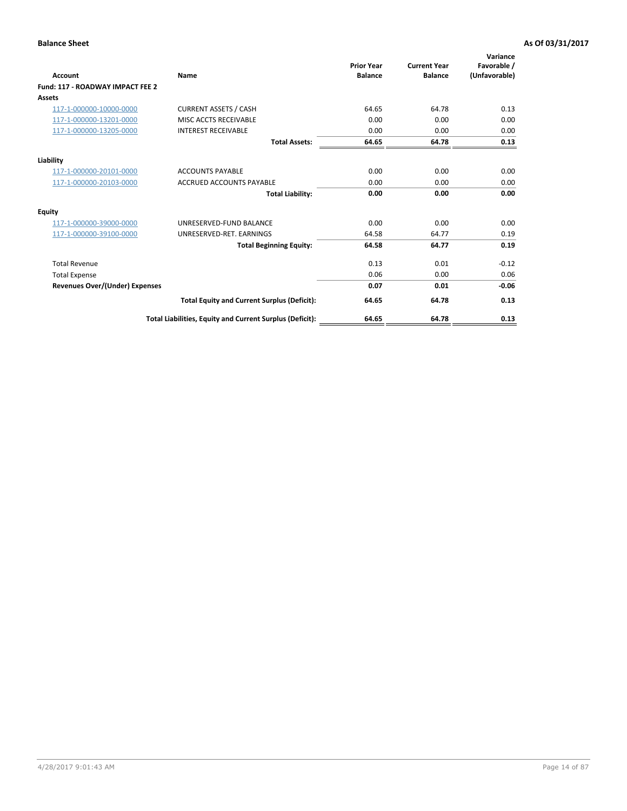| <b>Account</b>                        | Name                                                     | <b>Prior Year</b><br><b>Balance</b> | <b>Current Year</b><br><b>Balance</b> | Variance<br>Favorable /<br>(Unfavorable) |
|---------------------------------------|----------------------------------------------------------|-------------------------------------|---------------------------------------|------------------------------------------|
| Fund: 117 - ROADWAY IMPACT FEE 2      |                                                          |                                     |                                       |                                          |
| <b>Assets</b>                         |                                                          |                                     |                                       |                                          |
| 117-1-000000-10000-0000               | <b>CURRENT ASSETS / CASH</b>                             | 64.65                               | 64.78                                 | 0.13                                     |
| 117-1-000000-13201-0000               | MISC ACCTS RECEIVABLE                                    | 0.00                                | 0.00                                  | 0.00                                     |
| 117-1-000000-13205-0000               | <b>INTEREST RECEIVABLE</b>                               | 0.00                                | 0.00                                  | 0.00                                     |
|                                       | <b>Total Assets:</b>                                     | 64.65                               | 64.78                                 | 0.13                                     |
| Liability                             |                                                          |                                     |                                       |                                          |
| 117-1-000000-20101-0000               | <b>ACCOUNTS PAYABLE</b>                                  | 0.00                                | 0.00                                  | 0.00                                     |
| 117-1-000000-20103-0000               | <b>ACCRUED ACCOUNTS PAYABLE</b>                          | 0.00                                | 0.00                                  | 0.00                                     |
|                                       | <b>Total Liability:</b>                                  | 0.00                                | 0.00                                  | 0.00                                     |
| <b>Equity</b>                         |                                                          |                                     |                                       |                                          |
| 117-1-000000-39000-0000               | UNRESERVED-FUND BALANCE                                  | 0.00                                | 0.00                                  | 0.00                                     |
| 117-1-000000-39100-0000               | UNRESERVED-RET. EARNINGS                                 | 64.58                               | 64.77                                 | 0.19                                     |
|                                       | <b>Total Beginning Equity:</b>                           | 64.58                               | 64.77                                 | 0.19                                     |
| <b>Total Revenue</b>                  |                                                          | 0.13                                | 0.01                                  | $-0.12$                                  |
| <b>Total Expense</b>                  |                                                          | 0.06                                | 0.00                                  | 0.06                                     |
| <b>Revenues Over/(Under) Expenses</b> |                                                          | 0.07                                | 0.01                                  | $-0.06$                                  |
|                                       | <b>Total Equity and Current Surplus (Deficit):</b>       | 64.65                               | 64.78                                 | 0.13                                     |
|                                       | Total Liabilities, Equity and Current Surplus (Deficit): | 64.65                               | 64.78                                 | 0.13                                     |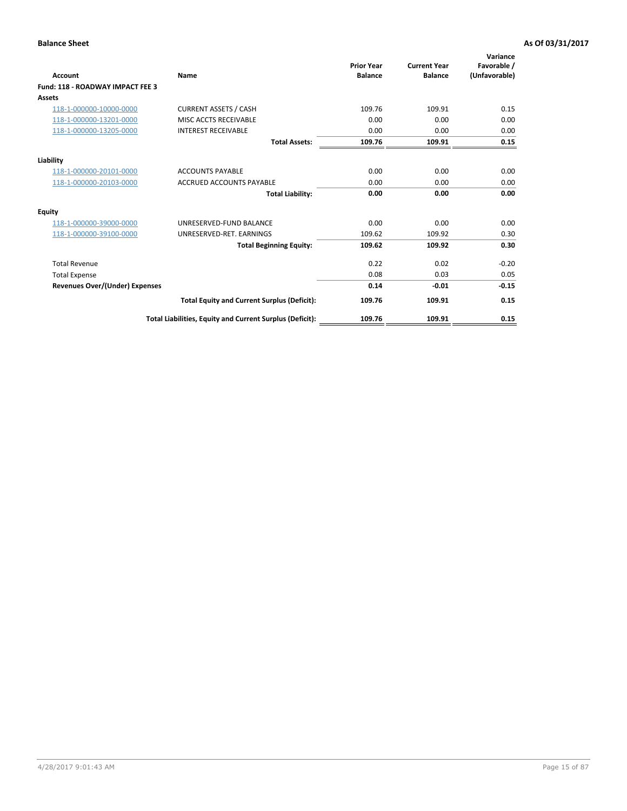| <b>Account</b>                        | Name                                                     | <b>Prior Year</b><br><b>Balance</b> | <b>Current Year</b><br><b>Balance</b> | Variance<br>Favorable /<br>(Unfavorable) |
|---------------------------------------|----------------------------------------------------------|-------------------------------------|---------------------------------------|------------------------------------------|
| Fund: 118 - ROADWAY IMPACT FEE 3      |                                                          |                                     |                                       |                                          |
| Assets                                |                                                          |                                     |                                       |                                          |
| 118-1-000000-10000-0000               | <b>CURRENT ASSETS / CASH</b>                             | 109.76                              | 109.91                                | 0.15                                     |
| 118-1-000000-13201-0000               | MISC ACCTS RECEIVABLE                                    | 0.00                                | 0.00                                  | 0.00                                     |
| 118-1-000000-13205-0000               | <b>INTEREST RECEIVABLE</b>                               | 0.00                                | 0.00                                  | 0.00                                     |
|                                       | <b>Total Assets:</b>                                     | 109.76                              | 109.91                                | 0.15                                     |
| Liability                             |                                                          |                                     |                                       |                                          |
| 118-1-000000-20101-0000               | <b>ACCOUNTS PAYABLE</b>                                  | 0.00                                | 0.00                                  | 0.00                                     |
| 118-1-000000-20103-0000               | <b>ACCRUED ACCOUNTS PAYABLE</b>                          | 0.00                                | 0.00                                  | 0.00                                     |
|                                       | <b>Total Liability:</b>                                  | 0.00                                | 0.00                                  | 0.00                                     |
| <b>Equity</b>                         |                                                          |                                     |                                       |                                          |
| 118-1-000000-39000-0000               | UNRESERVED-FUND BALANCE                                  | 0.00                                | 0.00                                  | 0.00                                     |
| 118-1-000000-39100-0000               | UNRESERVED-RET. EARNINGS                                 | 109.62                              | 109.92                                | 0.30                                     |
|                                       | <b>Total Beginning Equity:</b>                           | 109.62                              | 109.92                                | 0.30                                     |
| <b>Total Revenue</b>                  |                                                          | 0.22                                | 0.02                                  | $-0.20$                                  |
| <b>Total Expense</b>                  |                                                          | 0.08                                | 0.03                                  | 0.05                                     |
| <b>Revenues Over/(Under) Expenses</b> |                                                          | 0.14                                | $-0.01$                               | $-0.15$                                  |
|                                       | <b>Total Equity and Current Surplus (Deficit):</b>       | 109.76                              | 109.91                                | 0.15                                     |
|                                       | Total Liabilities, Equity and Current Surplus (Deficit): | 109.76                              | 109.91                                | 0.15                                     |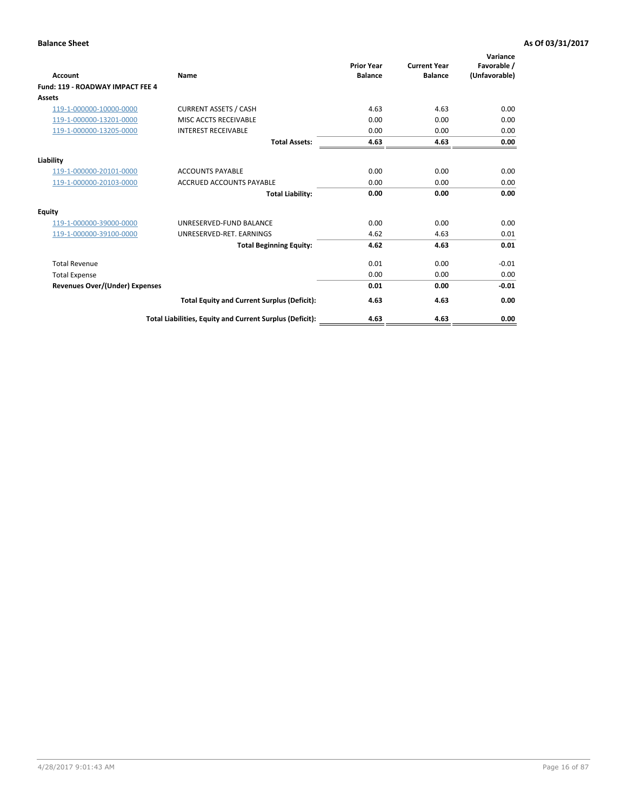| Account                                 | Name                                                     | <b>Prior Year</b><br><b>Balance</b> | <b>Current Year</b><br><b>Balance</b> | Variance<br>Favorable /<br>(Unfavorable) |
|-----------------------------------------|----------------------------------------------------------|-------------------------------------|---------------------------------------|------------------------------------------|
| <b>Fund: 119 - ROADWAY IMPACT FEE 4</b> |                                                          |                                     |                                       |                                          |
| Assets                                  |                                                          |                                     |                                       |                                          |
| 119-1-000000-10000-0000                 | <b>CURRENT ASSETS / CASH</b>                             | 4.63                                | 4.63                                  | 0.00                                     |
| 119-1-000000-13201-0000                 | MISC ACCTS RECEIVABLE                                    | 0.00                                | 0.00                                  | 0.00                                     |
| 119-1-000000-13205-0000                 | <b>INTEREST RECEIVABLE</b>                               | 0.00                                | 0.00                                  | 0.00                                     |
|                                         | <b>Total Assets:</b>                                     | 4.63                                | 4.63                                  | 0.00                                     |
| Liability                               |                                                          |                                     |                                       |                                          |
| 119-1-000000-20101-0000                 | <b>ACCOUNTS PAYABLE</b>                                  | 0.00                                | 0.00                                  | 0.00                                     |
| 119-1-000000-20103-0000                 | <b>ACCRUED ACCOUNTS PAYABLE</b>                          | 0.00                                | 0.00                                  | 0.00                                     |
|                                         | <b>Total Liability:</b>                                  | 0.00                                | 0.00                                  | 0.00                                     |
| Equity                                  |                                                          |                                     |                                       |                                          |
| 119-1-000000-39000-0000                 | UNRESERVED-FUND BALANCE                                  | 0.00                                | 0.00                                  | 0.00                                     |
| 119-1-000000-39100-0000                 | UNRESERVED-RET. EARNINGS                                 | 4.62                                | 4.63                                  | 0.01                                     |
|                                         | <b>Total Beginning Equity:</b>                           | 4.62                                | 4.63                                  | 0.01                                     |
| <b>Total Revenue</b>                    |                                                          | 0.01                                | 0.00                                  | $-0.01$                                  |
| <b>Total Expense</b>                    |                                                          | 0.00                                | 0.00                                  | 0.00                                     |
| <b>Revenues Over/(Under) Expenses</b>   |                                                          | 0.01                                | 0.00                                  | $-0.01$                                  |
|                                         | <b>Total Equity and Current Surplus (Deficit):</b>       | 4.63                                | 4.63                                  | 0.00                                     |
|                                         | Total Liabilities, Equity and Current Surplus (Deficit): | 4.63                                | 4.63                                  | 0.00                                     |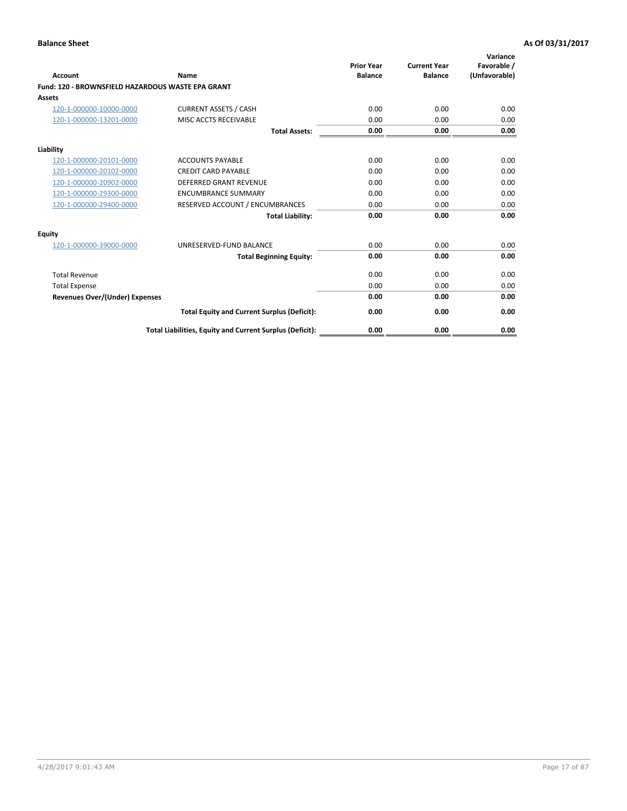|                                                   |                                                          | <b>Prior Year</b> | <b>Current Year</b> | Variance<br>Favorable / |
|---------------------------------------------------|----------------------------------------------------------|-------------------|---------------------|-------------------------|
| <b>Account</b>                                    | <b>Name</b>                                              | <b>Balance</b>    | <b>Balance</b>      | (Unfavorable)           |
| Fund: 120 - BROWNSFIELD HAZARDOUS WASTE EPA GRANT |                                                          |                   |                     |                         |
| <b>Assets</b>                                     |                                                          |                   |                     |                         |
| 120-1-000000-10000-0000                           | <b>CURRENT ASSETS / CASH</b>                             | 0.00              | 0.00                | 0.00                    |
| 120-1-000000-13201-0000                           | MISC ACCTS RECEIVABLE                                    | 0.00              | 0.00                | 0.00                    |
|                                                   | <b>Total Assets:</b>                                     | 0.00              | 0.00                | 0.00                    |
| Liability                                         |                                                          |                   |                     |                         |
| 120-1-000000-20101-0000                           | <b>ACCOUNTS PAYABLE</b>                                  | 0.00              | 0.00                | 0.00                    |
| 120-1-000000-20102-0000                           | <b>CREDIT CARD PAYABLE</b>                               | 0.00              | 0.00                | 0.00                    |
| 120-1-000000-20902-0000                           | <b>DEFERRED GRANT REVENUE</b>                            | 0.00              | 0.00                | 0.00                    |
| 120-1-000000-29300-0000                           | <b>ENCUMBRANCE SUMMARY</b>                               | 0.00              | 0.00                | 0.00                    |
| 120-1-000000-29400-0000                           | RESERVED ACCOUNT / ENCUMBRANCES                          | 0.00              | 0.00                | 0.00                    |
|                                                   | <b>Total Liability:</b>                                  | 0.00              | 0.00                | 0.00                    |
| Equity                                            |                                                          |                   |                     |                         |
| 120-1-000000-39000-0000                           | UNRESERVED-FUND BALANCE                                  | 0.00              | 0.00                | 0.00                    |
|                                                   | <b>Total Beginning Equity:</b>                           | 0.00              | 0.00                | 0.00                    |
| <b>Total Revenue</b>                              |                                                          | 0.00              | 0.00                | 0.00                    |
| <b>Total Expense</b>                              |                                                          | 0.00              | 0.00                | 0.00                    |
| <b>Revenues Over/(Under) Expenses</b>             |                                                          | 0.00              | 0.00                | 0.00                    |
|                                                   | <b>Total Equity and Current Surplus (Deficit):</b>       | 0.00              | 0.00                | 0.00                    |
|                                                   | Total Liabilities, Equity and Current Surplus (Deficit): | 0.00              | 0.00                | 0.00                    |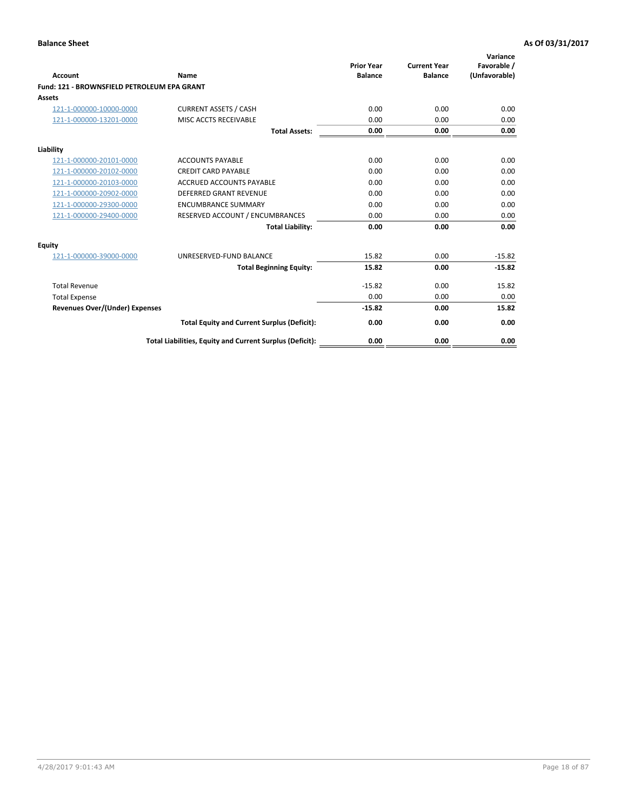| Account                                     | Name                                                     | <b>Prior Year</b><br><b>Balance</b> | <b>Current Year</b><br><b>Balance</b> | Variance<br>Favorable /<br>(Unfavorable) |
|---------------------------------------------|----------------------------------------------------------|-------------------------------------|---------------------------------------|------------------------------------------|
| Fund: 121 - BROWNSFIELD PETROLEUM EPA GRANT |                                                          |                                     |                                       |                                          |
| <b>Assets</b>                               |                                                          |                                     |                                       |                                          |
| 121-1-000000-10000-0000                     | <b>CURRENT ASSETS / CASH</b>                             | 0.00                                | 0.00                                  | 0.00                                     |
| 121-1-000000-13201-0000                     | MISC ACCTS RECEIVABLE                                    | 0.00                                | 0.00                                  | 0.00                                     |
|                                             | <b>Total Assets:</b>                                     | 0.00                                | 0.00                                  | 0.00                                     |
| Liability                                   |                                                          |                                     |                                       |                                          |
| 121-1-000000-20101-0000                     | <b>ACCOUNTS PAYABLE</b>                                  | 0.00                                | 0.00                                  | 0.00                                     |
| 121-1-000000-20102-0000                     | <b>CREDIT CARD PAYABLE</b>                               | 0.00                                | 0.00                                  | 0.00                                     |
| 121-1-000000-20103-0000                     | <b>ACCRUED ACCOUNTS PAYABLE</b>                          | 0.00                                | 0.00                                  | 0.00                                     |
| 121-1-000000-20902-0000                     | <b>DEFERRED GRANT REVENUE</b>                            | 0.00                                | 0.00                                  | 0.00                                     |
| 121-1-000000-29300-0000                     | <b>ENCUMBRANCE SUMMARY</b>                               | 0.00                                | 0.00                                  | 0.00                                     |
| 121-1-000000-29400-0000                     | RESERVED ACCOUNT / ENCUMBRANCES                          | 0.00                                | 0.00                                  | 0.00                                     |
|                                             | <b>Total Liability:</b>                                  | 0.00                                | 0.00                                  | 0.00                                     |
| <b>Equity</b>                               |                                                          |                                     |                                       |                                          |
| 121-1-000000-39000-0000                     | UNRESERVED-FUND BALANCE                                  | 15.82                               | 0.00                                  | $-15.82$                                 |
|                                             | <b>Total Beginning Equity:</b>                           | 15.82                               | 0.00                                  | $-15.82$                                 |
| <b>Total Revenue</b>                        |                                                          | $-15.82$                            | 0.00                                  | 15.82                                    |
| <b>Total Expense</b>                        |                                                          | 0.00                                | 0.00                                  | 0.00                                     |
| <b>Revenues Over/(Under) Expenses</b>       |                                                          | $-15.82$                            | 0.00                                  | 15.82                                    |
|                                             | <b>Total Equity and Current Surplus (Deficit):</b>       | 0.00                                | 0.00                                  | 0.00                                     |
|                                             | Total Liabilities, Equity and Current Surplus (Deficit): | 0.00                                | 0.00                                  | 0.00                                     |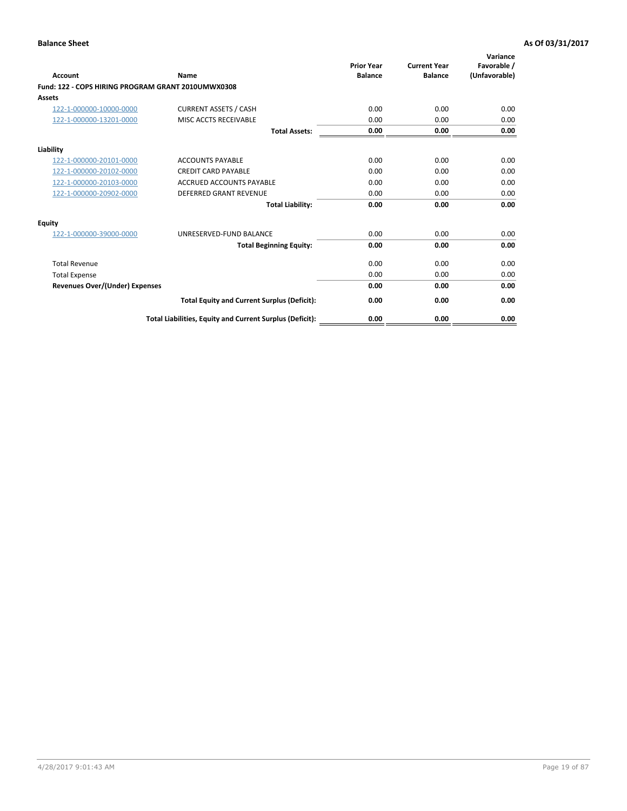| <b>Account</b>                                     | Name                                                     | <b>Prior Year</b><br><b>Balance</b> | <b>Current Year</b><br><b>Balance</b> | Variance<br>Favorable /<br>(Unfavorable) |
|----------------------------------------------------|----------------------------------------------------------|-------------------------------------|---------------------------------------|------------------------------------------|
| Fund: 122 - COPS HIRING PROGRAM GRANT 2010UMWX0308 |                                                          |                                     |                                       |                                          |
| Assets                                             |                                                          |                                     |                                       |                                          |
| 122-1-000000-10000-0000                            | <b>CURRENT ASSETS / CASH</b>                             | 0.00                                | 0.00                                  | 0.00                                     |
| 122-1-000000-13201-0000                            | MISC ACCTS RECEIVABLE                                    | 0.00                                | 0.00                                  | 0.00                                     |
|                                                    | <b>Total Assets:</b>                                     | 0.00                                | 0.00                                  | 0.00                                     |
| Liability                                          |                                                          |                                     |                                       |                                          |
| 122-1-000000-20101-0000                            | <b>ACCOUNTS PAYABLE</b>                                  | 0.00                                | 0.00                                  | 0.00                                     |
| 122-1-000000-20102-0000                            | <b>CREDIT CARD PAYABLE</b>                               | 0.00                                | 0.00                                  | 0.00                                     |
| 122-1-000000-20103-0000                            | <b>ACCRUED ACCOUNTS PAYABLE</b>                          | 0.00                                | 0.00                                  | 0.00                                     |
| 122-1-000000-20902-0000                            | <b>DEFERRED GRANT REVENUE</b>                            | 0.00                                | 0.00                                  | 0.00                                     |
|                                                    | <b>Total Liability:</b>                                  | 0.00                                | 0.00                                  | 0.00                                     |
| Equity                                             |                                                          |                                     |                                       |                                          |
| 122-1-000000-39000-0000                            | UNRESERVED-FUND BALANCE                                  | 0.00                                | 0.00                                  | 0.00                                     |
|                                                    | <b>Total Beginning Equity:</b>                           | 0.00                                | 0.00                                  | 0.00                                     |
| <b>Total Revenue</b>                               |                                                          | 0.00                                | 0.00                                  | 0.00                                     |
| <b>Total Expense</b>                               |                                                          | 0.00                                | 0.00                                  | 0.00                                     |
| <b>Revenues Over/(Under) Expenses</b>              |                                                          | 0.00                                | 0.00                                  | 0.00                                     |
|                                                    | <b>Total Equity and Current Surplus (Deficit):</b>       | 0.00                                | 0.00                                  | 0.00                                     |
|                                                    | Total Liabilities, Equity and Current Surplus (Deficit): | 0.00                                | 0.00                                  | 0.00                                     |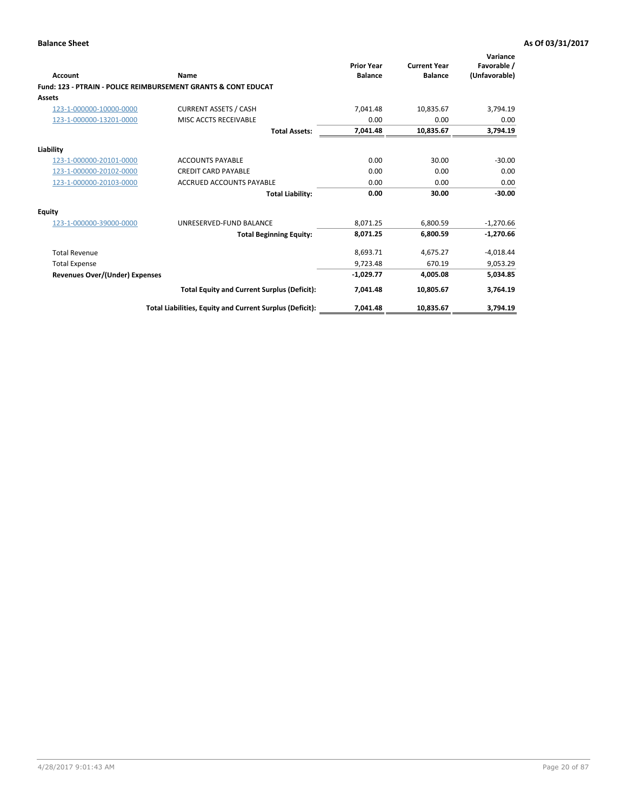| Account                        | Name                                                           | <b>Prior Year</b><br><b>Balance</b> | <b>Current Year</b><br><b>Balance</b> | Variance<br>Favorable /<br>(Unfavorable) |
|--------------------------------|----------------------------------------------------------------|-------------------------------------|---------------------------------------|------------------------------------------|
|                                | Fund: 123 - PTRAIN - POLICE REIMBURSEMENT GRANTS & CONT EDUCAT |                                     |                                       |                                          |
| Assets                         |                                                                |                                     |                                       |                                          |
| 123-1-000000-10000-0000        | <b>CURRENT ASSETS / CASH</b>                                   | 7,041.48                            | 10,835.67                             | 3,794.19                                 |
| 123-1-000000-13201-0000        | MISC ACCTS RECEIVABLE                                          | 0.00                                | 0.00                                  | 0.00                                     |
|                                | <b>Total Assets:</b>                                           | 7,041.48                            | 10,835.67                             | 3,794.19                                 |
| Liability                      |                                                                |                                     |                                       |                                          |
| 123-1-000000-20101-0000        | <b>ACCOUNTS PAYABLE</b>                                        | 0.00                                | 30.00                                 | $-30.00$                                 |
| 123-1-000000-20102-0000        | <b>CREDIT CARD PAYABLE</b>                                     | 0.00                                | 0.00                                  | 0.00                                     |
| 123-1-000000-20103-0000        | ACCRUED ACCOUNTS PAYABLE                                       | 0.00                                | 0.00                                  | 0.00                                     |
|                                | <b>Total Liability:</b>                                        | 0.00                                | 30.00                                 | $-30.00$                                 |
| Equity                         |                                                                |                                     |                                       |                                          |
| 123-1-000000-39000-0000        | UNRESERVED-FUND BALANCE                                        | 8,071.25                            | 6,800.59                              | $-1,270.66$                              |
|                                | <b>Total Beginning Equity:</b>                                 | 8,071.25                            | 6,800.59                              | $-1,270.66$                              |
| <b>Total Revenue</b>           |                                                                | 8,693.71                            | 4,675.27                              | $-4,018.44$                              |
| <b>Total Expense</b>           |                                                                | 9,723.48                            | 670.19                                | 9,053.29                                 |
| Revenues Over/(Under) Expenses |                                                                | $-1,029.77$                         | 4,005.08                              | 5,034.85                                 |
|                                | <b>Total Equity and Current Surplus (Deficit):</b>             | 7,041.48                            | 10,805.67                             | 3,764.19                                 |
|                                | Total Liabilities, Equity and Current Surplus (Deficit):       | 7,041.48                            | 10,835.67                             | 3,794.19                                 |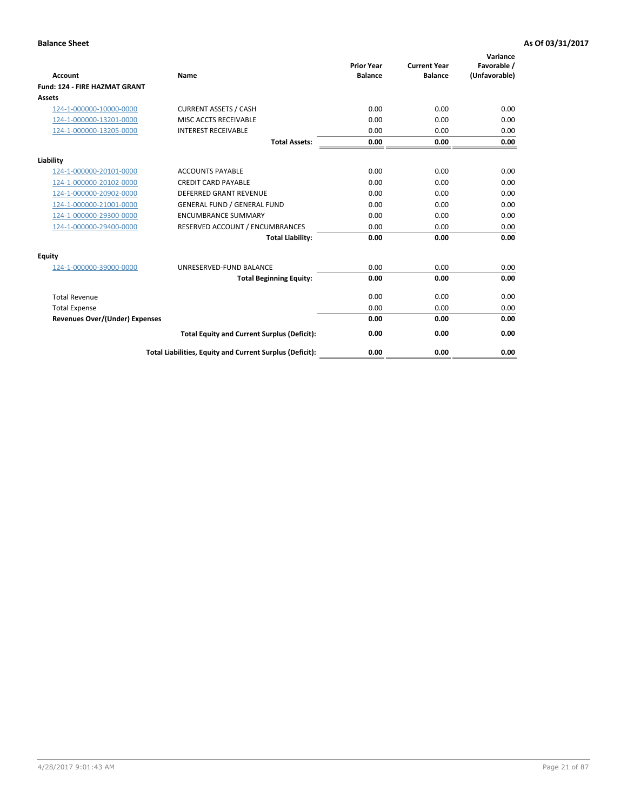| <b>Account</b>                        | Name                                                     | <b>Prior Year</b><br><b>Balance</b> | <b>Current Year</b><br><b>Balance</b> | Variance<br>Favorable /<br>(Unfavorable) |
|---------------------------------------|----------------------------------------------------------|-------------------------------------|---------------------------------------|------------------------------------------|
| Fund: 124 - FIRE HAZMAT GRANT         |                                                          |                                     |                                       |                                          |
| Assets                                |                                                          |                                     |                                       |                                          |
| 124-1-000000-10000-0000               | <b>CURRENT ASSETS / CASH</b>                             | 0.00                                | 0.00                                  | 0.00                                     |
| 124-1-000000-13201-0000               | <b>MISC ACCTS RECEIVABLE</b>                             | 0.00                                | 0.00                                  | 0.00                                     |
| 124-1-000000-13205-0000               | <b>INTEREST RECEIVABLE</b>                               | 0.00                                | 0.00                                  | 0.00                                     |
|                                       | <b>Total Assets:</b>                                     | 0.00                                | 0.00                                  | 0.00                                     |
| Liability                             |                                                          |                                     |                                       |                                          |
| 124-1-000000-20101-0000               | <b>ACCOUNTS PAYABLE</b>                                  | 0.00                                | 0.00                                  | 0.00                                     |
| 124-1-000000-20102-0000               | <b>CREDIT CARD PAYABLE</b>                               | 0.00                                | 0.00                                  | 0.00                                     |
| 124-1-000000-20902-0000               | <b>DEFERRED GRANT REVENUE</b>                            | 0.00                                | 0.00                                  | 0.00                                     |
| 124-1-000000-21001-0000               | <b>GENERAL FUND / GENERAL FUND</b>                       | 0.00                                | 0.00                                  | 0.00                                     |
| 124-1-000000-29300-0000               | <b>ENCUMBRANCE SUMMARY</b>                               | 0.00                                | 0.00                                  | 0.00                                     |
| 124-1-000000-29400-0000               | RESERVED ACCOUNT / ENCUMBRANCES                          | 0.00                                | 0.00                                  | 0.00                                     |
|                                       | <b>Total Liability:</b>                                  | 0.00                                | 0.00                                  | 0.00                                     |
| <b>Equity</b>                         |                                                          |                                     |                                       |                                          |
| 124-1-000000-39000-0000               | UNRESERVED-FUND BALANCE                                  | 0.00                                | 0.00                                  | 0.00                                     |
|                                       | <b>Total Beginning Equity:</b>                           | 0.00                                | 0.00                                  | 0.00                                     |
| <b>Total Revenue</b>                  |                                                          | 0.00                                | 0.00                                  | 0.00                                     |
| <b>Total Expense</b>                  |                                                          | 0.00                                | 0.00                                  | 0.00                                     |
| <b>Revenues Over/(Under) Expenses</b> |                                                          | 0.00                                | 0.00                                  | 0.00                                     |
|                                       | <b>Total Equity and Current Surplus (Deficit):</b>       | 0.00                                | 0.00                                  | 0.00                                     |
|                                       | Total Liabilities, Equity and Current Surplus (Deficit): | 0.00                                | 0.00                                  | 0.00                                     |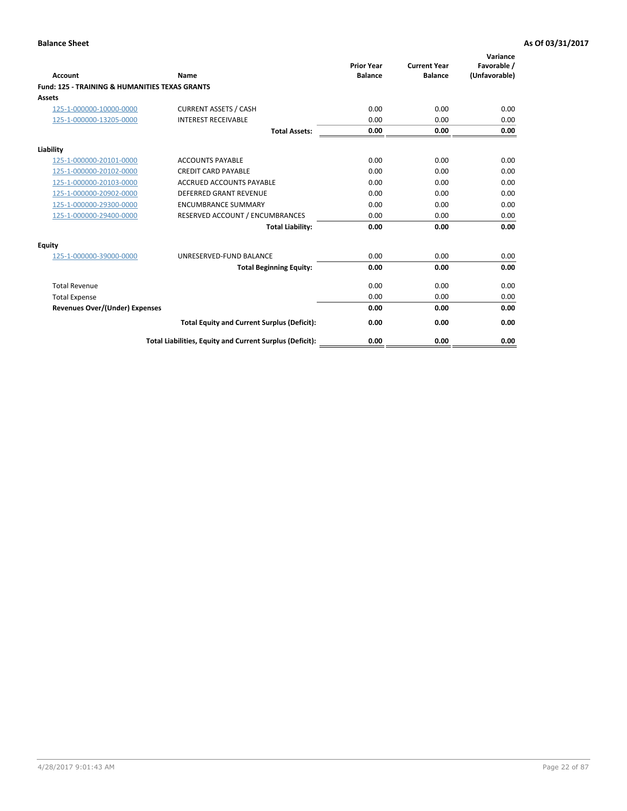| Account                                                   | Name                                                     | <b>Prior Year</b><br><b>Balance</b> | <b>Current Year</b><br><b>Balance</b> | Variance<br>Favorable /<br>(Unfavorable) |
|-----------------------------------------------------------|----------------------------------------------------------|-------------------------------------|---------------------------------------|------------------------------------------|
| <b>Fund: 125 - TRAINING &amp; HUMANITIES TEXAS GRANTS</b> |                                                          |                                     |                                       |                                          |
| <b>Assets</b>                                             |                                                          |                                     |                                       |                                          |
| 125-1-000000-10000-0000                                   | <b>CURRENT ASSETS / CASH</b>                             | 0.00                                | 0.00                                  | 0.00                                     |
| 125-1-000000-13205-0000                                   | <b>INTEREST RECEIVABLE</b>                               | 0.00                                | 0.00                                  | 0.00                                     |
|                                                           | <b>Total Assets:</b>                                     | 0.00                                | 0.00                                  | 0.00                                     |
| Liability                                                 |                                                          |                                     |                                       |                                          |
| 125-1-000000-20101-0000                                   | <b>ACCOUNTS PAYABLE</b>                                  | 0.00                                | 0.00                                  | 0.00                                     |
| 125-1-000000-20102-0000                                   | <b>CREDIT CARD PAYABLE</b>                               | 0.00                                | 0.00                                  | 0.00                                     |
| 125-1-000000-20103-0000                                   | <b>ACCRUED ACCOUNTS PAYABLE</b>                          | 0.00                                | 0.00                                  | 0.00                                     |
| 125-1-000000-20902-0000                                   | DEFERRED GRANT REVENUE                                   | 0.00                                | 0.00                                  | 0.00                                     |
| 125-1-000000-29300-0000                                   | <b>ENCUMBRANCE SUMMARY</b>                               | 0.00                                | 0.00                                  | 0.00                                     |
| 125-1-000000-29400-0000                                   | RESERVED ACCOUNT / ENCUMBRANCES                          | 0.00                                | 0.00                                  | 0.00                                     |
|                                                           | <b>Total Liability:</b>                                  | 0.00                                | 0.00                                  | 0.00                                     |
| <b>Equity</b>                                             |                                                          |                                     |                                       |                                          |
| 125-1-000000-39000-0000                                   | UNRESERVED-FUND BALANCE                                  | 0.00                                | 0.00                                  | 0.00                                     |
|                                                           | <b>Total Beginning Equity:</b>                           | 0.00                                | 0.00                                  | 0.00                                     |
| <b>Total Revenue</b>                                      |                                                          | 0.00                                | 0.00                                  | 0.00                                     |
| <b>Total Expense</b>                                      |                                                          | 0.00                                | 0.00                                  | 0.00                                     |
| <b>Revenues Over/(Under) Expenses</b>                     |                                                          | 0.00                                | 0.00                                  | 0.00                                     |
|                                                           | <b>Total Equity and Current Surplus (Deficit):</b>       | 0.00                                | 0.00                                  | 0.00                                     |
|                                                           | Total Liabilities, Equity and Current Surplus (Deficit): | 0.00                                | 0.00                                  | 0.00                                     |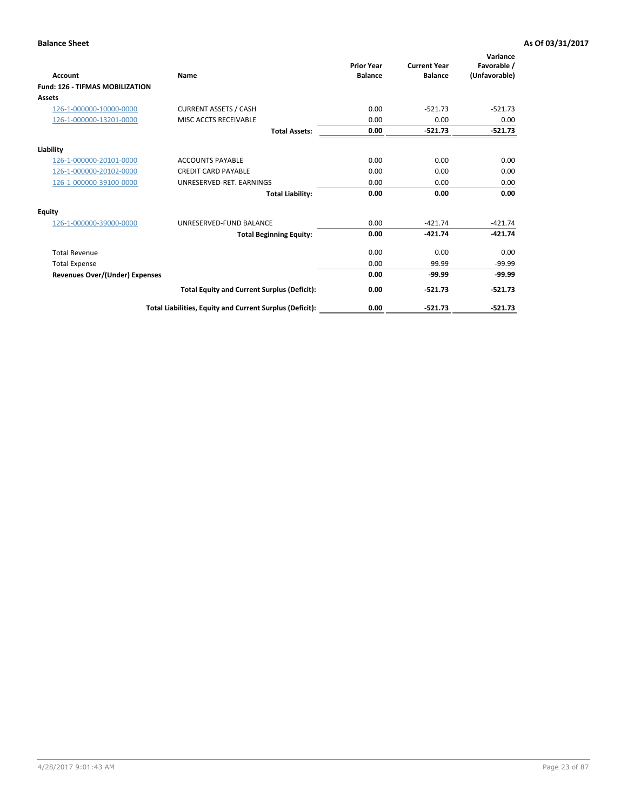| Account                                | Name                                                     | <b>Prior Year</b><br><b>Balance</b> | <b>Current Year</b><br><b>Balance</b> | Variance<br>Favorable /<br>(Unfavorable) |
|----------------------------------------|----------------------------------------------------------|-------------------------------------|---------------------------------------|------------------------------------------|
| <b>Fund: 126 - TIFMAS MOBILIZATION</b> |                                                          |                                     |                                       |                                          |
| Assets                                 |                                                          |                                     |                                       |                                          |
| 126-1-000000-10000-0000                | <b>CURRENT ASSETS / CASH</b>                             | 0.00                                | $-521.73$                             | $-521.73$                                |
| 126-1-000000-13201-0000                | MISC ACCTS RECEIVABLE                                    | 0.00                                | 0.00                                  | 0.00                                     |
|                                        | <b>Total Assets:</b>                                     | 0.00                                | $-521.73$                             | $-521.73$                                |
| Liability                              |                                                          |                                     |                                       |                                          |
| 126-1-000000-20101-0000                | <b>ACCOUNTS PAYABLE</b>                                  | 0.00                                | 0.00                                  | 0.00                                     |
| 126-1-000000-20102-0000                | <b>CREDIT CARD PAYABLE</b>                               | 0.00                                | 0.00                                  | 0.00                                     |
| 126-1-000000-39100-0000                | UNRESERVED-RET. EARNINGS                                 | 0.00                                | 0.00                                  | 0.00                                     |
|                                        | <b>Total Liability:</b>                                  | 0.00                                | 0.00                                  | 0.00                                     |
| Equity                                 |                                                          |                                     |                                       |                                          |
| 126-1-000000-39000-0000                | UNRESERVED-FUND BALANCE                                  | 0.00                                | $-421.74$                             | $-421.74$                                |
|                                        | <b>Total Beginning Equity:</b>                           | 0.00                                | $-421.74$                             | $-421.74$                                |
| <b>Total Revenue</b>                   |                                                          | 0.00                                | 0.00                                  | 0.00                                     |
| <b>Total Expense</b>                   |                                                          | 0.00                                | 99.99                                 | $-99.99$                                 |
| Revenues Over/(Under) Expenses         |                                                          | 0.00                                | $-99.99$                              | $-99.99$                                 |
|                                        | <b>Total Equity and Current Surplus (Deficit):</b>       | 0.00                                | $-521.73$                             | $-521.73$                                |
|                                        | Total Liabilities, Equity and Current Surplus (Deficit): | 0.00                                | $-521.73$                             | $-521.73$                                |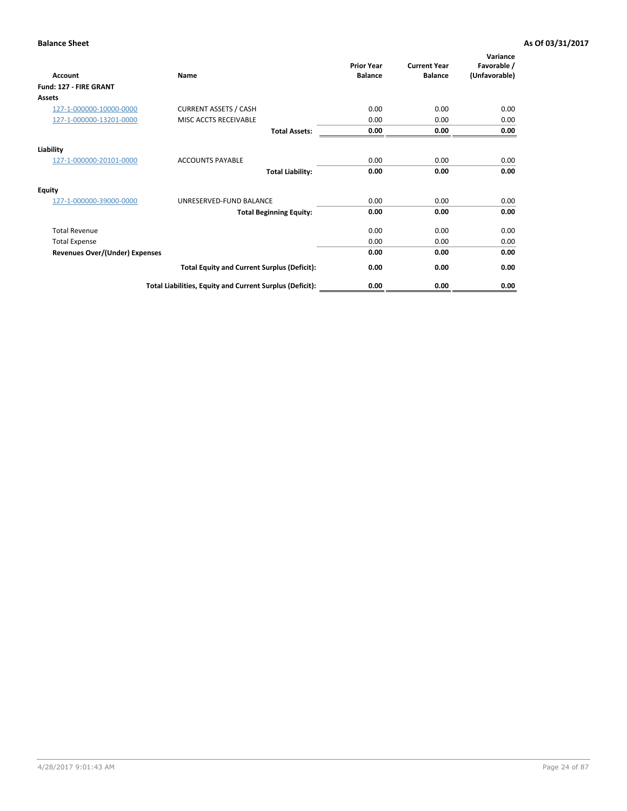| <b>Account</b>                        | Name                                                     | <b>Prior Year</b><br><b>Balance</b> | <b>Current Year</b><br><b>Balance</b> | Variance<br>Favorable /<br>(Unfavorable) |
|---------------------------------------|----------------------------------------------------------|-------------------------------------|---------------------------------------|------------------------------------------|
| Fund: 127 - FIRE GRANT                |                                                          |                                     |                                       |                                          |
| Assets                                |                                                          |                                     |                                       |                                          |
| 127-1-000000-10000-0000               | <b>CURRENT ASSETS / CASH</b>                             | 0.00                                | 0.00                                  | 0.00                                     |
| 127-1-000000-13201-0000               | MISC ACCTS RECEIVABLE                                    | 0.00                                | 0.00                                  | 0.00                                     |
|                                       | <b>Total Assets:</b>                                     | 0.00                                | 0.00                                  | 0.00                                     |
| Liability                             |                                                          |                                     |                                       |                                          |
| 127-1-000000-20101-0000               | <b>ACCOUNTS PAYABLE</b>                                  | 0.00                                | 0.00                                  | 0.00                                     |
|                                       | <b>Total Liability:</b>                                  | 0.00                                | 0.00                                  | 0.00                                     |
| <b>Equity</b>                         |                                                          |                                     |                                       |                                          |
| 127-1-000000-39000-0000               | UNRESERVED-FUND BALANCE                                  | 0.00                                | 0.00                                  | 0.00                                     |
|                                       | <b>Total Beginning Equity:</b>                           | 0.00                                | 0.00                                  | 0.00                                     |
| <b>Total Revenue</b>                  |                                                          | 0.00                                | 0.00                                  | 0.00                                     |
| <b>Total Expense</b>                  |                                                          | 0.00                                | 0.00                                  | 0.00                                     |
| <b>Revenues Over/(Under) Expenses</b> |                                                          | 0.00                                | 0.00                                  | 0.00                                     |
|                                       | <b>Total Equity and Current Surplus (Deficit):</b>       | 0.00                                | 0.00                                  | 0.00                                     |
|                                       | Total Liabilities, Equity and Current Surplus (Deficit): | 0.00                                | 0.00                                  | 0.00                                     |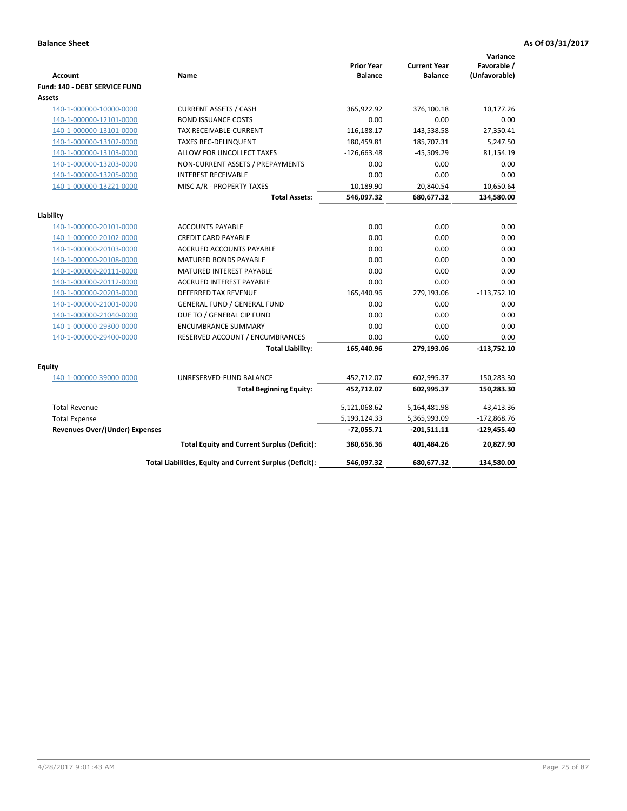| <b>Account</b>                        | Name                                                     | <b>Prior Year</b><br><b>Balance</b> | <b>Current Year</b><br><b>Balance</b> | Variance<br>Favorable /<br>(Unfavorable) |
|---------------------------------------|----------------------------------------------------------|-------------------------------------|---------------------------------------|------------------------------------------|
| Fund: 140 - DEBT SERVICE FUND         |                                                          |                                     |                                       |                                          |
| Assets                                |                                                          |                                     |                                       |                                          |
| 140-1-000000-10000-0000               | <b>CURRENT ASSETS / CASH</b>                             | 365,922.92                          | 376,100.18                            | 10,177.26                                |
| 140-1-000000-12101-0000               | <b>BOND ISSUANCE COSTS</b>                               | 0.00                                | 0.00                                  | 0.00                                     |
| 140-1-000000-13101-0000               | <b>TAX RECEIVABLE-CURRENT</b>                            | 116,188.17                          | 143,538.58                            | 27,350.41                                |
| 140-1-000000-13102-0000               | <b>TAXES REC-DELINQUENT</b>                              | 180,459.81                          | 185,707.31                            | 5,247.50                                 |
| 140-1-000000-13103-0000               | ALLOW FOR UNCOLLECT TAXES                                | $-126,663.48$                       | $-45,509.29$                          | 81,154.19                                |
| 140-1-000000-13203-0000               | NON-CURRENT ASSETS / PREPAYMENTS                         | 0.00                                | 0.00                                  | 0.00                                     |
| 140-1-000000-13205-0000               | <b>INTEREST RECEIVABLE</b>                               | 0.00                                | 0.00                                  | 0.00                                     |
| 140-1-000000-13221-0000               | MISC A/R - PROPERTY TAXES                                | 10,189.90                           | 20,840.54                             | 10,650.64                                |
|                                       | <b>Total Assets:</b>                                     | 546,097.32                          | 680,677.32                            | 134,580.00                               |
| Liability                             |                                                          |                                     |                                       |                                          |
| 140-1-000000-20101-0000               | <b>ACCOUNTS PAYABLE</b>                                  | 0.00                                | 0.00                                  | 0.00                                     |
| 140-1-000000-20102-0000               | <b>CREDIT CARD PAYABLE</b>                               | 0.00                                | 0.00                                  | 0.00                                     |
| 140-1-000000-20103-0000               | ACCRUED ACCOUNTS PAYABLE                                 | 0.00                                | 0.00                                  | 0.00                                     |
| 140-1-000000-20108-0000               | <b>MATURED BONDS PAYABLE</b>                             | 0.00                                | 0.00                                  | 0.00                                     |
| 140-1-000000-20111-0000               | MATURED INTEREST PAYABLE                                 | 0.00                                | 0.00                                  | 0.00                                     |
| 140-1-000000-20112-0000               | <b>ACCRUED INTEREST PAYABLE</b>                          | 0.00                                | 0.00                                  | 0.00                                     |
| 140-1-000000-20203-0000               | <b>DEFERRED TAX REVENUE</b>                              | 165,440.96                          | 279,193.06                            | $-113,752.10$                            |
| 140-1-000000-21001-0000               | <b>GENERAL FUND / GENERAL FUND</b>                       | 0.00                                | 0.00                                  | 0.00                                     |
| 140-1-000000-21040-0000               | DUE TO / GENERAL CIP FUND                                | 0.00                                | 0.00                                  | 0.00                                     |
| 140-1-000000-29300-0000               | <b>ENCUMBRANCE SUMMARY</b>                               | 0.00                                | 0.00                                  | 0.00                                     |
| 140-1-000000-29400-0000               | RESERVED ACCOUNT / ENCUMBRANCES                          | 0.00                                | 0.00                                  | 0.00                                     |
|                                       | <b>Total Liability:</b>                                  | 165,440.96                          | 279,193.06                            | $-113,752.10$                            |
| Equity                                |                                                          |                                     |                                       |                                          |
| 140-1-000000-39000-0000               | UNRESERVED-FUND BALANCE                                  | 452,712.07                          | 602,995.37                            | 150,283.30                               |
|                                       | <b>Total Beginning Equity:</b>                           | 452,712.07                          | 602,995.37                            | 150,283.30                               |
| <b>Total Revenue</b>                  |                                                          | 5,121,068.62                        | 5,164,481.98                          | 43,413.36                                |
| <b>Total Expense</b>                  |                                                          | 5,193,124.33                        | 5,365,993.09                          | $-172,868.76$                            |
| <b>Revenues Over/(Under) Expenses</b> |                                                          | -72,055.71                          | $-201,511.11$                         | $-129,455.40$                            |
|                                       | <b>Total Equity and Current Surplus (Deficit):</b>       | 380,656.36                          | 401,484.26                            | 20,827.90                                |
|                                       | Total Liabilities, Equity and Current Surplus (Deficit): | 546,097.32                          | 680,677.32                            | 134,580.00                               |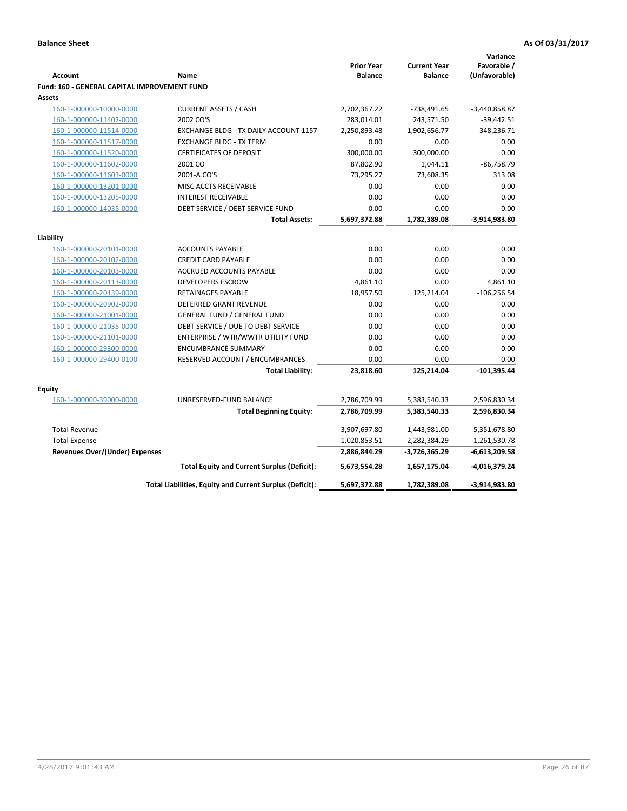|                                                     |                                                          |                   |                     | Variance        |
|-----------------------------------------------------|----------------------------------------------------------|-------------------|---------------------|-----------------|
|                                                     |                                                          | <b>Prior Year</b> | <b>Current Year</b> | Favorable /     |
| <b>Account</b>                                      | Name                                                     | <b>Balance</b>    | <b>Balance</b>      | (Unfavorable)   |
| <b>Fund: 160 - GENERAL CAPITAL IMPROVEMENT FUND</b> |                                                          |                   |                     |                 |
| Assets                                              |                                                          |                   |                     |                 |
| 160-1-000000-10000-0000                             | <b>CURRENT ASSETS / CASH</b>                             | 2,702,367.22      | -738,491.65         | $-3,440,858.87$ |
| 160-1-000000-11402-0000                             | 2002 CO'S                                                | 283,014.01        | 243,571.50          | $-39,442.51$    |
| 160-1-000000-11514-0000                             | EXCHANGE BLDG - TX DAILY ACCOUNT 1157                    | 2,250,893.48      | 1,902,656.77        | $-348,236.71$   |
| 160-1-000000-11517-0000                             | <b>EXCHANGE BLDG - TX TERM</b>                           | 0.00              | 0.00                | 0.00            |
| 160-1-000000-11520-0000                             | <b>CERTIFICATES OF DEPOSIT</b>                           | 300,000.00        | 300,000.00          | 0.00            |
| 160-1-000000-11602-0000                             | 2001 CO                                                  | 87,802.90         | 1,044.11            | $-86,758.79$    |
| 160-1-000000-11603-0000                             | 2001-A CO'S                                              | 73,295.27         | 73,608.35           | 313.08          |
| 160-1-000000-13201-0000                             | MISC ACCTS RECEIVABLE                                    | 0.00              | 0.00                | 0.00            |
| 160-1-000000-13205-0000                             | <b>INTEREST RECEIVABLE</b>                               | 0.00              | 0.00                | 0.00            |
| 160-1-000000-14035-0000                             | DEBT SERVICE / DEBT SERVICE FUND                         | 0.00              | 0.00                | 0.00            |
|                                                     | <b>Total Assets:</b>                                     | 5,697,372.88      | 1,782,389.08        | -3,914,983.80   |
| Liability                                           |                                                          |                   |                     |                 |
| 160-1-000000-20101-0000                             | <b>ACCOUNTS PAYABLE</b>                                  | 0.00              | 0.00                | 0.00            |
| 160-1-000000-20102-0000                             | <b>CREDIT CARD PAYABLE</b>                               | 0.00              | 0.00                | 0.00            |
| 160-1-000000-20103-0000                             | ACCRUED ACCOUNTS PAYABLE                                 | 0.00              | 0.00                | 0.00            |
| 160-1-000000-20113-0000                             | <b>DEVELOPERS ESCROW</b>                                 | 4,861.10          | 0.00                | 4,861.10        |
| 160-1-000000-20139-0000                             | <b>RETAINAGES PAYABLE</b>                                | 18,957.50         | 125,214.04          | $-106, 256.54$  |
| 160-1-000000-20902-0000                             | <b>DEFERRED GRANT REVENUE</b>                            | 0.00              | 0.00                | 0.00            |
| 160-1-000000-21001-0000                             | <b>GENERAL FUND / GENERAL FUND</b>                       | 0.00              | 0.00                | 0.00            |
| 160-1-000000-21035-0000                             | DEBT SERVICE / DUE TO DEBT SERVICE                       | 0.00              | 0.00                | 0.00            |
| 160-1-000000-21101-0000                             | ENTERPRISE / WTR/WWTR UTILITY FUND                       | 0.00              | 0.00                | 0.00            |
| 160-1-000000-29300-0000                             | <b>ENCUMBRANCE SUMMARY</b>                               | 0.00              | 0.00                | 0.00            |
| 160-1-000000-29400-0100                             | RESERVED ACCOUNT / ENCUMBRANCES                          | 0.00              | 0.00                | 0.00            |
|                                                     | <b>Total Liability:</b>                                  | 23,818.60         | 125,214.04          | $-101,395.44$   |
|                                                     |                                                          |                   |                     |                 |
| Equity                                              |                                                          |                   |                     |                 |
| 160-1-000000-39000-0000                             | UNRESERVED-FUND BALANCE                                  | 2,786,709.99      | 5,383,540.33        | 2,596,830.34    |
|                                                     | <b>Total Beginning Equity:</b>                           | 2,786,709.99      | 5,383,540.33        | 2,596,830.34    |
| <b>Total Revenue</b>                                |                                                          | 3,907,697.80      | $-1,443,981.00$     | -5,351,678.80   |
| <b>Total Expense</b>                                |                                                          | 1,020,853.51      | 2,282,384.29        | $-1,261,530.78$ |
| Revenues Over/(Under) Expenses                      |                                                          | 2,886,844.29      | -3,726,365.29       | $-6,613,209.58$ |
|                                                     | <b>Total Equity and Current Surplus (Deficit):</b>       | 5,673,554.28      | 1,657,175.04        | -4,016,379.24   |
|                                                     | Total Liabilities, Equity and Current Surplus (Deficit): | 5,697,372.88      | 1,782,389.08        | -3,914,983.80   |
|                                                     |                                                          |                   |                     |                 |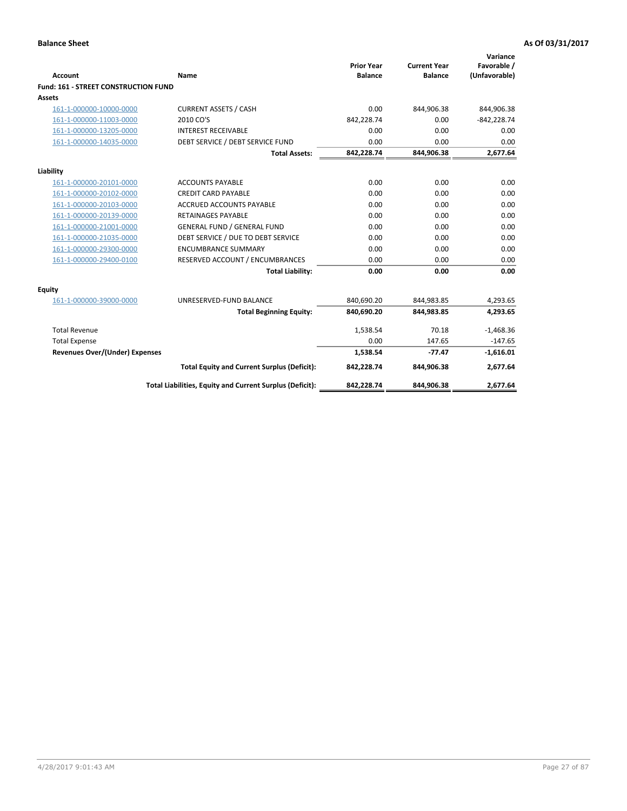| <b>Account</b>                       | Name                                                     | <b>Prior Year</b><br><b>Balance</b> | <b>Current Year</b><br><b>Balance</b> | Variance<br>Favorable /<br>(Unfavorable) |
|--------------------------------------|----------------------------------------------------------|-------------------------------------|---------------------------------------|------------------------------------------|
| Fund: 161 - STREET CONSTRUCTION FUND |                                                          |                                     |                                       |                                          |
| <b>Assets</b>                        |                                                          |                                     |                                       |                                          |
| 161-1-000000-10000-0000              | <b>CURRENT ASSETS / CASH</b>                             | 0.00                                | 844,906.38                            | 844,906.38                               |
| 161-1-000000-11003-0000              | 2010 CO'S                                                | 842,228.74                          | 0.00                                  | $-842,228.74$                            |
| 161-1-000000-13205-0000              | <b>INTEREST RECEIVABLE</b>                               | 0.00                                | 0.00                                  | 0.00                                     |
| 161-1-000000-14035-0000              | DEBT SERVICE / DEBT SERVICE FUND                         | 0.00                                | 0.00                                  | 0.00                                     |
|                                      | <b>Total Assets:</b>                                     | 842,228.74                          | 844,906.38                            | 2,677.64                                 |
| Liability                            |                                                          |                                     |                                       |                                          |
| 161-1-000000-20101-0000              | <b>ACCOUNTS PAYABLE</b>                                  | 0.00                                | 0.00                                  | 0.00                                     |
| 161-1-000000-20102-0000              | <b>CREDIT CARD PAYABLE</b>                               | 0.00                                | 0.00                                  | 0.00                                     |
| 161-1-000000-20103-0000              | <b>ACCRUED ACCOUNTS PAYABLE</b>                          | 0.00                                | 0.00                                  | 0.00                                     |
| 161-1-000000-20139-0000              | <b>RETAINAGES PAYABLE</b>                                | 0.00                                | 0.00                                  | 0.00                                     |
| 161-1-000000-21001-0000              | <b>GENERAL FUND / GENERAL FUND</b>                       | 0.00                                | 0.00                                  | 0.00                                     |
| 161-1-000000-21035-0000              | DEBT SERVICE / DUE TO DEBT SERVICE                       | 0.00                                | 0.00                                  | 0.00                                     |
| 161-1-000000-29300-0000              | <b>ENCUMBRANCE SUMMARY</b>                               | 0.00                                | 0.00                                  | 0.00                                     |
| 161-1-000000-29400-0100              | RESERVED ACCOUNT / ENCUMBRANCES                          | 0.00                                | 0.00                                  | 0.00                                     |
|                                      | <b>Total Liability:</b>                                  | 0.00                                | 0.00                                  | 0.00                                     |
| <b>Equity</b>                        |                                                          |                                     |                                       |                                          |
| 161-1-000000-39000-0000              | UNRESERVED-FUND BALANCE                                  | 840,690.20                          | 844,983.85                            | 4,293.65                                 |
|                                      | <b>Total Beginning Equity:</b>                           | 840,690.20                          | 844,983.85                            | 4,293.65                                 |
| <b>Total Revenue</b>                 |                                                          | 1.538.54                            | 70.18                                 | $-1,468.36$                              |
| <b>Total Expense</b>                 |                                                          | 0.00                                | 147.65                                | $-147.65$                                |
| Revenues Over/(Under) Expenses       |                                                          | 1,538.54                            | -77.47                                | $-1,616.01$                              |
|                                      | <b>Total Equity and Current Surplus (Deficit):</b>       | 842,228.74                          | 844,906.38                            | 2,677.64                                 |
|                                      | Total Liabilities, Equity and Current Surplus (Deficit): | 842,228.74                          | 844,906.38                            | 2.677.64                                 |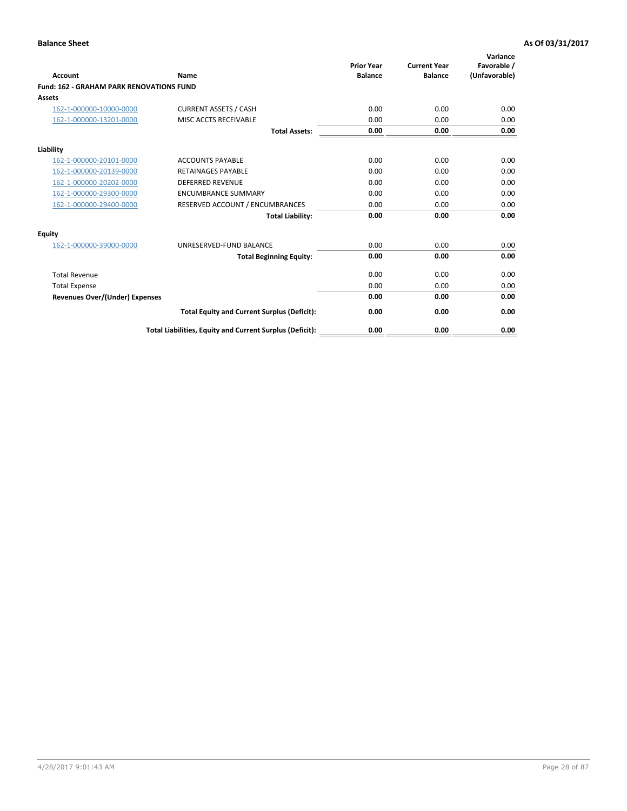| Account                                         | Name                                                     | <b>Prior Year</b><br><b>Balance</b> | <b>Current Year</b><br><b>Balance</b> | Variance<br>Favorable /<br>(Unfavorable) |
|-------------------------------------------------|----------------------------------------------------------|-------------------------------------|---------------------------------------|------------------------------------------|
| <b>Fund: 162 - GRAHAM PARK RENOVATIONS FUND</b> |                                                          |                                     |                                       |                                          |
| <b>Assets</b>                                   |                                                          |                                     |                                       |                                          |
| 162-1-000000-10000-0000                         | <b>CURRENT ASSETS / CASH</b>                             | 0.00                                | 0.00                                  | 0.00                                     |
| 162-1-000000-13201-0000                         | MISC ACCTS RECEIVABLE                                    | 0.00                                | 0.00                                  | 0.00                                     |
|                                                 | <b>Total Assets:</b>                                     | 0.00                                | 0.00                                  | 0.00                                     |
| Liability                                       |                                                          |                                     |                                       |                                          |
| 162-1-000000-20101-0000                         | <b>ACCOUNTS PAYABLE</b>                                  | 0.00                                | 0.00                                  | 0.00                                     |
| 162-1-000000-20139-0000                         | <b>RETAINAGES PAYABLE</b>                                | 0.00                                | 0.00                                  | 0.00                                     |
| 162-1-000000-20202-0000                         | <b>DEFERRED REVENUE</b>                                  | 0.00                                | 0.00                                  | 0.00                                     |
| 162-1-000000-29300-0000                         | <b>ENCUMBRANCE SUMMARY</b>                               | 0.00                                | 0.00                                  | 0.00                                     |
| 162-1-000000-29400-0000                         | RESERVED ACCOUNT / ENCUMBRANCES                          | 0.00                                | 0.00                                  | 0.00                                     |
|                                                 | <b>Total Liability:</b>                                  | 0.00                                | 0.00                                  | 0.00                                     |
| Equity                                          |                                                          |                                     |                                       |                                          |
| 162-1-000000-39000-0000                         | UNRESERVED-FUND BALANCE                                  | 0.00                                | 0.00                                  | 0.00                                     |
|                                                 | <b>Total Beginning Equity:</b>                           | 0.00                                | 0.00                                  | 0.00                                     |
| <b>Total Revenue</b>                            |                                                          | 0.00                                | 0.00                                  | 0.00                                     |
| <b>Total Expense</b>                            |                                                          | 0.00                                | 0.00                                  | 0.00                                     |
| <b>Revenues Over/(Under) Expenses</b>           |                                                          | 0.00                                | 0.00                                  | 0.00                                     |
|                                                 | <b>Total Equity and Current Surplus (Deficit):</b>       | 0.00                                | 0.00                                  | 0.00                                     |
|                                                 | Total Liabilities, Equity and Current Surplus (Deficit): | 0.00                                | 0.00                                  | 0.00                                     |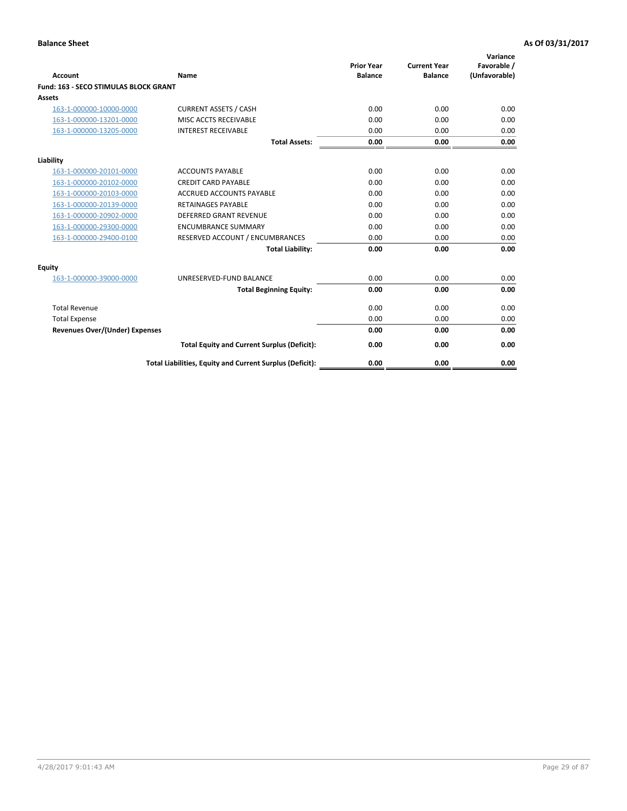|                                              |                                                          | <b>Prior Year</b> | <b>Current Year</b> | Variance<br>Favorable / |
|----------------------------------------------|----------------------------------------------------------|-------------------|---------------------|-------------------------|
| <b>Account</b>                               | Name                                                     | <b>Balance</b>    | <b>Balance</b>      | (Unfavorable)           |
| <b>Fund: 163 - SECO STIMULAS BLOCK GRANT</b> |                                                          |                   |                     |                         |
| Assets                                       |                                                          |                   |                     |                         |
| 163-1-000000-10000-0000                      | <b>CURRENT ASSETS / CASH</b>                             | 0.00              | 0.00                | 0.00                    |
| 163-1-000000-13201-0000                      | MISC ACCTS RECEIVABLE                                    | 0.00              | 0.00                | 0.00                    |
| 163-1-000000-13205-0000                      | <b>INTEREST RECEIVABLE</b>                               | 0.00              | 0.00                | 0.00                    |
|                                              | <b>Total Assets:</b>                                     | 0.00              | 0.00                | 0.00                    |
| Liability                                    |                                                          |                   |                     |                         |
| 163-1-000000-20101-0000                      | <b>ACCOUNTS PAYABLE</b>                                  | 0.00              | 0.00                | 0.00                    |
| 163-1-000000-20102-0000                      | <b>CREDIT CARD PAYABLE</b>                               | 0.00              | 0.00                | 0.00                    |
| 163-1-000000-20103-0000                      | <b>ACCRUED ACCOUNTS PAYABLE</b>                          | 0.00              | 0.00                | 0.00                    |
| 163-1-000000-20139-0000                      | <b>RETAINAGES PAYABLE</b>                                | 0.00              | 0.00                | 0.00                    |
| 163-1-000000-20902-0000                      | <b>DEFERRED GRANT REVENUE</b>                            | 0.00              | 0.00                | 0.00                    |
| 163-1-000000-29300-0000                      | <b>ENCUMBRANCE SUMMARY</b>                               | 0.00              | 0.00                | 0.00                    |
| 163-1-000000-29400-0100                      | RESERVED ACCOUNT / ENCUMBRANCES                          | 0.00              | 0.00                | 0.00                    |
|                                              | <b>Total Liability:</b>                                  | 0.00              | 0.00                | 0.00                    |
| <b>Equity</b>                                |                                                          |                   |                     |                         |
| 163-1-000000-39000-0000                      | UNRESERVED-FUND BALANCE                                  | 0.00              | 0.00                | 0.00                    |
|                                              | <b>Total Beginning Equity:</b>                           | 0.00              | 0.00                | 0.00                    |
| <b>Total Revenue</b>                         |                                                          | 0.00              | 0.00                | 0.00                    |
| <b>Total Expense</b>                         |                                                          | 0.00              | 0.00                | 0.00                    |
| Revenues Over/(Under) Expenses               |                                                          | 0.00              | 0.00                | 0.00                    |
|                                              | <b>Total Equity and Current Surplus (Deficit):</b>       | 0.00              | 0.00                | 0.00                    |
|                                              | Total Liabilities, Equity and Current Surplus (Deficit): | 0.00              | 0.00                | 0.00                    |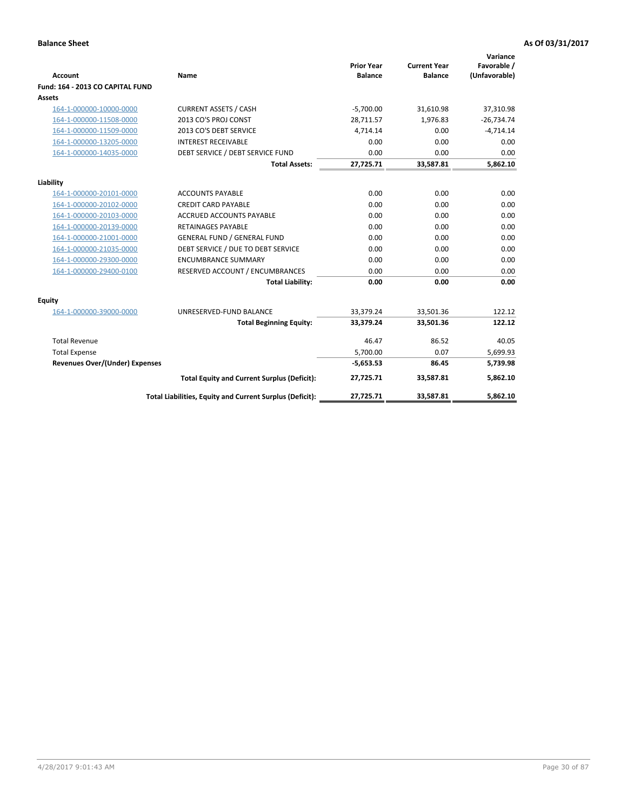| <b>Account</b>                        | Name                                                     | <b>Prior Year</b><br><b>Balance</b> | <b>Current Year</b><br><b>Balance</b> | Variance<br>Favorable /<br>(Unfavorable) |
|---------------------------------------|----------------------------------------------------------|-------------------------------------|---------------------------------------|------------------------------------------|
| Fund: 164 - 2013 CO CAPITAL FUND      |                                                          |                                     |                                       |                                          |
| Assets                                |                                                          |                                     |                                       |                                          |
| 164-1-000000-10000-0000               | <b>CURRENT ASSETS / CASH</b>                             | $-5,700.00$                         | 31,610.98                             | 37,310.98                                |
| 164-1-000000-11508-0000               | 2013 CO'S PROJ CONST                                     | 28,711.57                           | 1.976.83                              | $-26,734.74$                             |
| 164-1-000000-11509-0000               | 2013 CO'S DEBT SERVICE                                   | 4,714.14                            | 0.00                                  | $-4,714.14$                              |
| 164-1-000000-13205-0000               | <b>INTEREST RECEIVABLE</b>                               | 0.00                                | 0.00                                  | 0.00                                     |
| 164-1-000000-14035-0000               | DEBT SERVICE / DEBT SERVICE FUND                         | 0.00                                | 0.00                                  | 0.00                                     |
|                                       | <b>Total Assets:</b>                                     | 27,725.71                           | 33,587.81                             | 5,862.10                                 |
| Liability                             |                                                          |                                     |                                       |                                          |
| 164-1-000000-20101-0000               | <b>ACCOUNTS PAYABLE</b>                                  | 0.00                                | 0.00                                  | 0.00                                     |
| 164-1-000000-20102-0000               | <b>CREDIT CARD PAYABLE</b>                               | 0.00                                | 0.00                                  | 0.00                                     |
| 164-1-000000-20103-0000               | <b>ACCRUED ACCOUNTS PAYABLE</b>                          | 0.00                                | 0.00                                  | 0.00                                     |
| 164-1-000000-20139-0000               | <b>RETAINAGES PAYABLE</b>                                | 0.00                                | 0.00                                  | 0.00                                     |
| 164-1-000000-21001-0000               | <b>GENERAL FUND / GENERAL FUND</b>                       | 0.00                                | 0.00                                  | 0.00                                     |
| 164-1-000000-21035-0000               | DEBT SERVICE / DUE TO DEBT SERVICE                       | 0.00                                | 0.00                                  | 0.00                                     |
| 164-1-000000-29300-0000               | <b>ENCUMBRANCE SUMMARY</b>                               | 0.00                                | 0.00                                  | 0.00                                     |
| 164-1-000000-29400-0100               | RESERVED ACCOUNT / ENCUMBRANCES                          | 0.00                                | 0.00                                  | 0.00                                     |
|                                       | <b>Total Liability:</b>                                  | 0.00                                | 0.00                                  | 0.00                                     |
| Equity                                |                                                          |                                     |                                       |                                          |
| 164-1-000000-39000-0000               | UNRESERVED-FUND BALANCE                                  | 33,379.24                           | 33,501.36                             | 122.12                                   |
|                                       | <b>Total Beginning Equity:</b>                           | 33,379.24                           | 33,501.36                             | 122.12                                   |
| <b>Total Revenue</b>                  |                                                          | 46.47                               | 86.52                                 | 40.05                                    |
| <b>Total Expense</b>                  |                                                          | 5,700.00                            | 0.07                                  | 5,699.93                                 |
| <b>Revenues Over/(Under) Expenses</b> |                                                          | $-5,653.53$                         | 86.45                                 | 5,739.98                                 |
|                                       | <b>Total Equity and Current Surplus (Deficit):</b>       | 27,725.71                           | 33,587.81                             | 5,862.10                                 |
|                                       | Total Liabilities, Equity and Current Surplus (Deficit): | 27,725.71                           | 33,587.81                             | 5.862.10                                 |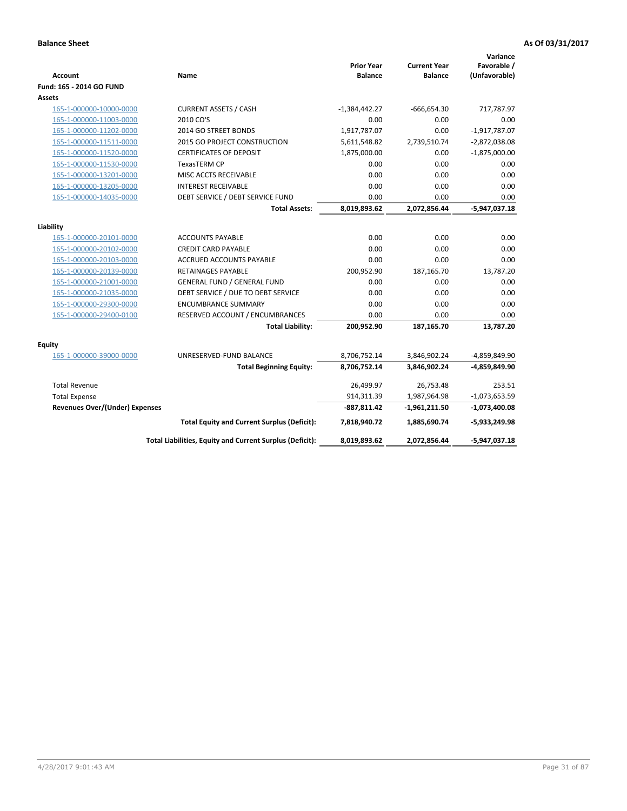| <b>Account</b>                        | Name                                                     | <b>Prior Year</b><br><b>Balance</b> | <b>Current Year</b><br><b>Balance</b> | Variance<br>Favorable /<br>(Unfavorable) |
|---------------------------------------|----------------------------------------------------------|-------------------------------------|---------------------------------------|------------------------------------------|
| Fund: 165 - 2014 GO FUND              |                                                          |                                     |                                       |                                          |
| Assets                                |                                                          |                                     |                                       |                                          |
| 165-1-000000-10000-0000               | <b>CURRENT ASSETS / CASH</b>                             | $-1,384,442.27$                     | $-666,654.30$                         | 717,787.97                               |
| 165-1-000000-11003-0000               | 2010 CO'S                                                | 0.00                                | 0.00                                  | 0.00                                     |
| 165-1-000000-11202-0000               | 2014 GO STREET BONDS                                     | 1,917,787.07                        | 0.00                                  | $-1,917,787.07$                          |
| 165-1-000000-11511-0000               | 2015 GO PROJECT CONSTRUCTION                             | 5,611,548.82                        | 2,739,510.74                          | $-2,872,038.08$                          |
| 165-1-000000-11520-0000               | <b>CERTIFICATES OF DEPOSIT</b>                           | 1,875,000.00                        | 0.00                                  | $-1,875,000.00$                          |
| 165-1-000000-11530-0000               | <b>TexasTERM CP</b>                                      | 0.00                                | 0.00                                  | 0.00                                     |
| 165-1-000000-13201-0000               | MISC ACCTS RECEIVABLE                                    | 0.00                                | 0.00                                  | 0.00                                     |
| 165-1-000000-13205-0000               | <b>INTEREST RECEIVABLE</b>                               | 0.00                                | 0.00                                  | 0.00                                     |
| 165-1-000000-14035-0000               | DEBT SERVICE / DEBT SERVICE FUND                         | 0.00                                | 0.00                                  | 0.00                                     |
|                                       | <b>Total Assets:</b>                                     | 8,019,893.62                        | 2,072,856.44                          | $-5,947,037.18$                          |
| Liability                             |                                                          |                                     |                                       |                                          |
| 165-1-000000-20101-0000               | <b>ACCOUNTS PAYABLE</b>                                  | 0.00                                | 0.00                                  | 0.00                                     |
| 165-1-000000-20102-0000               | <b>CREDIT CARD PAYABLE</b>                               | 0.00                                | 0.00                                  | 0.00                                     |
| 165-1-000000-20103-0000               | <b>ACCRUED ACCOUNTS PAYABLE</b>                          | 0.00                                | 0.00                                  | 0.00                                     |
| 165-1-000000-20139-0000               | RETAINAGES PAYABLE                                       | 200,952.90                          | 187,165.70                            | 13,787.20                                |
| 165-1-000000-21001-0000               | <b>GENERAL FUND / GENERAL FUND</b>                       | 0.00                                | 0.00                                  | 0.00                                     |
| 165-1-000000-21035-0000               | DEBT SERVICE / DUE TO DEBT SERVICE                       | 0.00                                | 0.00                                  | 0.00                                     |
| 165-1-000000-29300-0000               | <b>ENCUMBRANCE SUMMARY</b>                               | 0.00                                | 0.00                                  | 0.00                                     |
| 165-1-000000-29400-0100               | RESERVED ACCOUNT / ENCUMBRANCES                          | 0.00                                | 0.00                                  | 0.00                                     |
|                                       | <b>Total Liability:</b>                                  | 200,952.90                          | 187,165.70                            | 13,787.20                                |
| <b>Equity</b>                         |                                                          |                                     |                                       |                                          |
| 165-1-000000-39000-0000               | UNRESERVED-FUND BALANCE                                  | 8,706,752.14                        | 3,846,902.24                          | -4,859,849.90                            |
|                                       | <b>Total Beginning Equity:</b>                           | 8,706,752.14                        | 3,846,902.24                          | -4,859,849.90                            |
| <b>Total Revenue</b>                  |                                                          | 26,499.97                           | 26,753.48                             | 253.51                                   |
| <b>Total Expense</b>                  |                                                          | 914,311.39                          | 1,987,964.98                          | $-1,073,653.59$                          |
| <b>Revenues Over/(Under) Expenses</b> |                                                          | $-887,811.42$                       | -1,961,211.50                         | $-1,073,400.08$                          |
|                                       | <b>Total Equity and Current Surplus (Deficit):</b>       | 7,818,940.72                        | 1,885,690.74                          | $-5,933,249.98$                          |
|                                       | Total Liabilities, Equity and Current Surplus (Deficit): | 8,019,893.62                        | 2,072,856.44                          | $-5,947,037.18$                          |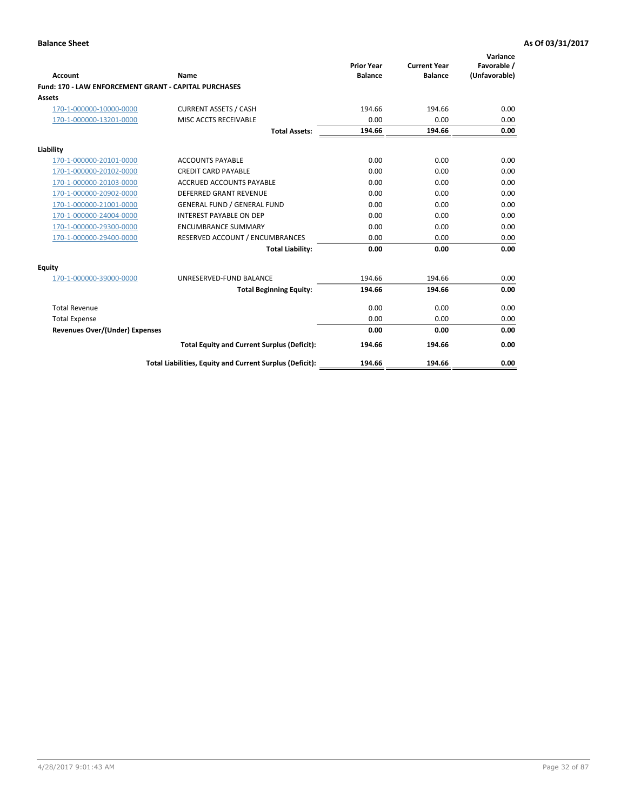|                                                       |                                                          |                                     |                                       | Variance                     |
|-------------------------------------------------------|----------------------------------------------------------|-------------------------------------|---------------------------------------|------------------------------|
| Account                                               | Name                                                     | <b>Prior Year</b><br><b>Balance</b> | <b>Current Year</b><br><b>Balance</b> | Favorable /<br>(Unfavorable) |
| Fund: 170 - LAW ENFORCEMENT GRANT - CAPITAL PURCHASES |                                                          |                                     |                                       |                              |
| Assets                                                |                                                          |                                     |                                       |                              |
| 170-1-000000-10000-0000                               | <b>CURRENT ASSETS / CASH</b>                             | 194.66                              | 194.66                                | 0.00                         |
| 170-1-000000-13201-0000                               | MISC ACCTS RECEIVABLE                                    | 0.00                                | 0.00                                  | 0.00                         |
|                                                       | <b>Total Assets:</b>                                     | 194.66                              | 194.66                                | 0.00                         |
| Liability                                             |                                                          |                                     |                                       |                              |
| 170-1-000000-20101-0000                               | <b>ACCOUNTS PAYABLE</b>                                  | 0.00                                | 0.00                                  | 0.00                         |
| 170-1-000000-20102-0000                               | <b>CREDIT CARD PAYABLE</b>                               | 0.00                                | 0.00                                  | 0.00                         |
| 170-1-000000-20103-0000                               | <b>ACCRUED ACCOUNTS PAYABLE</b>                          | 0.00                                | 0.00                                  | 0.00                         |
| 170-1-000000-20902-0000                               | DEFERRED GRANT REVENUE                                   | 0.00                                | 0.00                                  | 0.00                         |
| 170-1-000000-21001-0000                               | <b>GENERAL FUND / GENERAL FUND</b>                       | 0.00                                | 0.00                                  | 0.00                         |
| 170-1-000000-24004-0000                               | <b>INTEREST PAYABLE ON DEP</b>                           | 0.00                                | 0.00                                  | 0.00                         |
| 170-1-000000-29300-0000                               | <b>ENCUMBRANCE SUMMARY</b>                               | 0.00                                | 0.00                                  | 0.00                         |
| 170-1-000000-29400-0000                               | RESERVED ACCOUNT / ENCUMBRANCES                          | 0.00                                | 0.00                                  | 0.00                         |
|                                                       | <b>Total Liability:</b>                                  | 0.00                                | 0.00                                  | 0.00                         |
| <b>Equity</b>                                         |                                                          |                                     |                                       |                              |
| 170-1-000000-39000-0000                               | UNRESERVED-FUND BALANCE                                  | 194.66                              | 194.66                                | 0.00                         |
|                                                       | <b>Total Beginning Equity:</b>                           | 194.66                              | 194.66                                | 0.00                         |
| <b>Total Revenue</b>                                  |                                                          | 0.00                                | 0.00                                  | 0.00                         |
| <b>Total Expense</b>                                  |                                                          | 0.00                                | 0.00                                  | 0.00                         |
| <b>Revenues Over/(Under) Expenses</b>                 |                                                          | 0.00                                | 0.00                                  | 0.00                         |
|                                                       | <b>Total Equity and Current Surplus (Deficit):</b>       | 194.66                              | 194.66                                | 0.00                         |
|                                                       | Total Liabilities, Equity and Current Surplus (Deficit): | 194.66                              | 194.66                                | 0.00                         |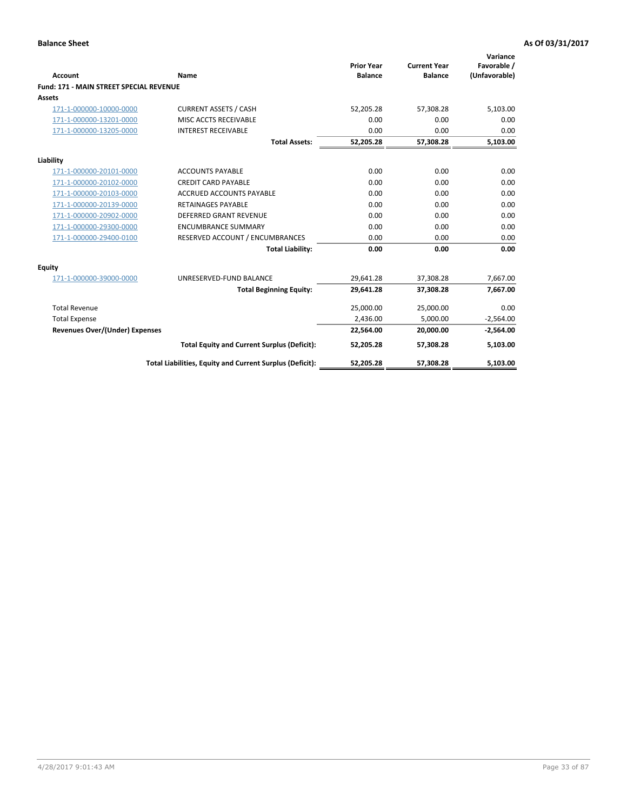|                                                |                                                          | <b>Prior Year</b> | <b>Current Year</b> | Variance<br>Favorable / |
|------------------------------------------------|----------------------------------------------------------|-------------------|---------------------|-------------------------|
| <b>Account</b>                                 | Name                                                     | <b>Balance</b>    | <b>Balance</b>      | (Unfavorable)           |
| <b>Fund: 171 - MAIN STREET SPECIAL REVENUE</b> |                                                          |                   |                     |                         |
| <b>Assets</b>                                  |                                                          |                   |                     |                         |
| 171-1-000000-10000-0000                        | <b>CURRENT ASSETS / CASH</b>                             | 52,205.28         | 57,308.28           | 5,103.00                |
| 171-1-000000-13201-0000                        | MISC ACCTS RECEIVABLE                                    | 0.00              | 0.00                | 0.00                    |
| 171-1-000000-13205-0000                        | <b>INTEREST RECEIVABLE</b>                               | 0.00              | 0.00                | 0.00                    |
|                                                | <b>Total Assets:</b>                                     | 52.205.28         | 57.308.28           | 5,103.00                |
| Liability                                      |                                                          |                   |                     |                         |
| 171-1-000000-20101-0000                        | <b>ACCOUNTS PAYABLE</b>                                  | 0.00              | 0.00                | 0.00                    |
| 171-1-000000-20102-0000                        | <b>CREDIT CARD PAYABLE</b>                               | 0.00              | 0.00                | 0.00                    |
| 171-1-000000-20103-0000                        | <b>ACCRUED ACCOUNTS PAYABLE</b>                          | 0.00              | 0.00                | 0.00                    |
| 171-1-000000-20139-0000                        | <b>RETAINAGES PAYABLE</b>                                | 0.00              | 0.00                | 0.00                    |
| 171-1-000000-20902-0000                        | DEFERRED GRANT REVENUE                                   | 0.00              | 0.00                | 0.00                    |
| 171-1-000000-29300-0000                        | <b>ENCUMBRANCE SUMMARY</b>                               | 0.00              | 0.00                | 0.00                    |
| 171-1-000000-29400-0100                        | RESERVED ACCOUNT / ENCUMBRANCES                          | 0.00              | 0.00                | 0.00                    |
|                                                | <b>Total Liability:</b>                                  | 0.00              | 0.00                | 0.00                    |
| <b>Equity</b>                                  |                                                          |                   |                     |                         |
| 171-1-000000-39000-0000                        | UNRESERVED-FUND BALANCE                                  | 29,641.28         | 37,308.28           | 7,667.00                |
|                                                | <b>Total Beginning Equity:</b>                           | 29.641.28         | 37,308.28           | 7,667.00                |
| <b>Total Revenue</b>                           |                                                          | 25,000.00         | 25,000.00           | 0.00                    |
| <b>Total Expense</b>                           |                                                          | 2,436.00          | 5,000.00            | $-2,564.00$             |
| <b>Revenues Over/(Under) Expenses</b>          |                                                          | 22,564.00         | 20,000.00           | $-2,564.00$             |
|                                                | <b>Total Equity and Current Surplus (Deficit):</b>       | 52,205.28         | 57,308.28           | 5,103.00                |
|                                                | Total Liabilities, Equity and Current Surplus (Deficit): | 52,205.28         | 57,308.28           | 5,103.00                |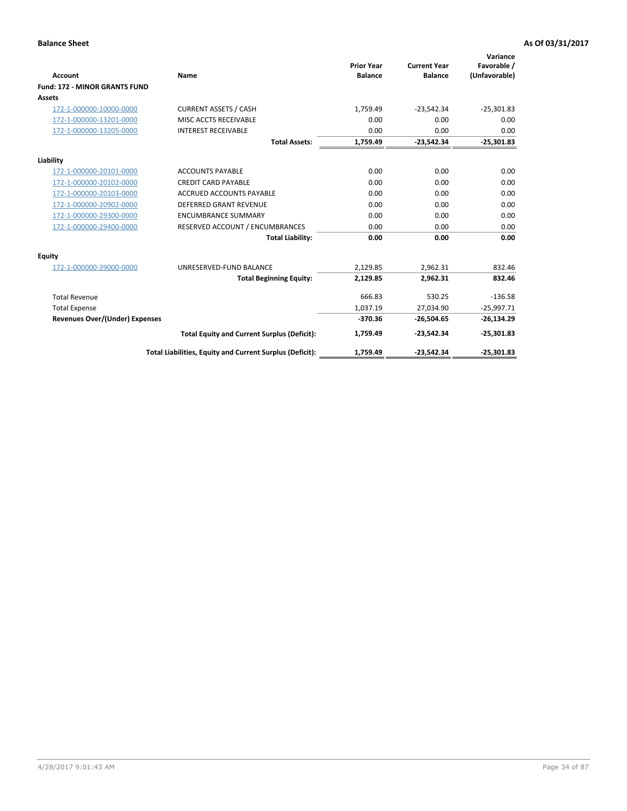|                                       |                                                          |                                     |                                       | Variance                     |
|---------------------------------------|----------------------------------------------------------|-------------------------------------|---------------------------------------|------------------------------|
| <b>Account</b>                        | Name                                                     | <b>Prior Year</b><br><b>Balance</b> | <b>Current Year</b><br><b>Balance</b> | Favorable /<br>(Unfavorable) |
| <b>Fund: 172 - MINOR GRANTS FUND</b>  |                                                          |                                     |                                       |                              |
| <b>Assets</b>                         |                                                          |                                     |                                       |                              |
| 172-1-000000-10000-0000               | <b>CURRENT ASSETS / CASH</b>                             | 1,759.49                            | $-23,542.34$                          | $-25,301.83$                 |
| 172-1-000000-13201-0000               | MISC ACCTS RECEIVABLE                                    | 0.00                                | 0.00                                  | 0.00                         |
| 172-1-000000-13205-0000               | <b>INTEREST RECEIVABLE</b>                               | 0.00                                | 0.00                                  | 0.00                         |
|                                       | <b>Total Assets:</b>                                     | 1,759.49                            | $-23,542.34$                          | $-25,301.83$                 |
| Liability                             |                                                          |                                     |                                       |                              |
| 172-1-000000-20101-0000               | <b>ACCOUNTS PAYABLE</b>                                  | 0.00                                | 0.00                                  | 0.00                         |
| 172-1-000000-20102-0000               | <b>CREDIT CARD PAYABLE</b>                               | 0.00                                | 0.00                                  | 0.00                         |
| 172-1-000000-20103-0000               | <b>ACCRUED ACCOUNTS PAYABLE</b>                          | 0.00                                | 0.00                                  | 0.00                         |
| 172-1-000000-20902-0000               | <b>DEFERRED GRANT REVENUE</b>                            | 0.00                                | 0.00                                  | 0.00                         |
| 172-1-000000-29300-0000               | <b>ENCUMBRANCE SUMMARY</b>                               | 0.00                                | 0.00                                  | 0.00                         |
| 172-1-000000-29400-0000               | RESERVED ACCOUNT / ENCUMBRANCES                          | 0.00                                | 0.00                                  | 0.00                         |
|                                       | <b>Total Liability:</b>                                  | 0.00                                | 0.00                                  | 0.00                         |
| Equity                                |                                                          |                                     |                                       |                              |
| 172-1-000000-39000-0000               | UNRESERVED-FUND BALANCE                                  | 2,129.85                            | 2,962.31                              | 832.46                       |
|                                       | <b>Total Beginning Equity:</b>                           | 2,129.85                            | 2,962.31                              | 832.46                       |
| <b>Total Revenue</b>                  |                                                          | 666.83                              | 530.25                                | $-136.58$                    |
| <b>Total Expense</b>                  |                                                          | 1,037.19                            | 27,034.90                             | $-25,997.71$                 |
| <b>Revenues Over/(Under) Expenses</b> |                                                          | $-370.36$                           | $-26,504.65$                          | $-26,134.29$                 |
|                                       | <b>Total Equity and Current Surplus (Deficit):</b>       | 1.759.49                            | $-23.542.34$                          | $-25,301.83$                 |
|                                       | Total Liabilities, Equity and Current Surplus (Deficit): | 1,759.49                            | $-23,542.34$                          | $-25,301.83$                 |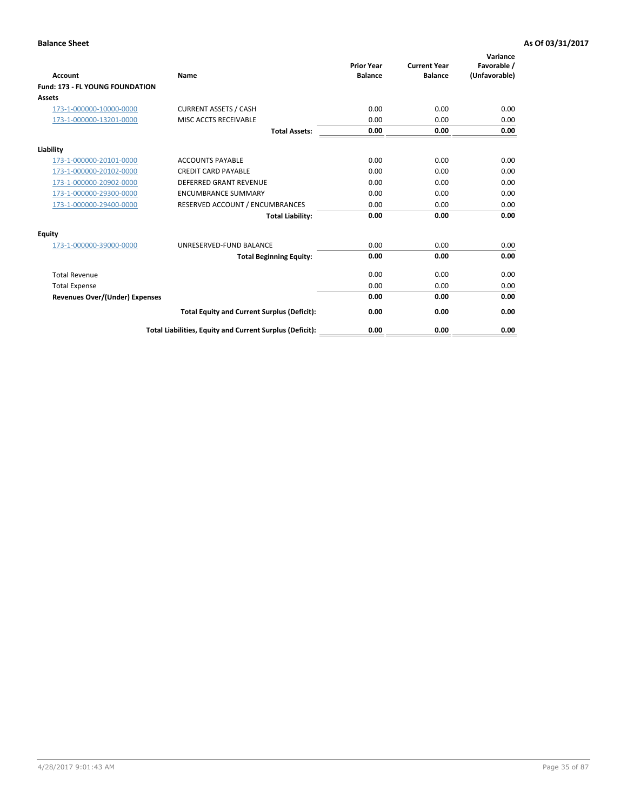| <b>Account</b>                         | <b>Name</b>                                              | <b>Prior Year</b><br><b>Balance</b> | <b>Current Year</b><br><b>Balance</b> | Variance<br>Favorable /<br>(Unfavorable) |
|----------------------------------------|----------------------------------------------------------|-------------------------------------|---------------------------------------|------------------------------------------|
| <b>Fund: 173 - FL YOUNG FOUNDATION</b> |                                                          |                                     |                                       |                                          |
| Assets                                 |                                                          |                                     |                                       |                                          |
| 173-1-000000-10000-0000                | <b>CURRENT ASSETS / CASH</b>                             | 0.00                                | 0.00                                  | 0.00                                     |
| 173-1-000000-13201-0000                | MISC ACCTS RECEIVABLE                                    | 0.00                                | 0.00                                  | 0.00                                     |
|                                        | <b>Total Assets:</b>                                     | 0.00                                | 0.00                                  | 0.00                                     |
| Liability                              |                                                          |                                     |                                       |                                          |
| 173-1-000000-20101-0000                | <b>ACCOUNTS PAYABLE</b>                                  | 0.00                                | 0.00                                  | 0.00                                     |
| 173-1-000000-20102-0000                | <b>CREDIT CARD PAYABLE</b>                               | 0.00                                | 0.00                                  | 0.00                                     |
| 173-1-000000-20902-0000                | <b>DEFERRED GRANT REVENUE</b>                            | 0.00                                | 0.00                                  | 0.00                                     |
| 173-1-000000-29300-0000                | <b>ENCUMBRANCE SUMMARY</b>                               | 0.00                                | 0.00                                  | 0.00                                     |
| 173-1-000000-29400-0000                | RESERVED ACCOUNT / ENCUMBRANCES                          | 0.00                                | 0.00                                  | 0.00                                     |
|                                        | <b>Total Liability:</b>                                  | 0.00                                | 0.00                                  | 0.00                                     |
| Equity                                 |                                                          |                                     |                                       |                                          |
| 173-1-000000-39000-0000                | UNRESERVED-FUND BALANCE                                  | 0.00                                | 0.00                                  | 0.00                                     |
|                                        | <b>Total Beginning Equity:</b>                           | 0.00                                | 0.00                                  | 0.00                                     |
| <b>Total Revenue</b>                   |                                                          | 0.00                                | 0.00                                  | 0.00                                     |
| <b>Total Expense</b>                   |                                                          | 0.00                                | 0.00                                  | 0.00                                     |
| <b>Revenues Over/(Under) Expenses</b>  |                                                          | 0.00                                | 0.00                                  | 0.00                                     |
|                                        | <b>Total Equity and Current Surplus (Deficit):</b>       | 0.00                                | 0.00                                  | 0.00                                     |
|                                        | Total Liabilities, Equity and Current Surplus (Deficit): | 0.00                                | 0.00                                  | 0.00                                     |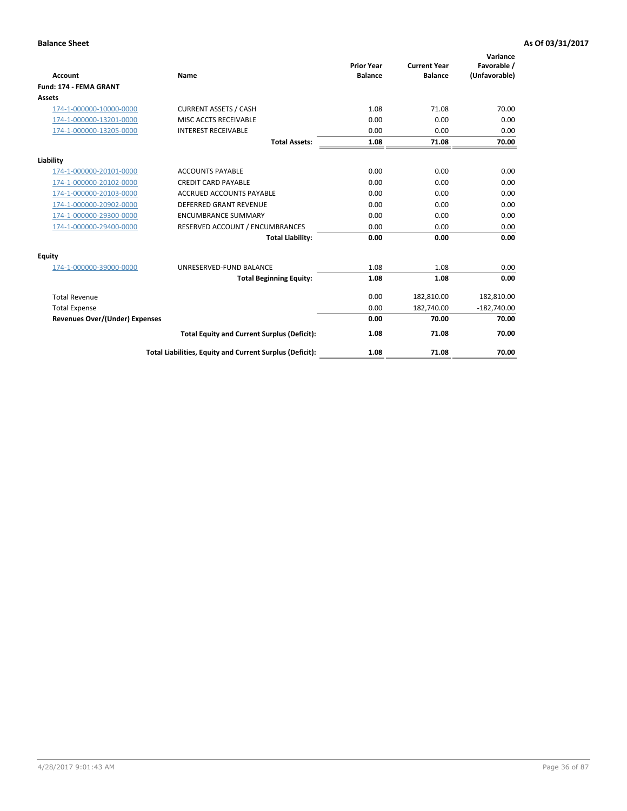| <b>Account</b>                        | Name                                                     | <b>Prior Year</b><br><b>Balance</b> | <b>Current Year</b><br><b>Balance</b> | Variance<br>Favorable /<br>(Unfavorable) |
|---------------------------------------|----------------------------------------------------------|-------------------------------------|---------------------------------------|------------------------------------------|
| Fund: 174 - FEMA GRANT                |                                                          |                                     |                                       |                                          |
| Assets                                |                                                          |                                     |                                       |                                          |
|                                       |                                                          |                                     |                                       |                                          |
| 174-1-000000-10000-0000               | <b>CURRENT ASSETS / CASH</b>                             | 1.08                                | 71.08                                 | 70.00                                    |
| 174-1-000000-13201-0000               | MISC ACCTS RECEIVABLE                                    | 0.00                                | 0.00                                  | 0.00                                     |
| 174-1-000000-13205-0000               | <b>INTEREST RECEIVABLE</b>                               | 0.00                                | 0.00                                  | 0.00                                     |
|                                       | <b>Total Assets:</b>                                     | 1.08                                | 71.08                                 | 70.00                                    |
| Liability                             |                                                          |                                     |                                       |                                          |
| 174-1-000000-20101-0000               | <b>ACCOUNTS PAYABLE</b>                                  | 0.00                                | 0.00                                  | 0.00                                     |
| 174-1-000000-20102-0000               | <b>CREDIT CARD PAYABLE</b>                               | 0.00                                | 0.00                                  | 0.00                                     |
| 174-1-000000-20103-0000               | <b>ACCRUED ACCOUNTS PAYABLE</b>                          | 0.00                                | 0.00                                  | 0.00                                     |
| 174-1-000000-20902-0000               | <b>DEFERRED GRANT REVENUE</b>                            | 0.00                                | 0.00                                  | 0.00                                     |
| 174-1-000000-29300-0000               | <b>ENCUMBRANCE SUMMARY</b>                               | 0.00                                | 0.00                                  | 0.00                                     |
| 174-1-000000-29400-0000               | RESERVED ACCOUNT / ENCUMBRANCES                          | 0.00                                | 0.00                                  | 0.00                                     |
|                                       | <b>Total Liability:</b>                                  | 0.00                                | 0.00                                  | 0.00                                     |
| Equity                                |                                                          |                                     |                                       |                                          |
| 174-1-000000-39000-0000               | UNRESERVED-FUND BALANCE                                  | 1.08                                | 1.08                                  | 0.00                                     |
|                                       | <b>Total Beginning Equity:</b>                           | 1.08                                | 1.08                                  | 0.00                                     |
| <b>Total Revenue</b>                  |                                                          | 0.00                                | 182,810.00                            | 182,810.00                               |
| <b>Total Expense</b>                  |                                                          | 0.00                                | 182,740.00                            | $-182,740.00$                            |
| <b>Revenues Over/(Under) Expenses</b> |                                                          | 0.00                                | 70.00                                 | 70.00                                    |
|                                       | <b>Total Equity and Current Surplus (Deficit):</b>       | 1.08                                | 71.08                                 | 70.00                                    |
|                                       | Total Liabilities, Equity and Current Surplus (Deficit): | 1.08                                | 71.08                                 | 70.00                                    |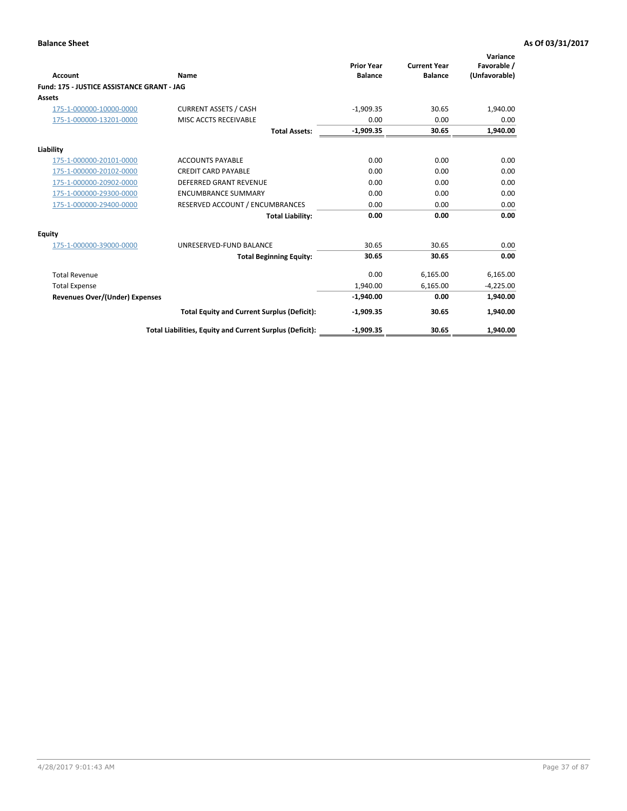| <b>Account</b>                             | Name                                                     | <b>Prior Year</b><br><b>Balance</b> | <b>Current Year</b><br><b>Balance</b> | Variance<br>Favorable /<br>(Unfavorable) |
|--------------------------------------------|----------------------------------------------------------|-------------------------------------|---------------------------------------|------------------------------------------|
| Fund: 175 - JUSTICE ASSISTANCE GRANT - JAG |                                                          |                                     |                                       |                                          |
| <b>Assets</b>                              |                                                          |                                     |                                       |                                          |
| 175-1-000000-10000-0000                    | <b>CURRENT ASSETS / CASH</b>                             | $-1,909.35$                         | 30.65                                 | 1,940.00                                 |
| 175-1-000000-13201-0000                    | MISC ACCTS RECEIVABLE                                    | 0.00                                | 0.00                                  | 0.00                                     |
|                                            | <b>Total Assets:</b>                                     | $-1,909.35$                         | 30.65                                 | 1,940.00                                 |
| Liability                                  |                                                          |                                     |                                       |                                          |
| 175-1-000000-20101-0000                    | <b>ACCOUNTS PAYABLE</b>                                  | 0.00                                | 0.00                                  | 0.00                                     |
| 175-1-000000-20102-0000                    | <b>CREDIT CARD PAYABLE</b>                               | 0.00                                | 0.00                                  | 0.00                                     |
| 175-1-000000-20902-0000                    | <b>DEFERRED GRANT REVENUE</b>                            | 0.00                                | 0.00                                  | 0.00                                     |
| 175-1-000000-29300-0000                    | <b>ENCUMBRANCE SUMMARY</b>                               | 0.00                                | 0.00                                  | 0.00                                     |
| 175-1-000000-29400-0000                    | RESERVED ACCOUNT / ENCUMBRANCES                          | 0.00                                | 0.00                                  | 0.00                                     |
|                                            | <b>Total Liability:</b>                                  | 0.00                                | 0.00                                  | 0.00                                     |
| Equity                                     |                                                          |                                     |                                       |                                          |
| 175-1-000000-39000-0000                    | UNRESERVED-FUND BALANCE                                  | 30.65                               | 30.65                                 | 0.00                                     |
|                                            | <b>Total Beginning Equity:</b>                           | 30.65                               | 30.65                                 | 0.00                                     |
| <b>Total Revenue</b>                       |                                                          | 0.00                                | 6,165.00                              | 6,165.00                                 |
| <b>Total Expense</b>                       |                                                          | 1,940.00                            | 6,165.00                              | $-4,225.00$                              |
| <b>Revenues Over/(Under) Expenses</b>      |                                                          | $-1,940.00$                         | 0.00                                  | 1,940.00                                 |
|                                            | <b>Total Equity and Current Surplus (Deficit):</b>       | $-1,909.35$                         | 30.65                                 | 1,940.00                                 |
|                                            | Total Liabilities, Equity and Current Surplus (Deficit): | $-1,909.35$                         | 30.65                                 | 1.940.00                                 |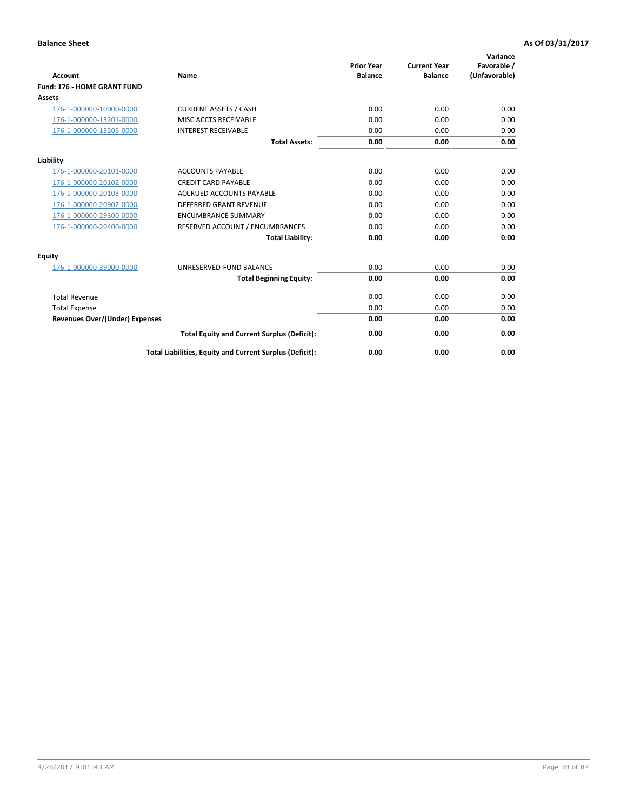| <b>Account</b>                        | Name                                                     | <b>Prior Year</b><br><b>Balance</b> | <b>Current Year</b><br><b>Balance</b> | Variance<br>Favorable /<br>(Unfavorable) |
|---------------------------------------|----------------------------------------------------------|-------------------------------------|---------------------------------------|------------------------------------------|
| <b>Fund: 176 - HOME GRANT FUND</b>    |                                                          |                                     |                                       |                                          |
| Assets                                |                                                          |                                     |                                       |                                          |
| 176-1-000000-10000-0000               | <b>CURRENT ASSETS / CASH</b>                             | 0.00                                | 0.00                                  | 0.00                                     |
| 176-1-000000-13201-0000               | MISC ACCTS RECEIVABLE                                    | 0.00                                | 0.00                                  | 0.00                                     |
| 176-1-000000-13205-0000               | <b>INTEREST RECEIVABLE</b>                               | 0.00                                | 0.00                                  | 0.00                                     |
|                                       | <b>Total Assets:</b>                                     | 0.00                                | 0.00                                  | 0.00                                     |
| Liability                             |                                                          |                                     |                                       |                                          |
| 176-1-000000-20101-0000               | <b>ACCOUNTS PAYABLE</b>                                  | 0.00                                | 0.00                                  | 0.00                                     |
| 176-1-000000-20102-0000               | <b>CREDIT CARD PAYABLE</b>                               | 0.00                                | 0.00                                  | 0.00                                     |
| 176-1-000000-20103-0000               | <b>ACCRUED ACCOUNTS PAYABLE</b>                          | 0.00                                | 0.00                                  | 0.00                                     |
| 176-1-000000-20902-0000               | <b>DEFERRED GRANT REVENUE</b>                            | 0.00                                | 0.00                                  | 0.00                                     |
| 176-1-000000-29300-0000               | <b>ENCUMBRANCE SUMMARY</b>                               | 0.00                                | 0.00                                  | 0.00                                     |
| 176-1-000000-29400-0000               | RESERVED ACCOUNT / ENCUMBRANCES                          | 0.00                                | 0.00                                  | 0.00                                     |
|                                       | <b>Total Liability:</b>                                  | 0.00                                | 0.00                                  | 0.00                                     |
| Equity                                |                                                          |                                     |                                       |                                          |
| 176-1-000000-39000-0000               | UNRESERVED-FUND BALANCE                                  | 0.00                                | 0.00                                  | 0.00                                     |
|                                       | <b>Total Beginning Equity:</b>                           | 0.00                                | 0.00                                  | 0.00                                     |
| <b>Total Revenue</b>                  |                                                          | 0.00                                | 0.00                                  | 0.00                                     |
| <b>Total Expense</b>                  |                                                          | 0.00                                | 0.00                                  | 0.00                                     |
| <b>Revenues Over/(Under) Expenses</b> |                                                          | 0.00                                | 0.00                                  | 0.00                                     |
|                                       | <b>Total Equity and Current Surplus (Deficit):</b>       | 0.00                                | 0.00                                  | 0.00                                     |
|                                       | Total Liabilities, Equity and Current Surplus (Deficit): | 0.00                                | 0.00                                  | 0.00                                     |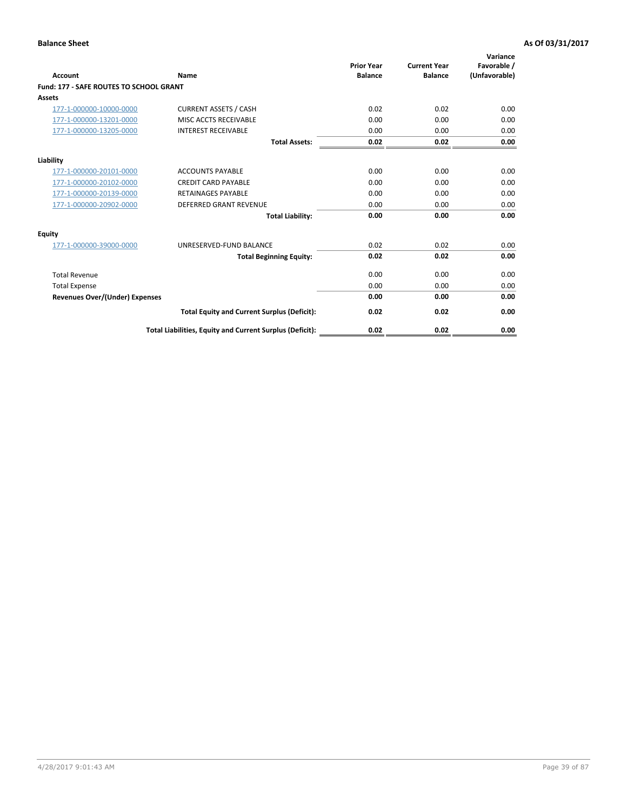| Account                                        | Name                                                     | <b>Prior Year</b><br><b>Balance</b> | <b>Current Year</b><br><b>Balance</b> | Variance<br>Favorable /<br>(Unfavorable) |
|------------------------------------------------|----------------------------------------------------------|-------------------------------------|---------------------------------------|------------------------------------------|
| <b>Fund: 177 - SAFE ROUTES TO SCHOOL GRANT</b> |                                                          |                                     |                                       |                                          |
| <b>Assets</b>                                  |                                                          |                                     |                                       |                                          |
| 177-1-000000-10000-0000                        | <b>CURRENT ASSETS / CASH</b>                             | 0.02                                | 0.02                                  | 0.00                                     |
| 177-1-000000-13201-0000                        | MISC ACCTS RECEIVABLE                                    | 0.00                                | 0.00                                  | 0.00                                     |
| 177-1-000000-13205-0000                        | <b>INTEREST RECEIVABLE</b>                               | 0.00                                | 0.00                                  | 0.00                                     |
|                                                | <b>Total Assets:</b>                                     | 0.02                                | 0.02                                  | 0.00                                     |
| Liability                                      |                                                          |                                     |                                       |                                          |
| 177-1-000000-20101-0000                        | <b>ACCOUNTS PAYABLE</b>                                  | 0.00                                | 0.00                                  | 0.00                                     |
| 177-1-000000-20102-0000                        | <b>CREDIT CARD PAYABLE</b>                               | 0.00                                | 0.00                                  | 0.00                                     |
| 177-1-000000-20139-0000                        | <b>RETAINAGES PAYABLE</b>                                | 0.00                                | 0.00                                  | 0.00                                     |
| 177-1-000000-20902-0000                        | <b>DEFERRED GRANT REVENUE</b>                            | 0.00                                | 0.00                                  | 0.00                                     |
|                                                | <b>Total Liability:</b>                                  | 0.00                                | 0.00                                  | 0.00                                     |
| Equity                                         |                                                          |                                     |                                       |                                          |
| 177-1-000000-39000-0000                        | UNRESERVED-FUND BALANCE                                  | 0.02                                | 0.02                                  | 0.00                                     |
|                                                | <b>Total Beginning Equity:</b>                           | 0.02                                | 0.02                                  | 0.00                                     |
| <b>Total Revenue</b>                           |                                                          | 0.00                                | 0.00                                  | 0.00                                     |
| <b>Total Expense</b>                           |                                                          | 0.00                                | 0.00                                  | 0.00                                     |
| <b>Revenues Over/(Under) Expenses</b>          |                                                          | 0.00                                | 0.00                                  | 0.00                                     |
|                                                | <b>Total Equity and Current Surplus (Deficit):</b>       | 0.02                                | 0.02                                  | 0.00                                     |
|                                                | Total Liabilities, Equity and Current Surplus (Deficit): | 0.02                                | 0.02                                  | 0.00                                     |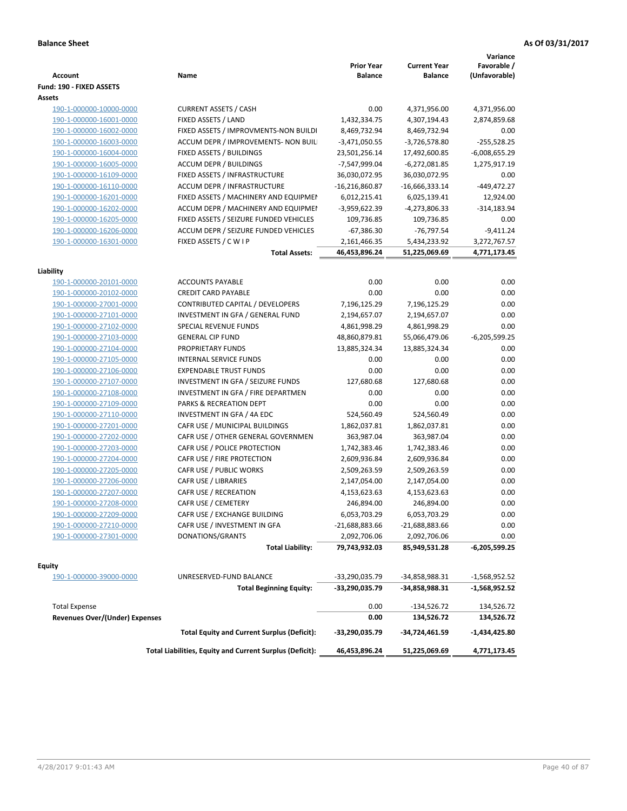| <b>Account</b>                                         | Name                                                     | <b>Prior Year</b><br><b>Balance</b> | <b>Current Year</b><br><b>Balance</b> | Variance<br>Favorable /<br>(Unfavorable) |
|--------------------------------------------------------|----------------------------------------------------------|-------------------------------------|---------------------------------------|------------------------------------------|
| Fund: 190 - FIXED ASSETS                               |                                                          |                                     |                                       |                                          |
| Assets                                                 |                                                          |                                     |                                       |                                          |
| 190-1-000000-10000-0000                                | <b>CURRENT ASSETS / CASH</b>                             | 0.00                                | 4,371,956.00                          | 4,371,956.00                             |
| 190-1-000000-16001-0000                                | FIXED ASSETS / LAND                                      | 1,432,334.75                        | 4,307,194.43                          | 2,874,859.68                             |
| 190-1-000000-16002-0000                                | FIXED ASSETS / IMPROVMENTS-NON BUILDI                    | 8,469,732.94                        | 8,469,732.94                          | 0.00                                     |
| 190-1-000000-16003-0000                                | ACCUM DEPR / IMPROVEMENTS- NON BUIL                      | $-3,471,050.55$                     | $-3,726,578.80$                       | $-255,528.25$                            |
| 190-1-000000-16004-0000                                | FIXED ASSETS / BUILDINGS                                 | 23,501,256.14                       | 17,492,600.85                         | $-6,008,655.29$                          |
| 190-1-000000-16005-0000                                | <b>ACCUM DEPR / BUILDINGS</b>                            | -7,547,999.04                       | $-6,272,081.85$                       | 1,275,917.19                             |
| 190-1-000000-16109-0000                                | FIXED ASSETS / INFRASTRUCTURE                            | 36,030,072.95                       | 36,030,072.95                         | 0.00                                     |
| 190-1-000000-16110-0000                                | ACCUM DEPR / INFRASTRUCTURE                              | $-16,216,860.87$                    | $-16,666,333.14$                      | $-449,472.27$                            |
| 190-1-000000-16201-0000                                | FIXED ASSETS / MACHINERY AND EQUIPMEN                    | 6,012,215.41                        | 6,025,139.41                          | 12,924.00                                |
| 190-1-000000-16202-0000                                | ACCUM DEPR / MACHINERY AND EQUIPMEI                      | -3,959,622.39                       | -4,273,806.33                         | $-314,183.94$                            |
| 190-1-000000-16205-0000                                | FIXED ASSETS / SEIZURE FUNDED VEHICLES                   | 109,736.85                          | 109,736.85                            | 0.00                                     |
| 190-1-000000-16206-0000                                | ACCUM DEPR / SEIZURE FUNDED VEHICLES                     | $-67,386.30$                        | -76,797.54                            | $-9,411.24$                              |
| 190-1-000000-16301-0000                                | FIXED ASSETS / C W I P                                   | 2,161,466.35                        | 5,434,233.92                          | 3,272,767.57                             |
|                                                        | <b>Total Assets:</b>                                     | 46,453,896.24                       | 51,225,069.69                         | 4,771,173.45                             |
|                                                        |                                                          |                                     |                                       |                                          |
| Liability                                              |                                                          |                                     |                                       |                                          |
| 190-1-000000-20101-0000                                | <b>ACCOUNTS PAYABLE</b>                                  | 0.00                                | 0.00                                  | 0.00                                     |
| 190-1-000000-20102-0000                                | <b>CREDIT CARD PAYABLE</b>                               | 0.00                                | 0.00                                  | 0.00                                     |
| 190-1-000000-27001-0000                                | <b>CONTRIBUTED CAPITAL / DEVELOPERS</b>                  | 7,196,125.29                        | 7,196,125.29                          | 0.00                                     |
| 190-1-000000-27101-0000                                | INVESTMENT IN GFA / GENERAL FUND                         | 2,194,657.07                        | 2,194,657.07                          | 0.00                                     |
| 190-1-000000-27102-0000                                | SPECIAL REVENUE FUNDS                                    | 4,861,998.29                        | 4,861,998.29                          | 0.00                                     |
| 190-1-000000-27103-0000                                | <b>GENERAL CIP FUND</b>                                  | 48,860,879.81                       | 55,066,479.06                         | $-6,205,599.25$                          |
| 190-1-000000-27104-0000                                | PROPRIETARY FUNDS                                        | 13,885,324.34                       | 13,885,324.34                         | 0.00                                     |
| 190-1-000000-27105-0000                                | <b>INTERNAL SERVICE FUNDS</b>                            | 0.00                                | 0.00                                  | 0.00                                     |
| 190-1-000000-27106-0000                                | <b>EXPENDABLE TRUST FUNDS</b>                            | 0.00                                | 0.00                                  | 0.00                                     |
| 190-1-000000-27107-0000                                | INVESTMENT IN GFA / SEIZURE FUNDS                        | 127,680.68                          | 127,680.68                            | 0.00                                     |
| 190-1-000000-27108-0000                                | INVESTMENT IN GFA / FIRE DEPARTMEN                       | 0.00                                | 0.00                                  | 0.00                                     |
| 190-1-000000-27109-0000                                | PARKS & RECREATION DEPT                                  | 0.00                                | 0.00                                  | 0.00                                     |
| 190-1-000000-27110-0000                                | INVESTMENT IN GFA / 4A EDC                               | 524,560.49                          | 524,560.49                            | 0.00                                     |
| 190-1-000000-27201-0000                                | CAFR USE / MUNICIPAL BUILDINGS                           | 1,862,037.81                        | 1,862,037.81                          | 0.00                                     |
| 190-1-000000-27202-0000                                | CAFR USE / OTHER GENERAL GOVERNMEN                       | 363,987.04                          | 363,987.04                            | 0.00                                     |
| 190-1-000000-27203-0000                                | CAFR USE / POLICE PROTECTION                             | 1,742,383.46                        | 1,742,383.46                          | 0.00                                     |
| 190-1-000000-27204-0000                                | CAFR USE / FIRE PROTECTION                               | 2,609,936.84                        | 2,609,936.84                          | 0.00                                     |
| 190-1-000000-27205-0000                                | CAFR USE / PUBLIC WORKS                                  | 2,509,263.59                        | 2,509,263.59                          | 0.00                                     |
| 190-1-000000-27206-0000                                | CAFR USE / LIBRARIES                                     | 2,147,054.00                        | 2,147,054.00                          | 0.00                                     |
| 190-1-000000-27207-0000                                | CAFR USE / RECREATION                                    | 4,153,623.63                        | 4,153,623.63                          | 0.00                                     |
| 190-1-000000-27208-0000                                | CAFR USE / CEMETERY                                      | 246,894.00                          | 246,894.00                            | 0.00                                     |
| 190-1-000000-27209-0000                                | CAFR USE / EXCHANGE BUILDING                             | 6,053,703.29                        | 6,053,703.29                          | 0.00                                     |
| 190-1-000000-27210-0000                                | CAFR USE / INVESTMENT IN GFA                             | $-21,688,883.66$                    | $-21,688,883.66$                      | 0.00                                     |
| 190-1-000000-27301-0000                                | DONATIONS/GRANTS                                         | 2,092,706.06                        | 2,092,706.06                          | 0.00                                     |
|                                                        | <b>Total Liability:</b>                                  | 79,743,932.03                       | 85,949,531.28                         | -6,205,599.25                            |
| <b>Equity</b>                                          |                                                          |                                     |                                       |                                          |
| 190-1-000000-39000-0000                                | UNRESERVED-FUND BALANCE                                  | -33,290,035.79                      | -34,858,988.31                        | -1,568,952.52                            |
|                                                        | <b>Total Beginning Equity:</b>                           | -33,290,035.79                      | -34,858,988.31                        | -1,568,952.52                            |
|                                                        |                                                          |                                     |                                       |                                          |
| <b>Total Expense</b><br>Revenues Over/(Under) Expenses |                                                          | 0.00                                | $-134,526.72$                         | 134,526.72                               |
|                                                        | <b>Total Equity and Current Surplus (Deficit):</b>       | 0.00<br>-33,290,035.79              | 134,526.72<br>-34,724,461.59          | 134,526.72<br>-1,434,425.80              |
|                                                        | Total Liabilities, Equity and Current Surplus (Deficit): | 46,453,896.24                       | 51,225,069.69                         | 4,771,173.45                             |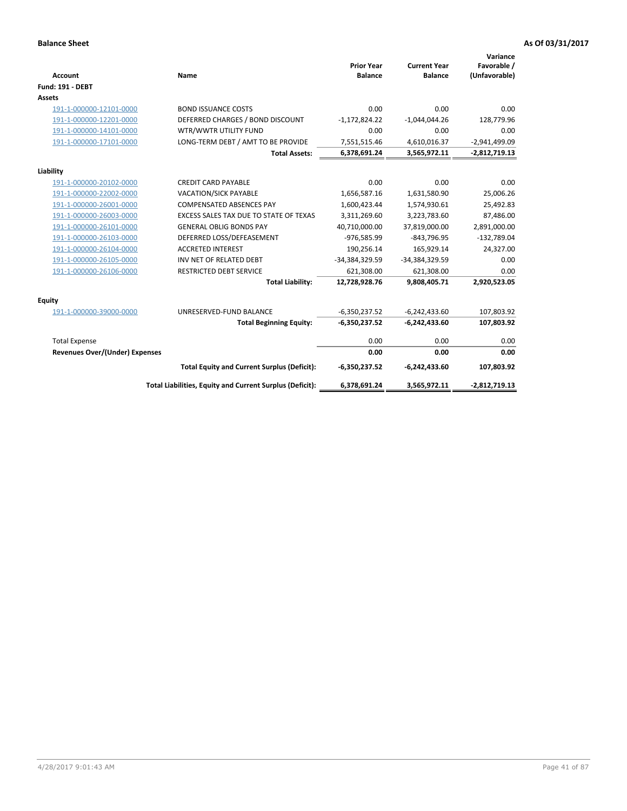| <b>Account</b>                        | <b>Name</b>                                              | <b>Prior Year</b><br><b>Balance</b> | <b>Current Year</b><br><b>Balance</b> | Variance<br>Favorable /<br>(Unfavorable) |
|---------------------------------------|----------------------------------------------------------|-------------------------------------|---------------------------------------|------------------------------------------|
| <b>Fund: 191 - DEBT</b>               |                                                          |                                     |                                       |                                          |
| Assets                                |                                                          |                                     |                                       |                                          |
| 191-1-000000-12101-0000               | <b>BOND ISSUANCE COSTS</b>                               | 0.00                                | 0.00                                  | 0.00                                     |
| 191-1-000000-12201-0000               | DEFERRED CHARGES / BOND DISCOUNT                         | $-1,172,824.22$                     | $-1,044,044.26$                       | 128,779.96                               |
| 191-1-000000-14101-0000               | WTR/WWTR UTILITY FUND                                    | 0.00                                | 0.00                                  | 0.00                                     |
| 191-1-000000-17101-0000               | LONG-TERM DEBT / AMT TO BE PROVIDE                       | 7,551,515.46                        | 4,610,016.37                          | $-2,941,499.09$                          |
|                                       | <b>Total Assets:</b>                                     | 6,378,691.24                        | 3,565,972.11                          | $-2,812,719.13$                          |
| Liability                             |                                                          |                                     |                                       |                                          |
| 191-1-000000-20102-0000               | <b>CREDIT CARD PAYABLE</b>                               | 0.00                                | 0.00                                  | 0.00                                     |
| 191-1-000000-22002-0000               | VACATION/SICK PAYABLE                                    | 1,656,587.16                        | 1,631,580.90                          | 25,006.26                                |
| 191-1-000000-26001-0000               | <b>COMPENSATED ABSENCES PAY</b>                          | 1,600,423.44                        | 1,574,930.61                          | 25,492.83                                |
| 191-1-000000-26003-0000               | EXCESS SALES TAX DUE TO STATE OF TEXAS                   | 3,311,269.60                        | 3,223,783.60                          | 87,486.00                                |
| 191-1-000000-26101-0000               | <b>GENERAL OBLIG BONDS PAY</b>                           | 40,710,000.00                       | 37,819,000.00                         | 2,891,000.00                             |
| 191-1-000000-26103-0000               | DEFERRED LOSS/DEFEASEMENT                                | -976,585.99                         | $-843,796.95$                         | $-132,789.04$                            |
| 191-1-000000-26104-0000               | <b>ACCRETED INTEREST</b>                                 | 190,256.14                          | 165,929.14                            | 24,327.00                                |
| 191-1-000000-26105-0000               | INV NET OF RELATED DEBT                                  | -34,384,329.59                      | -34,384,329.59                        | 0.00                                     |
| 191-1-000000-26106-0000               | <b>RESTRICTED DEBT SERVICE</b>                           | 621,308.00                          | 621,308.00                            | 0.00                                     |
|                                       | <b>Total Liability:</b>                                  | 12,728,928.76                       | 9,808,405.71                          | 2,920,523.05                             |
| Equity                                |                                                          |                                     |                                       |                                          |
| 191-1-000000-39000-0000               | UNRESERVED-FUND BALANCE                                  | $-6,350,237.52$                     | $-6,242,433.60$                       | 107,803.92                               |
|                                       | <b>Total Beginning Equity:</b>                           | $-6,350,237.52$                     | $-6,242,433.60$                       | 107,803.92                               |
| <b>Total Expense</b>                  |                                                          | 0.00                                | 0.00                                  | 0.00                                     |
| <b>Revenues Over/(Under) Expenses</b> |                                                          | 0.00                                | 0.00                                  | 0.00                                     |
|                                       |                                                          |                                     |                                       |                                          |
|                                       | <b>Total Equity and Current Surplus (Deficit):</b>       | $-6,350,237.52$                     | $-6,242,433.60$                       | 107,803.92                               |
|                                       | Total Liabilities, Equity and Current Surplus (Deficit): | 6,378,691.24                        | 3,565,972.11                          | $-2,812,719.13$                          |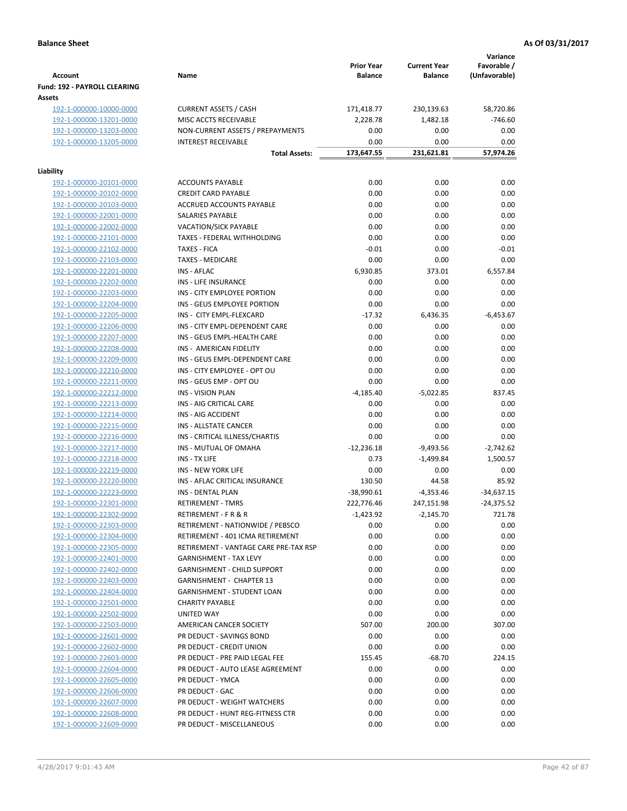|                                                    |                                                      | <b>Prior Year</b>          | <b>Current Year</b>       | Variance<br>Favorable /      |
|----------------------------------------------------|------------------------------------------------------|----------------------------|---------------------------|------------------------------|
| <b>Account</b>                                     | Name                                                 | <b>Balance</b>             | <b>Balance</b>            | (Unfavorable)                |
| Fund: 192 - PAYROLL CLEARING<br>Assets             |                                                      |                            |                           |                              |
| 192-1-000000-10000-0000                            | <b>CURRENT ASSETS / CASH</b>                         | 171,418.77                 | 230,139.63                | 58,720.86                    |
| 192-1-000000-13201-0000                            | MISC ACCTS RECEIVABLE                                | 2,228.78                   | 1,482.18                  | $-746.60$                    |
| 192-1-000000-13203-0000                            | NON-CURRENT ASSETS / PREPAYMENTS                     | 0.00                       | 0.00                      | 0.00                         |
| 192-1-000000-13205-0000                            | <b>INTEREST RECEIVABLE</b>                           | 0.00                       | 0.00                      | 0.00                         |
|                                                    | <b>Total Assets:</b>                                 | 173,647.55                 | 231,621.81                | 57,974.26                    |
|                                                    |                                                      |                            |                           |                              |
| Liability                                          | <b>ACCOUNTS PAYABLE</b>                              |                            |                           |                              |
| 192-1-000000-20101-0000<br>192-1-000000-20102-0000 | <b>CREDIT CARD PAYABLE</b>                           | 0.00<br>0.00               | 0.00<br>0.00              | 0.00<br>0.00                 |
| 192-1-000000-20103-0000                            | ACCRUED ACCOUNTS PAYABLE                             | 0.00                       | 0.00                      | 0.00                         |
| 192-1-000000-22001-0000                            | SALARIES PAYABLE                                     | 0.00                       | 0.00                      | 0.00                         |
| 192-1-000000-22002-0000                            | <b>VACATION/SICK PAYABLE</b>                         | 0.00                       | 0.00                      | 0.00                         |
| 192-1-000000-22101-0000                            | TAXES - FEDERAL WITHHOLDING                          | 0.00                       | 0.00                      | 0.00                         |
| 192-1-000000-22102-0000                            | <b>TAXES - FICA</b>                                  | $-0.01$                    | 0.00                      | $-0.01$                      |
| 192-1-000000-22103-0000                            | <b>TAXES - MEDICARE</b>                              | 0.00                       | 0.00                      | 0.00                         |
| 192-1-000000-22201-0000                            | <b>INS - AFLAC</b>                                   | 6,930.85                   | 373.01                    | 6,557.84                     |
| 192-1-000000-22202-0000                            | <b>INS - LIFE INSURANCE</b>                          | 0.00                       | 0.00                      | 0.00                         |
| 192-1-000000-22203-0000                            | INS - CITY EMPLOYEE PORTION                          | 0.00                       | 0.00                      | 0.00                         |
| 192-1-000000-22204-0000                            | INS - GEUS EMPLOYEE PORTION                          | 0.00                       | 0.00                      | 0.00                         |
| 192-1-000000-22205-0000                            | INS - CITY EMPL-FLEXCARD                             | $-17.32$                   | 6,436.35                  | $-6,453.67$                  |
| 192-1-000000-22206-0000                            | INS - CITY EMPL-DEPENDENT CARE                       | 0.00                       | 0.00                      | 0.00                         |
| 192-1-000000-22207-0000                            | INS - GEUS EMPL-HEALTH CARE                          | 0.00                       | 0.00                      | 0.00                         |
| 192-1-000000-22208-0000                            | INS - AMERICAN FIDELITY                              | 0.00                       | 0.00                      | 0.00                         |
| 192-1-000000-22209-0000                            | INS - GEUS EMPL-DEPENDENT CARE                       | 0.00                       | 0.00                      | 0.00                         |
| 192-1-000000-22210-0000                            | INS - CITY EMPLOYEE - OPT OU                         | 0.00                       | 0.00                      | 0.00                         |
| 192-1-000000-22211-0000                            | INS - GEUS EMP - OPT OU                              | 0.00                       | 0.00                      | 0.00                         |
| 192-1-000000-22212-0000                            | <b>INS - VISION PLAN</b>                             | $-4,185.40$                | $-5,022.85$               | 837.45                       |
| 192-1-000000-22213-0000                            | INS - AIG CRITICAL CARE                              | 0.00                       | 0.00                      | 0.00                         |
| 192-1-000000-22214-0000                            | INS - AIG ACCIDENT                                   | 0.00                       | 0.00                      | 0.00                         |
| 192-1-000000-22215-0000                            | INS - ALLSTATE CANCER                                | 0.00                       | 0.00                      | 0.00                         |
| 192-1-000000-22216-0000                            | INS - CRITICAL ILLNESS/CHARTIS                       | 0.00                       | 0.00                      | 0.00                         |
| 192-1-000000-22217-0000                            | INS - MUTUAL OF OMAHA                                | $-12,236.18$               | $-9,493.56$               | $-2,742.62$                  |
| 192-1-000000-22218-0000                            | INS - TX LIFE                                        | 0.73                       | $-1,499.84$               | 1,500.57                     |
| 192-1-000000-22219-0000                            | <b>INS - NEW YORK LIFE</b>                           | 0.00                       | 0.00                      | 0.00                         |
| 192-1-000000-22220-0000                            | INS - AFLAC CRITICAL INSURANCE                       | 130.50                     | 44.58                     | 85.92                        |
| 192-1-000000-22223-0000<br>192-1-000000-22301-0000 | <b>INS - DENTAL PLAN</b><br><b>RETIREMENT - TMRS</b> | $-38,990.61$<br>222,776.46 | $-4,353.46$<br>247,151.98 | $-34,637.15$<br>$-24,375.52$ |
| 192-1-000000-22302-0000                            | RETIREMENT - F R & R                                 | -1,423.92                  | $-2,145.70$               | 721.78                       |
| 192-1-000000-22303-0000                            | RETIREMENT - NATIONWIDE / PEBSCO                     | 0.00                       | 0.00                      | 0.00                         |
| 192-1-000000-22304-0000                            | RETIREMENT - 401 ICMA RETIREMENT                     | 0.00                       | 0.00                      | 0.00                         |
| 192-1-000000-22305-0000                            | RETIREMENT - VANTAGE CARE PRE-TAX RSP                | 0.00                       | 0.00                      | 0.00                         |
| 192-1-000000-22401-0000                            | <b>GARNISHMENT - TAX LEVY</b>                        | 0.00                       | 0.00                      | 0.00                         |
| 192-1-000000-22402-0000                            | <b>GARNISHMENT - CHILD SUPPORT</b>                   | 0.00                       | 0.00                      | 0.00                         |
| 192-1-000000-22403-0000                            | <b>GARNISHMENT - CHAPTER 13</b>                      | 0.00                       | 0.00                      | 0.00                         |
| 192-1-000000-22404-0000                            | <b>GARNISHMENT - STUDENT LOAN</b>                    | 0.00                       | 0.00                      | 0.00                         |
| 192-1-000000-22501-0000                            | <b>CHARITY PAYABLE</b>                               | 0.00                       | 0.00                      | 0.00                         |
| 192-1-000000-22502-0000                            | UNITED WAY                                           | 0.00                       | 0.00                      | 0.00                         |
| 192-1-000000-22503-0000                            | AMERICAN CANCER SOCIETY                              | 507.00                     | 200.00                    | 307.00                       |
| 192-1-000000-22601-0000                            | PR DEDUCT - SAVINGS BOND                             | 0.00                       | 0.00                      | 0.00                         |
| 192-1-000000-22602-0000                            | PR DEDUCT - CREDIT UNION                             | 0.00                       | 0.00                      | 0.00                         |
| 192-1-000000-22603-0000                            | PR DEDUCT - PRE PAID LEGAL FEE                       | 155.45                     | $-68.70$                  | 224.15                       |
| 192-1-000000-22604-0000                            | PR DEDUCT - AUTO LEASE AGREEMENT                     | 0.00                       | 0.00                      | 0.00                         |
| 192-1-000000-22605-0000                            | PR DEDUCT - YMCA                                     | 0.00                       | 0.00                      | 0.00                         |
| 192-1-000000-22606-0000                            | PR DEDUCT - GAC                                      | 0.00                       | 0.00                      | 0.00                         |
| 192-1-000000-22607-0000                            | PR DEDUCT - WEIGHT WATCHERS                          | 0.00                       | 0.00                      | 0.00                         |
| 192-1-000000-22608-0000                            | PR DEDUCT - HUNT REG-FITNESS CTR                     | 0.00                       | 0.00                      | 0.00                         |
| 192-1-000000-22609-0000                            | PR DEDUCT - MISCELLANEOUS                            | 0.00                       | 0.00                      | 0.00                         |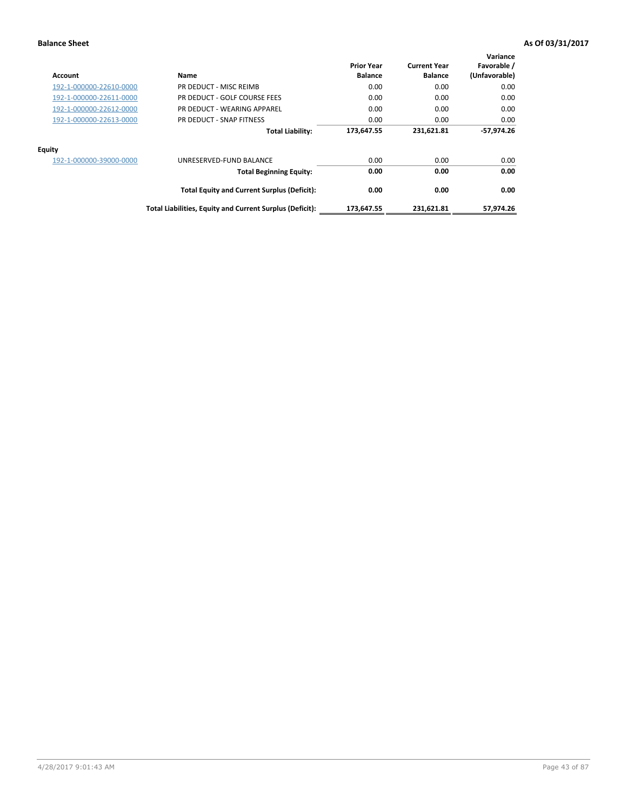| <b>Account</b>          | Name                                                     | <b>Prior Year</b><br><b>Balance</b> | <b>Current Year</b><br><b>Balance</b> | Variance<br>Favorable /<br>(Unfavorable) |
|-------------------------|----------------------------------------------------------|-------------------------------------|---------------------------------------|------------------------------------------|
| 192-1-000000-22610-0000 | PR DEDUCT - MISC REIMB                                   | 0.00                                | 0.00                                  | 0.00                                     |
| 192-1-000000-22611-0000 | PR DEDUCT - GOLF COURSE FEES                             | 0.00                                | 0.00                                  | 0.00                                     |
| 192-1-000000-22612-0000 | PR DEDUCT - WEARING APPAREL                              | 0.00                                | 0.00                                  | 0.00                                     |
| 192-1-000000-22613-0000 | PR DEDUCT - SNAP FITNESS                                 | 0.00                                | 0.00                                  | 0.00                                     |
|                         | <b>Total Liability:</b>                                  | 173,647.55                          | 231,621.81                            | $-57.974.26$                             |
| <b>Equity</b>           |                                                          |                                     |                                       |                                          |
| 192-1-000000-39000-0000 | UNRESERVED-FUND BALANCE                                  | 0.00                                | 0.00                                  | 0.00                                     |
|                         | <b>Total Beginning Equity:</b>                           | 0.00                                | 0.00                                  | 0.00                                     |
|                         | <b>Total Equity and Current Surplus (Deficit):</b>       | 0.00                                | 0.00                                  | 0.00                                     |
|                         | Total Liabilities, Equity and Current Surplus (Deficit): | 173,647.55                          | 231,621.81                            | 57,974.26                                |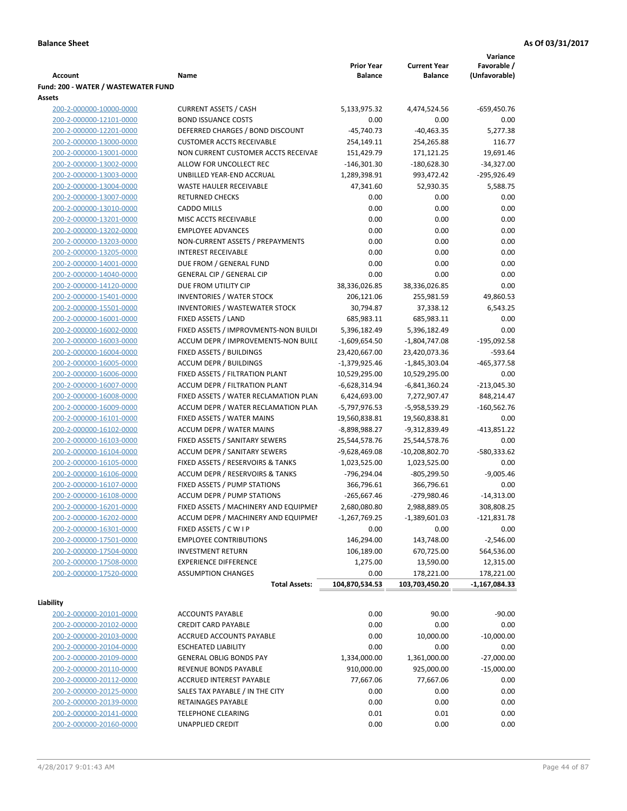|                                                    |                                                               |                                     |                                       | Variance                     |
|----------------------------------------------------|---------------------------------------------------------------|-------------------------------------|---------------------------------------|------------------------------|
| Account                                            | Name                                                          | <b>Prior Year</b><br><b>Balance</b> | <b>Current Year</b><br><b>Balance</b> | Favorable /<br>(Unfavorable) |
| Fund: 200 - WATER / WASTEWATER FUND                |                                                               |                                     |                                       |                              |
| Assets                                             |                                                               |                                     |                                       |                              |
| 200-2-000000-10000-0000                            | <b>CURRENT ASSETS / CASH</b>                                  | 5,133,975.32                        | 4,474,524.56                          | $-659,450.76$                |
| 200-2-000000-12101-0000                            | <b>BOND ISSUANCE COSTS</b>                                    | 0.00                                | 0.00                                  | 0.00                         |
| 200-2-000000-12201-0000                            | DEFERRED CHARGES / BOND DISCOUNT                              | $-45,740.73$                        | $-40,463.35$                          | 5,277.38                     |
| 200-2-000000-13000-0000                            | <b>CUSTOMER ACCTS RECEIVABLE</b>                              | 254,149.11                          | 254,265.88                            | 116.77                       |
| 200-2-000000-13001-0000                            | NON CURRENT CUSTOMER ACCTS RECEIVAE                           | 151,429.79                          | 171,121.25                            | 19,691.46                    |
| 200-2-000000-13002-0000                            | ALLOW FOR UNCOLLECT REC                                       | $-146,301.30$                       | $-180,628.30$                         | $-34,327.00$                 |
| 200-2-000000-13003-0000                            | UNBILLED YEAR-END ACCRUAL                                     | 1,289,398.91                        | 993,472.42                            | -295,926.49                  |
| 200-2-000000-13004-0000                            | <b>WASTE HAULER RECEIVABLE</b>                                | 47,341.60                           | 52,930.35                             | 5,588.75                     |
| 200-2-000000-13007-0000                            | <b>RETURNED CHECKS</b>                                        | 0.00                                | 0.00                                  | 0.00                         |
| 200-2-000000-13010-0000                            | <b>CADDO MILLS</b>                                            | 0.00                                | 0.00                                  | 0.00                         |
| 200-2-000000-13201-0000                            | MISC ACCTS RECEIVABLE<br><b>EMPLOYEE ADVANCES</b>             | 0.00                                | 0.00                                  | 0.00<br>0.00                 |
| 200-2-000000-13202-0000<br>200-2-000000-13203-0000 | NON-CURRENT ASSETS / PREPAYMENTS                              | 0.00<br>0.00                        | 0.00<br>0.00                          | 0.00                         |
| 200-2-000000-13205-0000                            | <b>INTEREST RECEIVABLE</b>                                    | 0.00                                | 0.00                                  | 0.00                         |
| 200-2-000000-14001-0000                            | DUE FROM / GENERAL FUND                                       | 0.00                                | 0.00                                  | 0.00                         |
| 200-2-000000-14040-0000                            | <b>GENERAL CIP / GENERAL CIP</b>                              | 0.00                                | 0.00                                  | 0.00                         |
| 200-2-000000-14120-0000                            | DUE FROM UTILITY CIP                                          | 38,336,026.85                       | 38,336,026.85                         | 0.00                         |
| 200-2-000000-15401-0000                            | <b>INVENTORIES / WATER STOCK</b>                              | 206,121.06                          | 255,981.59                            | 49,860.53                    |
| 200-2-000000-15501-0000                            | <b>INVENTORIES / WASTEWATER STOCK</b>                         | 30,794.87                           | 37,338.12                             | 6,543.25                     |
| 200-2-000000-16001-0000                            | FIXED ASSETS / LAND                                           | 685,983.11                          | 685,983.11                            | 0.00                         |
| 200-2-000000-16002-0000                            | FIXED ASSETS / IMPROVMENTS-NON BUILDI                         | 5,396,182.49                        | 5,396,182.49                          | 0.00                         |
| 200-2-000000-16003-0000                            | ACCUM DEPR / IMPROVEMENTS-NON BUILI                           | $-1,609,654.50$                     | $-1,804,747.08$                       | -195,092.58                  |
| 200-2-000000-16004-0000                            | FIXED ASSETS / BUILDINGS                                      | 23,420,667.00                       | 23,420,073.36                         | $-593.64$                    |
| 200-2-000000-16005-0000                            | <b>ACCUM DEPR / BUILDINGS</b>                                 | $-1,379,925.46$                     | $-1,845,303.04$                       | $-465,377.58$                |
| 200-2-000000-16006-0000                            | FIXED ASSETS / FILTRATION PLANT                               | 10,529,295.00                       | 10,529,295.00                         | 0.00                         |
| 200-2-000000-16007-0000                            | ACCUM DEPR / FILTRATION PLANT                                 | -6,628,314.94                       | $-6,841,360.24$                       | $-213,045.30$                |
| 200-2-000000-16008-0000                            | FIXED ASSETS / WATER RECLAMATION PLAN                         | 6,424,693.00                        | 7,272,907.47                          | 848,214.47                   |
| 200-2-000000-16009-0000                            | ACCUM DEPR / WATER RECLAMATION PLAN                           | -5,797,976.53                       | -5,958,539.29                         | $-160,562.76$                |
| 200-2-000000-16101-0000                            | FIXED ASSETS / WATER MAINS                                    | 19,560,838.81                       | 19,560,838.81                         | 0.00                         |
| 200-2-000000-16102-0000                            | <b>ACCUM DEPR / WATER MAINS</b>                               | -8,898,988.27                       | -9,312,839.49                         | $-413,851.22$                |
| 200-2-000000-16103-0000                            | FIXED ASSETS / SANITARY SEWERS                                | 25,544,578.76                       | 25,544,578.76                         | 0.00                         |
| 200-2-000000-16104-0000                            | <b>ACCUM DEPR / SANITARY SEWERS</b>                           | -9,628,469.08                       | $-10,208,802.70$                      | -580,333.62                  |
| 200-2-000000-16105-0000                            | FIXED ASSETS / RESERVOIRS & TANKS                             | 1,023,525.00                        | 1,023,525.00                          | 0.00                         |
| 200-2-000000-16106-0000                            | <b>ACCUM DEPR / RESERVOIRS &amp; TANKS</b>                    | -796,294.04                         | $-805,299.50$                         | $-9,005.46$                  |
| 200-2-000000-16107-0000                            | FIXED ASSETS / PUMP STATIONS                                  | 366,796.61                          | 366,796.61                            | 0.00                         |
| 200-2-000000-16108-0000                            | <b>ACCUM DEPR / PUMP STATIONS</b>                             | $-265,667.46$                       | -279,980.46                           | $-14,313.00$                 |
| 200-2-000000-16201-0000<br>200-2-000000-16202-0000 | FIXED ASSETS / MACHINERY AND EQUIPMEN                         | 2,680,080.80                        | 2,988,889.05                          | 308,808.25                   |
| 200-2-000000-16301-0000                            | ACCUM DEPR / MACHINERY AND EQUIPMEI<br>FIXED ASSETS / C W I P | $-1,267,769.25$<br>0.00             | $-1,389,601.03$<br>0.00               | $-121,831.78$<br>0.00        |
| 200-2-000000-17501-0000                            | <b>EMPLOYEE CONTRIBUTIONS</b>                                 | 146,294.00                          | 143,748.00                            | $-2,546.00$                  |
| 200-2-000000-17504-0000                            | <b>INVESTMENT RETURN</b>                                      | 106,189.00                          | 670,725.00                            | 564,536.00                   |
| 200-2-000000-17508-0000                            | <b>EXPERIENCE DIFFERENCE</b>                                  | 1,275.00                            | 13,590.00                             | 12,315.00                    |
| 200-2-000000-17520-0000                            | <b>ASSUMPTION CHANGES</b>                                     | 0.00                                | 178,221.00                            | 178,221.00                   |
|                                                    | <b>Total Assets:</b>                                          | 104,870,534.53                      | 103,703,450.20                        | $-1,167,084.33$              |
|                                                    |                                                               |                                     |                                       |                              |
| Liability                                          |                                                               |                                     |                                       |                              |
| 200-2-000000-20101-0000                            | <b>ACCOUNTS PAYABLE</b>                                       | 0.00                                | 90.00                                 | $-90.00$                     |
| 200-2-000000-20102-0000                            | <b>CREDIT CARD PAYABLE</b>                                    | 0.00                                | 0.00                                  | 0.00                         |
| 200-2-000000-20103-0000                            | ACCRUED ACCOUNTS PAYABLE                                      | 0.00                                | 10,000.00                             | $-10,000.00$                 |
| 200-2-000000-20104-0000                            | <b>ESCHEATED LIABILITY</b>                                    | 0.00                                | 0.00                                  | 0.00                         |
| 200-2-000000-20109-0000                            | <b>GENERAL OBLIG BONDS PAY</b>                                | 1,334,000.00                        | 1,361,000.00                          | $-27,000.00$                 |
| 200-2-000000-20110-0000                            | REVENUE BONDS PAYABLE                                         | 910,000.00                          | 925,000.00                            | $-15,000.00$                 |
| 200-2-000000-20112-0000                            | ACCRUED INTEREST PAYABLE                                      | 77,667.06                           | 77,667.06                             | 0.00                         |
| 200-2-000000-20125-0000                            | SALES TAX PAYABLE / IN THE CITY                               | 0.00                                | 0.00                                  | 0.00                         |
| 200-2-000000-20139-0000                            | RETAINAGES PAYABLE<br><b>TELEPHONE CLEARING</b>               | 0.00                                | 0.00                                  | 0.00                         |
| 200-2-000000-20141-0000<br>200-2-000000-20160-0000 | <b>UNAPPLIED CREDIT</b>                                       | 0.01<br>0.00                        | 0.01<br>0.00                          | 0.00<br>0.00                 |
|                                                    |                                                               |                                     |                                       |                              |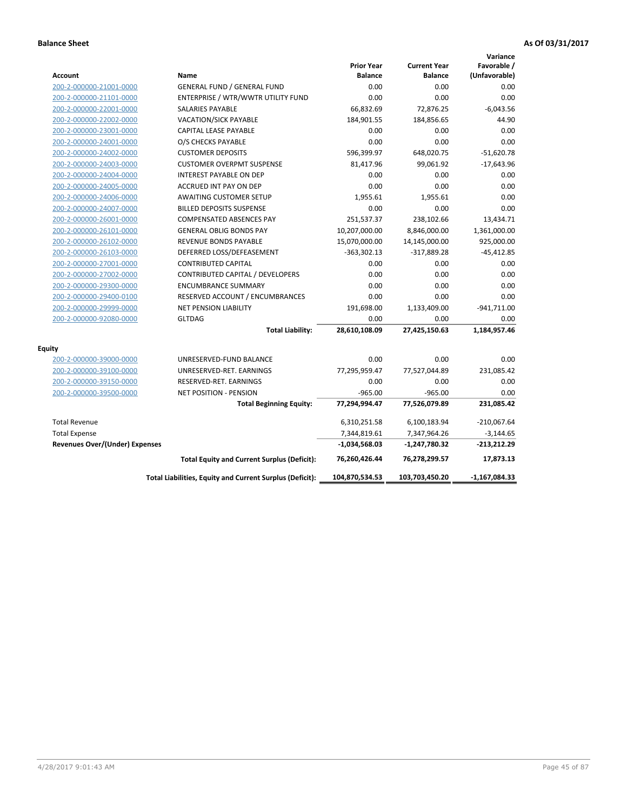|                                       |                                                          |                                     |                                       | Variance                     |
|---------------------------------------|----------------------------------------------------------|-------------------------------------|---------------------------------------|------------------------------|
| <b>Account</b>                        | Name                                                     | <b>Prior Year</b><br><b>Balance</b> | <b>Current Year</b><br><b>Balance</b> | Favorable /<br>(Unfavorable) |
| 200-2-000000-21001-0000               | <b>GENERAL FUND / GENERAL FUND</b>                       | 0.00                                | 0.00                                  | 0.00                         |
| 200-2-000000-21101-0000               | ENTERPRISE / WTR/WWTR UTILITY FUND                       | 0.00                                | 0.00                                  | 0.00                         |
| 200-2-000000-22001-0000               | <b>SALARIES PAYABLE</b>                                  | 66,832.69                           | 72,876.25                             | $-6,043.56$                  |
| 200-2-000000-22002-0000               | <b>VACATION/SICK PAYABLE</b>                             | 184,901.55                          | 184,856.65                            | 44.90                        |
| 200-2-000000-23001-0000               | CAPITAL LEASE PAYABLE                                    | 0.00                                | 0.00                                  | 0.00                         |
| 200-2-000000-24001-0000               | O/S CHECKS PAYABLE                                       | 0.00                                | 0.00                                  | 0.00                         |
| 200-2-000000-24002-0000               | <b>CUSTOMER DEPOSITS</b>                                 | 596,399.97                          | 648,020.75                            | $-51,620.78$                 |
| 200-2-000000-24003-0000               | <b>CUSTOMER OVERPMT SUSPENSE</b>                         | 81,417.96                           | 99,061.92                             | $-17,643.96$                 |
| 200-2-000000-24004-0000               | <b>INTEREST PAYABLE ON DEP</b>                           | 0.00                                | 0.00                                  | 0.00                         |
| 200-2-000000-24005-0000               | <b>ACCRUED INT PAY ON DEP</b>                            | 0.00                                | 0.00                                  | 0.00                         |
| 200-2-000000-24006-0000               | <b>AWAITING CUSTOMER SETUP</b>                           | 1,955.61                            | 1,955.61                              | 0.00                         |
| 200-2-000000-24007-0000               | <b>BILLED DEPOSITS SUSPENSE</b>                          | 0.00                                | 0.00                                  | 0.00                         |
| 200-2-000000-26001-0000               | <b>COMPENSATED ABSENCES PAY</b>                          | 251,537.37                          | 238,102.66                            | 13,434.71                    |
| 200-2-000000-26101-0000               | <b>GENERAL OBLIG BONDS PAY</b>                           | 10,207,000.00                       | 8,846,000.00                          | 1,361,000.00                 |
| 200-2-000000-26102-0000               | <b>REVENUE BONDS PAYABLE</b>                             | 15,070,000.00                       | 14,145,000.00                         | 925,000.00                   |
| 200-2-000000-26103-0000               | DEFERRED LOSS/DEFEASEMENT                                | $-363,302.13$                       | $-317,889.28$                         | $-45,412.85$                 |
| 200-2-000000-27001-0000               | <b>CONTRIBUTED CAPITAL</b>                               | 0.00                                | 0.00                                  | 0.00                         |
| 200-2-000000-27002-0000               | CONTRIBUTED CAPITAL / DEVELOPERS                         | 0.00                                | 0.00                                  | 0.00                         |
| 200-2-000000-29300-0000               | <b>ENCUMBRANCE SUMMARY</b>                               | 0.00                                | 0.00                                  | 0.00                         |
| 200-2-000000-29400-0100               | RESERVED ACCOUNT / ENCUMBRANCES                          | 0.00                                | 0.00                                  | 0.00                         |
| 200-2-000000-29999-0000               | <b>NET PENSION LIABILITY</b>                             | 191,698.00                          | 1,133,409.00                          | $-941,711.00$                |
| 200-2-000000-92080-0000               | <b>GLTDAG</b>                                            | 0.00                                | 0.00                                  | 0.00                         |
|                                       | <b>Total Liability:</b>                                  | 28,610,108.09                       | 27,425,150.63                         | 1,184,957.46                 |
| Equity                                |                                                          |                                     |                                       |                              |
| 200-2-000000-39000-0000               | UNRESERVED-FUND BALANCE                                  | 0.00                                | 0.00                                  | 0.00                         |
| 200-2-000000-39100-0000               | UNRESERVED-RET. EARNINGS                                 | 77,295,959.47                       | 77,527,044.89                         | 231,085.42                   |
| 200-2-000000-39150-0000               | RESERVED-RET. EARNINGS                                   | 0.00                                | 0.00                                  | 0.00                         |
| 200-2-000000-39500-0000               | <b>NET POSITION - PENSION</b>                            | $-965.00$                           | $-965.00$                             | 0.00                         |
|                                       | <b>Total Beginning Equity:</b>                           | 77,294,994.47                       | 77,526,079.89                         | 231,085.42                   |
| <b>Total Revenue</b>                  |                                                          | 6,310,251.58                        | 6,100,183.94                          | $-210,067.64$                |
| <b>Total Expense</b>                  |                                                          | 7,344,819.61                        | 7,347,964.26                          | $-3,144.65$                  |
| <b>Revenues Over/(Under) Expenses</b> |                                                          | $-1,034,568.03$                     | -1,247,780.32                         | $-213,212.29$                |
|                                       | <b>Total Equity and Current Surplus (Deficit):</b>       | 76,260,426.44                       | 76,278,299.57                         | 17,873.13                    |
|                                       | Total Liabilities, Equity and Current Surplus (Deficit): | 104,870,534.53                      | 103,703,450.20                        | $-1,167,084.33$              |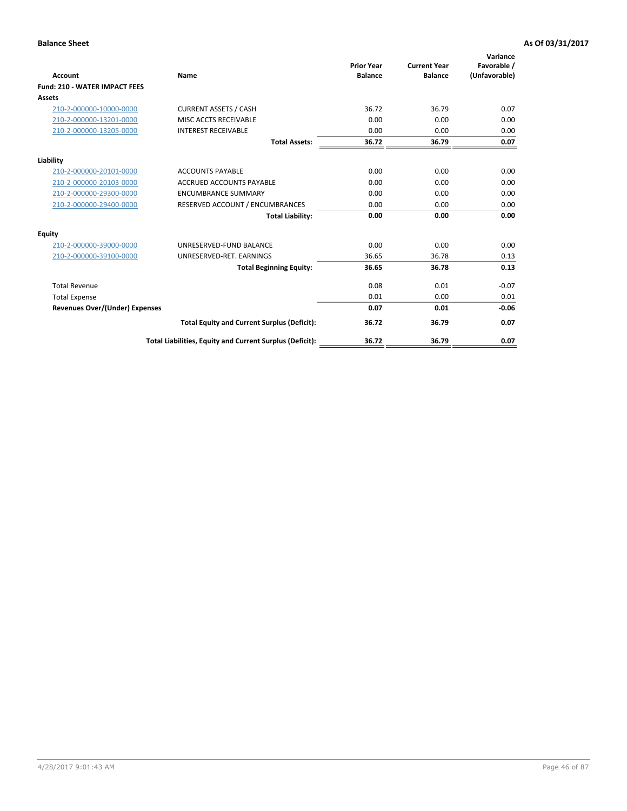| Account                               | Name                                                     | <b>Prior Year</b><br><b>Balance</b> | <b>Current Year</b><br><b>Balance</b> | Variance<br>Favorable /<br>(Unfavorable) |
|---------------------------------------|----------------------------------------------------------|-------------------------------------|---------------------------------------|------------------------------------------|
| <b>Fund: 210 - WATER IMPACT FEES</b>  |                                                          |                                     |                                       |                                          |
| <b>Assets</b>                         |                                                          |                                     |                                       |                                          |
| 210-2-000000-10000-0000               | <b>CURRENT ASSETS / CASH</b>                             | 36.72                               | 36.79                                 | 0.07                                     |
| 210-2-000000-13201-0000               | MISC ACCTS RECEIVABLE                                    | 0.00                                | 0.00                                  | 0.00                                     |
| 210-2-000000-13205-0000               | <b>INTEREST RECEIVABLE</b>                               | 0.00                                | 0.00                                  | 0.00                                     |
|                                       | <b>Total Assets:</b>                                     | 36.72                               | 36.79                                 | 0.07                                     |
| Liability                             |                                                          |                                     |                                       |                                          |
| 210-2-000000-20101-0000               | <b>ACCOUNTS PAYABLE</b>                                  | 0.00                                | 0.00                                  | 0.00                                     |
| 210-2-000000-20103-0000               | <b>ACCRUED ACCOUNTS PAYABLE</b>                          | 0.00                                | 0.00                                  | 0.00                                     |
| 210-2-000000-29300-0000               | <b>ENCUMBRANCE SUMMARY</b>                               | 0.00                                | 0.00                                  | 0.00                                     |
| 210-2-000000-29400-0000               | RESERVED ACCOUNT / ENCUMBRANCES                          | 0.00                                | 0.00                                  | 0.00                                     |
|                                       | <b>Total Liability:</b>                                  | 0.00                                | 0.00                                  | 0.00                                     |
| <b>Equity</b>                         |                                                          |                                     |                                       |                                          |
| 210-2-000000-39000-0000               | UNRESERVED-FUND BALANCE                                  | 0.00                                | 0.00                                  | 0.00                                     |
| 210-2-000000-39100-0000               | UNRESERVED-RET. EARNINGS                                 | 36.65                               | 36.78                                 | 0.13                                     |
|                                       | <b>Total Beginning Equity:</b>                           | 36.65                               | 36.78                                 | 0.13                                     |
| <b>Total Revenue</b>                  |                                                          | 0.08                                | 0.01                                  | $-0.07$                                  |
| <b>Total Expense</b>                  |                                                          | 0.01                                | 0.00                                  | 0.01                                     |
| <b>Revenues Over/(Under) Expenses</b> |                                                          | 0.07                                | 0.01                                  | $-0.06$                                  |
|                                       | <b>Total Equity and Current Surplus (Deficit):</b>       | 36.72                               | 36.79                                 | 0.07                                     |
|                                       | Total Liabilities, Equity and Current Surplus (Deficit): | 36.72                               | 36.79                                 | 0.07                                     |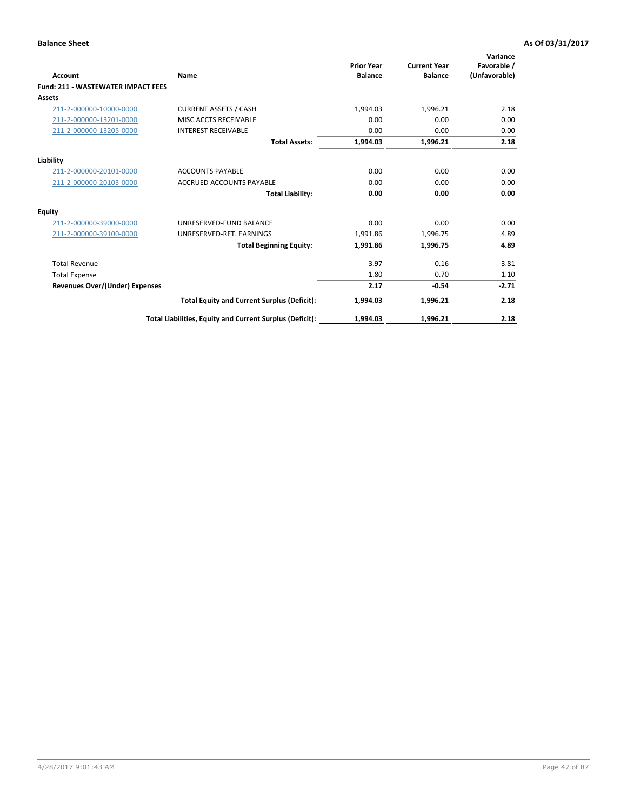| <b>Account</b>                            | Name                                                     | <b>Prior Year</b><br><b>Balance</b> | <b>Current Year</b><br><b>Balance</b> | Variance<br>Favorable /<br>(Unfavorable) |
|-------------------------------------------|----------------------------------------------------------|-------------------------------------|---------------------------------------|------------------------------------------|
| <b>Fund: 211 - WASTEWATER IMPACT FEES</b> |                                                          |                                     |                                       |                                          |
| <b>Assets</b>                             |                                                          |                                     |                                       |                                          |
| 211-2-000000-10000-0000                   | <b>CURRENT ASSETS / CASH</b>                             | 1,994.03                            | 1,996.21                              | 2.18                                     |
| 211-2-000000-13201-0000                   | MISC ACCTS RECEIVABLE                                    | 0.00                                | 0.00                                  | 0.00                                     |
| 211-2-000000-13205-0000                   | <b>INTEREST RECEIVABLE</b>                               | 0.00                                | 0.00                                  | 0.00                                     |
|                                           | <b>Total Assets:</b>                                     | 1,994.03                            | 1,996.21                              | 2.18                                     |
| Liability                                 |                                                          |                                     |                                       |                                          |
| 211-2-000000-20101-0000                   | <b>ACCOUNTS PAYABLE</b>                                  | 0.00                                | 0.00                                  | 0.00                                     |
| 211-2-000000-20103-0000                   | <b>ACCRUED ACCOUNTS PAYABLE</b>                          | 0.00                                | 0.00                                  | 0.00                                     |
|                                           | <b>Total Liability:</b>                                  | 0.00                                | 0.00                                  | 0.00                                     |
| <b>Equity</b>                             |                                                          |                                     |                                       |                                          |
| 211-2-000000-39000-0000                   | UNRESERVED-FUND BALANCE                                  | 0.00                                | 0.00                                  | 0.00                                     |
| 211-2-000000-39100-0000                   | UNRESERVED-RET. EARNINGS                                 | 1,991.86                            | 1,996.75                              | 4.89                                     |
|                                           | <b>Total Beginning Equity:</b>                           | 1,991.86                            | 1,996.75                              | 4.89                                     |
| <b>Total Revenue</b>                      |                                                          | 3.97                                | 0.16                                  | $-3.81$                                  |
| <b>Total Expense</b>                      |                                                          | 1.80                                | 0.70                                  | 1.10                                     |
| <b>Revenues Over/(Under) Expenses</b>     |                                                          | 2.17                                | $-0.54$                               | $-2.71$                                  |
|                                           | <b>Total Equity and Current Surplus (Deficit):</b>       | 1,994.03                            | 1,996.21                              | 2.18                                     |
|                                           | Total Liabilities, Equity and Current Surplus (Deficit): | 1,994.03                            | 1,996.21                              | 2.18                                     |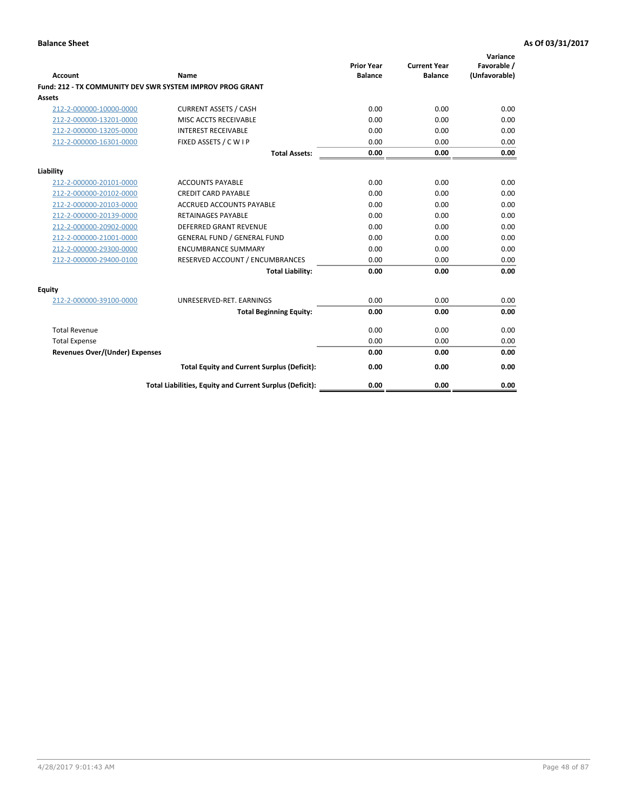| Account                               | Name                                                      | <b>Prior Year</b><br><b>Balance</b> | <b>Current Year</b><br><b>Balance</b> | Variance<br>Favorable /<br>(Unfavorable) |
|---------------------------------------|-----------------------------------------------------------|-------------------------------------|---------------------------------------|------------------------------------------|
|                                       | Fund: 212 - TX COMMUNITY DEV SWR SYSTEM IMPROV PROG GRANT |                                     |                                       |                                          |
| <b>Assets</b>                         |                                                           |                                     |                                       |                                          |
| 212-2-000000-10000-0000               | <b>CURRENT ASSETS / CASH</b>                              | 0.00                                | 0.00                                  | 0.00                                     |
| 212-2-000000-13201-0000               | MISC ACCTS RECEIVABLE                                     | 0.00                                | 0.00                                  | 0.00                                     |
| 212-2-000000-13205-0000               | <b>INTEREST RECEIVABLE</b>                                | 0.00                                | 0.00                                  | 0.00                                     |
| 212-2-000000-16301-0000               | FIXED ASSETS / C W I P                                    | 0.00                                | 0.00                                  | 0.00                                     |
|                                       | <b>Total Assets:</b>                                      | 0.00                                | 0.00                                  | 0.00                                     |
| Liability                             |                                                           |                                     |                                       |                                          |
| 212-2-000000-20101-0000               | <b>ACCOUNTS PAYABLE</b>                                   | 0.00                                | 0.00                                  | 0.00                                     |
| 212-2-000000-20102-0000               | <b>CREDIT CARD PAYABLE</b>                                | 0.00                                | 0.00                                  | 0.00                                     |
| 212-2-000000-20103-0000               | <b>ACCRUED ACCOUNTS PAYABLE</b>                           | 0.00                                | 0.00                                  | 0.00                                     |
| 212-2-000000-20139-0000               | <b>RETAINAGES PAYABLE</b>                                 | 0.00                                | 0.00                                  | 0.00                                     |
| 212-2-000000-20902-0000               | <b>DEFERRED GRANT REVENUE</b>                             | 0.00                                | 0.00                                  | 0.00                                     |
| 212-2-000000-21001-0000               | <b>GENERAL FUND / GENERAL FUND</b>                        | 0.00                                | 0.00                                  | 0.00                                     |
| 212-2-000000-29300-0000               | <b>ENCUMBRANCE SUMMARY</b>                                | 0.00                                | 0.00                                  | 0.00                                     |
| 212-2-000000-29400-0100               | RESERVED ACCOUNT / ENCUMBRANCES                           | 0.00                                | 0.00                                  | 0.00                                     |
|                                       | <b>Total Liability:</b>                                   | 0.00                                | 0.00                                  | 0.00                                     |
| Equity                                |                                                           |                                     |                                       |                                          |
| 212-2-000000-39100-0000               | UNRESERVED-RET. EARNINGS                                  | 0.00                                | 0.00                                  | 0.00                                     |
|                                       | <b>Total Beginning Equity:</b>                            | 0.00                                | 0.00                                  | 0.00                                     |
| <b>Total Revenue</b>                  |                                                           | 0.00                                | 0.00                                  | 0.00                                     |
| <b>Total Expense</b>                  |                                                           | 0.00                                | 0.00                                  | 0.00                                     |
| <b>Revenues Over/(Under) Expenses</b> |                                                           | 0.00                                | 0.00                                  | 0.00                                     |
|                                       | <b>Total Equity and Current Surplus (Deficit):</b>        | 0.00                                | 0.00                                  | 0.00                                     |
|                                       | Total Liabilities, Equity and Current Surplus (Deficit):  | 0.00                                | 0.00                                  | 0.00                                     |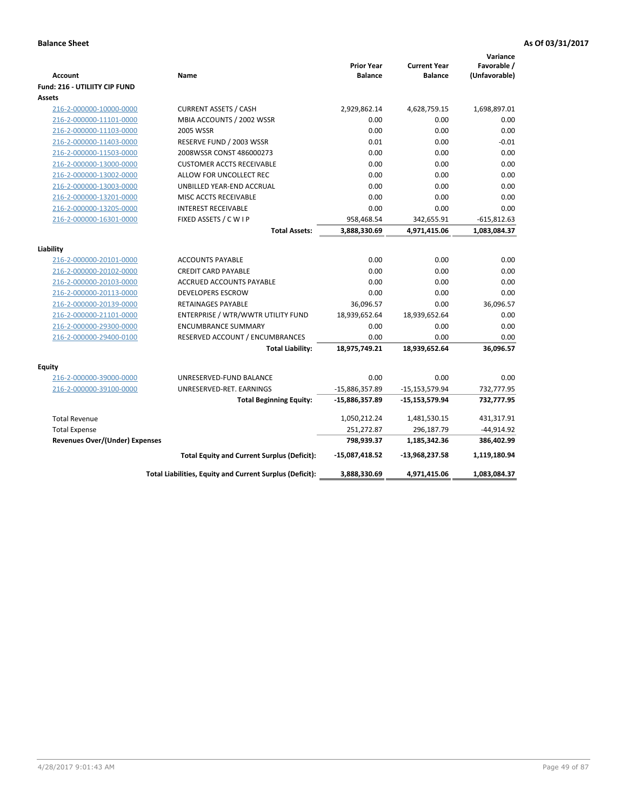| Account                                            | Name                                                       | <b>Prior Year</b><br><b>Balance</b> | <b>Current Year</b><br><b>Balance</b> | Variance<br>Favorable /<br>(Unfavorable) |
|----------------------------------------------------|------------------------------------------------------------|-------------------------------------|---------------------------------------|------------------------------------------|
| Fund: 216 - UTILIITY CIP FUND                      |                                                            |                                     |                                       |                                          |
| <b>Assets</b>                                      |                                                            |                                     |                                       |                                          |
| 216-2-000000-10000-0000                            | <b>CURRENT ASSETS / CASH</b><br>MBIA ACCOUNTS / 2002 WSSR  | 2,929,862.14<br>0.00                | 4,628,759.15<br>0.00                  | 1,698,897.01                             |
| 216-2-000000-11101-0000<br>216-2-000000-11103-0000 | <b>2005 WSSR</b>                                           | 0.00                                | 0.00                                  | 0.00<br>0.00                             |
| 216-2-000000-11403-0000                            |                                                            | 0.01                                | 0.00                                  | $-0.01$                                  |
| 216-2-000000-11503-0000                            | RESERVE FUND / 2003 WSSR<br>2008WSSR CONST 486000273       | 0.00                                | 0.00                                  | 0.00                                     |
| 216-2-000000-13000-0000                            | <b>CUSTOMER ACCTS RECEIVABLE</b>                           | 0.00                                | 0.00                                  | 0.00                                     |
| 216-2-000000-13002-0000                            | ALLOW FOR UNCOLLECT REC                                    | 0.00                                | 0.00                                  | 0.00                                     |
| 216-2-000000-13003-0000                            | UNBILLED YEAR-END ACCRUAL                                  | 0.00                                | 0.00                                  | 0.00                                     |
| 216-2-000000-13201-0000                            | MISC ACCTS RECEIVABLE                                      | 0.00                                | 0.00                                  | 0.00                                     |
| 216-2-000000-13205-0000                            | <b>INTEREST RECEIVABLE</b>                                 | 0.00                                | 0.00                                  | 0.00                                     |
| 216-2-000000-16301-0000                            | FIXED ASSETS / C W I P                                     | 958,468.54                          | 342,655.91                            | $-615,812.63$                            |
|                                                    | <b>Total Assets:</b>                                       | 3,888,330.69                        | 4,971,415.06                          | 1,083,084.37                             |
|                                                    |                                                            |                                     |                                       |                                          |
| Liability                                          |                                                            |                                     |                                       |                                          |
| 216-2-000000-20101-0000                            | <b>ACCOUNTS PAYABLE</b>                                    | 0.00                                | 0.00                                  | 0.00                                     |
| 216-2-000000-20102-0000                            | <b>CREDIT CARD PAYABLE</b>                                 | 0.00                                | 0.00                                  | 0.00                                     |
| 216-2-000000-20103-0000                            | <b>ACCRUED ACCOUNTS PAYABLE</b>                            | 0.00                                | 0.00                                  | 0.00                                     |
| 216-2-000000-20113-0000                            | <b>DEVELOPERS ESCROW</b>                                   | 0.00                                | 0.00                                  | 0.00                                     |
| 216-2-000000-20139-0000                            | RETAINAGES PAYABLE                                         | 36,096.57                           | 0.00                                  | 36,096.57                                |
| 216-2-000000-21101-0000                            | ENTERPRISE / WTR/WWTR UTILITY FUND                         | 18,939,652.64                       | 18,939,652.64                         | 0.00                                     |
| 216-2-000000-29300-0000                            | <b>ENCUMBRANCE SUMMARY</b>                                 | 0.00                                | 0.00                                  | 0.00                                     |
| 216-2-000000-29400-0100                            | RESERVED ACCOUNT / ENCUMBRANCES<br><b>Total Liability:</b> | 0.00<br>18,975,749.21               | 0.00<br>18,939,652.64                 | 0.00<br>36,096.57                        |
|                                                    |                                                            |                                     |                                       |                                          |
| <b>Equity</b>                                      |                                                            |                                     |                                       |                                          |
| 216-2-000000-39000-0000                            | UNRESERVED-FUND BALANCE                                    | 0.00                                | 0.00                                  | 0.00                                     |
| 216-2-000000-39100-0000                            | UNRESERVED-RET. EARNINGS                                   | -15,886,357.89                      | $-15, 153, 579.94$                    | 732,777.95                               |
|                                                    | <b>Total Beginning Equity:</b>                             | $-15,886,357.89$                    | $-15,153,579.94$                      | 732,777.95                               |
| <b>Total Revenue</b>                               |                                                            | 1,050,212.24                        | 1,481,530.15                          | 431,317.91                               |
| <b>Total Expense</b>                               |                                                            | 251,272.87                          | 296,187.79                            | $-44,914.92$                             |
| <b>Revenues Over/(Under) Expenses</b>              |                                                            | 798,939.37                          | 1,185,342.36                          | 386,402.99                               |
|                                                    | <b>Total Equity and Current Surplus (Deficit):</b>         | -15,087,418.52                      | -13,968,237.58                        | 1,119,180.94                             |
|                                                    | Total Liabilities, Equity and Current Surplus (Deficit):   | 3,888,330.69                        | 4,971,415.06                          | 1,083,084.37                             |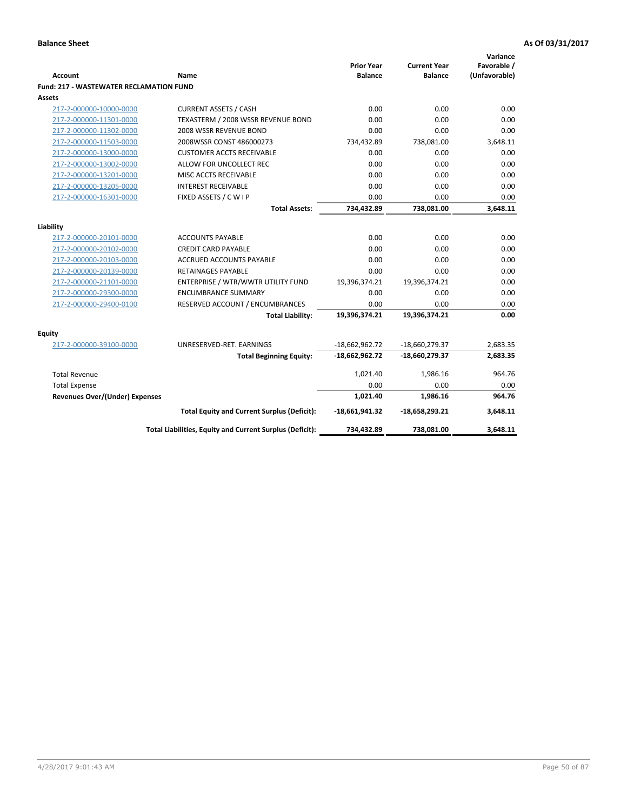|                                                |                                                          | <b>Prior Year</b> | <b>Current Year</b> | Variance<br>Favorable / |
|------------------------------------------------|----------------------------------------------------------|-------------------|---------------------|-------------------------|
| <b>Account</b>                                 | Name                                                     | <b>Balance</b>    | <b>Balance</b>      | (Unfavorable)           |
| <b>Fund: 217 - WASTEWATER RECLAMATION FUND</b> |                                                          |                   |                     |                         |
| <b>Assets</b>                                  |                                                          |                   |                     |                         |
| 217-2-000000-10000-0000                        | <b>CURRENT ASSETS / CASH</b>                             | 0.00              | 0.00                | 0.00                    |
| 217-2-000000-11301-0000                        | TEXASTERM / 2008 WSSR REVENUE BOND                       | 0.00              | 0.00                | 0.00                    |
| 217-2-000000-11302-0000                        | 2008 WSSR REVENUE BOND                                   | 0.00              | 0.00                | 0.00                    |
| 217-2-000000-11503-0000                        | 2008WSSR CONST 486000273                                 | 734,432.89        | 738,081.00          | 3,648.11                |
| 217-2-000000-13000-0000                        | <b>CUSTOMER ACCTS RECEIVABLE</b>                         | 0.00              | 0.00                | 0.00                    |
| 217-2-000000-13002-0000                        | ALLOW FOR UNCOLLECT REC                                  | 0.00              | 0.00                | 0.00                    |
| 217-2-000000-13201-0000                        | MISC ACCTS RECEIVABLE                                    | 0.00              | 0.00                | 0.00                    |
| 217-2-000000-13205-0000                        | <b>INTEREST RECEIVABLE</b>                               | 0.00              | 0.00                | 0.00                    |
| 217-2-000000-16301-0000                        | FIXED ASSETS / C W I P                                   | 0.00              | 0.00                | 0.00                    |
|                                                | <b>Total Assets:</b>                                     | 734,432.89        | 738,081.00          | 3,648.11                |
| Liability                                      |                                                          |                   |                     |                         |
| 217-2-000000-20101-0000                        | <b>ACCOUNTS PAYABLE</b>                                  | 0.00              | 0.00                | 0.00                    |
| 217-2-000000-20102-0000                        | <b>CREDIT CARD PAYABLE</b>                               | 0.00              | 0.00                | 0.00                    |
| 217-2-000000-20103-0000                        | <b>ACCRUED ACCOUNTS PAYABLE</b>                          | 0.00              | 0.00                | 0.00                    |
| 217-2-000000-20139-0000                        | <b>RETAINAGES PAYABLE</b>                                | 0.00              | 0.00                | 0.00                    |
| 217-2-000000-21101-0000                        | ENTERPRISE / WTR/WWTR UTILITY FUND                       | 19,396,374.21     | 19,396,374.21       | 0.00                    |
| 217-2-000000-29300-0000                        | <b>ENCUMBRANCE SUMMARY</b>                               | 0.00              | 0.00                | 0.00                    |
| 217-2-000000-29400-0100                        | RESERVED ACCOUNT / ENCUMBRANCES                          | 0.00              | 0.00                | 0.00                    |
|                                                | <b>Total Liability:</b>                                  | 19,396,374.21     | 19,396,374.21       | 0.00                    |
|                                                |                                                          |                   |                     |                         |
| Equity                                         |                                                          |                   |                     |                         |
| 217-2-000000-39100-0000                        | UNRESERVED-RET. EARNINGS                                 | $-18,662,962.72$  | -18,660,279.37      | 2,683.35                |
|                                                | <b>Total Beginning Equity:</b>                           | $-18,662,962.72$  | $-18,660,279.37$    | 2,683.35                |
| <b>Total Revenue</b>                           |                                                          | 1,021.40          | 1,986.16            | 964.76                  |
| <b>Total Expense</b>                           |                                                          | 0.00              | 0.00                | 0.00                    |
| <b>Revenues Over/(Under) Expenses</b>          |                                                          | 1,021.40          | 1,986.16            | 964.76                  |
|                                                | <b>Total Equity and Current Surplus (Deficit):</b>       | $-18,661,941.32$  | $-18,658,293.21$    | 3,648.11                |
|                                                | Total Liabilities, Equity and Current Surplus (Deficit): | 734,432.89        | 738,081.00          | 3,648.11                |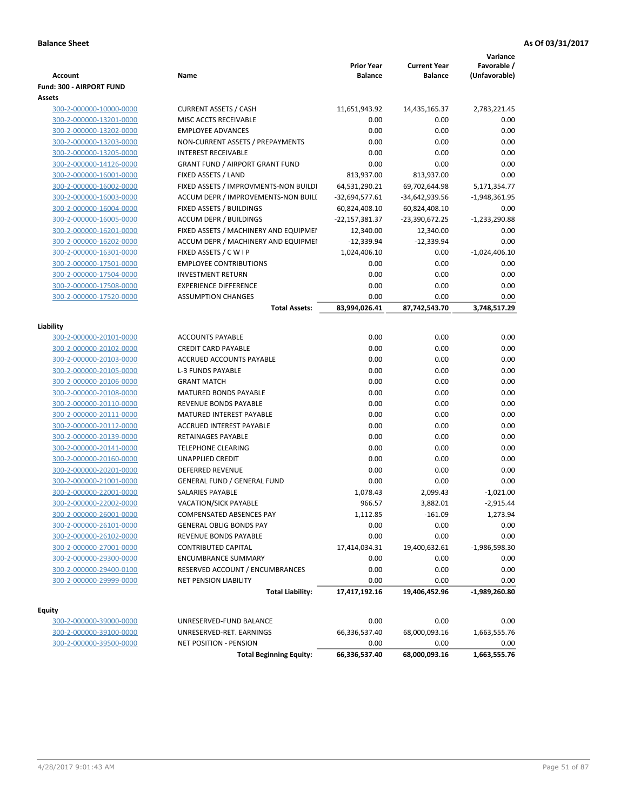| <b>Account</b>                                     | Name                                                      | <b>Prior Year</b><br><b>Balance</b> | <b>Current Year</b><br><b>Balance</b> | Variance<br>Favorable /<br>(Unfavorable) |
|----------------------------------------------------|-----------------------------------------------------------|-------------------------------------|---------------------------------------|------------------------------------------|
| <b>Fund: 300 - AIRPORT FUND</b>                    |                                                           |                                     |                                       |                                          |
| Assets                                             |                                                           |                                     |                                       |                                          |
| 300-2-000000-10000-0000                            | <b>CURRENT ASSETS / CASH</b>                              | 11,651,943.92                       | 14,435,165.37                         | 2,783,221.45                             |
| 300-2-000000-13201-0000                            | MISC ACCTS RECEIVABLE                                     | 0.00                                | 0.00                                  | 0.00                                     |
| 300-2-000000-13202-0000                            | <b>EMPLOYEE ADVANCES</b>                                  | 0.00                                | 0.00                                  | 0.00                                     |
| 300-2-000000-13203-0000                            | NON-CURRENT ASSETS / PREPAYMENTS                          | 0.00                                | 0.00                                  | 0.00                                     |
| 300-2-000000-13205-0000                            | <b>INTEREST RECEIVABLE</b>                                | 0.00                                | 0.00                                  | 0.00                                     |
| 300-2-000000-14126-0000                            | <b>GRANT FUND / AIRPORT GRANT FUND</b>                    | 0.00                                | 0.00                                  | 0.00                                     |
| 300-2-000000-16001-0000                            | FIXED ASSETS / LAND                                       | 813,937.00                          | 813,937.00                            | 0.00                                     |
| 300-2-000000-16002-0000                            | FIXED ASSETS / IMPROVMENTS-NON BUILDI                     | 64,531,290.21                       | 69,702,644.98                         | 5,171,354.77                             |
| 300-2-000000-16003-0000                            | ACCUM DEPR / IMPROVEMENTS-NON BUILI                       | -32,694,577.61                      | -34,642,939.56                        | $-1,948,361.95$                          |
| 300-2-000000-16004-0000                            | FIXED ASSETS / BUILDINGS                                  | 60,824,408.10                       | 60,824,408.10                         | 0.00                                     |
| 300-2-000000-16005-0000                            | <b>ACCUM DEPR / BUILDINGS</b>                             | -22,157,381.37                      | -23,390,672.25                        | $-1,233,290.88$                          |
| 300-2-000000-16201-0000                            | FIXED ASSETS / MACHINERY AND EQUIPMEN                     | 12,340.00                           | 12,340.00                             | 0.00                                     |
| 300-2-000000-16202-0000                            | ACCUM DEPR / MACHINERY AND EQUIPMEI                       | $-12,339.94$                        | $-12,339.94$                          | 0.00                                     |
| 300-2-000000-16301-0000                            | FIXED ASSETS / C W I P<br><b>EMPLOYEE CONTRIBUTIONS</b>   | 1,024,406.10                        | 0.00                                  | $-1,024,406.10$                          |
| 300-2-000000-17501-0000<br>300-2-000000-17504-0000 | <b>INVESTMENT RETURN</b>                                  | 0.00<br>0.00                        | 0.00<br>0.00                          | 0.00<br>0.00                             |
| 300-2-000000-17508-0000                            | <b>EXPERIENCE DIFFERENCE</b>                              | 0.00                                | 0.00                                  | 0.00                                     |
| 300-2-000000-17520-0000                            | <b>ASSUMPTION CHANGES</b>                                 | 0.00                                | 0.00                                  | 0.00                                     |
|                                                    | <b>Total Assets:</b>                                      | 83,994,026.41                       | 87,742,543.70                         | 3,748,517.29                             |
|                                                    |                                                           |                                     |                                       |                                          |
| Liability                                          |                                                           |                                     |                                       |                                          |
| 300-2-000000-20101-0000                            | <b>ACCOUNTS PAYABLE</b>                                   | 0.00                                | 0.00                                  | 0.00                                     |
| 300-2-000000-20102-0000                            | <b>CREDIT CARD PAYABLE</b>                                | 0.00                                | 0.00                                  | 0.00                                     |
| 300-2-000000-20103-0000                            | ACCRUED ACCOUNTS PAYABLE                                  | 0.00                                | 0.00                                  | 0.00                                     |
| 300-2-000000-20105-0000                            | <b>L-3 FUNDS PAYABLE</b>                                  | 0.00                                | 0.00                                  | 0.00                                     |
| 300-2-000000-20106-0000                            | <b>GRANT MATCH</b>                                        | 0.00                                | 0.00                                  | 0.00                                     |
| 300-2-000000-20108-0000                            | <b>MATURED BONDS PAYABLE</b>                              | 0.00                                | 0.00                                  | 0.00                                     |
| 300-2-000000-20110-0000                            | REVENUE BONDS PAYABLE                                     | 0.00                                | 0.00                                  | 0.00                                     |
| 300-2-000000-20111-0000                            | MATURED INTEREST PAYABLE                                  | 0.00                                | 0.00                                  | 0.00                                     |
| 300-2-000000-20112-0000                            | <b>ACCRUED INTEREST PAYABLE</b>                           | 0.00                                | 0.00                                  | 0.00                                     |
| 300-2-000000-20139-0000                            | RETAINAGES PAYABLE                                        | 0.00                                | 0.00                                  | 0.00                                     |
| 300-2-000000-20141-0000                            | <b>TELEPHONE CLEARING</b>                                 | 0.00                                | 0.00                                  | 0.00                                     |
| 300-2-000000-20160-0000                            | <b>UNAPPLIED CREDIT</b>                                   | 0.00                                | 0.00                                  | 0.00                                     |
| 300-2-000000-20201-0000<br>300-2-000000-21001-0000 | DEFERRED REVENUE<br><b>GENERAL FUND / GENERAL FUND</b>    | 0.00<br>0.00                        | 0.00<br>0.00                          | 0.00<br>0.00                             |
| 300-2-000000-22001-0000                            | SALARIES PAYABLE                                          | 1,078.43                            | 2,099.43                              | $-1,021.00$                              |
| 300-2-000000-22002-0000                            | <b>VACATION/SICK PAYABLE</b>                              | 966.57                              | 3,882.01                              | $-2,915.44$                              |
| 300-2-000000-26001-0000                            | COMPENSATED ABSENCES PAY                                  | 1,112.85                            | $-161.09$                             | 1,273.94                                 |
| 300-2-000000-26101-0000                            | <b>GENERAL OBLIG BONDS PAY</b>                            | 0.00                                | 0.00                                  | 0.00                                     |
| 300-2-000000-26102-0000                            | REVENUE BONDS PAYABLE                                     | 0.00                                | 0.00                                  | 0.00                                     |
| 300-2-000000-27001-0000                            | <b>CONTRIBUTED CAPITAL</b>                                | 17,414,034.31                       | 19,400,632.61                         | $-1,986,598.30$                          |
| 300-2-000000-29300-0000                            | <b>ENCUMBRANCE SUMMARY</b>                                | 0.00                                | 0.00                                  | 0.00                                     |
| 300-2-000000-29400-0100                            | RESERVED ACCOUNT / ENCUMBRANCES                           | 0.00                                | 0.00                                  | 0.00                                     |
| 300-2-000000-29999-0000                            | <b>NET PENSION LIABILITY</b>                              | 0.00                                | 0.00                                  | 0.00                                     |
|                                                    | <b>Total Liability:</b>                                   | 17,417,192.16                       | 19,406,452.96                         | $-1,989,260.80$                          |
|                                                    |                                                           |                                     |                                       |                                          |
| <b>Equity</b>                                      |                                                           |                                     |                                       |                                          |
| 300-2-000000-39000-0000                            | UNRESERVED-FUND BALANCE                                   | 0.00                                | 0.00                                  | 0.00                                     |
| 300-2-000000-39100-0000<br>300-2-000000-39500-0000 | UNRESERVED-RET. EARNINGS<br><b>NET POSITION - PENSION</b> | 66,336,537.40<br>0.00               | 68,000,093.16<br>0.00                 | 1,663,555.76<br>0.00                     |
|                                                    | <b>Total Beginning Equity:</b>                            | 66,336,537.40                       | 68,000,093.16                         | 1,663,555.76                             |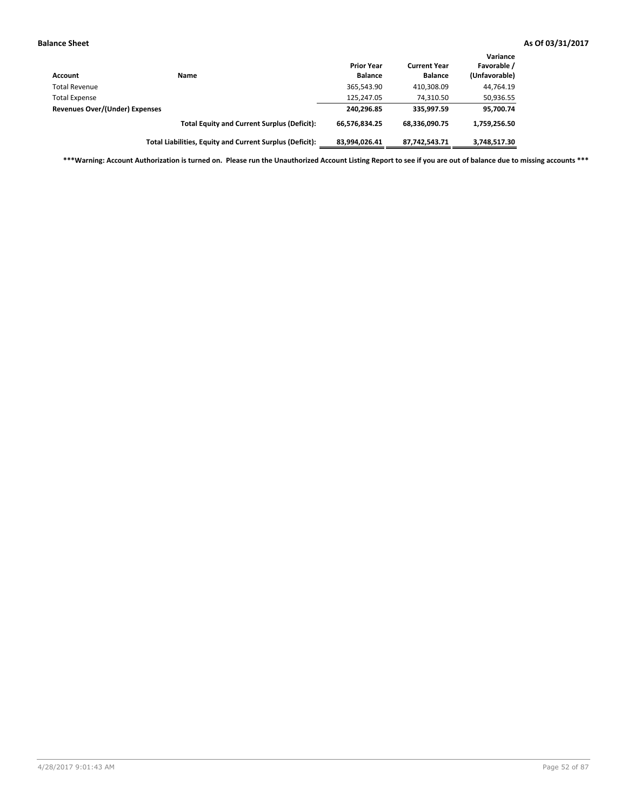| <b>Account</b>                 | Name                                                     | <b>Prior Year</b><br><b>Balance</b> | <b>Current Year</b><br><b>Balance</b> | Variance<br>Favorable /<br>(Unfavorable) |
|--------------------------------|----------------------------------------------------------|-------------------------------------|---------------------------------------|------------------------------------------|
| <b>Total Revenue</b>           |                                                          | 365,543.90                          | 410,308.09                            | 44,764.19                                |
| <b>Total Expense</b>           |                                                          | 125,247.05                          | 74.310.50                             | 50,936.55                                |
| Revenues Over/(Under) Expenses |                                                          | 240,296.85                          | 335.997.59                            | 95,700.74                                |
|                                | <b>Total Equity and Current Surplus (Deficit):</b>       | 66,576,834.25                       | 68.336.090.75                         | 1,759,256.50                             |
|                                | Total Liabilities, Equity and Current Surplus (Deficit): | 83,994,026.41                       | 87.742.543.71                         | 3,748,517.30                             |

**\*\*\*Warning: Account Authorization is turned on. Please run the Unauthorized Account Listing Report to see if you are out of balance due to missing accounts \*\*\***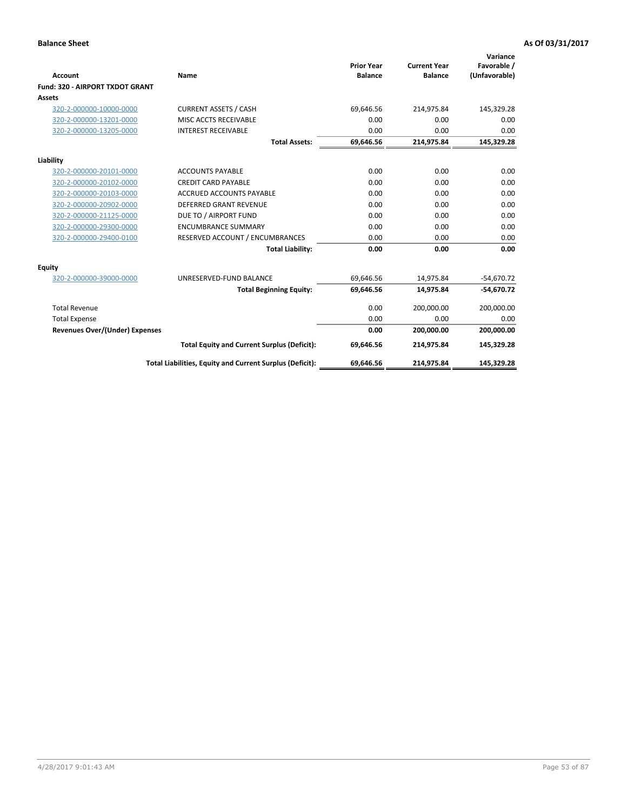|                                        |                                                          |                                     |                                       | Variance                     |
|----------------------------------------|----------------------------------------------------------|-------------------------------------|---------------------------------------|------------------------------|
| Account                                | <b>Name</b>                                              | <b>Prior Year</b><br><b>Balance</b> | <b>Current Year</b><br><b>Balance</b> | Favorable /<br>(Unfavorable) |
| <b>Fund: 320 - AIRPORT TXDOT GRANT</b> |                                                          |                                     |                                       |                              |
| Assets                                 |                                                          |                                     |                                       |                              |
| 320-2-000000-10000-0000                | <b>CURRENT ASSETS / CASH</b>                             | 69,646.56                           | 214,975.84                            | 145,329.28                   |
| 320-2-000000-13201-0000                | MISC ACCTS RECEIVABLE                                    | 0.00                                | 0.00                                  | 0.00                         |
| 320-2-000000-13205-0000                | <b>INTEREST RECEIVABLE</b>                               | 0.00                                | 0.00                                  | 0.00                         |
|                                        | <b>Total Assets:</b>                                     | 69,646.56                           | 214,975.84                            | 145,329.28                   |
| Liability                              |                                                          |                                     |                                       |                              |
| 320-2-000000-20101-0000                | <b>ACCOUNTS PAYABLE</b>                                  | 0.00                                | 0.00                                  | 0.00                         |
| 320-2-000000-20102-0000                | <b>CREDIT CARD PAYABLE</b>                               | 0.00                                | 0.00                                  | 0.00                         |
| 320-2-000000-20103-0000                | <b>ACCRUED ACCOUNTS PAYABLE</b>                          | 0.00                                | 0.00                                  | 0.00                         |
| 320-2-000000-20902-0000                | <b>DEFERRED GRANT REVENUE</b>                            | 0.00                                | 0.00                                  | 0.00                         |
| 320-2-000000-21125-0000                | DUE TO / AIRPORT FUND                                    | 0.00                                | 0.00                                  | 0.00                         |
| 320-2-000000-29300-0000                | <b>ENCUMBRANCE SUMMARY</b>                               | 0.00                                | 0.00                                  | 0.00                         |
| 320-2-000000-29400-0100                | RESERVED ACCOUNT / ENCUMBRANCES                          | 0.00                                | 0.00                                  | 0.00                         |
|                                        | <b>Total Liability:</b>                                  | 0.00                                | 0.00                                  | 0.00                         |
| Equity                                 |                                                          |                                     |                                       |                              |
| 320-2-000000-39000-0000                | UNRESERVED-FUND BALANCE                                  | 69,646.56                           | 14,975.84                             | $-54,670.72$                 |
|                                        | <b>Total Beginning Equity:</b>                           | 69,646.56                           | 14,975.84                             | $-54,670.72$                 |
| <b>Total Revenue</b>                   |                                                          | 0.00                                | 200,000.00                            | 200,000.00                   |
| <b>Total Expense</b>                   |                                                          | 0.00                                | 0.00                                  | 0.00                         |
| <b>Revenues Over/(Under) Expenses</b>  |                                                          | 0.00                                | 200,000.00                            | 200,000.00                   |
|                                        | <b>Total Equity and Current Surplus (Deficit):</b>       | 69,646.56                           | 214,975.84                            | 145,329.28                   |
|                                        | Total Liabilities, Equity and Current Surplus (Deficit): | 69,646.56                           | 214,975.84                            | 145,329.28                   |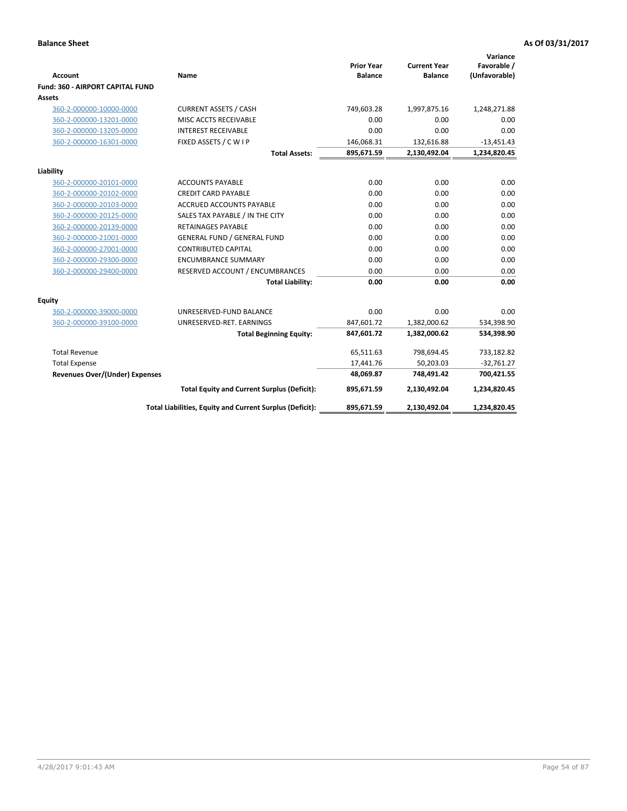| <b>Account</b>                        | Name                                                     | <b>Prior Year</b><br><b>Balance</b> | <b>Current Year</b><br><b>Balance</b> | Variance<br>Favorable /<br>(Unfavorable) |
|---------------------------------------|----------------------------------------------------------|-------------------------------------|---------------------------------------|------------------------------------------|
| Fund: 360 - AIRPORT CAPITAL FUND      |                                                          |                                     |                                       |                                          |
| Assets                                |                                                          |                                     |                                       |                                          |
| 360-2-000000-10000-0000               | <b>CURRENT ASSETS / CASH</b>                             | 749,603.28                          | 1,997,875.16                          | 1,248,271.88                             |
| 360-2-000000-13201-0000               | MISC ACCTS RECEIVABLE                                    | 0.00                                | 0.00                                  | 0.00                                     |
| 360-2-000000-13205-0000               | <b>INTEREST RECEIVABLE</b>                               | 0.00                                | 0.00                                  | 0.00                                     |
| 360-2-000000-16301-0000               | FIXED ASSETS / C W I P                                   | 146,068.31                          | 132,616.88                            | $-13,451.43$                             |
|                                       | <b>Total Assets:</b>                                     | 895,671.59                          | 2,130,492.04                          | 1,234,820.45                             |
| Liability                             |                                                          |                                     |                                       |                                          |
| 360-2-000000-20101-0000               | <b>ACCOUNTS PAYABLE</b>                                  | 0.00                                | 0.00                                  | 0.00                                     |
| 360-2-000000-20102-0000               | <b>CREDIT CARD PAYABLE</b>                               | 0.00                                | 0.00                                  | 0.00                                     |
| 360-2-000000-20103-0000               | ACCRUED ACCOUNTS PAYABLE                                 | 0.00                                | 0.00                                  | 0.00                                     |
| 360-2-000000-20125-0000               | SALES TAX PAYABLE / IN THE CITY                          | 0.00                                | 0.00                                  | 0.00                                     |
| 360-2-000000-20139-0000               | <b>RETAINAGES PAYABLE</b>                                | 0.00                                | 0.00                                  | 0.00                                     |
| 360-2-000000-21001-0000               | <b>GENERAL FUND / GENERAL FUND</b>                       | 0.00                                | 0.00                                  | 0.00                                     |
| 360-2-000000-27001-0000               | <b>CONTRIBUTED CAPITAL</b>                               | 0.00                                | 0.00                                  | 0.00                                     |
| 360-2-000000-29300-0000               | <b>ENCUMBRANCE SUMMARY</b>                               | 0.00                                | 0.00                                  | 0.00                                     |
| 360-2-000000-29400-0000               | RESERVED ACCOUNT / ENCUMBRANCES                          | 0.00                                | 0.00                                  | 0.00                                     |
|                                       | <b>Total Liability:</b>                                  | 0.00                                | 0.00                                  | 0.00                                     |
| Equity                                |                                                          |                                     |                                       |                                          |
| 360-2-000000-39000-0000               | UNRESERVED-FUND BALANCE                                  | 0.00                                | 0.00                                  | 0.00                                     |
| 360-2-000000-39100-0000               | UNRESERVED-RET. EARNINGS                                 | 847,601.72                          | 1,382,000.62                          | 534,398.90                               |
|                                       | <b>Total Beginning Equity:</b>                           | 847,601.72                          | 1,382,000.62                          | 534,398.90                               |
| <b>Total Revenue</b>                  |                                                          | 65,511.63                           | 798,694.45                            | 733,182.82                               |
| <b>Total Expense</b>                  |                                                          | 17,441.76                           | 50,203.03                             | $-32,761.27$                             |
| <b>Revenues Over/(Under) Expenses</b> |                                                          | 48,069.87                           | 748,491.42                            | 700,421.55                               |
|                                       | <b>Total Equity and Current Surplus (Deficit):</b>       | 895,671.59                          | 2,130,492.04                          | 1,234,820.45                             |
|                                       |                                                          |                                     |                                       |                                          |
|                                       | Total Liabilities, Equity and Current Surplus (Deficit): | 895,671.59                          | 2,130,492.04                          | 1,234,820.45                             |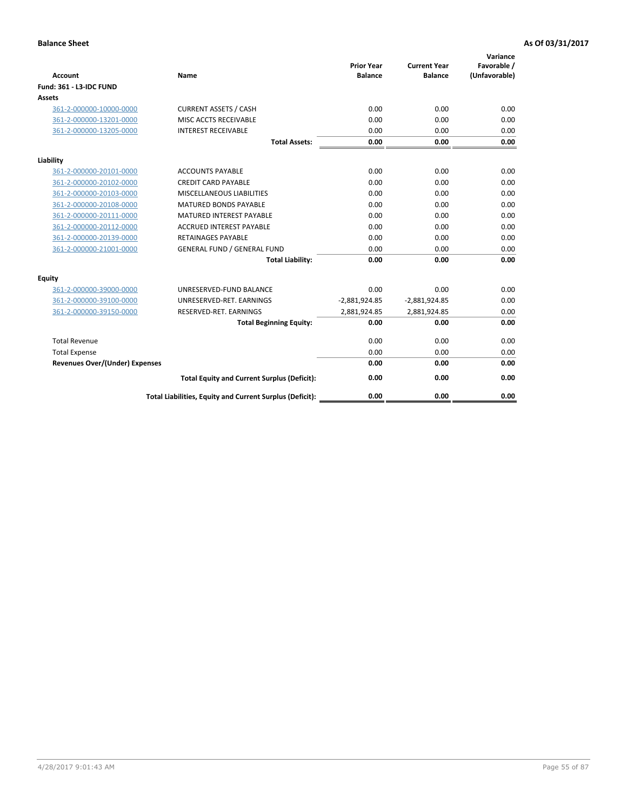|                                       |                                                          | <b>Prior Year</b> | <b>Current Year</b> | Variance<br>Favorable / |
|---------------------------------------|----------------------------------------------------------|-------------------|---------------------|-------------------------|
| <b>Account</b>                        | Name                                                     | <b>Balance</b>    | <b>Balance</b>      | (Unfavorable)           |
| <b>Fund: 361 - L3-IDC FUND</b>        |                                                          |                   |                     |                         |
| Assets                                |                                                          |                   |                     |                         |
| 361-2-000000-10000-0000               | <b>CURRENT ASSETS / CASH</b>                             | 0.00              | 0.00                | 0.00                    |
| 361-2-000000-13201-0000               | MISC ACCTS RECEIVABLE                                    | 0.00              | 0.00                | 0.00                    |
| 361-2-000000-13205-0000               | <b>INTEREST RECEIVABLE</b>                               | 0.00              | 0.00                | 0.00                    |
|                                       | <b>Total Assets:</b>                                     | 0.00              | 0.00                | 0.00                    |
| Liability                             |                                                          |                   |                     |                         |
| 361-2-000000-20101-0000               | <b>ACCOUNTS PAYABLE</b>                                  | 0.00              | 0.00                | 0.00                    |
| 361-2-000000-20102-0000               | <b>CREDIT CARD PAYABLE</b>                               | 0.00              | 0.00                | 0.00                    |
| 361-2-000000-20103-0000               | <b>MISCELLANEOUS LIABILITIES</b>                         | 0.00              | 0.00                | 0.00                    |
| 361-2-000000-20108-0000               | <b>MATURED BONDS PAYABLE</b>                             | 0.00              | 0.00                | 0.00                    |
| 361-2-000000-20111-0000               | <b>MATURED INTEREST PAYABLE</b>                          | 0.00              | 0.00                | 0.00                    |
| 361-2-000000-20112-0000               | <b>ACCRUED INTEREST PAYABLE</b>                          | 0.00              | 0.00                | 0.00                    |
| 361-2-000000-20139-0000               | <b>RETAINAGES PAYABLE</b>                                | 0.00              | 0.00                | 0.00                    |
| 361-2-000000-21001-0000               | <b>GENERAL FUND / GENERAL FUND</b>                       | 0.00              | 0.00                | 0.00                    |
|                                       | <b>Total Liability:</b>                                  | 0.00              | 0.00                | 0.00                    |
| Equity                                |                                                          |                   |                     |                         |
| 361-2-000000-39000-0000               | UNRESERVED-FUND BALANCE                                  | 0.00              | 0.00                | 0.00                    |
| 361-2-000000-39100-0000               | UNRESERVED-RET, EARNINGS                                 | $-2,881,924.85$   | $-2,881,924.85$     | 0.00                    |
| 361-2-000000-39150-0000               | RESERVED-RET. EARNINGS                                   | 2,881,924.85      | 2,881,924.85        | 0.00                    |
|                                       | <b>Total Beginning Equity:</b>                           | 0.00              | 0.00                | 0.00                    |
| <b>Total Revenue</b>                  |                                                          | 0.00              | 0.00                | 0.00                    |
| <b>Total Expense</b>                  |                                                          | 0.00              | 0.00                | 0.00                    |
| <b>Revenues Over/(Under) Expenses</b> |                                                          | 0.00              | 0.00                | 0.00                    |
|                                       | <b>Total Equity and Current Surplus (Deficit):</b>       | 0.00              | 0.00                | 0.00                    |
|                                       | Total Liabilities, Equity and Current Surplus (Deficit): | 0.00              | 0.00                | 0.00                    |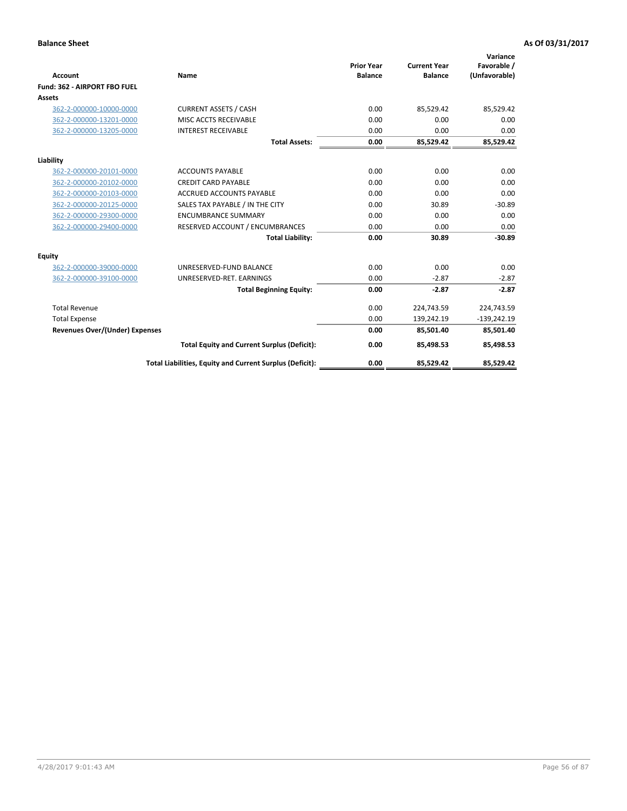|                                       |                                                          |                                     |                                       | Variance                     |
|---------------------------------------|----------------------------------------------------------|-------------------------------------|---------------------------------------|------------------------------|
| <b>Account</b>                        | Name                                                     | <b>Prior Year</b><br><b>Balance</b> | <b>Current Year</b><br><b>Balance</b> | Favorable /<br>(Unfavorable) |
| Fund: 362 - AIRPORT FBO FUEL          |                                                          |                                     |                                       |                              |
| <b>Assets</b>                         |                                                          |                                     |                                       |                              |
| 362-2-000000-10000-0000               | <b>CURRENT ASSETS / CASH</b>                             | 0.00                                | 85,529.42                             | 85,529.42                    |
| 362-2-000000-13201-0000               | MISC ACCTS RECEIVABLE                                    | 0.00                                | 0.00                                  | 0.00                         |
| 362-2-000000-13205-0000               | <b>INTEREST RECEIVABLE</b>                               | 0.00                                | 0.00                                  | 0.00                         |
|                                       | <b>Total Assets:</b>                                     | 0.00                                | 85,529.42                             | 85,529.42                    |
| Liability                             |                                                          |                                     |                                       |                              |
| 362-2-000000-20101-0000               | <b>ACCOUNTS PAYABLE</b>                                  | 0.00                                | 0.00                                  | 0.00                         |
| 362-2-000000-20102-0000               | <b>CREDIT CARD PAYABLE</b>                               | 0.00                                | 0.00                                  | 0.00                         |
| 362-2-000000-20103-0000               | <b>ACCRUED ACCOUNTS PAYABLE</b>                          | 0.00                                | 0.00                                  | 0.00                         |
| 362-2-000000-20125-0000               | SALES TAX PAYABLE / IN THE CITY                          | 0.00                                | 30.89                                 | $-30.89$                     |
| 362-2-000000-29300-0000               | <b>ENCUMBRANCE SUMMARY</b>                               | 0.00                                | 0.00                                  | 0.00                         |
| 362-2-000000-29400-0000               | RESERVED ACCOUNT / ENCUMBRANCES                          | 0.00                                | 0.00                                  | 0.00                         |
|                                       | <b>Total Liability:</b>                                  | 0.00                                | 30.89                                 | $-30.89$                     |
| Equity                                |                                                          |                                     |                                       |                              |
| 362-2-000000-39000-0000               | UNRESERVED-FUND BALANCE                                  | 0.00                                | 0.00                                  | 0.00                         |
| 362-2-000000-39100-0000               | UNRESERVED-RET. EARNINGS                                 | 0.00                                | $-2.87$                               | $-2.87$                      |
|                                       | <b>Total Beginning Equity:</b>                           | 0.00                                | $-2.87$                               | $-2.87$                      |
| <b>Total Revenue</b>                  |                                                          | 0.00                                | 224,743.59                            | 224,743.59                   |
| <b>Total Expense</b>                  |                                                          | 0.00                                | 139,242.19                            | $-139,242.19$                |
| <b>Revenues Over/(Under) Expenses</b> |                                                          | 0.00                                | 85,501.40                             | 85,501.40                    |
|                                       | <b>Total Equity and Current Surplus (Deficit):</b>       | 0.00                                | 85,498.53                             | 85,498.53                    |
|                                       | Total Liabilities, Equity and Current Surplus (Deficit): | 0.00                                | 85,529.42                             | 85,529.42                    |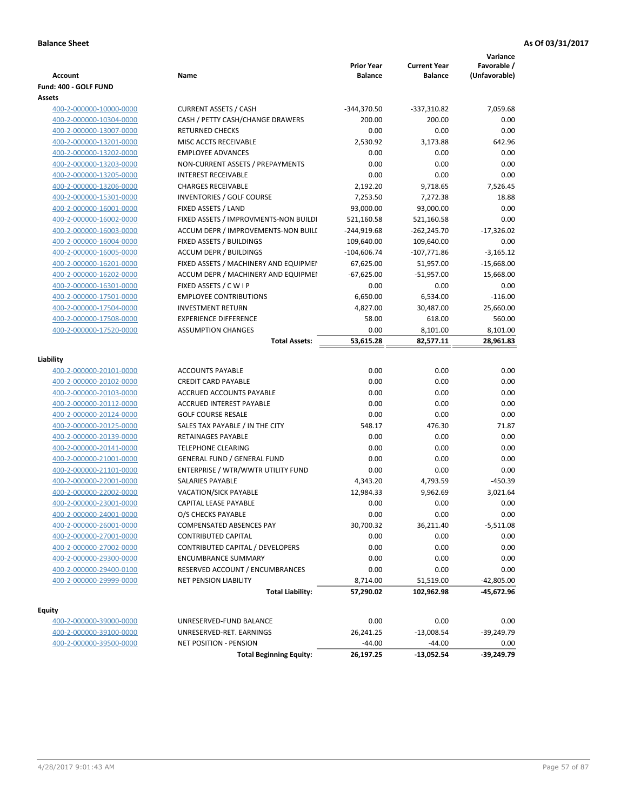| <b>Account</b>          | Name                                  | <b>Prior Year</b><br><b>Balance</b> | <b>Current Year</b><br><b>Balance</b> | Variance<br>Favorable /<br>(Unfavorable) |
|-------------------------|---------------------------------------|-------------------------------------|---------------------------------------|------------------------------------------|
| Fund: 400 - GOLF FUND   |                                       |                                     |                                       |                                          |
| Assets                  |                                       |                                     |                                       |                                          |
| 400-2-000000-10000-0000 | <b>CURRENT ASSETS / CASH</b>          | $-344,370.50$                       | $-337,310.82$                         | 7.059.68                                 |
| 400-2-000000-10304-0000 | CASH / PETTY CASH/CHANGE DRAWERS      | 200.00                              | 200.00                                | 0.00                                     |
| 400-2-000000-13007-0000 | <b>RETURNED CHECKS</b>                | 0.00                                | 0.00                                  | 0.00                                     |
| 400-2-000000-13201-0000 | MISC ACCTS RECEIVABLE                 | 2,530.92                            | 3,173.88                              | 642.96                                   |
| 400-2-000000-13202-0000 | <b>EMPLOYEE ADVANCES</b>              | 0.00                                | 0.00                                  | 0.00                                     |
| 400-2-000000-13203-0000 | NON-CURRENT ASSETS / PREPAYMENTS      | 0.00                                | 0.00                                  | 0.00                                     |
| 400-2-000000-13205-0000 | <b>INTEREST RECEIVABLE</b>            | 0.00                                | 0.00                                  | 0.00                                     |
| 400-2-000000-13206-0000 | <b>CHARGES RECEIVABLE</b>             | 2,192.20                            | 9,718.65                              | 7,526.45                                 |
| 400-2-000000-15301-0000 | INVENTORIES / GOLF COURSE             | 7,253.50                            | 7,272.38                              | 18.88                                    |
| 400-2-000000-16001-0000 | FIXED ASSETS / LAND                   | 93,000.00                           | 93,000.00                             | 0.00                                     |
| 400-2-000000-16002-0000 | FIXED ASSETS / IMPROVMENTS-NON BUILDI | 521,160.58                          | 521,160.58                            | 0.00                                     |
| 400-2-000000-16003-0000 | ACCUM DEPR / IMPROVEMENTS-NON BUILI   | -244,919.68                         | $-262,245.70$                         | $-17,326.02$                             |
| 400-2-000000-16004-0000 | FIXED ASSETS / BUILDINGS              | 109,640.00                          | 109,640.00                            | 0.00                                     |
| 400-2-000000-16005-0000 | <b>ACCUM DEPR / BUILDINGS</b>         | $-104,606.74$                       | $-107,771.86$                         | $-3,165.12$                              |
| 400-2-000000-16201-0000 | FIXED ASSETS / MACHINERY AND EQUIPMEN | 67,625.00                           | 51,957.00                             | $-15,668.00$                             |
| 400-2-000000-16202-0000 | ACCUM DEPR / MACHINERY AND EQUIPMEI   | $-67,625.00$                        | $-51,957.00$                          | 15,668.00                                |
| 400-2-000000-16301-0000 | FIXED ASSETS / C W I P                | 0.00                                | 0.00                                  | 0.00                                     |
| 400-2-000000-17501-0000 | <b>EMPLOYEE CONTRIBUTIONS</b>         | 6,650.00                            | 6,534.00                              | $-116.00$                                |
| 400-2-000000-17504-0000 | <b>INVESTMENT RETURN</b>              | 4,827.00                            | 30,487.00                             | 25,660.00                                |
| 400-2-000000-17508-0000 | <b>EXPERIENCE DIFFERENCE</b>          | 58.00                               | 618.00                                | 560.00                                   |
| 400-2-000000-17520-0000 | <b>ASSUMPTION CHANGES</b>             | 0.00                                | 8,101.00                              | 8,101.00                                 |
|                         | <b>Total Assets:</b>                  | 53,615.28                           | 82,577.11                             | 28,961.83                                |
| Liability               |                                       |                                     |                                       |                                          |
| 400-2-000000-20101-0000 | <b>ACCOUNTS PAYABLE</b>               | 0.00                                | 0.00                                  | 0.00                                     |
| 400-2-000000-20102-0000 | <b>CREDIT CARD PAYABLE</b>            | 0.00                                | 0.00                                  | 0.00                                     |
| 400-2-000000-20103-0000 | ACCRUED ACCOUNTS PAYABLE              | 0.00                                | 0.00                                  | 0.00                                     |
| 400-2-000000-20112-0000 | <b>ACCRUED INTEREST PAYABLE</b>       | 0.00                                | 0.00                                  | 0.00                                     |
| 400-2-000000-20124-0000 | <b>GOLF COURSE RESALE</b>             | 0.00                                | 0.00                                  | 0.00                                     |
| 400-2-000000-20125-0000 | SALES TAX PAYABLE / IN THE CITY       | 548.17                              | 476.30                                | 71.87                                    |
| 400-2-000000-20139-0000 | RETAINAGES PAYABLE                    | 0.00                                | 0.00                                  | 0.00                                     |
| 400-2-000000-20141-0000 | <b>TELEPHONE CLEARING</b>             | 0.00                                | 0.00                                  | 0.00                                     |
| 400-2-000000-21001-0000 | <b>GENERAL FUND / GENERAL FUND</b>    | 0.00                                | 0.00                                  | 0.00                                     |
| 400-2-000000-21101-0000 | ENTERPRISE / WTR/WWTR UTILITY FUND    | 0.00                                | 0.00                                  | 0.00                                     |
| 400-2-000000-22001-0000 | <b>SALARIES PAYABLE</b>               | 4,343.20                            | 4,793.59                              | $-450.39$                                |
| 400-2-000000-22002-0000 | <b>VACATION/SICK PAYABLE</b>          | 12,984.33                           | 9,962.69                              | 3,021.64                                 |
| 400-2-000000-23001-0000 | CAPITAL LEASE PAYABLE                 | 0.00                                | 0.00                                  | 0.00                                     |
| 400-2-000000-24001-0000 | O/S CHECKS PAYABLE                    | 0.00                                | 0.00                                  | 0.00                                     |
| 400-2-000000-26001-0000 | COMPENSATED ABSENCES PAY              | 30,700.32                           | 36,211.40                             | $-5,511.08$                              |
| 400-2-000000-27001-0000 | <b>CONTRIBUTED CAPITAL</b>            | 0.00                                | 0.00                                  | 0.00                                     |
| 400-2-000000-27002-0000 | CONTRIBUTED CAPITAL / DEVELOPERS      | 0.00                                | 0.00                                  | 0.00                                     |
| 400-2-000000-29300-0000 | <b>ENCUMBRANCE SUMMARY</b>            | 0.00                                | 0.00                                  | 0.00                                     |
| 400-2-000000-29400-0100 | RESERVED ACCOUNT / ENCUMBRANCES       | 0.00                                | 0.00                                  | 0.00                                     |
| 400-2-000000-29999-0000 | <b>NET PENSION LIABILITY</b>          | 8,714.00                            | 51,519.00                             | $-42,805.00$                             |
|                         | <b>Total Liability:</b>               | 57,290.02                           | 102,962.98                            | -45,672.96                               |
|                         |                                       |                                     |                                       |                                          |
| <b>Equity</b>           |                                       |                                     |                                       |                                          |
| 400-2-000000-39000-0000 | UNRESERVED-FUND BALANCE               | 0.00                                | 0.00                                  | 0.00                                     |
| 400-2-000000-39100-0000 | UNRESERVED-RET. EARNINGS              | 26,241.25                           | $-13,008.54$                          | $-39,249.79$                             |
| 400-2-000000-39500-0000 | NET POSITION - PENSION                | $-44.00$                            | $-44.00$                              | 0.00                                     |

**Total Beginning Equity: 26,197.25 -13,052.54 -39,249.79**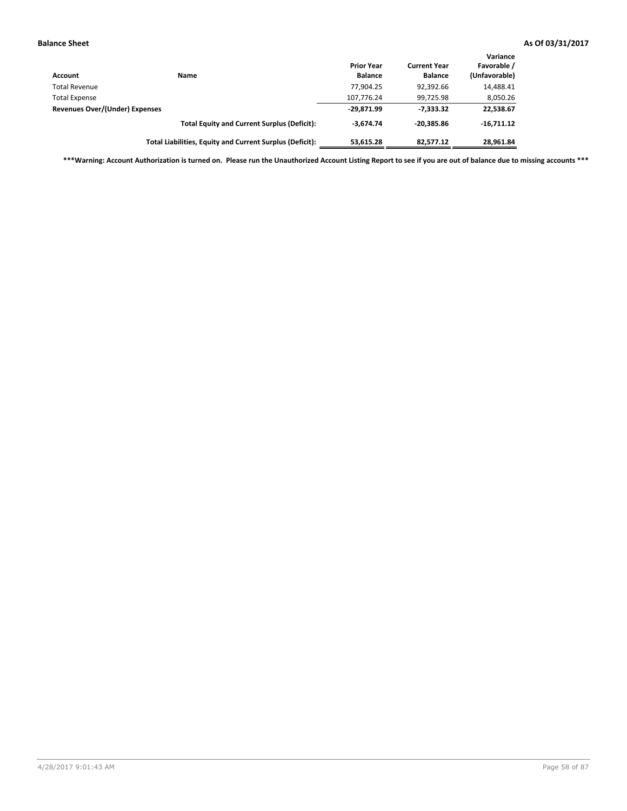| Account                        | <b>Name</b>                                              | <b>Prior Year</b><br><b>Balance</b> | <b>Current Year</b><br><b>Balance</b> | Variance<br>Favorable /<br>(Unfavorable) |
|--------------------------------|----------------------------------------------------------|-------------------------------------|---------------------------------------|------------------------------------------|
| <b>Total Revenue</b>           |                                                          | 77.904.25                           | 92,392.66                             | 14,488.41                                |
| <b>Total Expense</b>           |                                                          | 107,776.24                          | 99,725.98                             | 8,050.26                                 |
| Revenues Over/(Under) Expenses |                                                          | $-29,871.99$                        | -7.333.32                             | 22,538.67                                |
|                                | <b>Total Equity and Current Surplus (Deficit):</b>       | $-3.674.74$                         | $-20.385.86$                          | $-16.711.12$                             |
|                                | Total Liabilities, Equity and Current Surplus (Deficit): | 53.615.28                           | 82.577.12                             | 28,961.84                                |

**\*\*\*Warning: Account Authorization is turned on. Please run the Unauthorized Account Listing Report to see if you are out of balance due to missing accounts \*\*\***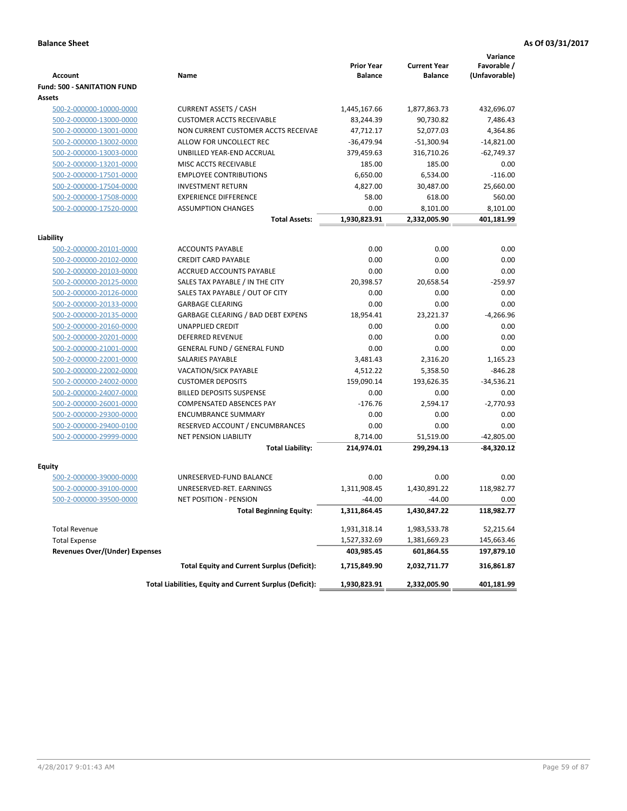|                                                    |                                                          | <b>Prior Year</b> | <b>Current Year</b> | Variance<br>Favorable / |
|----------------------------------------------------|----------------------------------------------------------|-------------------|---------------------|-------------------------|
| <b>Account</b>                                     | Name                                                     | <b>Balance</b>    | <b>Balance</b>      | (Unfavorable)           |
| <b>Fund: 500 - SANITATION FUND</b>                 |                                                          |                   |                     |                         |
| Assets                                             |                                                          |                   |                     |                         |
| 500-2-000000-10000-0000                            | <b>CURRENT ASSETS / CASH</b>                             | 1,445,167.66      | 1,877,863.73        | 432,696.07              |
| 500-2-000000-13000-0000                            | <b>CUSTOMER ACCTS RECEIVABLE</b>                         | 83,244.39         | 90,730.82           | 7,486.43                |
| 500-2-000000-13001-0000                            | NON CURRENT CUSTOMER ACCTS RECEIVAE                      | 47,712.17         | 52,077.03           | 4,364.86                |
| 500-2-000000-13002-0000                            | ALLOW FOR UNCOLLECT REC                                  | $-36,479.94$      | $-51,300.94$        | $-14,821.00$            |
| 500-2-000000-13003-0000                            | UNBILLED YEAR-END ACCRUAL                                | 379,459.63        | 316,710.26          | $-62,749.37$            |
| 500-2-000000-13201-0000                            | MISC ACCTS RECEIVABLE                                    | 185.00            | 185.00              | 0.00                    |
| 500-2-000000-17501-0000                            | <b>EMPLOYEE CONTRIBUTIONS</b>                            | 6,650.00          | 6,534.00            | $-116.00$               |
| 500-2-000000-17504-0000                            | <b>INVESTMENT RETURN</b>                                 | 4,827.00          | 30,487.00           | 25,660.00               |
| 500-2-000000-17508-0000                            | <b>EXPERIENCE DIFFERENCE</b>                             | 58.00             | 618.00              | 560.00                  |
| 500-2-000000-17520-0000                            | <b>ASSUMPTION CHANGES</b>                                | 0.00              | 8,101.00            | 8,101.00                |
|                                                    | <b>Total Assets:</b>                                     | 1,930,823.91      | 2,332,005.90        | 401,181.99              |
| Liability                                          |                                                          |                   |                     |                         |
| 500-2-000000-20101-0000                            | <b>ACCOUNTS PAYABLE</b>                                  | 0.00              | 0.00                | 0.00                    |
| 500-2-000000-20102-0000                            | <b>CREDIT CARD PAYABLE</b>                               | 0.00              | 0.00                | 0.00                    |
| 500-2-000000-20103-0000                            | ACCRUED ACCOUNTS PAYABLE                                 | 0.00              | 0.00                | 0.00                    |
| 500-2-000000-20125-0000                            | SALES TAX PAYABLE / IN THE CITY                          | 20,398.57         | 20,658.54           | $-259.97$               |
| 500-2-000000-20126-0000                            | SALES TAX PAYABLE / OUT OF CITY                          | 0.00              | 0.00                | 0.00                    |
| 500-2-000000-20133-0000                            | <b>GARBAGE CLEARING</b>                                  | 0.00              | 0.00                | 0.00                    |
| 500-2-000000-20135-0000                            | GARBAGE CLEARING / BAD DEBT EXPENS                       | 18,954.41         | 23,221.37           | $-4,266.96$             |
| 500-2-000000-20160-0000                            | <b>UNAPPLIED CREDIT</b>                                  | 0.00              | 0.00                | 0.00                    |
| 500-2-000000-20201-0000                            | DEFERRED REVENUE                                         | 0.00              | 0.00                | 0.00                    |
| 500-2-000000-21001-0000                            | <b>GENERAL FUND / GENERAL FUND</b>                       | 0.00              | 0.00                | 0.00                    |
| 500-2-000000-22001-0000                            | <b>SALARIES PAYABLE</b>                                  | 3,481.43          | 2,316.20            | 1,165.23                |
| 500-2-000000-22002-0000                            | VACATION/SICK PAYABLE                                    | 4,512.22          | 5,358.50            | $-846.28$               |
| 500-2-000000-24002-0000                            | <b>CUSTOMER DEPOSITS</b>                                 | 159,090.14        | 193,626.35          | $-34,536.21$            |
| 500-2-000000-24007-0000                            | <b>BILLED DEPOSITS SUSPENSE</b>                          | 0.00              | 0.00                | 0.00                    |
| 500-2-000000-26001-0000                            | COMPENSATED ABSENCES PAY                                 | $-176.76$         | 2,594.17            | $-2,770.93$             |
| 500-2-000000-29300-0000                            | <b>ENCUMBRANCE SUMMARY</b>                               | 0.00              | 0.00                | 0.00                    |
| 500-2-000000-29400-0100                            | RESERVED ACCOUNT / ENCUMBRANCES                          | 0.00              | 0.00                | 0.00                    |
| 500-2-000000-29999-0000                            | <b>NET PENSION LIABILITY</b>                             | 8,714.00          | 51,519.00           | $-42,805.00$            |
|                                                    | <b>Total Liability:</b>                                  | 214,974.01        | 299,294.13          | $-84,320.12$            |
|                                                    |                                                          |                   |                     |                         |
| <b>Equity</b>                                      | UNRESERVED-FUND BALANCE                                  | 0.00              | 0.00                | 0.00                    |
| 500-2-000000-39000-0000<br>500-2-000000-39100-0000 | UNRESERVED-RET. EARNINGS                                 | 1,311,908.45      | 1.430.891.22        | 118,982.77              |
| 500-2-000000-39500-0000                            | <b>NET POSITION - PENSION</b>                            | $-44.00$          | $-44.00$            | 0.00                    |
|                                                    |                                                          |                   |                     |                         |
|                                                    | Total Beginning Equity:                                  | 1,311,864.45      | 1,430,847.22        | 118,982.77              |
| <b>Total Revenue</b>                               |                                                          | 1,931,318.14      | 1,983,533.78        | 52,215.64               |
| <b>Total Expense</b>                               |                                                          | 1,527,332.69      | 1,381,669.23        | 145,663.46              |
| <b>Revenues Over/(Under) Expenses</b>              |                                                          | 403,985.45        | 601,864.55          | 197,879.10              |
|                                                    | <b>Total Equity and Current Surplus (Deficit):</b>       | 1,715,849.90      | 2,032,711.77        | 316,861.87              |
|                                                    | Total Liabilities, Equity and Current Surplus (Deficit): | 1,930,823.91      | 2,332,005.90        | 401,181.99              |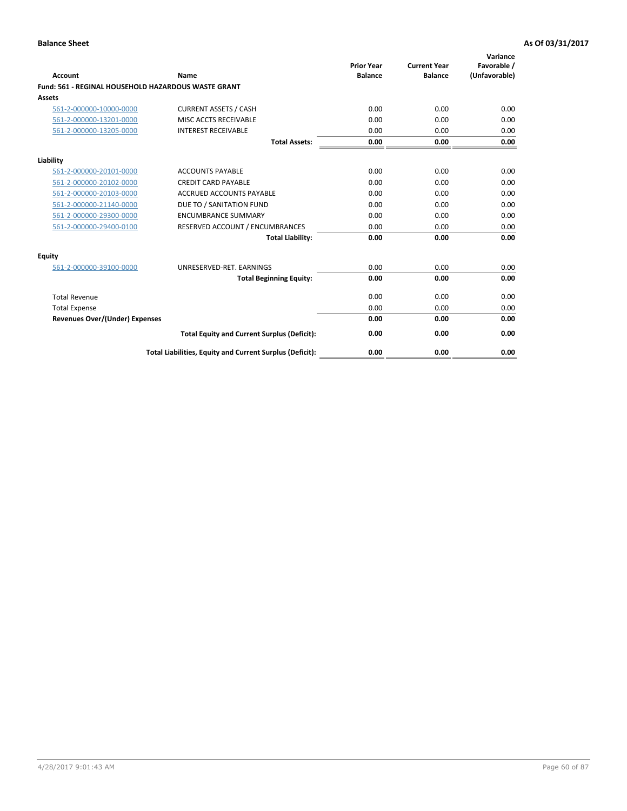| Account                               | Name                                                       | <b>Prior Year</b><br><b>Balance</b> | <b>Current Year</b><br><b>Balance</b> | Variance<br>Favorable /<br>(Unfavorable) |
|---------------------------------------|------------------------------------------------------------|-------------------------------------|---------------------------------------|------------------------------------------|
|                                       | <b>Fund: 561 - REGINAL HOUSEHOLD HAZARDOUS WASTE GRANT</b> |                                     |                                       |                                          |
| Assets                                |                                                            |                                     |                                       |                                          |
| 561-2-000000-10000-0000               | <b>CURRENT ASSETS / CASH</b>                               | 0.00                                | 0.00                                  | 0.00                                     |
| 561-2-000000-13201-0000               | MISC ACCTS RECEIVABLE                                      | 0.00                                | 0.00                                  | 0.00                                     |
| 561-2-000000-13205-0000               | <b>INTEREST RECEIVABLE</b>                                 | 0.00                                | 0.00                                  | 0.00                                     |
|                                       | <b>Total Assets:</b>                                       | 0.00                                | 0.00                                  | 0.00                                     |
| Liability                             |                                                            |                                     |                                       |                                          |
| 561-2-000000-20101-0000               | <b>ACCOUNTS PAYABLE</b>                                    | 0.00                                | 0.00                                  | 0.00                                     |
| 561-2-000000-20102-0000               | <b>CREDIT CARD PAYABLE</b>                                 | 0.00                                | 0.00                                  | 0.00                                     |
| 561-2-000000-20103-0000               | <b>ACCRUED ACCOUNTS PAYABLE</b>                            | 0.00                                | 0.00                                  | 0.00                                     |
| 561-2-000000-21140-0000               | DUE TO / SANITATION FUND                                   | 0.00                                | 0.00                                  | 0.00                                     |
| 561-2-000000-29300-0000               | <b>ENCUMBRANCE SUMMARY</b>                                 | 0.00                                | 0.00                                  | 0.00                                     |
| 561-2-000000-29400-0100               | RESERVED ACCOUNT / ENCUMBRANCES                            | 0.00                                | 0.00                                  | 0.00                                     |
|                                       | <b>Total Liability:</b>                                    | 0.00                                | 0.00                                  | 0.00                                     |
| <b>Equity</b>                         |                                                            |                                     |                                       |                                          |
| 561-2-000000-39100-0000               | UNRESERVED-RET. EARNINGS                                   | 0.00                                | 0.00                                  | 0.00                                     |
|                                       | <b>Total Beginning Equity:</b>                             | 0.00                                | 0.00                                  | 0.00                                     |
| <b>Total Revenue</b>                  |                                                            | 0.00                                | 0.00                                  | 0.00                                     |
| <b>Total Expense</b>                  |                                                            | 0.00                                | 0.00                                  | 0.00                                     |
| <b>Revenues Over/(Under) Expenses</b> |                                                            | 0.00                                | 0.00                                  | 0.00                                     |
|                                       | <b>Total Equity and Current Surplus (Deficit):</b>         | 0.00                                | 0.00                                  | 0.00                                     |
|                                       | Total Liabilities, Equity and Current Surplus (Deficit):   | 0.00                                | 0.00                                  | 0.00                                     |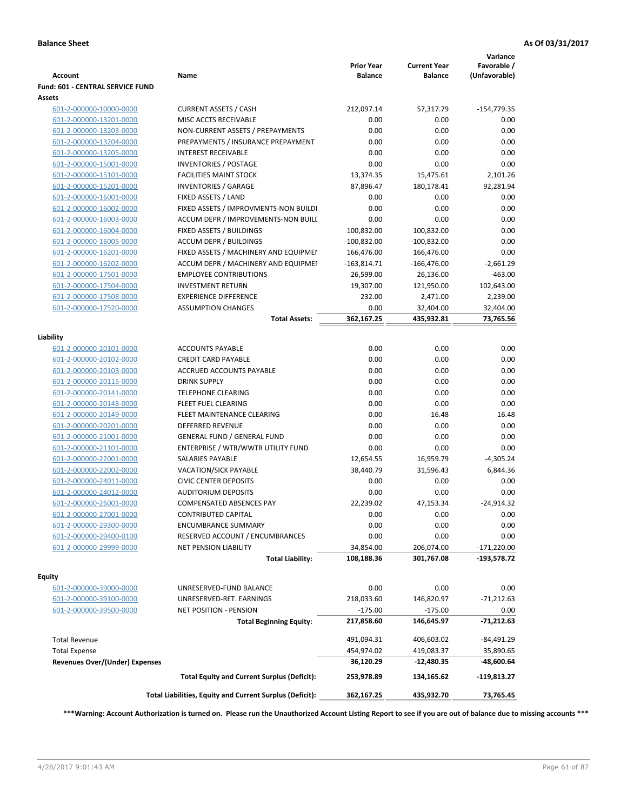| <b>Account</b>                        | Name                                                     | <b>Prior Year</b><br><b>Balance</b> | <b>Current Year</b><br><b>Balance</b> | Variance<br>Favorable /<br>(Unfavorable) |
|---------------------------------------|----------------------------------------------------------|-------------------------------------|---------------------------------------|------------------------------------------|
| Fund: 601 - CENTRAL SERVICE FUND      |                                                          |                                     |                                       |                                          |
| Assets                                |                                                          |                                     |                                       |                                          |
| 601-2-000000-10000-0000               | <b>CURRENT ASSETS / CASH</b>                             | 212,097.14                          | 57,317.79                             | $-154,779.35$                            |
| 601-2-000000-13201-0000               | MISC ACCTS RECEIVABLE                                    | 0.00                                | 0.00                                  | 0.00                                     |
| 601-2-000000-13203-0000               | NON-CURRENT ASSETS / PREPAYMENTS                         | 0.00                                | 0.00                                  | 0.00                                     |
| 601-2-000000-13204-0000               | PREPAYMENTS / INSURANCE PREPAYMENT                       | 0.00                                | 0.00                                  | 0.00                                     |
| 601-2-000000-13205-0000               | INTEREST RECEIVABLE                                      | 0.00                                | 0.00                                  | 0.00                                     |
| 601-2-000000-15001-0000               | <b>INVENTORIES / POSTAGE</b>                             | 0.00                                | 0.00                                  | 0.00                                     |
| 601-2-000000-15101-0000               | <b>FACILITIES MAINT STOCK</b>                            | 13,374.35                           | 15,475.61                             | 2,101.26                                 |
| 601-2-000000-15201-0000               | <b>INVENTORIES / GARAGE</b>                              | 87,896.47                           | 180,178.41                            | 92,281.94                                |
| 601-2-000000-16001-0000               | FIXED ASSETS / LAND                                      | 0.00                                | 0.00                                  | 0.00                                     |
| 601-2-000000-16002-0000               | FIXED ASSETS / IMPROVMENTS-NON BUILDI                    | 0.00                                | 0.00                                  | 0.00                                     |
| 601-2-000000-16003-0000               | ACCUM DEPR / IMPROVEMENTS-NON BUILI                      | 0.00                                | 0.00                                  | 0.00                                     |
| 601-2-000000-16004-0000               | FIXED ASSETS / BUILDINGS                                 | 100,832.00                          | 100,832.00                            | 0.00                                     |
| 601-2-000000-16005-0000               | <b>ACCUM DEPR / BUILDINGS</b>                            | $-100,832.00$                       | $-100,832.00$                         | 0.00                                     |
| 601-2-000000-16201-0000               | FIXED ASSETS / MACHINERY AND EQUIPMEN                    | 166,476.00                          | 166,476.00                            | 0.00                                     |
| 601-2-000000-16202-0000               | ACCUM DEPR / MACHINERY AND EQUIPMEI                      | $-163,814.71$                       | $-166,476.00$                         | $-2,661.29$                              |
| 601-2-000000-17501-0000               | <b>EMPLOYEE CONTRIBUTIONS</b>                            | 26,599.00                           | 26,136.00                             | $-463.00$                                |
| 601-2-000000-17504-0000               | <b>INVESTMENT RETURN</b>                                 | 19,307.00                           | 121,950.00                            | 102,643.00                               |
| 601-2-000000-17508-0000               | <b>EXPERIENCE DIFFERENCE</b>                             | 232.00                              | 2,471.00                              | 2,239.00                                 |
| 601-2-000000-17520-0000               | <b>ASSUMPTION CHANGES</b>                                | 0.00                                | 32,404.00                             | 32,404.00                                |
|                                       | <b>Total Assets:</b>                                     | 362,167.25                          | 435,932.81                            | 73,765.56                                |
|                                       |                                                          |                                     |                                       |                                          |
| Liability                             |                                                          |                                     |                                       |                                          |
| 601-2-000000-20101-0000               | <b>ACCOUNTS PAYABLE</b>                                  | 0.00                                | 0.00                                  | 0.00                                     |
| 601-2-000000-20102-0000               | <b>CREDIT CARD PAYABLE</b>                               | 0.00                                | 0.00                                  | 0.00                                     |
| 601-2-000000-20103-0000               | ACCRUED ACCOUNTS PAYABLE                                 | 0.00                                | 0.00                                  | 0.00                                     |
| 601-2-000000-20115-0000               | <b>DRINK SUPPLY</b>                                      | 0.00                                | 0.00                                  | 0.00                                     |
| 601-2-000000-20141-0000               | <b>TELEPHONE CLEARING</b>                                | 0.00                                | 0.00                                  | 0.00                                     |
| 601-2-000000-20148-0000               | FLEET FUEL CLEARING                                      | 0.00                                | 0.00                                  | 0.00                                     |
| 601-2-000000-20149-0000               | FLEET MAINTENANCE CLEARING                               | 0.00                                | $-16.48$                              | 16.48                                    |
| 601-2-000000-20201-0000               | <b>DEFERRED REVENUE</b>                                  | 0.00                                | 0.00                                  | 0.00                                     |
| 601-2-000000-21001-0000               | <b>GENERAL FUND / GENERAL FUND</b>                       | 0.00                                | 0.00                                  | 0.00                                     |
| 601-2-000000-21101-0000               | ENTERPRISE / WTR/WWTR UTILITY FUND                       | 0.00                                | 0.00                                  | 0.00                                     |
| 601-2-000000-22001-0000               | <b>SALARIES PAYABLE</b>                                  | 12,654.55                           | 16,959.79                             | $-4,305.24$                              |
| 601-2-000000-22002-0000               | VACATION/SICK PAYABLE                                    | 38,440.79                           | 31,596.43                             | 6,844.36                                 |
| 601-2-000000-24011-0000               | <b>CIVIC CENTER DEPOSITS</b>                             | 0.00                                | 0.00                                  | 0.00                                     |
| 601-2-000000-24012-0000               | <b>AUDITORIUM DEPOSITS</b>                               | 0.00                                | 0.00                                  | 0.00                                     |
| 601-2-000000-26001-0000               | <b>COMPENSATED ABSENCES PAY</b>                          | 22,239.02                           | 47,153.34                             | $-24,914.32$                             |
| 601-2-000000-27001-0000               | <b>CONTRIBUTED CAPITAL</b>                               | 0.00                                | 0.00                                  | 0.00                                     |
| 601-2-000000-29300-0000               | <b>ENCUMBRANCE SUMMARY</b>                               | 0.00                                | 0.00                                  | 0.00                                     |
| 601-2-000000-29400-0100               | RESERVED ACCOUNT / ENCUMBRANCES                          | 0.00                                | 0.00                                  | 0.00                                     |
| 601-2-000000-29999-0000               | <b>NET PENSION LIABILITY</b>                             | 34,854.00                           | 206,074.00                            | $-171,220.00$                            |
|                                       | <b>Total Liability:</b>                                  | 108,188.36                          | 301,767.08                            | -193,578.72                              |
| Equity                                |                                                          |                                     |                                       |                                          |
| 601-2-000000-39000-0000               | UNRESERVED-FUND BALANCE                                  | 0.00                                | 0.00                                  | 0.00                                     |
| 601-2-000000-39100-0000               | UNRESERVED-RET. EARNINGS                                 | 218,033.60                          | 146,820.97                            | $-71,212.63$                             |
| 601-2-000000-39500-0000               | <b>NET POSITION - PENSION</b>                            | $-175.00$                           | $-175.00$                             | 0.00                                     |
|                                       | <b>Total Beginning Equity:</b>                           | 217,858.60                          | 146,645.97                            | -71,212.63                               |
|                                       |                                                          |                                     |                                       |                                          |
| <b>Total Revenue</b>                  |                                                          | 491,094.31                          | 406,603.02                            | -84,491.29                               |
| <b>Total Expense</b>                  |                                                          | 454,974.02                          | 419,083.37                            | 35,890.65                                |
| <b>Revenues Over/(Under) Expenses</b> |                                                          | 36,120.29                           | -12,480.35                            | -48,600.64                               |
|                                       | <b>Total Equity and Current Surplus (Deficit):</b>       | 253,978.89                          | 134,165.62                            | $-119,813.27$                            |
|                                       | Total Liabilities, Equity and Current Surplus (Deficit): | 362,167.25                          | 435,932.70                            | 73,765.45                                |

**\*\*\*Warning: Account Authorization is turned on. Please run the Unauthorized Account Listing Report to see if you are out of balance due to missing accounts \*\*\***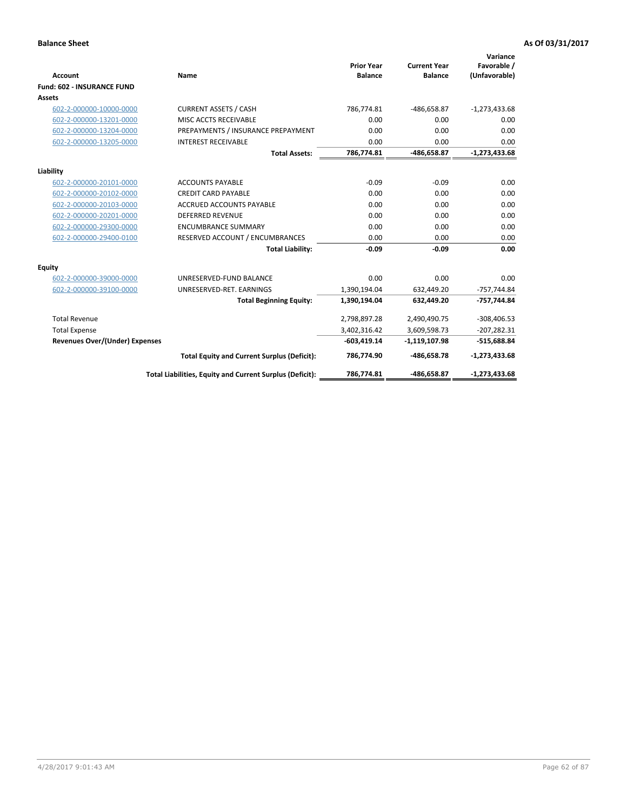|                                       |                                                          |                                     |                                       | Variance                     |
|---------------------------------------|----------------------------------------------------------|-------------------------------------|---------------------------------------|------------------------------|
| <b>Account</b>                        | <b>Name</b>                                              | <b>Prior Year</b><br><b>Balance</b> | <b>Current Year</b><br><b>Balance</b> | Favorable /<br>(Unfavorable) |
| <b>Fund: 602 - INSURANCE FUND</b>     |                                                          |                                     |                                       |                              |
| <b>Assets</b>                         |                                                          |                                     |                                       |                              |
| 602-2-000000-10000-0000               | <b>CURRENT ASSETS / CASH</b>                             | 786,774.81                          | -486,658.87                           | $-1,273,433.68$              |
| 602-2-000000-13201-0000               | MISC ACCTS RECEIVABLE                                    | 0.00                                | 0.00                                  | 0.00                         |
| 602-2-000000-13204-0000               | PREPAYMENTS / INSURANCE PREPAYMENT                       | 0.00                                | 0.00                                  | 0.00                         |
| 602-2-000000-13205-0000               | <b>INTEREST RECEIVABLE</b>                               | 0.00                                | 0.00                                  | 0.00                         |
|                                       | <b>Total Assets:</b>                                     | 786,774.81                          | -486,658.87                           | $-1,273,433.68$              |
| Liability                             |                                                          |                                     |                                       |                              |
| 602-2-000000-20101-0000               | <b>ACCOUNTS PAYABLE</b>                                  | $-0.09$                             | $-0.09$                               | 0.00                         |
| 602-2-000000-20102-0000               | <b>CREDIT CARD PAYABLE</b>                               | 0.00                                | 0.00                                  | 0.00                         |
| 602-2-000000-20103-0000               | <b>ACCRUED ACCOUNTS PAYABLE</b>                          | 0.00                                | 0.00                                  | 0.00                         |
| 602-2-000000-20201-0000               | <b>DEFERRED REVENUE</b>                                  | 0.00                                | 0.00                                  | 0.00                         |
| 602-2-000000-29300-0000               | <b>ENCUMBRANCE SUMMARY</b>                               | 0.00                                | 0.00                                  | 0.00                         |
| 602-2-000000-29400-0100               | RESERVED ACCOUNT / ENCUMBRANCES                          | 0.00                                | 0.00                                  | 0.00                         |
|                                       | <b>Total Liability:</b>                                  | $-0.09$                             | $-0.09$                               | 0.00                         |
| <b>Equity</b>                         |                                                          |                                     |                                       |                              |
| 602-2-000000-39000-0000               | UNRESERVED-FUND BALANCE                                  | 0.00                                | 0.00                                  | 0.00                         |
| 602-2-000000-39100-0000               | UNRESERVED-RET. EARNINGS                                 | 1,390,194.04                        | 632,449.20                            | $-757,744.84$                |
|                                       | <b>Total Beginning Equity:</b>                           | 1,390,194.04                        | 632,449.20                            | -757,744.84                  |
| <b>Total Revenue</b>                  |                                                          | 2,798,897.28                        | 2,490,490.75                          | $-308,406.53$                |
| <b>Total Expense</b>                  |                                                          | 3,402,316.42                        | 3,609,598.73                          | $-207,282.31$                |
| <b>Revenues Over/(Under) Expenses</b> |                                                          | $-603,419.14$                       | $-1,119,107.98$                       | $-515,688.84$                |
|                                       | <b>Total Equity and Current Surplus (Deficit):</b>       | 786,774.90                          | -486,658.78                           | $-1,273,433.68$              |
|                                       | Total Liabilities, Equity and Current Surplus (Deficit): | 786,774.81                          | -486,658.87                           | $-1,273,433.68$              |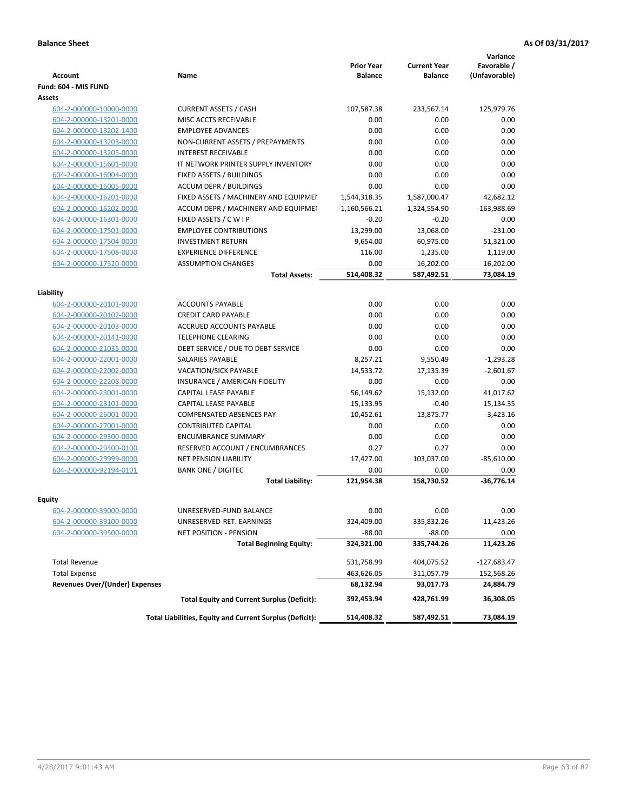| <b>Account</b>                 | Name                                                     | <b>Prior Year</b><br><b>Balance</b> | <b>Current Year</b><br><b>Balance</b> | Variance<br>Favorable /<br>(Unfavorable) |
|--------------------------------|----------------------------------------------------------|-------------------------------------|---------------------------------------|------------------------------------------|
| Fund: 604 - MIS FUND           |                                                          |                                     |                                       |                                          |
| <b>Assets</b>                  |                                                          |                                     |                                       |                                          |
| 604-2-000000-10000-0000        | <b>CURRENT ASSETS / CASH</b>                             | 107,587.38                          | 233,567.14                            | 125,979.76                               |
| 604-2-000000-13201-0000        | MISC ACCTS RECEIVABLE                                    | 0.00                                | 0.00                                  | 0.00                                     |
| 604-2-000000-13202-1400        | <b>EMPLOYEE ADVANCES</b>                                 | 0.00                                | 0.00                                  | 0.00                                     |
| 604-2-000000-13203-0000        | NON-CURRENT ASSETS / PREPAYMENTS                         | 0.00                                | 0.00                                  | 0.00                                     |
| 604-2-000000-13205-0000        | INTEREST RECEIVABLE                                      | 0.00                                | 0.00                                  | 0.00                                     |
| 604-2-000000-15601-0000        | IT NETWORK PRINTER SUPPLY INVENTORY                      | 0.00                                | 0.00                                  | 0.00                                     |
| 604-2-000000-16004-0000        | FIXED ASSETS / BUILDINGS                                 | 0.00                                | 0.00                                  | 0.00                                     |
| 604-2-000000-16005-0000        | <b>ACCUM DEPR / BUILDINGS</b>                            | 0.00                                | 0.00                                  | 0.00                                     |
| 604-2-000000-16201-0000        | FIXED ASSETS / MACHINERY AND EQUIPMEN                    | 1,544,318.35                        | 1,587,000.47                          | 42,682.12                                |
| 604-2-000000-16202-0000        | ACCUM DEPR / MACHINERY AND EQUIPMEI                      | $-1,160,566.21$                     | $-1,324,554.90$                       | $-163,988.69$                            |
| 604-2-000000-16301-0000        | FIXED ASSETS / C W I P                                   | $-0.20$                             | $-0.20$                               | 0.00                                     |
| 604-2-000000-17501-0000        | <b>EMPLOYEE CONTRIBUTIONS</b>                            | 13,299.00                           | 13,068.00                             | $-231.00$                                |
| 604-2-000000-17504-0000        | <b>INVESTMENT RETURN</b>                                 | 9,654.00                            | 60,975.00                             | 51,321.00                                |
| 604-2-000000-17508-0000        | <b>EXPERIENCE DIFFERENCE</b>                             | 116.00                              | 1,235.00                              | 1,119.00                                 |
| 604-2-000000-17520-0000        | <b>ASSUMPTION CHANGES</b>                                | 0.00                                | 16,202.00                             | 16,202.00                                |
|                                | <b>Total Assets:</b>                                     | 514,408.32                          | 587,492.51                            | 73,084.19                                |
|                                |                                                          |                                     |                                       |                                          |
| Liability                      |                                                          |                                     |                                       |                                          |
| 604-2-000000-20101-0000        | <b>ACCOUNTS PAYABLE</b>                                  | 0.00                                | 0.00                                  | 0.00                                     |
| 604-2-000000-20102-0000        | <b>CREDIT CARD PAYABLE</b>                               | 0.00                                | 0.00                                  | 0.00                                     |
| 604-2-000000-20103-0000        | ACCRUED ACCOUNTS PAYABLE                                 | 0.00                                | 0.00                                  | 0.00                                     |
| 604-2-000000-20141-0000        | <b>TELEPHONE CLEARING</b>                                | 0.00                                | 0.00                                  | 0.00                                     |
| 604-2-000000-21035-0000        | DEBT SERVICE / DUE TO DEBT SERVICE                       | 0.00                                | 0.00                                  | 0.00                                     |
| 604-2-000000-22001-0000        | <b>SALARIES PAYABLE</b>                                  | 8,257.21                            | 9,550.49                              | $-1,293.28$                              |
| 604-2-000000-22002-0000        | <b>VACATION/SICK PAYABLE</b>                             | 14,533.72                           | 17,135.39                             | $-2,601.67$                              |
| 604-2-000000-22208-0000        | INSURANCE / AMERICAN FIDELITY                            | 0.00                                | 0.00                                  | 0.00                                     |
| 604-2-000000-23001-0000        | CAPITAL LEASE PAYABLE                                    | 56,149.62                           | 15,132.00                             | 41,017.62                                |
| 604-2-000000-23101-0000        | CAPITAL LEASE PAYABLE                                    | 15,133.95                           | $-0.40$                               | 15,134.35                                |
| 604-2-000000-26001-0000        | <b>COMPENSATED ABSENCES PAY</b>                          | 10,452.61                           | 13,875.77                             | $-3,423.16$                              |
| 604-2-000000-27001-0000        | <b>CONTRIBUTED CAPITAL</b>                               | 0.00                                | 0.00                                  | 0.00                                     |
| 604-2-000000-29300-0000        | <b>ENCUMBRANCE SUMMARY</b>                               | 0.00                                | 0.00                                  | 0.00                                     |
| 604-2-000000-29400-0100        | RESERVED ACCOUNT / ENCUMBRANCES                          | 0.27                                | 0.27                                  | 0.00                                     |
| 604-2-000000-29999-0000        | <b>NET PENSION LIABILITY</b>                             | 17,427.00                           | 103,037.00                            | $-85,610.00$                             |
| 604-2-000000-92194-0101        | <b>BANK ONE / DIGITEC</b>                                | 0.00                                | 0.00                                  | 0.00                                     |
|                                | <b>Total Liability:</b>                                  | 121,954.38                          | 158,730.52                            | $-36.776.14$                             |
|                                |                                                          |                                     |                                       |                                          |
| Equity                         |                                                          |                                     |                                       |                                          |
| <u>604-2-000000-39000-0000</u> | UNRESERVED-FUND BALANCE                                  | 0.00                                | 0.00                                  | 0.00                                     |
| 604-2-000000-39100-0000        | UNRESERVED-RET. EARNINGS                                 | 324,409.00                          | 335,832.26                            | 11,423.26                                |
| 604-2-000000-39500-0000        | NET POSITION - PENSION                                   | $-88.00$                            | $-88.00$                              | 0.00                                     |
|                                | <b>Total Beginning Equity:</b>                           | 324,321.00                          | 335,744.26                            | 11,423.26                                |
| <b>Total Revenue</b>           |                                                          | 531,758.99                          | 404,075.52                            | $-127,683.47$                            |
| <b>Total Expense</b>           |                                                          | 463,626.05                          | 311,057.79                            | 152,568.26                               |
| Revenues Over/(Under) Expenses |                                                          | 68,132.94                           | 93,017.73                             | 24,884.79                                |
|                                | <b>Total Equity and Current Surplus (Deficit):</b>       | 392,453.94                          | 428,761.99                            | 36,308.05                                |
|                                | Total Liabilities, Equity and Current Surplus (Deficit): | 514,408.32                          | 587,492.51                            | 73,084.19                                |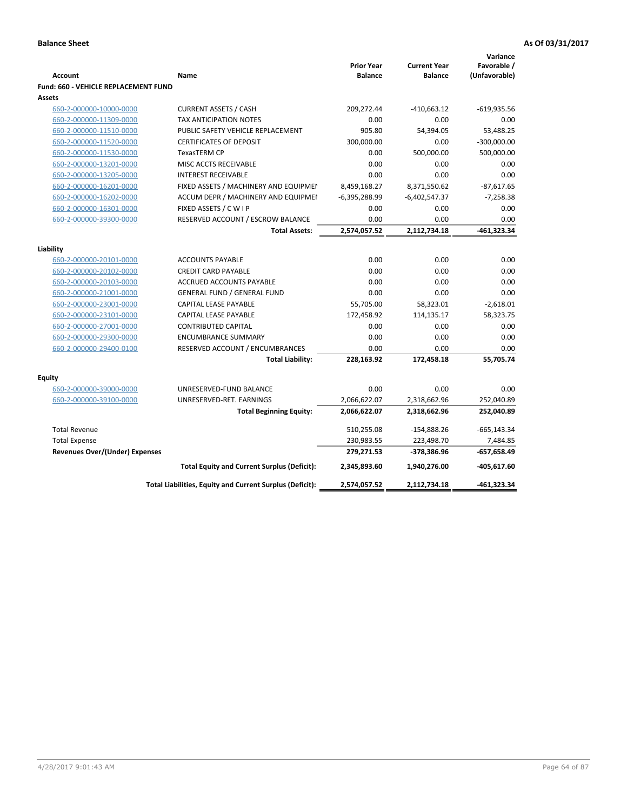| <b>Account</b>                                     | Name                                                               | <b>Prior Year</b><br><b>Balance</b> | <b>Current Year</b><br><b>Balance</b> | Variance<br>Favorable /<br>(Unfavorable) |
|----------------------------------------------------|--------------------------------------------------------------------|-------------------------------------|---------------------------------------|------------------------------------------|
| Fund: 660 - VEHICLE REPLACEMENT FUND               |                                                                    |                                     |                                       |                                          |
| Assets                                             |                                                                    |                                     |                                       |                                          |
| 660-2-000000-10000-0000                            | <b>CURRENT ASSETS / CASH</b>                                       | 209,272.44                          | $-410,663.12$                         | $-619,935.56$                            |
| 660-2-000000-11309-0000                            | TAX ANTICIPATION NOTES                                             | 0.00                                | 0.00                                  | 0.00                                     |
| 660-2-000000-11510-0000                            | PUBLIC SAFETY VEHICLE REPLACEMENT                                  | 905.80                              | 54,394.05                             | 53,488.25                                |
| 660-2-000000-11520-0000                            | <b>CERTIFICATES OF DEPOSIT</b>                                     | 300,000.00                          | 0.00                                  | $-300,000.00$                            |
| 660-2-000000-11530-0000                            | TexasTERM CP                                                       | 0.00                                | 500,000.00                            | 500,000.00                               |
| 660-2-000000-13201-0000                            | MISC ACCTS RECEIVABLE                                              | 0.00                                | 0.00                                  | 0.00                                     |
| 660-2-000000-13205-0000                            | <b>INTEREST RECEIVABLE</b>                                         | 0.00                                | 0.00                                  | 0.00                                     |
| 660-2-000000-16201-0000                            | FIXED ASSETS / MACHINERY AND EQUIPMEN                              | 8,459,168.27                        | 8,371,550.62                          | $-87,617.65$                             |
| 660-2-000000-16202-0000                            | ACCUM DEPR / MACHINERY AND EQUIPMEI                                | $-6,395,288.99$                     | $-6,402,547.37$                       | $-7,258.38$                              |
| 660-2-000000-16301-0000                            | FIXED ASSETS / C W I P                                             | 0.00                                | 0.00                                  | 0.00                                     |
| 660-2-000000-39300-0000                            | RESERVED ACCOUNT / ESCROW BALANCE                                  | 0.00                                | 0.00                                  | 0.00                                     |
|                                                    | <b>Total Assets:</b>                                               | 2,574,057.52                        | 2,112,734.18                          | $-461,323.34$                            |
|                                                    |                                                                    |                                     |                                       |                                          |
| Liability                                          |                                                                    | 0.00                                | 0.00                                  |                                          |
| 660-2-000000-20101-0000                            | <b>ACCOUNTS PAYABLE</b>                                            | 0.00                                |                                       | 0.00                                     |
| 660-2-000000-20102-0000                            | <b>CREDIT CARD PAYABLE</b><br>ACCRUED ACCOUNTS PAYABLE             | 0.00                                | 0.00<br>0.00                          | 0.00<br>0.00                             |
| 660-2-000000-20103-0000                            |                                                                    | 0.00                                | 0.00                                  | 0.00                                     |
| 660-2-000000-21001-0000                            | <b>GENERAL FUND / GENERAL FUND</b><br><b>CAPITAL LEASE PAYABLE</b> |                                     |                                       |                                          |
| 660-2-000000-23001-0000                            | <b>CAPITAL LEASE PAYABLE</b>                                       | 55,705.00                           | 58,323.01                             | $-2,618.01$                              |
| 660-2-000000-23101-0000                            | <b>CONTRIBUTED CAPITAL</b>                                         | 172,458.92<br>0.00                  | 114,135.17<br>0.00                    | 58,323.75<br>0.00                        |
| 660-2-000000-27001-0000<br>660-2-000000-29300-0000 | <b>ENCUMBRANCE SUMMARY</b>                                         | 0.00                                | 0.00                                  | 0.00                                     |
| 660-2-000000-29400-0100                            | RESERVED ACCOUNT / ENCUMBRANCES                                    | 0.00                                | 0.00                                  | 0.00                                     |
|                                                    | <b>Total Liability:</b>                                            | 228,163.92                          | 172,458.18                            | 55,705.74                                |
|                                                    |                                                                    |                                     |                                       |                                          |
| <b>Equity</b>                                      |                                                                    |                                     |                                       |                                          |
| 660-2-000000-39000-0000                            | UNRESERVED-FUND BALANCE                                            | 0.00                                | 0.00                                  | 0.00                                     |
| 660-2-000000-39100-0000                            | UNRESERVED-RET. EARNINGS                                           | 2,066,622.07                        | 2,318,662.96                          | 252,040.89                               |
|                                                    | <b>Total Beginning Equity:</b>                                     | 2,066,622.07                        | 2,318,662.96                          | 252,040.89                               |
| <b>Total Revenue</b>                               |                                                                    | 510,255.08                          | $-154,888.26$                         | $-665, 143.34$                           |
| <b>Total Expense</b>                               |                                                                    | 230,983.55                          | 223,498.70                            | 7,484.85                                 |
| <b>Revenues Over/(Under) Expenses</b>              |                                                                    | 279,271.53                          | -378,386.96                           | $-657,658.49$                            |
|                                                    | <b>Total Equity and Current Surplus (Deficit):</b>                 | 2,345,893.60                        | 1,940,276.00                          | $-405,617.60$                            |
|                                                    | Total Liabilities, Equity and Current Surplus (Deficit):           | 2,574,057.52                        | 2,112,734.18                          | -461,323.34                              |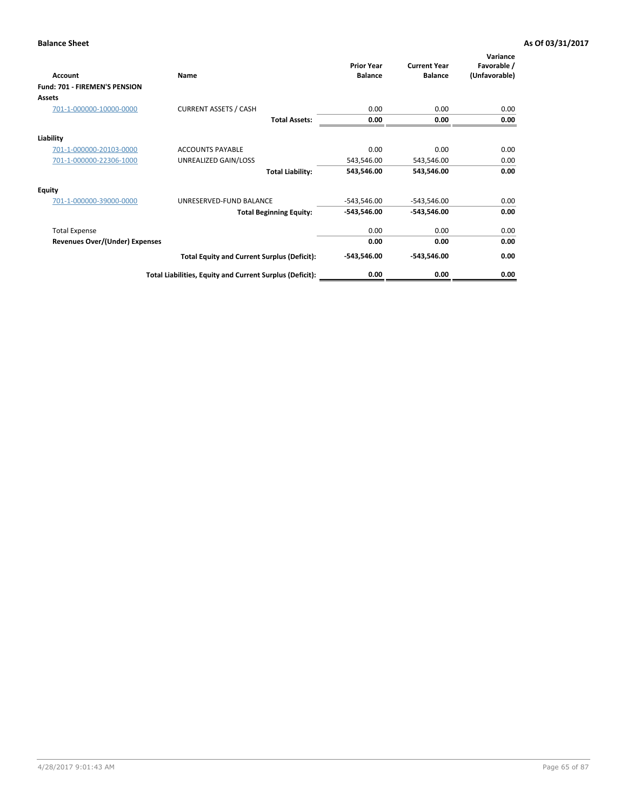| <b>Account</b>                 | Name                                                     | <b>Prior Year</b><br><b>Balance</b> | <b>Current Year</b><br><b>Balance</b> | Variance<br>Favorable /<br>(Unfavorable) |
|--------------------------------|----------------------------------------------------------|-------------------------------------|---------------------------------------|------------------------------------------|
| Fund: 701 - FIREMEN'S PENSION  |                                                          |                                     |                                       |                                          |
| Assets                         |                                                          |                                     |                                       |                                          |
| 701-1-000000-10000-0000        | <b>CURRENT ASSETS / CASH</b>                             | 0.00                                | 0.00                                  | 0.00                                     |
|                                | <b>Total Assets:</b>                                     | 0.00                                | 0.00                                  | 0.00                                     |
| Liability                      |                                                          |                                     |                                       |                                          |
| 701-1-000000-20103-0000        | <b>ACCOUNTS PAYABLE</b>                                  | 0.00                                | 0.00                                  | 0.00                                     |
| 701-1-000000-22306-1000        | UNREALIZED GAIN/LOSS                                     | 543,546.00                          | 543,546.00                            | 0.00                                     |
|                                | <b>Total Liability:</b>                                  | 543,546.00                          | 543,546.00                            | 0.00                                     |
| <b>Equity</b>                  |                                                          |                                     |                                       |                                          |
| 701-1-000000-39000-0000        | UNRESERVED-FUND BALANCE                                  | $-543,546.00$                       | $-543,546.00$                         | 0.00                                     |
|                                | <b>Total Beginning Equity:</b>                           | -543,546.00                         | -543,546.00                           | 0.00                                     |
| <b>Total Expense</b>           |                                                          | 0.00                                | 0.00                                  | 0.00                                     |
| Revenues Over/(Under) Expenses |                                                          | 0.00                                | 0.00                                  | 0.00                                     |
|                                | <b>Total Equity and Current Surplus (Deficit):</b>       | $-543,546.00$                       | -543,546.00                           | 0.00                                     |
|                                | Total Liabilities, Equity and Current Surplus (Deficit): | 0.00                                | 0.00                                  | 0.00                                     |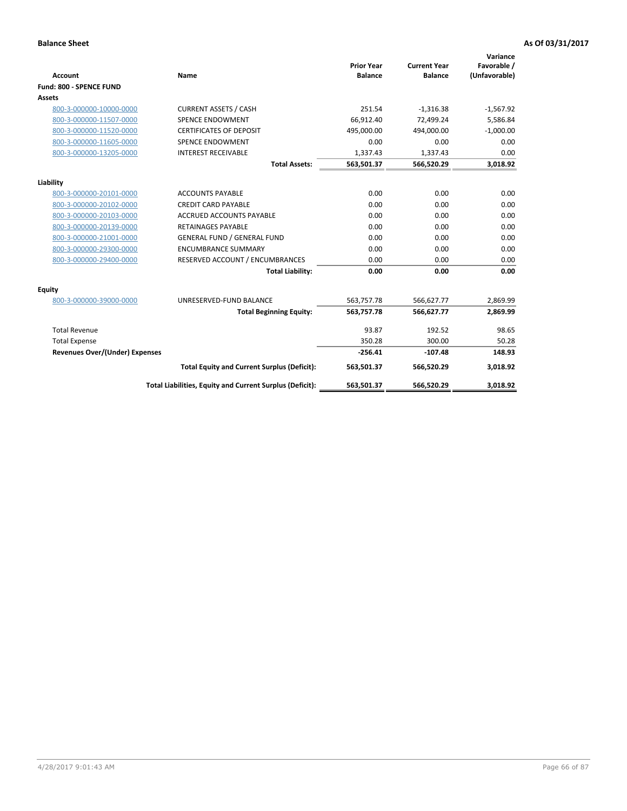|                                       |                                                          |                                     |                                       | Variance                     |
|---------------------------------------|----------------------------------------------------------|-------------------------------------|---------------------------------------|------------------------------|
| <b>Account</b>                        | <b>Name</b>                                              | <b>Prior Year</b><br><b>Balance</b> | <b>Current Year</b><br><b>Balance</b> | Favorable /<br>(Unfavorable) |
| Fund: 800 - SPENCE FUND               |                                                          |                                     |                                       |                              |
| Assets                                |                                                          |                                     |                                       |                              |
| 800-3-000000-10000-0000               | <b>CURRENT ASSETS / CASH</b>                             | 251.54                              | $-1,316.38$                           | $-1,567.92$                  |
| 800-3-000000-11507-0000               | <b>SPENCE ENDOWMENT</b>                                  | 66.912.40                           | 72.499.24                             | 5,586.84                     |
| 800-3-000000-11520-0000               | <b>CERTIFICATES OF DEPOSIT</b>                           | 495,000.00                          | 494,000.00                            | $-1,000.00$                  |
| 800-3-000000-11605-0000               | <b>SPENCE ENDOWMENT</b>                                  | 0.00                                | 0.00                                  | 0.00                         |
| 800-3-000000-13205-0000               | <b>INTEREST RECEIVABLE</b>                               | 1,337.43                            | 1,337.43                              | 0.00                         |
|                                       | <b>Total Assets:</b>                                     | 563,501.37                          | 566,520.29                            | 3,018.92                     |
|                                       |                                                          |                                     |                                       |                              |
| Liability                             |                                                          |                                     |                                       |                              |
| 800-3-000000-20101-0000               | <b>ACCOUNTS PAYABLE</b>                                  | 0.00                                | 0.00                                  | 0.00                         |
| 800-3-000000-20102-0000               | <b>CREDIT CARD PAYABLE</b>                               | 0.00                                | 0.00                                  | 0.00                         |
| 800-3-000000-20103-0000               | <b>ACCRUED ACCOUNTS PAYABLE</b>                          | 0.00                                | 0.00                                  | 0.00                         |
| 800-3-000000-20139-0000               | <b>RETAINAGES PAYABLE</b>                                | 0.00                                | 0.00                                  | 0.00                         |
| 800-3-000000-21001-0000               | <b>GENERAL FUND / GENERAL FUND</b>                       | 0.00                                | 0.00                                  | 0.00                         |
| 800-3-000000-29300-0000               | <b>ENCUMBRANCE SUMMARY</b>                               | 0.00                                | 0.00                                  | 0.00                         |
| 800-3-000000-29400-0000               | RESERVED ACCOUNT / ENCUMBRANCES                          | 0.00                                | 0.00                                  | 0.00                         |
|                                       | <b>Total Liability:</b>                                  | 0.00                                | 0.00                                  | 0.00                         |
| Equity                                |                                                          |                                     |                                       |                              |
| 800-3-000000-39000-0000               | UNRESERVED-FUND BALANCE                                  | 563,757.78                          | 566,627.77                            | 2,869.99                     |
|                                       | <b>Total Beginning Equity:</b>                           | 563,757.78                          | 566,627.77                            | 2,869.99                     |
| <b>Total Revenue</b>                  |                                                          | 93.87                               | 192.52                                | 98.65                        |
| <b>Total Expense</b>                  |                                                          | 350.28                              | 300.00                                | 50.28                        |
| <b>Revenues Over/(Under) Expenses</b> |                                                          | $-256.41$                           | $-107.48$                             | 148.93                       |
|                                       | <b>Total Equity and Current Surplus (Deficit):</b>       | 563,501.37                          | 566,520.29                            | 3,018.92                     |
|                                       | Total Liabilities, Equity and Current Surplus (Deficit): | 563,501.37                          | 566,520.29                            | 3,018.92                     |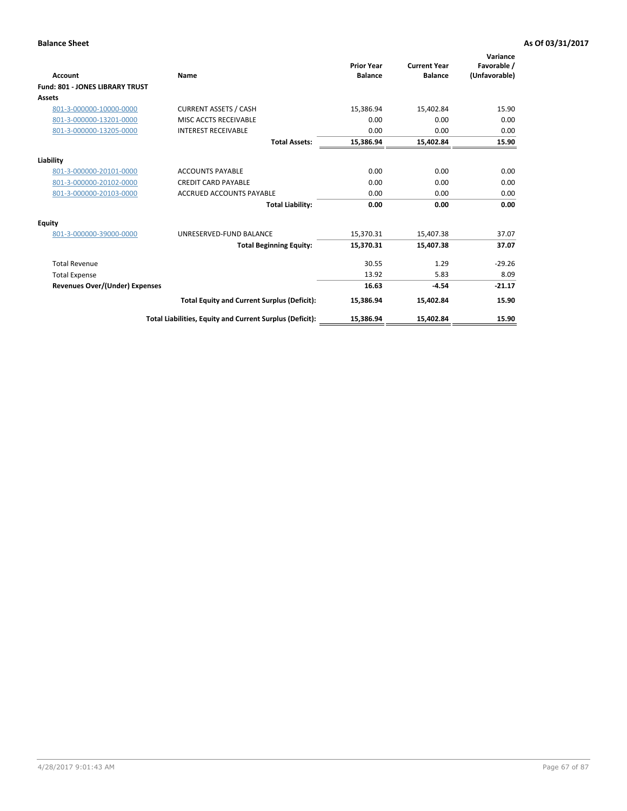| <b>Account</b>                         | <b>Name</b>                                              | <b>Prior Year</b><br><b>Balance</b> | <b>Current Year</b><br><b>Balance</b> | Variance<br>Favorable /<br>(Unfavorable) |
|----------------------------------------|----------------------------------------------------------|-------------------------------------|---------------------------------------|------------------------------------------|
| <b>Fund: 801 - JONES LIBRARY TRUST</b> |                                                          |                                     |                                       |                                          |
| <b>Assets</b>                          |                                                          |                                     |                                       |                                          |
| 801-3-000000-10000-0000                | <b>CURRENT ASSETS / CASH</b>                             | 15,386.94                           | 15,402.84                             | 15.90                                    |
| 801-3-000000-13201-0000                | MISC ACCTS RECEIVABLE                                    | 0.00                                | 0.00                                  | 0.00                                     |
| 801-3-000000-13205-0000                | <b>INTEREST RECEIVABLE</b>                               | 0.00                                | 0.00                                  | 0.00                                     |
|                                        | <b>Total Assets:</b>                                     | 15,386.94                           | 15,402.84                             | 15.90                                    |
| Liability                              |                                                          |                                     |                                       |                                          |
| 801-3-000000-20101-0000                | <b>ACCOUNTS PAYABLE</b>                                  | 0.00                                | 0.00                                  | 0.00                                     |
| 801-3-000000-20102-0000                | <b>CREDIT CARD PAYABLE</b>                               | 0.00                                | 0.00                                  | 0.00                                     |
| 801-3-000000-20103-0000                | <b>ACCRUED ACCOUNTS PAYABLE</b>                          | 0.00                                | 0.00                                  | 0.00                                     |
|                                        | <b>Total Liability:</b>                                  | 0.00                                | 0.00                                  | 0.00                                     |
| Equity                                 |                                                          |                                     |                                       |                                          |
| 801-3-000000-39000-0000                | UNRESERVED-FUND BALANCE                                  | 15,370.31                           | 15,407.38                             | 37.07                                    |
|                                        | <b>Total Beginning Equity:</b>                           | 15,370.31                           | 15,407.38                             | 37.07                                    |
| <b>Total Revenue</b>                   |                                                          | 30.55                               | 1.29                                  | $-29.26$                                 |
| <b>Total Expense</b>                   |                                                          | 13.92                               | 5.83                                  | 8.09                                     |
| Revenues Over/(Under) Expenses         |                                                          | 16.63                               | $-4.54$                               | $-21.17$                                 |
|                                        | <b>Total Equity and Current Surplus (Deficit):</b>       | 15,386.94                           | 15,402.84                             | 15.90                                    |
|                                        | Total Liabilities, Equity and Current Surplus (Deficit): | 15,386.94                           | 15,402.84                             | 15.90                                    |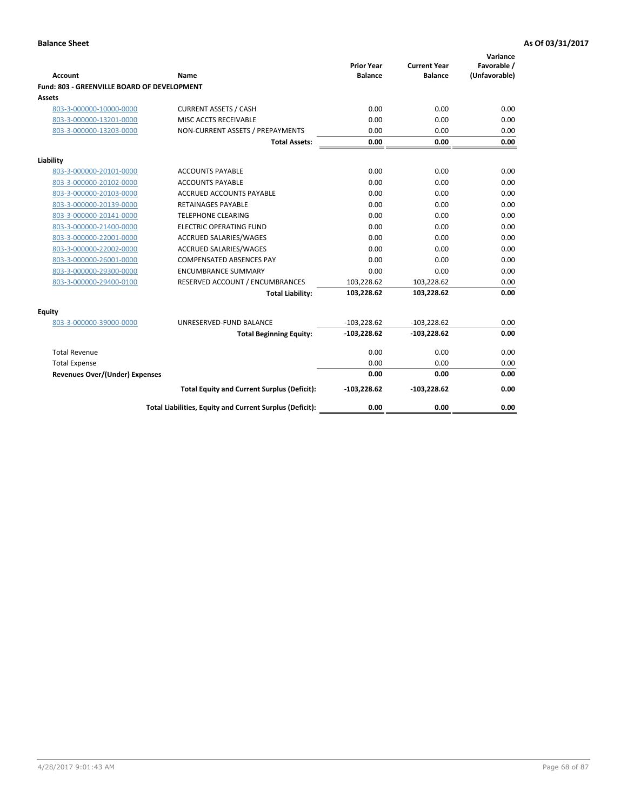| <b>Account</b>                              | Name                                                     | <b>Prior Year</b><br><b>Balance</b> | <b>Current Year</b><br><b>Balance</b> | Variance<br>Favorable /<br>(Unfavorable) |
|---------------------------------------------|----------------------------------------------------------|-------------------------------------|---------------------------------------|------------------------------------------|
| Fund: 803 - GREENVILLE BOARD OF DEVELOPMENT |                                                          |                                     |                                       |                                          |
| Assets                                      |                                                          |                                     |                                       |                                          |
| 803-3-000000-10000-0000                     | <b>CURRENT ASSETS / CASH</b>                             | 0.00                                | 0.00                                  | 0.00                                     |
| 803-3-000000-13201-0000                     | MISC ACCTS RECEIVABLE                                    | 0.00                                | 0.00                                  | 0.00                                     |
| 803-3-000000-13203-0000                     | NON-CURRENT ASSETS / PREPAYMENTS                         | 0.00                                | 0.00                                  | 0.00                                     |
|                                             | <b>Total Assets:</b>                                     | 0.00                                | 0.00                                  | 0.00                                     |
| Liability                                   |                                                          |                                     |                                       |                                          |
| 803-3-000000-20101-0000                     | <b>ACCOUNTS PAYABLE</b>                                  | 0.00                                | 0.00                                  | 0.00                                     |
| 803-3-000000-20102-0000                     | <b>ACCOUNTS PAYABLE</b>                                  | 0.00                                | 0.00                                  | 0.00                                     |
| 803-3-000000-20103-0000                     | ACCRUED ACCOUNTS PAYABLE                                 | 0.00                                | 0.00                                  | 0.00                                     |
| 803-3-000000-20139-0000                     | RETAINAGES PAYABLE                                       | 0.00                                | 0.00                                  | 0.00                                     |
| 803-3-000000-20141-0000                     | <b>TELEPHONE CLEARING</b>                                | 0.00                                | 0.00                                  | 0.00                                     |
| 803-3-000000-21400-0000                     | <b>ELECTRIC OPERATING FUND</b>                           | 0.00                                | 0.00                                  | 0.00                                     |
| 803-3-000000-22001-0000                     | <b>ACCRUED SALARIES/WAGES</b>                            | 0.00                                | 0.00                                  | 0.00                                     |
| 803-3-000000-22002-0000                     | <b>ACCRUED SALARIES/WAGES</b>                            | 0.00                                | 0.00                                  | 0.00                                     |
| 803-3-000000-26001-0000                     | <b>COMPENSATED ABSENCES PAY</b>                          | 0.00                                | 0.00                                  | 0.00                                     |
| 803-3-000000-29300-0000                     | <b>ENCUMBRANCE SUMMARY</b>                               | 0.00                                | 0.00                                  | 0.00                                     |
| 803-3-000000-29400-0100                     | RESERVED ACCOUNT / ENCUMBRANCES                          | 103,228.62                          | 103,228.62                            | 0.00                                     |
|                                             | <b>Total Liability:</b>                                  | 103,228.62                          | 103,228.62                            | 0.00                                     |
| <b>Equity</b>                               |                                                          |                                     |                                       |                                          |
| 803-3-000000-39000-0000                     | UNRESERVED-FUND BALANCE                                  | $-103,228.62$                       | $-103,228.62$                         | 0.00                                     |
|                                             | <b>Total Beginning Equity:</b>                           | $-103,228.62$                       | $-103,228.62$                         | 0.00                                     |
| <b>Total Revenue</b>                        |                                                          | 0.00                                | 0.00                                  | 0.00                                     |
| <b>Total Expense</b>                        |                                                          | 0.00                                | 0.00                                  | 0.00                                     |
| <b>Revenues Over/(Under) Expenses</b>       |                                                          | 0.00                                | 0.00                                  | 0.00                                     |
|                                             | <b>Total Equity and Current Surplus (Deficit):</b>       | $-103,228.62$                       | $-103,228.62$                         | 0.00                                     |
|                                             | Total Liabilities, Equity and Current Surplus (Deficit): | 0.00                                | 0.00                                  | 0.00                                     |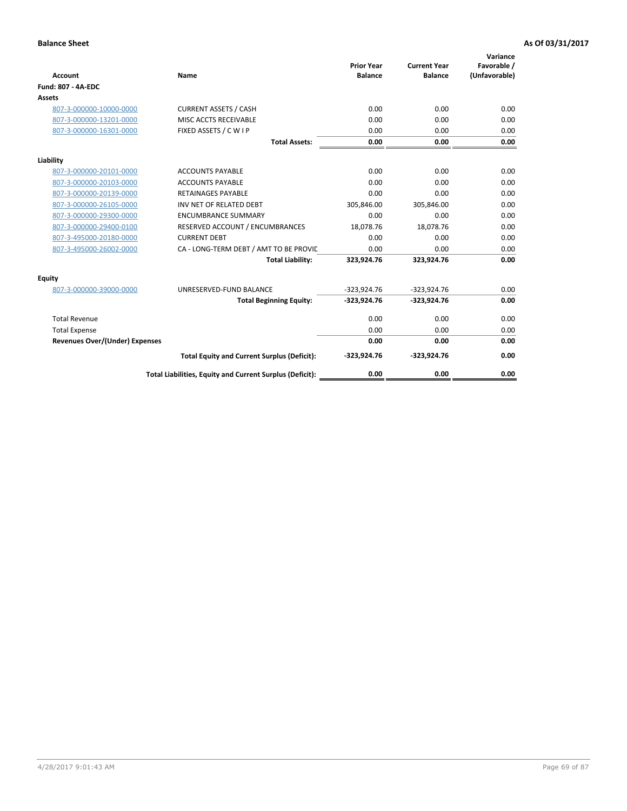| <b>Account</b>                        | Name                                                     | <b>Prior Year</b><br><b>Balance</b> | <b>Current Year</b><br><b>Balance</b> | Variance<br>Favorable /<br>(Unfavorable) |
|---------------------------------------|----------------------------------------------------------|-------------------------------------|---------------------------------------|------------------------------------------|
| <b>Fund: 807 - 4A-EDC</b>             |                                                          |                                     |                                       |                                          |
| <b>Assets</b>                         |                                                          |                                     |                                       |                                          |
| 807-3-000000-10000-0000               | <b>CURRENT ASSETS / CASH</b>                             | 0.00                                | 0.00                                  | 0.00                                     |
| 807-3-000000-13201-0000               | MISC ACCTS RECEIVABLE                                    | 0.00                                | 0.00                                  | 0.00                                     |
| 807-3-000000-16301-0000               | FIXED ASSETS / C W I P                                   | 0.00                                | 0.00                                  | 0.00                                     |
|                                       | <b>Total Assets:</b>                                     | 0.00                                | 0.00                                  | 0.00                                     |
| Liability                             |                                                          |                                     |                                       |                                          |
| 807-3-000000-20101-0000               | <b>ACCOUNTS PAYABLE</b>                                  | 0.00                                | 0.00                                  | 0.00                                     |
| 807-3-000000-20103-0000               | <b>ACCOUNTS PAYABLE</b>                                  | 0.00                                | 0.00                                  | 0.00                                     |
| 807-3-000000-20139-0000               | <b>RETAINAGES PAYABLE</b>                                | 0.00                                | 0.00                                  | 0.00                                     |
| 807-3-000000-26105-0000               | INV NET OF RELATED DEBT                                  | 305,846.00                          | 305,846.00                            | 0.00                                     |
| 807-3-000000-29300-0000               | <b>ENCUMBRANCE SUMMARY</b>                               | 0.00                                | 0.00                                  | 0.00                                     |
| 807-3-000000-29400-0100               | RESERVED ACCOUNT / ENCUMBRANCES                          | 18,078.76                           | 18,078.76                             | 0.00                                     |
| 807-3-495000-20180-0000               | <b>CURRENT DEBT</b>                                      | 0.00                                | 0.00                                  | 0.00                                     |
| 807-3-495000-26002-0000               | CA - LONG-TERM DEBT / AMT TO BE PROVIL                   | 0.00                                | 0.00                                  | 0.00                                     |
|                                       | <b>Total Liability:</b>                                  | 323,924.76                          | 323,924.76                            | 0.00                                     |
| Equity                                |                                                          |                                     |                                       |                                          |
| 807-3-000000-39000-0000               | UNRESERVED-FUND BALANCE                                  | $-323,924.76$                       | $-323,924.76$                         | 0.00                                     |
|                                       | <b>Total Beginning Equity:</b>                           | $-323,924.76$                       | $-323,924.76$                         | 0.00                                     |
| <b>Total Revenue</b>                  |                                                          | 0.00                                | 0.00                                  | 0.00                                     |
| <b>Total Expense</b>                  |                                                          | 0.00                                | 0.00                                  | 0.00                                     |
| <b>Revenues Over/(Under) Expenses</b> |                                                          | 0.00                                | 0.00                                  | 0.00                                     |
|                                       | <b>Total Equity and Current Surplus (Deficit):</b>       | $-323,924.76$                       | $-323,924.76$                         | 0.00                                     |
|                                       | Total Liabilities, Equity and Current Surplus (Deficit): | 0.00                                | 0.00                                  | 0.00                                     |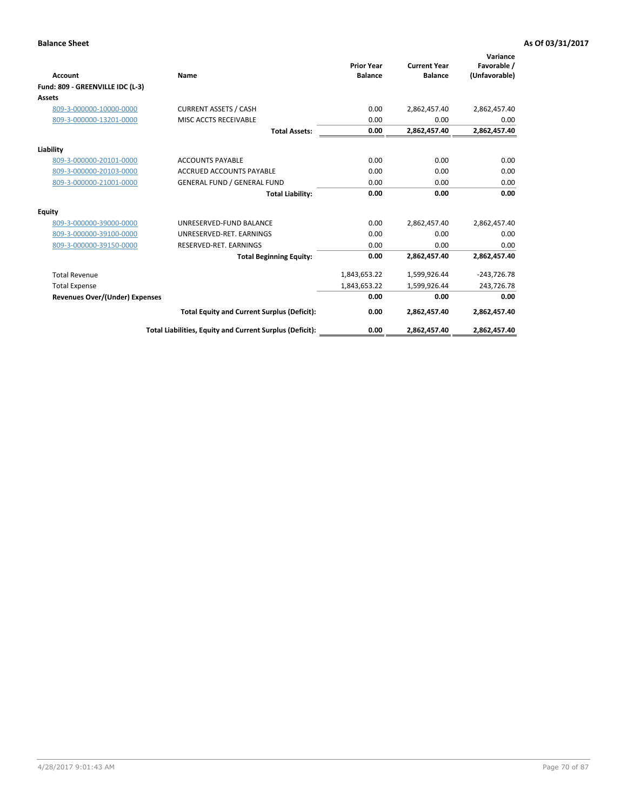| <b>Account</b>                   | Name                                                     | <b>Prior Year</b><br><b>Balance</b> | <b>Current Year</b><br><b>Balance</b> | Variance<br>Favorable /<br>(Unfavorable) |
|----------------------------------|----------------------------------------------------------|-------------------------------------|---------------------------------------|------------------------------------------|
| Fund: 809 - GREENVILLE IDC (L-3) |                                                          |                                     |                                       |                                          |
| Assets                           |                                                          |                                     |                                       |                                          |
| 809-3-000000-10000-0000          | <b>CURRENT ASSETS / CASH</b>                             | 0.00                                | 2,862,457.40                          | 2,862,457.40                             |
| 809-3-000000-13201-0000          | MISC ACCTS RECEIVABLE                                    | 0.00                                | 0.00                                  | 0.00                                     |
|                                  | <b>Total Assets:</b>                                     | 0.00                                | 2,862,457.40                          | 2,862,457.40                             |
| Liability                        |                                                          |                                     |                                       |                                          |
| 809-3-000000-20101-0000          | <b>ACCOUNTS PAYABLE</b>                                  | 0.00                                | 0.00                                  | 0.00                                     |
| 809-3-000000-20103-0000          | <b>ACCRUED ACCOUNTS PAYABLE</b>                          | 0.00                                | 0.00                                  | 0.00                                     |
| 809-3-000000-21001-0000          | <b>GENERAL FUND / GENERAL FUND</b>                       | 0.00                                | 0.00                                  | 0.00                                     |
|                                  | <b>Total Liability:</b>                                  | 0.00                                | 0.00                                  | 0.00                                     |
| Equity                           |                                                          |                                     |                                       |                                          |
| 809-3-000000-39000-0000          | UNRESERVED-FUND BALANCE                                  | 0.00                                | 2,862,457.40                          | 2,862,457.40                             |
| 809-3-000000-39100-0000          | UNRESERVED-RET, EARNINGS                                 | 0.00                                | 0.00                                  | 0.00                                     |
| 809-3-000000-39150-0000          | RESERVED-RET. EARNINGS                                   | 0.00                                | 0.00                                  | 0.00                                     |
|                                  | <b>Total Beginning Equity:</b>                           | 0.00                                | 2,862,457.40                          | 2,862,457.40                             |
| <b>Total Revenue</b>             |                                                          | 1,843,653.22                        | 1,599,926.44                          | $-243,726.78$                            |
| <b>Total Expense</b>             |                                                          | 1,843,653.22                        | 1,599,926.44                          | 243,726.78                               |
| Revenues Over/(Under) Expenses   |                                                          | 0.00                                | 0.00                                  | 0.00                                     |
|                                  | <b>Total Equity and Current Surplus (Deficit):</b>       | 0.00                                | 2,862,457.40                          | 2,862,457.40                             |
|                                  | Total Liabilities, Equity and Current Surplus (Deficit): | 0.00                                | 2,862,457.40                          | 2,862,457.40                             |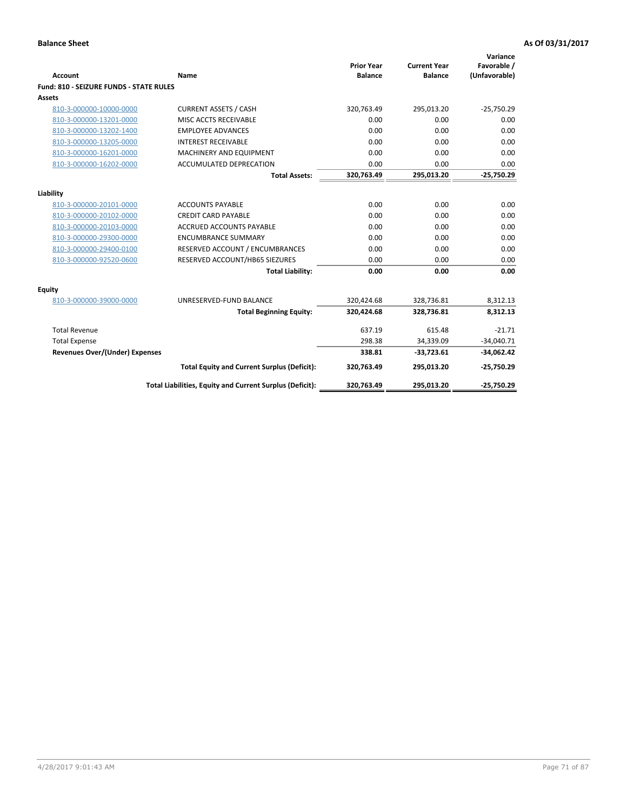| <b>Account</b>                                     | <b>Name</b>                                              | <b>Prior Year</b><br><b>Balance</b> | <b>Current Year</b><br><b>Balance</b> | Variance<br>Favorable /<br>(Unfavorable) |
|----------------------------------------------------|----------------------------------------------------------|-------------------------------------|---------------------------------------|------------------------------------------|
| <b>Fund: 810 - SEIZURE FUNDS - STATE RULES</b>     |                                                          |                                     |                                       |                                          |
| <b>Assets</b>                                      |                                                          |                                     |                                       |                                          |
| 810-3-000000-10000-0000                            | <b>CURRENT ASSETS / CASH</b>                             | 320,763.49                          | 295,013.20                            | $-25,750.29$                             |
| 810-3-000000-13201-0000                            | MISC ACCTS RECEIVABLE                                    | 0.00                                | 0.00                                  | 0.00                                     |
| 810-3-000000-13202-1400                            | <b>EMPLOYEE ADVANCES</b>                                 | 0.00                                | 0.00                                  | 0.00                                     |
| 810-3-000000-13205-0000                            | <b>INTEREST RECEIVABLE</b>                               | 0.00                                | 0.00                                  | 0.00                                     |
| 810-3-000000-16201-0000                            | MACHINERY AND EQUIPMENT                                  | 0.00                                | 0.00                                  | 0.00                                     |
| 810-3-000000-16202-0000                            | ACCUMULATED DEPRECATION                                  | 0.00                                | 0.00                                  | 0.00                                     |
|                                                    | <b>Total Assets:</b>                                     | 320,763.49                          | 295,013.20                            | $-25,750.29$                             |
|                                                    |                                                          |                                     |                                       |                                          |
| Liability                                          | <b>ACCOUNTS PAYABLE</b>                                  | 0.00                                | 0.00                                  | 0.00                                     |
| 810-3-000000-20101-0000<br>810-3-000000-20102-0000 | <b>CREDIT CARD PAYABLE</b>                               | 0.00                                | 0.00                                  | 0.00                                     |
| 810-3-000000-20103-0000                            | <b>ACCRUED ACCOUNTS PAYABLE</b>                          | 0.00                                | 0.00                                  | 0.00                                     |
|                                                    |                                                          | 0.00                                | 0.00                                  |                                          |
| 810-3-000000-29300-0000                            | <b>ENCUMBRANCE SUMMARY</b>                               |                                     |                                       | 0.00                                     |
| 810-3-000000-29400-0100                            | RESERVED ACCOUNT / ENCUMBRANCES                          | 0.00                                | 0.00                                  | 0.00                                     |
| 810-3-000000-92520-0600                            | RESERVED ACCOUNT/HB65 SIEZURES                           | 0.00                                | 0.00                                  | 0.00                                     |
|                                                    | <b>Total Liability:</b>                                  | 0.00                                | 0.00                                  | 0.00                                     |
| Equity                                             |                                                          |                                     |                                       |                                          |
| 810-3-000000-39000-0000                            | UNRESERVED-FUND BALANCE                                  | 320,424.68                          | 328,736.81                            | 8,312.13                                 |
|                                                    | <b>Total Beginning Equity:</b>                           | 320,424.68                          | 328,736.81                            | 8,312.13                                 |
| <b>Total Revenue</b>                               |                                                          | 637.19                              | 615.48                                | $-21.71$                                 |
| <b>Total Expense</b>                               |                                                          | 298.38                              | 34,339.09                             | $-34,040.71$                             |
| Revenues Over/(Under) Expenses                     |                                                          | 338.81                              | $-33,723.61$                          | $-34,062.42$                             |
|                                                    | <b>Total Equity and Current Surplus (Deficit):</b>       | 320,763.49                          | 295,013.20                            | $-25,750.29$                             |
|                                                    | Total Liabilities, Equity and Current Surplus (Deficit): | 320,763.49                          | 295,013.20                            | $-25,750.29$                             |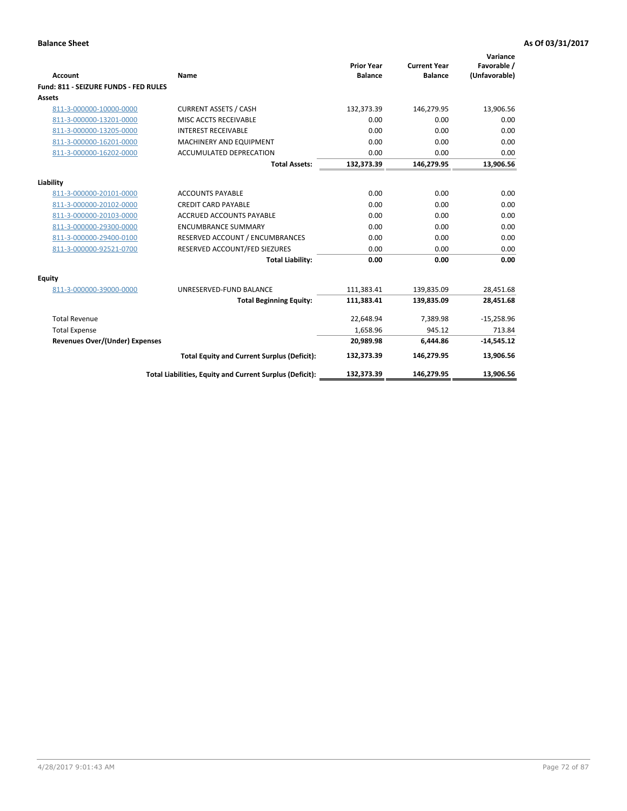| Account                               | Name                                                     | <b>Prior Year</b><br><b>Balance</b> | <b>Current Year</b><br><b>Balance</b> | Variance<br>Favorable /<br>(Unfavorable) |
|---------------------------------------|----------------------------------------------------------|-------------------------------------|---------------------------------------|------------------------------------------|
| Fund: 811 - SEIZURE FUNDS - FED RULES |                                                          |                                     |                                       |                                          |
| Assets                                |                                                          |                                     |                                       |                                          |
| 811-3-000000-10000-0000               | <b>CURRENT ASSETS / CASH</b>                             | 132,373.39                          | 146,279.95                            | 13,906.56                                |
| 811-3-000000-13201-0000               | MISC ACCTS RECEIVABLE                                    | 0.00                                | 0.00                                  | 0.00                                     |
| 811-3-000000-13205-0000               | <b>INTEREST RECEIVABLE</b>                               | 0.00                                | 0.00                                  | 0.00                                     |
| 811-3-000000-16201-0000               | <b>MACHINERY AND EQUIPMENT</b>                           | 0.00                                | 0.00                                  | 0.00                                     |
| 811-3-000000-16202-0000               | ACCUMULATED DEPRECATION                                  | 0.00                                | 0.00                                  | 0.00                                     |
|                                       | <b>Total Assets:</b>                                     | 132,373.39                          | 146,279.95                            | 13,906.56                                |
| Liability                             |                                                          |                                     |                                       |                                          |
| 811-3-000000-20101-0000               | <b>ACCOUNTS PAYABLE</b>                                  | 0.00                                | 0.00                                  | 0.00                                     |
| 811-3-000000-20102-0000               | <b>CREDIT CARD PAYABLE</b>                               | 0.00                                | 0.00                                  | 0.00                                     |
| 811-3-000000-20103-0000               | <b>ACCRUED ACCOUNTS PAYABLE</b>                          | 0.00                                | 0.00                                  | 0.00                                     |
| 811-3-000000-29300-0000               | <b>ENCUMBRANCE SUMMARY</b>                               | 0.00                                | 0.00                                  | 0.00                                     |
| 811-3-000000-29400-0100               | RESERVED ACCOUNT / ENCUMBRANCES                          | 0.00                                | 0.00                                  | 0.00                                     |
| 811-3-000000-92521-0700               | RESERVED ACCOUNT/FED SIEZURES                            | 0.00                                | 0.00                                  | 0.00                                     |
|                                       | <b>Total Liability:</b>                                  | 0.00                                | 0.00                                  | 0.00                                     |
| <b>Equity</b>                         |                                                          |                                     |                                       |                                          |
| 811-3-000000-39000-0000               | UNRESERVED-FUND BALANCE                                  | 111,383.41                          | 139,835.09                            | 28,451.68                                |
|                                       | <b>Total Beginning Equity:</b>                           | 111,383.41                          | 139,835.09                            | 28,451.68                                |
| <b>Total Revenue</b>                  |                                                          | 22,648.94                           | 7,389.98                              | $-15,258.96$                             |
| <b>Total Expense</b>                  |                                                          | 1,658.96                            | 945.12                                | 713.84                                   |
| Revenues Over/(Under) Expenses        |                                                          | 20,989.98                           | 6,444.86                              | $-14,545.12$                             |
|                                       | <b>Total Equity and Current Surplus (Deficit):</b>       | 132,373.39                          | 146,279.95                            | 13,906.56                                |
|                                       | Total Liabilities, Equity and Current Surplus (Deficit): | 132,373.39                          | 146.279.95                            | 13.906.56                                |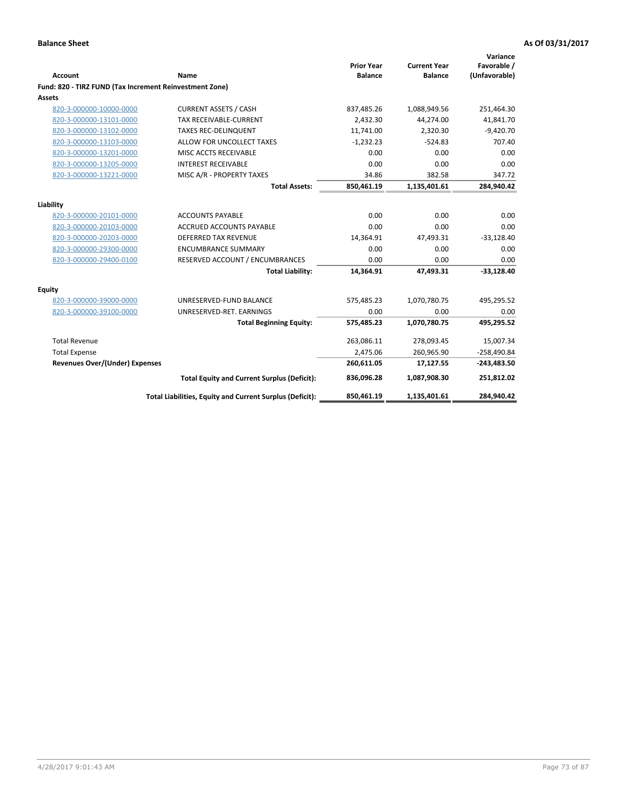| <b>Account</b>                                          | Name                                                     | <b>Prior Year</b><br><b>Balance</b> | <b>Current Year</b><br><b>Balance</b> | Variance<br>Favorable /<br>(Unfavorable) |
|---------------------------------------------------------|----------------------------------------------------------|-------------------------------------|---------------------------------------|------------------------------------------|
| Fund: 820 - TIRZ FUND (Tax Increment Reinvestment Zone) |                                                          |                                     |                                       |                                          |
| Assets                                                  |                                                          |                                     |                                       |                                          |
| 820-3-000000-10000-0000                                 | <b>CURRENT ASSETS / CASH</b>                             | 837,485.26                          | 1,088,949.56                          | 251,464.30                               |
| 820-3-000000-13101-0000                                 | <b>TAX RECEIVABLE-CURRENT</b>                            | 2.432.30                            | 44,274.00                             | 41,841.70                                |
| 820-3-000000-13102-0000                                 | <b>TAXES REC-DELINQUENT</b>                              | 11,741.00                           | 2.320.30                              | $-9,420.70$                              |
| 820-3-000000-13103-0000                                 | ALLOW FOR UNCOLLECT TAXES                                | $-1,232.23$                         | $-524.83$                             | 707.40                                   |
| 820-3-000000-13201-0000                                 | MISC ACCTS RECEIVABLE                                    | 0.00                                | 0.00                                  | 0.00                                     |
| 820-3-000000-13205-0000                                 | <b>INTEREST RECEIVABLE</b>                               | 0.00                                | 0.00                                  | 0.00                                     |
| 820-3-000000-13221-0000                                 | MISC A/R - PROPERTY TAXES                                | 34.86                               | 382.58                                | 347.72                                   |
|                                                         | <b>Total Assets:</b>                                     | 850,461.19                          | 1,135,401.61                          | 284,940.42                               |
| Liability                                               |                                                          |                                     |                                       |                                          |
| 820-3-000000-20101-0000                                 | <b>ACCOUNTS PAYABLE</b>                                  | 0.00                                | 0.00                                  | 0.00                                     |
| 820-3-000000-20103-0000                                 | ACCRUED ACCOUNTS PAYABLE                                 | 0.00                                | 0.00                                  | 0.00                                     |
| 820-3-000000-20203-0000                                 | <b>DEFERRED TAX REVENUE</b>                              | 14,364.91                           | 47,493.31                             | $-33,128.40$                             |
| 820-3-000000-29300-0000                                 | <b>ENCUMBRANCE SUMMARY</b>                               | 0.00                                | 0.00                                  | 0.00                                     |
| 820-3-000000-29400-0100                                 | RESERVED ACCOUNT / ENCUMBRANCES                          | 0.00                                | 0.00                                  | 0.00                                     |
|                                                         | <b>Total Liability:</b>                                  | 14,364.91                           | 47,493.31                             | $-33,128.40$                             |
| Equity                                                  |                                                          |                                     |                                       |                                          |
| 820-3-000000-39000-0000                                 | UNRESERVED-FUND BALANCE                                  | 575,485.23                          | 1,070,780.75                          | 495,295.52                               |
| 820-3-000000-39100-0000                                 | UNRESERVED-RET. EARNINGS                                 | 0.00                                | 0.00                                  | 0.00                                     |
|                                                         | <b>Total Beginning Equity:</b>                           | 575,485.23                          | 1,070,780.75                          | 495,295.52                               |
| <b>Total Revenue</b>                                    |                                                          | 263,086.11                          | 278,093.45                            | 15,007.34                                |
| <b>Total Expense</b>                                    |                                                          | 2,475.06                            | 260,965.90                            | $-258,490.84$                            |
| <b>Revenues Over/(Under) Expenses</b>                   |                                                          | 260,611.05                          | 17,127.55                             | $-243,483.50$                            |
|                                                         | <b>Total Equity and Current Surplus (Deficit):</b>       | 836,096.28                          | 1,087,908.30                          | 251,812.02                               |
|                                                         | Total Liabilities, Equity and Current Surplus (Deficit): | 850,461.19                          | 1,135,401.61                          | 284,940.42                               |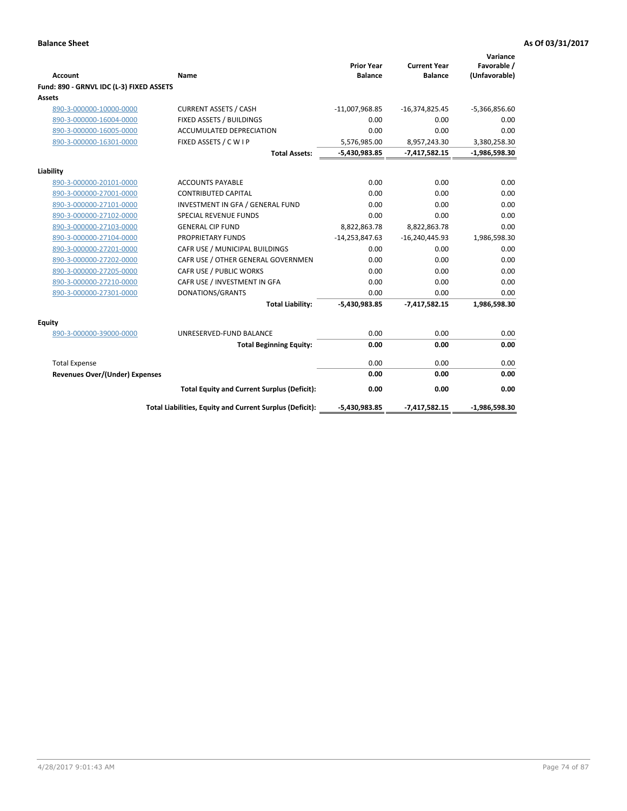|                                          |                                                          | <b>Prior Year</b> | <b>Current Year</b> | Variance<br>Favorable / |
|------------------------------------------|----------------------------------------------------------|-------------------|---------------------|-------------------------|
| <b>Account</b>                           | Name                                                     | <b>Balance</b>    | <b>Balance</b>      | (Unfavorable)           |
| Fund: 890 - GRNVL IDC (L-3) FIXED ASSETS |                                                          |                   |                     |                         |
| <b>Assets</b>                            |                                                          |                   |                     |                         |
| 890-3-000000-10000-0000                  | <b>CURRENT ASSETS / CASH</b>                             | $-11,007,968.85$  | $-16,374,825.45$    | $-5,366,856.60$         |
| 890-3-000000-16004-0000                  | FIXED ASSETS / BUILDINGS                                 | 0.00              | 0.00                | 0.00                    |
| 890-3-000000-16005-0000                  | <b>ACCUMULATED DEPRECIATION</b>                          | 0.00              | 0.00                | 0.00                    |
| 890-3-000000-16301-0000                  | FIXED ASSETS / C W I P                                   | 5,576,985.00      | 8,957,243.30        | 3,380,258.30            |
|                                          | <b>Total Assets:</b>                                     | -5,430,983.85     | $-7,417,582.15$     | $-1,986,598.30$         |
| Liability                                |                                                          |                   |                     |                         |
| 890-3-000000-20101-0000                  | <b>ACCOUNTS PAYABLE</b>                                  | 0.00              | 0.00                | 0.00                    |
| 890-3-000000-27001-0000                  | <b>CONTRIBUTED CAPITAL</b>                               | 0.00              | 0.00                | 0.00                    |
| 890-3-000000-27101-0000                  | INVESTMENT IN GFA / GENERAL FUND                         | 0.00              | 0.00                | 0.00                    |
| 890-3-000000-27102-0000                  | <b>SPECIAL REVENUE FUNDS</b>                             | 0.00              | 0.00                | 0.00                    |
| 890-3-000000-27103-0000                  | <b>GENERAL CIP FUND</b>                                  | 8,822,863.78      | 8,822,863.78        | 0.00                    |
| 890-3-000000-27104-0000                  | PROPRIETARY FUNDS                                        | $-14,253,847.63$  | $-16,240,445.93$    | 1,986,598.30            |
| 890-3-000000-27201-0000                  | CAFR USE / MUNICIPAL BUILDINGS                           | 0.00              | 0.00                | 0.00                    |
| 890-3-000000-27202-0000                  | CAFR USE / OTHER GENERAL GOVERNMEN                       | 0.00              | 0.00                | 0.00                    |
| 890-3-000000-27205-0000                  | CAFR USE / PUBLIC WORKS                                  | 0.00              | 0.00                | 0.00                    |
| 890-3-000000-27210-0000                  | CAFR USE / INVESTMENT IN GFA                             | 0.00              | 0.00                | 0.00                    |
| 890-3-000000-27301-0000                  | DONATIONS/GRANTS                                         | 0.00              | 0.00                | 0.00                    |
|                                          | <b>Total Liability:</b>                                  | $-5,430,983.85$   | $-7,417,582.15$     | 1,986,598.30            |
| Equity                                   |                                                          |                   |                     |                         |
| 890-3-000000-39000-0000                  | UNRESERVED-FUND BALANCE                                  | 0.00              | 0.00                | 0.00                    |
|                                          | <b>Total Beginning Equity:</b>                           | 0.00              | 0.00                | 0.00                    |
| <b>Total Expense</b>                     |                                                          | 0.00              | 0.00                | 0.00                    |
| <b>Revenues Over/(Under) Expenses</b>    |                                                          | 0.00              | 0.00                | 0.00                    |
|                                          | <b>Total Equity and Current Surplus (Deficit):</b>       | 0.00              | 0.00                | 0.00                    |
|                                          | Total Liabilities, Equity and Current Surplus (Deficit): | $-5,430,983.85$   | $-7,417,582.15$     | $-1,986,598.30$         |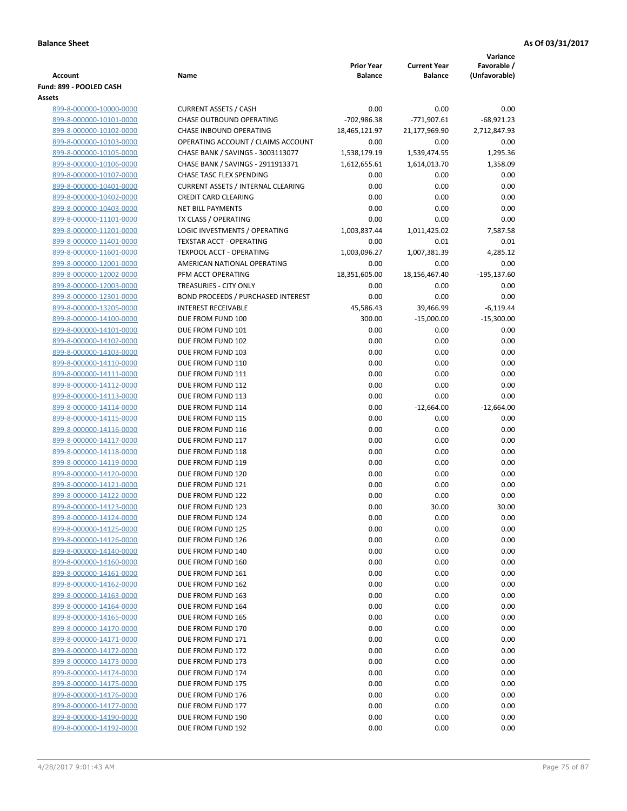|                                                    |                                                       |                                     |                                       | Variance                     |
|----------------------------------------------------|-------------------------------------------------------|-------------------------------------|---------------------------------------|------------------------------|
| <b>Account</b>                                     | Name                                                  | <b>Prior Year</b><br><b>Balance</b> | <b>Current Year</b><br><b>Balance</b> | Favorable /<br>(Unfavorable) |
| Fund: 899 - POOLED CASH                            |                                                       |                                     |                                       |                              |
| <b>Assets</b>                                      |                                                       |                                     |                                       |                              |
| 899-8-000000-10000-0000                            | <b>CURRENT ASSETS / CASH</b>                          | 0.00                                | 0.00                                  | 0.00                         |
| 899-8-000000-10101-0000                            | <b>CHASE OUTBOUND OPERATING</b>                       | -702,986.38                         | -771,907.61                           | $-68,921.23$                 |
| 899-8-000000-10102-0000                            | CHASE INBOUND OPERATING                               | 18,465,121.97                       | 21,177,969.90                         | 2,712,847.93                 |
| 899-8-000000-10103-0000                            | OPERATING ACCOUNT / CLAIMS ACCOUNT                    | 0.00                                | 0.00                                  | 0.00                         |
| 899-8-000000-10105-0000                            | CHASE BANK / SAVINGS - 3003113077                     | 1,538,179.19                        | 1,539,474.55                          | 1,295.36                     |
| 899-8-000000-10106-0000                            | CHASE BANK / SAVINGS - 2911913371                     | 1,612,655.61                        | 1,614,013.70                          | 1,358.09                     |
| 899-8-000000-10107-0000                            | CHASE TASC FLEX SPENDING                              | 0.00                                | 0.00                                  | 0.00                         |
| 899-8-000000-10401-0000                            | <b>CURRENT ASSETS / INTERNAL CLEARING</b>             | 0.00                                | 0.00                                  | 0.00                         |
| 899-8-000000-10402-0000                            | <b>CREDIT CARD CLEARING</b>                           | 0.00                                | 0.00                                  | 0.00                         |
| 899-8-000000-10403-0000                            | <b>NET BILL PAYMENTS</b>                              | 0.00<br>0.00                        | 0.00<br>0.00                          | 0.00<br>0.00                 |
| 899-8-000000-11101-0000<br>899-8-000000-11201-0000 | TX CLASS / OPERATING<br>LOGIC INVESTMENTS / OPERATING | 1,003,837.44                        | 1,011,425.02                          | 7,587.58                     |
| 899-8-000000-11401-0000                            | <b>TEXSTAR ACCT - OPERATING</b>                       | 0.00                                | 0.01                                  | 0.01                         |
| 899-8-000000-11601-0000                            | <b>TEXPOOL ACCT - OPERATING</b>                       | 1,003,096.27                        | 1,007,381.39                          | 4,285.12                     |
| 899-8-000000-12001-0000                            | AMERICAN NATIONAL OPERATING                           | 0.00                                | 0.00                                  | 0.00                         |
| 899-8-000000-12002-0000                            | PFM ACCT OPERATING                                    | 18,351,605.00                       | 18,156,467.40                         | $-195, 137.60$               |
| 899-8-000000-12003-0000                            | TREASURIES - CITY ONLY                                | 0.00                                | 0.00                                  | 0.00                         |
| 899-8-000000-12301-0000                            | <b>BOND PROCEEDS / PURCHASED INTEREST</b>             | 0.00                                | 0.00                                  | 0.00                         |
| 899-8-000000-13205-0000                            | <b>INTEREST RECEIVABLE</b>                            | 45,586.43                           | 39,466.99                             | $-6,119.44$                  |
| 899-8-000000-14100-0000                            | DUE FROM FUND 100                                     | 300.00                              | $-15,000.00$                          | $-15,300.00$                 |
| 899-8-000000-14101-0000                            | DUE FROM FUND 101                                     | 0.00                                | 0.00                                  | 0.00                         |
| 899-8-000000-14102-0000                            | DUE FROM FUND 102                                     | 0.00                                | 0.00                                  | 0.00                         |
| 899-8-000000-14103-0000                            | DUE FROM FUND 103                                     | 0.00                                | 0.00                                  | 0.00                         |
| 899-8-000000-14110-0000                            | DUE FROM FUND 110                                     | 0.00                                | 0.00                                  | 0.00                         |
| 899-8-000000-14111-0000                            | DUE FROM FUND 111                                     | 0.00                                | 0.00                                  | 0.00                         |
| 899-8-000000-14112-0000                            | DUE FROM FUND 112                                     | 0.00                                | 0.00                                  | 0.00                         |
| 899-8-000000-14113-0000                            | DUE FROM FUND 113                                     | 0.00                                | 0.00                                  | 0.00                         |
| 899-8-000000-14114-0000                            | DUE FROM FUND 114                                     | 0.00                                | $-12,664.00$                          | $-12,664.00$                 |
| 899-8-000000-14115-0000<br>899-8-000000-14116-0000 | DUE FROM FUND 115<br>DUE FROM FUND 116                | 0.00<br>0.00                        | 0.00<br>0.00                          | 0.00<br>0.00                 |
| 899-8-000000-14117-0000                            | DUE FROM FUND 117                                     | 0.00                                | 0.00                                  | 0.00                         |
| 899-8-000000-14118-0000                            | DUE FROM FUND 118                                     | 0.00                                | 0.00                                  | 0.00                         |
| 899-8-000000-14119-0000                            | DUE FROM FUND 119                                     | 0.00                                | 0.00                                  | 0.00                         |
| 899-8-000000-14120-0000                            | DUE FROM FUND 120                                     | 0.00                                | 0.00                                  | 0.00                         |
| 899-8-000000-14121-0000                            | DUE FROM FUND 121                                     | 0.00                                | 0.00                                  | 0.00                         |
| 899-8-000000-14122-0000                            | DUE FROM FUND 122                                     | 0.00                                | 0.00                                  | 0.00                         |
| 899-8-000000-14123-0000                            | DUE FROM FUND 123                                     | 0.00                                | 30.00                                 | 30.00                        |
| 899-8-000000-14124-0000                            | DUE FROM FUND 124                                     | 0.00                                | 0.00                                  | 0.00                         |
| 899-8-000000-14125-0000                            | DUE FROM FUND 125                                     | 0.00                                | 0.00                                  | 0.00                         |
| 899-8-000000-14126-0000                            | DUE FROM FUND 126                                     | 0.00                                | 0.00                                  | 0.00                         |
| 899-8-000000-14140-0000                            | DUE FROM FUND 140                                     | 0.00                                | 0.00                                  | 0.00                         |
| 899-8-000000-14160-0000                            | DUE FROM FUND 160                                     | 0.00                                | 0.00                                  | 0.00                         |
| 899-8-000000-14161-0000                            | DUE FROM FUND 161                                     | 0.00                                | 0.00                                  | 0.00                         |
| 899-8-000000-14162-0000                            | DUE FROM FUND 162                                     | 0.00                                | 0.00                                  | 0.00                         |
| 899-8-000000-14163-0000                            | DUE FROM FUND 163                                     | 0.00                                | 0.00                                  | 0.00                         |
| 899-8-000000-14164-0000<br>899-8-000000-14165-0000 | DUE FROM FUND 164<br>DUE FROM FUND 165                | 0.00<br>0.00                        | 0.00<br>0.00                          | 0.00<br>0.00                 |
| 899-8-000000-14170-0000                            | DUE FROM FUND 170                                     | 0.00                                | 0.00                                  | 0.00                         |
| 899-8-000000-14171-0000                            | DUE FROM FUND 171                                     | 0.00                                | 0.00                                  | 0.00                         |
| 899-8-000000-14172-0000                            | DUE FROM FUND 172                                     | 0.00                                | 0.00                                  | 0.00                         |
| 899-8-000000-14173-0000                            | DUE FROM FUND 173                                     | 0.00                                | 0.00                                  | 0.00                         |
| 899-8-000000-14174-0000                            | DUE FROM FUND 174                                     | 0.00                                | 0.00                                  | 0.00                         |
| 899-8-000000-14175-0000                            | DUE FROM FUND 175                                     | 0.00                                | 0.00                                  | 0.00                         |
| 899-8-000000-14176-0000                            | DUE FROM FUND 176                                     | 0.00                                | 0.00                                  | 0.00                         |
| 899-8-000000-14177-0000                            | DUE FROM FUND 177                                     | 0.00                                | 0.00                                  | 0.00                         |
| 899-8-000000-14190-0000                            | DUE FROM FUND 190                                     | 0.00                                | 0.00                                  | 0.00                         |
| 899-8-000000-14192-0000                            | DUE FROM FUND 192                                     | 0.00                                | 0.00                                  | 0.00                         |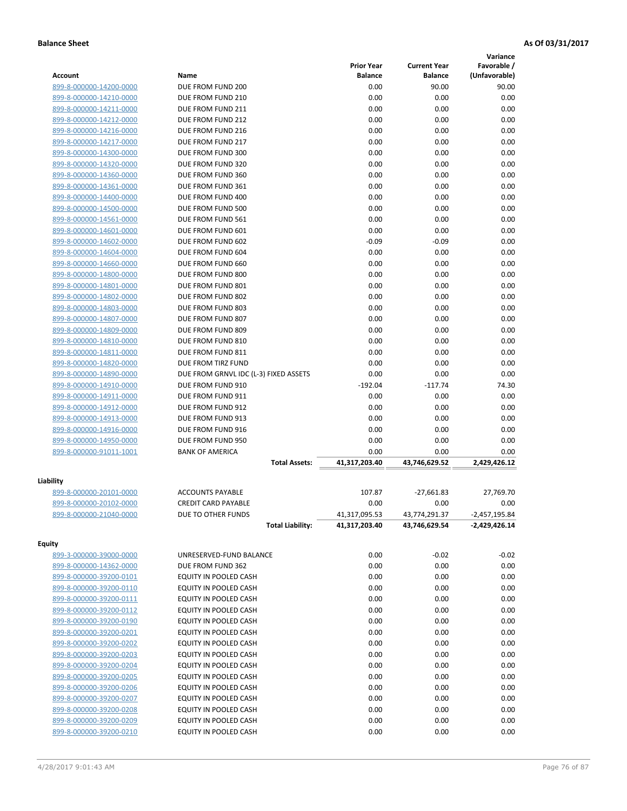|                         |                                       |                   |                     | Variance        |
|-------------------------|---------------------------------------|-------------------|---------------------|-----------------|
|                         |                                       | <b>Prior Year</b> | <b>Current Year</b> | Favorable /     |
| <b>Account</b>          | Name                                  | <b>Balance</b>    | <b>Balance</b>      | (Unfavorable)   |
| 899-8-000000-14200-0000 | DUE FROM FUND 200                     | 0.00              | 90.00               | 90.00           |
| 899-8-000000-14210-0000 | DUE FROM FUND 210                     | 0.00              | 0.00                | 0.00            |
| 899-8-000000-14211-0000 | DUE FROM FUND 211                     | 0.00              | 0.00                | 0.00            |
| 899-8-000000-14212-0000 | DUE FROM FUND 212                     | 0.00              | 0.00                | 0.00            |
| 899-8-000000-14216-0000 | DUE FROM FUND 216                     | 0.00              | 0.00                | 0.00            |
| 899-8-000000-14217-0000 | DUE FROM FUND 217                     | 0.00              | 0.00                | 0.00            |
| 899-8-000000-14300-0000 | DUE FROM FUND 300                     | 0.00              | 0.00                | 0.00            |
| 899-8-000000-14320-0000 | DUE FROM FUND 320                     | 0.00              | 0.00                | 0.00            |
| 899-8-000000-14360-0000 | DUE FROM FUND 360                     | 0.00              | 0.00                | 0.00            |
| 899-8-000000-14361-0000 | DUE FROM FUND 361                     | 0.00              | 0.00                | 0.00            |
| 899-8-000000-14400-0000 | DUE FROM FUND 400                     | 0.00              | 0.00                | 0.00            |
| 899-8-000000-14500-0000 | DUE FROM FUND 500                     | 0.00              | 0.00                | 0.00            |
| 899-8-000000-14561-0000 | DUE FROM FUND 561                     | 0.00              | 0.00                | 0.00            |
| 899-8-000000-14601-0000 | DUE FROM FUND 601                     | 0.00              | 0.00                | 0.00            |
| 899-8-000000-14602-0000 | DUE FROM FUND 602                     | $-0.09$           | $-0.09$             | 0.00            |
| 899-8-000000-14604-0000 | DUE FROM FUND 604                     | 0.00              | 0.00                | 0.00            |
| 899-8-000000-14660-0000 | DUE FROM FUND 660                     | 0.00              | 0.00                | 0.00            |
| 899-8-000000-14800-0000 | DUE FROM FUND 800                     | 0.00              | 0.00                | 0.00            |
| 899-8-000000-14801-0000 | DUE FROM FUND 801                     | 0.00              | 0.00                | 0.00            |
| 899-8-000000-14802-0000 | DUE FROM FUND 802                     | 0.00              | 0.00                | 0.00            |
| 899-8-000000-14803-0000 | DUE FROM FUND 803                     | 0.00              | 0.00                | 0.00            |
| 899-8-000000-14807-0000 | DUE FROM FUND 807                     | 0.00              | 0.00                | 0.00            |
| 899-8-000000-14809-0000 | DUE FROM FUND 809                     | 0.00              | 0.00                | 0.00            |
| 899-8-000000-14810-0000 | DUE FROM FUND 810                     | 0.00              | 0.00                | 0.00            |
| 899-8-000000-14811-0000 | DUE FROM FUND 811                     | 0.00              | 0.00                | 0.00            |
| 899-8-000000-14820-0000 | DUE FROM TIRZ FUND                    | 0.00              | 0.00                | 0.00            |
| 899-8-000000-14890-0000 | DUE FROM GRNVL IDC (L-3) FIXED ASSETS | 0.00              | 0.00                | 0.00            |
| 899-8-000000-14910-0000 | DUE FROM FUND 910                     | $-192.04$         | $-117.74$           | 74.30           |
| 899-8-000000-14911-0000 | DUE FROM FUND 911                     | 0.00              | 0.00                | 0.00            |
| 899-8-000000-14912-0000 | DUE FROM FUND 912                     | 0.00              | 0.00                | 0.00            |
| 899-8-000000-14913-0000 | DUE FROM FUND 913                     | 0.00              | 0.00                | 0.00            |
| 899-8-000000-14916-0000 | DUE FROM FUND 916                     | 0.00              | 0.00                | 0.00            |
| 899-8-000000-14950-0000 | DUE FROM FUND 950                     | 0.00              | 0.00                | 0.00            |
| 899-8-000000-91011-1001 | <b>BANK OF AMERICA</b>                | 0.00              | 0.00                | 0.00            |
|                         | <b>Total Assets:</b>                  | 41,317,203.40     | 43,746,629.52       | 2,429,426.12    |
|                         |                                       |                   |                     |                 |
| Liability               |                                       |                   |                     |                 |
| 899-8-000000-20101-0000 | <b>ACCOUNTS PAYABLE</b>               | 107.87            | $-27,661.83$        | 27,769.70       |
| 899-8-000000-20102-0000 | <b>CREDIT CARD PAYABLE</b>            | 0.00              | 0.00                | 0.00            |
| 899-8-000000-21040-0000 | DUE TO OTHER FUNDS                    | 41,317,095.53     | 43,774,291.37       | $-2,457,195.84$ |
|                         | <b>Total Liability:</b>               | 41,317,203.40     | 43,746,629.54       | -2,429,426.14   |
| <b>Equity</b>           |                                       |                   |                     |                 |
| 899-3-000000-39000-0000 | UNRESERVED-FUND BALANCE               | 0.00              | $-0.02$             | $-0.02$         |
| 899-8-000000-14362-0000 | DUE FROM FUND 362                     | 0.00              | 0.00                | 0.00            |
| 899-8-000000-39200-0101 | EQUITY IN POOLED CASH                 | 0.00              | 0.00                | 0.00            |
| 899-8-000000-39200-0110 | EQUITY IN POOLED CASH                 | 0.00              | 0.00                | 0.00            |
| 899-8-000000-39200-0111 | EQUITY IN POOLED CASH                 | 0.00              | 0.00                | 0.00            |
| 899-8-000000-39200-0112 | EQUITY IN POOLED CASH                 | 0.00              | 0.00                | 0.00            |
| 899-8-000000-39200-0190 | EQUITY IN POOLED CASH                 | 0.00              | 0.00                | 0.00            |
| 899-8-000000-39200-0201 | EQUITY IN POOLED CASH                 | 0.00              | 0.00                | 0.00            |
| 899-8-000000-39200-0202 | EQUITY IN POOLED CASH                 | 0.00              | 0.00                | 0.00            |
| 899-8-000000-39200-0203 | EQUITY IN POOLED CASH                 | 0.00              | 0.00                | 0.00            |
| 899-8-000000-39200-0204 | EQUITY IN POOLED CASH                 | 0.00              | 0.00                | 0.00            |
| 899-8-000000-39200-0205 | EQUITY IN POOLED CASH                 | 0.00              | 0.00                | 0.00            |
| 899-8-000000-39200-0206 | EQUITY IN POOLED CASH                 | 0.00              | 0.00                | 0.00            |
| 899-8-000000-39200-0207 | EQUITY IN POOLED CASH                 | 0.00              | 0.00                | 0.00            |
| 899-8-000000-39200-0208 | EQUITY IN POOLED CASH                 | 0.00              | 0.00                | 0.00            |
| 899-8-000000-39200-0209 | EQUITY IN POOLED CASH                 | 0.00              | 0.00                | 0.00            |
| 899-8-000000-39200-0210 | EQUITY IN POOLED CASH                 | 0.00              | 0.00                | 0.00            |
|                         |                                       |                   |                     |                 |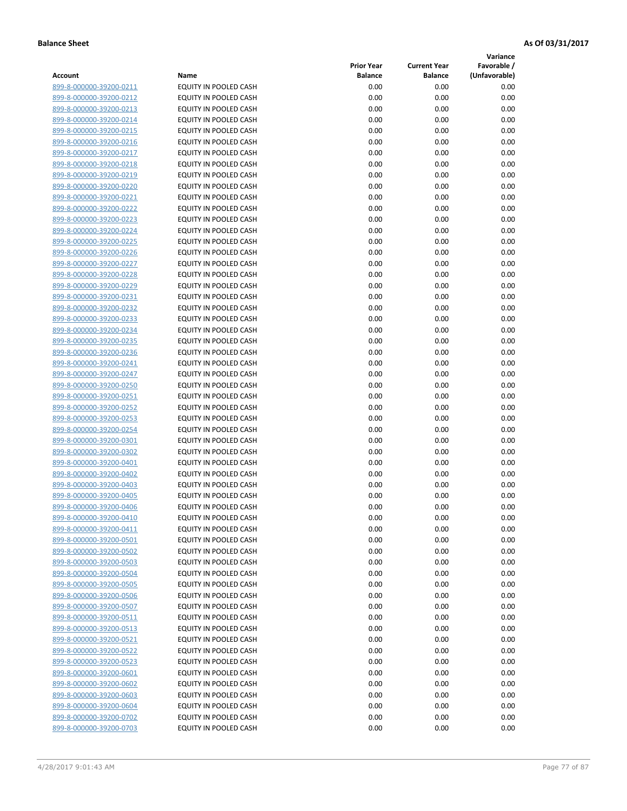**Variance**

|                         |                              | <b>Prior Year</b> | <b>Current Year</b> | vanance<br>Favorable / |
|-------------------------|------------------------------|-------------------|---------------------|------------------------|
| Account                 | Name                         | <b>Balance</b>    | <b>Balance</b>      | (Unfavorable)          |
| 899-8-000000-39200-0211 | EQUITY IN POOLED CASH        | 0.00              | 0.00                | 0.00                   |
| 899-8-000000-39200-0212 | EQUITY IN POOLED CASH        | 0.00              | 0.00                | 0.00                   |
| 899-8-000000-39200-0213 | EQUITY IN POOLED CASH        | 0.00              | 0.00                | 0.00                   |
| 899-8-000000-39200-0214 | EQUITY IN POOLED CASH        | 0.00              | 0.00                | 0.00                   |
| 899-8-000000-39200-0215 | EQUITY IN POOLED CASH        | 0.00              | 0.00                | 0.00                   |
| 899-8-000000-39200-0216 | EQUITY IN POOLED CASH        | 0.00              | 0.00                | 0.00                   |
| 899-8-000000-39200-0217 | EQUITY IN POOLED CASH        | 0.00              | 0.00                | 0.00                   |
| 899-8-000000-39200-0218 | EQUITY IN POOLED CASH        | 0.00              | 0.00                | 0.00                   |
| 899-8-000000-39200-0219 | EQUITY IN POOLED CASH        | 0.00              | 0.00                | 0.00                   |
| 899-8-000000-39200-0220 | EQUITY IN POOLED CASH        | 0.00              | 0.00                | 0.00                   |
| 899-8-000000-39200-0221 | EQUITY IN POOLED CASH        | 0.00              | 0.00                | 0.00                   |
| 899-8-000000-39200-0222 | EQUITY IN POOLED CASH        | 0.00              | 0.00                | 0.00                   |
| 899-8-000000-39200-0223 | EQUITY IN POOLED CASH        | 0.00              | 0.00                | 0.00                   |
| 899-8-000000-39200-0224 | EQUITY IN POOLED CASH        | 0.00              | 0.00                | 0.00                   |
| 899-8-000000-39200-0225 | EQUITY IN POOLED CASH        | 0.00              | 0.00                | 0.00                   |
| 899-8-000000-39200-0226 | EQUITY IN POOLED CASH        | 0.00              | 0.00                | 0.00                   |
| 899-8-000000-39200-0227 | EQUITY IN POOLED CASH        | 0.00              | 0.00                | 0.00                   |
|                         | EQUITY IN POOLED CASH        | 0.00              | 0.00                | 0.00                   |
| 899-8-000000-39200-0228 | EQUITY IN POOLED CASH        |                   |                     |                        |
| 899-8-000000-39200-0229 |                              | 0.00              | 0.00                | 0.00                   |
| 899-8-000000-39200-0231 | EQUITY IN POOLED CASH        | 0.00              | 0.00                | 0.00                   |
| 899-8-000000-39200-0232 | EQUITY IN POOLED CASH        | 0.00              | 0.00                | 0.00                   |
| 899-8-000000-39200-0233 | EQUITY IN POOLED CASH        | 0.00              | 0.00                | 0.00                   |
| 899-8-000000-39200-0234 | EQUITY IN POOLED CASH        | 0.00              | 0.00                | 0.00                   |
| 899-8-000000-39200-0235 | EQUITY IN POOLED CASH        | 0.00              | 0.00                | 0.00                   |
| 899-8-000000-39200-0236 | EQUITY IN POOLED CASH        | 0.00              | 0.00                | 0.00                   |
| 899-8-000000-39200-0241 | EQUITY IN POOLED CASH        | 0.00              | 0.00                | 0.00                   |
| 899-8-000000-39200-0247 | EQUITY IN POOLED CASH        | 0.00              | 0.00                | 0.00                   |
| 899-8-000000-39200-0250 | EQUITY IN POOLED CASH        | 0.00              | 0.00                | 0.00                   |
| 899-8-000000-39200-0251 | EQUITY IN POOLED CASH        | 0.00              | 0.00                | 0.00                   |
| 899-8-000000-39200-0252 | EQUITY IN POOLED CASH        | 0.00              | 0.00                | 0.00                   |
| 899-8-000000-39200-0253 | EQUITY IN POOLED CASH        | 0.00              | 0.00                | 0.00                   |
| 899-8-000000-39200-0254 | EQUITY IN POOLED CASH        | 0.00              | 0.00                | 0.00                   |
| 899-8-000000-39200-0301 | EQUITY IN POOLED CASH        | 0.00              | 0.00                | 0.00                   |
| 899-8-000000-39200-0302 | EQUITY IN POOLED CASH        | 0.00              | 0.00                | 0.00                   |
| 899-8-000000-39200-0401 | EQUITY IN POOLED CASH        | 0.00              | 0.00                | 0.00                   |
| 899-8-000000-39200-0402 | EQUITY IN POOLED CASH        | 0.00              | 0.00                | 0.00                   |
| 899-8-000000-39200-0403 | EQUITY IN POOLED CASH        | 0.00              | 0.00                | 0.00                   |
| 899-8-000000-39200-0405 | EQUITY IN POOLED CASH        | 0.00              | 0.00                | 0.00                   |
| 899-8-000000-39200-0406 | EQUITY IN POOLED CASH        | 0.00              | 0.00                | 0.00                   |
| 899-8-000000-39200-0410 | EQUITY IN POOLED CASH        | 0.00              | 0.00                | 0.00                   |
| 899-8-000000-39200-0411 | EQUITY IN POOLED CASH        | 0.00              | 0.00                | 0.00                   |
| 899-8-000000-39200-0501 | EQUITY IN POOLED CASH        | 0.00              | 0.00                | 0.00                   |
| 899-8-000000-39200-0502 | EQUITY IN POOLED CASH        | 0.00              | 0.00                | 0.00                   |
| 899-8-000000-39200-0503 | EQUITY IN POOLED CASH        | 0.00              | 0.00                | 0.00                   |
| 899-8-000000-39200-0504 | EQUITY IN POOLED CASH        | 0.00              | 0.00                | 0.00                   |
| 899-8-000000-39200-0505 | <b>EQUITY IN POOLED CASH</b> | 0.00              | 0.00                | 0.00                   |
| 899-8-000000-39200-0506 | EQUITY IN POOLED CASH        | 0.00              | 0.00                | 0.00                   |
| 899-8-000000-39200-0507 | EQUITY IN POOLED CASH        | 0.00              | 0.00                | 0.00                   |
| 899-8-000000-39200-0511 | EQUITY IN POOLED CASH        | 0.00              | 0.00                | 0.00                   |
| 899-8-000000-39200-0513 | EQUITY IN POOLED CASH        | 0.00              | 0.00                | 0.00                   |
| 899-8-000000-39200-0521 | EQUITY IN POOLED CASH        | 0.00              | 0.00                | 0.00                   |
| 899-8-000000-39200-0522 | EQUITY IN POOLED CASH        | 0.00              | 0.00                | 0.00                   |
| 899-8-000000-39200-0523 | EQUITY IN POOLED CASH        | 0.00              | 0.00                | 0.00                   |
| 899-8-000000-39200-0601 | EQUITY IN POOLED CASH        | 0.00              | 0.00                | 0.00                   |
| 899-8-000000-39200-0602 | EQUITY IN POOLED CASH        | 0.00              | 0.00                | 0.00                   |
| 899-8-000000-39200-0603 | EQUITY IN POOLED CASH        | 0.00              | 0.00                | 0.00                   |
| 899-8-000000-39200-0604 | EQUITY IN POOLED CASH        | 0.00              | 0.00                | 0.00                   |
| 899-8-000000-39200-0702 | EQUITY IN POOLED CASH        | 0.00              | 0.00                | 0.00                   |
| 899-8-000000-39200-0703 | EQUITY IN POOLED CASH        | 0.00              | 0.00                | 0.00                   |
|                         |                              |                   |                     |                        |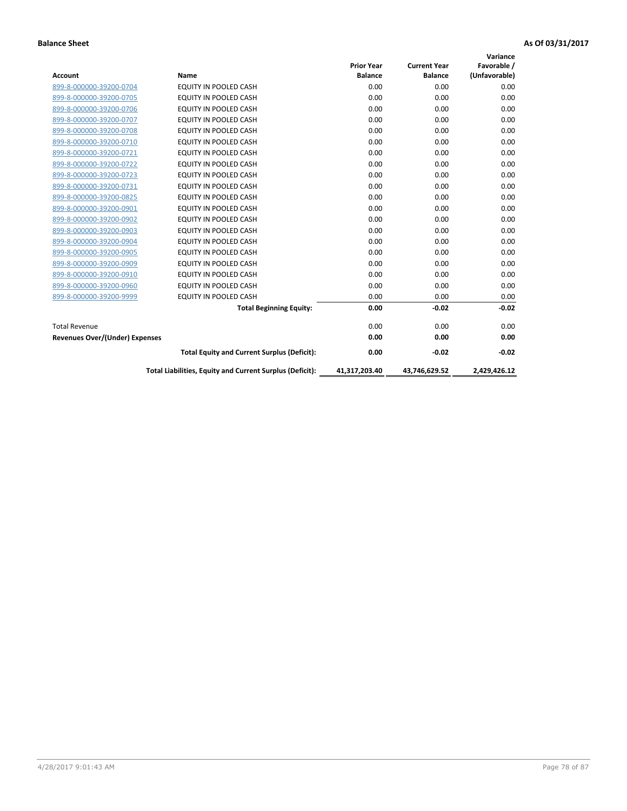|                                       |                                                          |                   |                     | Variance      |
|---------------------------------------|----------------------------------------------------------|-------------------|---------------------|---------------|
|                                       |                                                          | <b>Prior Year</b> | <b>Current Year</b> | Favorable /   |
| <b>Account</b>                        | Name                                                     | <b>Balance</b>    | <b>Balance</b>      | (Unfavorable) |
| 899-8-000000-39200-0704               | <b>EQUITY IN POOLED CASH</b>                             | 0.00              | 0.00                | 0.00          |
| 899-8-000000-39200-0705               | <b>EQUITY IN POOLED CASH</b>                             | 0.00              | 0.00                | 0.00          |
| 899-8-000000-39200-0706               | <b>EQUITY IN POOLED CASH</b>                             | 0.00              | 0.00                | 0.00          |
| 899-8-000000-39200-0707               | EQUITY IN POOLED CASH                                    | 0.00              | 0.00                | 0.00          |
| 899-8-000000-39200-0708               | <b>EQUITY IN POOLED CASH</b>                             | 0.00              | 0.00                | 0.00          |
| 899-8-000000-39200-0710               | <b>EQUITY IN POOLED CASH</b>                             | 0.00              | 0.00                | 0.00          |
| 899-8-000000-39200-0721               | EQUITY IN POOLED CASH                                    | 0.00              | 0.00                | 0.00          |
| 899-8-000000-39200-0722               | EQUITY IN POOLED CASH                                    | 0.00              | 0.00                | 0.00          |
| 899-8-000000-39200-0723               | EQUITY IN POOLED CASH                                    | 0.00              | 0.00                | 0.00          |
| 899-8-000000-39200-0731               | <b>EQUITY IN POOLED CASH</b>                             | 0.00              | 0.00                | 0.00          |
| 899-8-000000-39200-0825               | <b>EQUITY IN POOLED CASH</b>                             | 0.00              | 0.00                | 0.00          |
| 899-8-000000-39200-0901               | <b>EQUITY IN POOLED CASH</b>                             | 0.00              | 0.00                | 0.00          |
| 899-8-000000-39200-0902               | EQUITY IN POOLED CASH                                    | 0.00              | 0.00                | 0.00          |
| 899-8-000000-39200-0903               | <b>EQUITY IN POOLED CASH</b>                             | 0.00              | 0.00                | 0.00          |
| 899-8-000000-39200-0904               | <b>EQUITY IN POOLED CASH</b>                             | 0.00              | 0.00                | 0.00          |
| 899-8-000000-39200-0905               | <b>EQUITY IN POOLED CASH</b>                             | 0.00              | 0.00                | 0.00          |
| 899-8-000000-39200-0909               | EQUITY IN POOLED CASH                                    | 0.00              | 0.00                | 0.00          |
| 899-8-000000-39200-0910               | <b>EQUITY IN POOLED CASH</b>                             | 0.00              | 0.00                | 0.00          |
| 899-8-000000-39200-0960               | <b>EQUITY IN POOLED CASH</b>                             | 0.00              | 0.00                | 0.00          |
| 899-8-000000-39200-9999               | EQUITY IN POOLED CASH                                    | 0.00              | 0.00                | 0.00          |
|                                       | <b>Total Beginning Equity:</b>                           | 0.00              | $-0.02$             | $-0.02$       |
| <b>Total Revenue</b>                  |                                                          | 0.00              | 0.00                | 0.00          |
| <b>Revenues Over/(Under) Expenses</b> |                                                          | 0.00              | 0.00                | 0.00          |
|                                       | <b>Total Equity and Current Surplus (Deficit):</b>       | 0.00              | $-0.02$             | $-0.02$       |
|                                       | Total Liabilities, Equity and Current Surplus (Deficit): | 41,317,203.40     | 43,746,629.52       | 2,429,426.12  |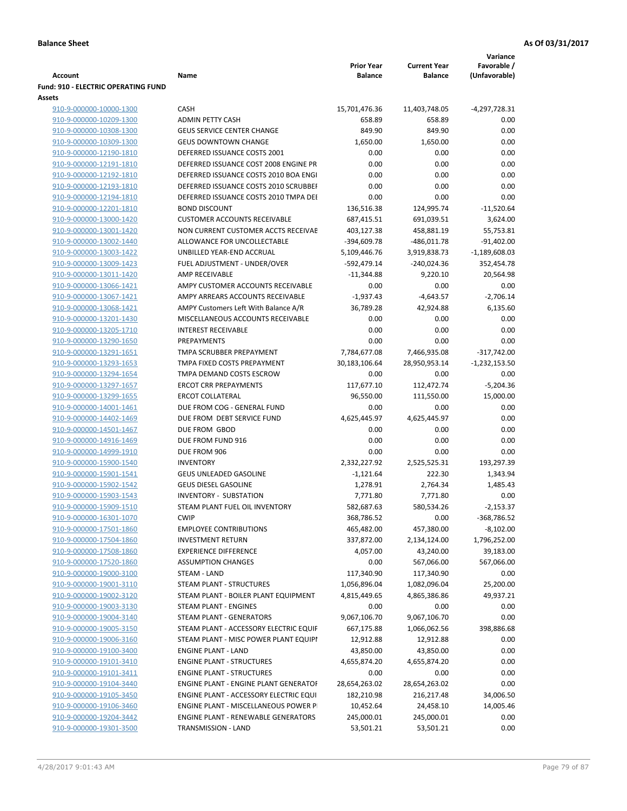|                                                    |                                                   |                         |                     | Variance             |
|----------------------------------------------------|---------------------------------------------------|-------------------------|---------------------|----------------------|
|                                                    |                                                   | <b>Prior Year</b>       | <b>Current Year</b> | Favorable /          |
| <b>Account</b>                                     | Name                                              | <b>Balance</b>          | <b>Balance</b>      | (Unfavorable)        |
| <b>Fund: 910 - ELECTRIC OPERATING FUND</b>         |                                                   |                         |                     |                      |
| <b>Assets</b>                                      |                                                   |                         |                     |                      |
| 910-9-000000-10000-1300                            | <b>CASH</b>                                       | 15,701,476.36           | 11,403,748.05       | $-4,297,728.31$      |
| 910-9-000000-10209-1300                            | <b>ADMIN PETTY CASH</b>                           | 658.89                  | 658.89              | 0.00                 |
| 910-9-000000-10308-1300                            | <b>GEUS SERVICE CENTER CHANGE</b>                 | 849.90                  | 849.90              | 0.00                 |
| 910-9-000000-10309-1300                            | <b>GEUS DOWNTOWN CHANGE</b>                       | 1,650.00                | 1,650.00            | 0.00                 |
| 910-9-000000-12190-1810                            | DEFERRED ISSUANCE COSTS 2001                      | 0.00                    | 0.00                | 0.00                 |
| 910-9-000000-12191-1810                            | DEFERRED ISSUANCE COST 2008 ENGINE PR             | 0.00                    | 0.00                | 0.00                 |
| 910-9-000000-12192-1810                            | DEFERRED ISSUANCE COSTS 2010 BOA ENGI             | 0.00                    | 0.00                | 0.00                 |
| 910-9-000000-12193-1810                            | DEFERRED ISSUANCE COSTS 2010 SCRUBBEI             | 0.00                    | 0.00                | 0.00                 |
| 910-9-000000-12194-1810                            | DEFERRED ISSUANCE COSTS 2010 TMPA DEI             | 0.00                    | 0.00                | 0.00                 |
| 910-9-000000-12201-1810                            | <b>BOND DISCOUNT</b>                              | 136,516.38              | 124,995.74          | $-11,520.64$         |
| 910-9-000000-13000-1420                            | <b>CUSTOMER ACCOUNTS RECEIVABLE</b>               | 687,415.51              | 691,039.51          | 3,624.00             |
| 910-9-000000-13001-1420                            | NON CURRENT CUSTOMER ACCTS RECEIVAE               | 403,127.38              | 458,881.19          | 55,753.81            |
| 910-9-000000-13002-1440                            | ALLOWANCE FOR UNCOLLECTABLE                       | -394,609.78             | $-486,011.78$       | $-91,402.00$         |
| 910-9-000000-13003-1422                            | UNBILLED YEAR-END ACCRUAL                         | 5,109,446.76            | 3,919,838.73        | $-1,189,608.03$      |
| 910-9-000000-13009-1423                            | FUEL ADJUSTMENT - UNDER/OVER                      | -592,479.14             | $-240,024.36$       | 352,454.78           |
| 910-9-000000-13011-1420                            | AMP RECEIVABLE                                    | $-11,344.88$            | 9,220.10            | 20,564.98            |
| 910-9-000000-13066-1421                            | AMPY CUSTOMER ACCOUNTS RECEIVABLE                 | 0.00                    | 0.00                | 0.00                 |
| 910-9-000000-13067-1421                            | AMPY ARREARS ACCOUNTS RECEIVABLE                  | $-1,937.43$             | $-4,643.57$         | $-2,706.14$          |
| 910-9-000000-13068-1421                            | AMPY Customers Left With Balance A/R              | 36,789.28               | 42,924.88           | 6,135.60             |
| 910-9-000000-13201-1430                            | MISCELLANEOUS ACCOUNTS RECEIVABLE                 | 0.00                    | 0.00                | 0.00                 |
| 910-9-000000-13205-1710                            | <b>INTEREST RECEIVABLE</b>                        | 0.00                    | 0.00                | 0.00                 |
| 910-9-000000-13290-1650                            | PREPAYMENTS                                       | 0.00                    | 0.00                | 0.00                 |
| 910-9-000000-13291-1651                            | TMPA SCRUBBER PREPAYMENT                          | 7,784,677.08            | 7,466,935.08        | $-317,742.00$        |
| 910-9-000000-13293-1653                            | TMPA FIXED COSTS PREPAYMENT                       | 30,183,106.64           | 28,950,953.14       | $-1,232,153.50$      |
| 910-9-000000-13294-1654                            | TMPA DEMAND COSTS ESCROW                          | 0.00                    | 0.00                | 0.00                 |
| 910-9-000000-13297-1657                            | <b>ERCOT CRR PREPAYMENTS</b>                      | 117,677.10              | 112,472.74          | $-5,204.36$          |
| 910-9-000000-13299-1655                            | <b>ERCOT COLLATERAL</b>                           | 96,550.00               | 111,550.00          | 15,000.00            |
| 910-9-000000-14001-1461                            | DUE FROM COG - GENERAL FUND                       | 0.00                    | 0.00                | 0.00                 |
| 910-9-000000-14402-1469                            | DUE FROM DEBT SERVICE FUND                        | 4,625,445.97            | 4,625,445.97        | 0.00                 |
| 910-9-000000-14501-1467                            | DUE FROM GBOD<br>DUE FROM FUND 916                | 0.00                    | 0.00                | 0.00<br>0.00         |
| 910-9-000000-14916-1469                            |                                                   | 0.00                    | 0.00                |                      |
| 910-9-000000-14999-1910                            | DUE FROM 906                                      | 0.00                    | 0.00                | 0.00                 |
| 910-9-000000-15900-1540<br>910-9-000000-15901-1541 | <b>INVENTORY</b><br><b>GEUS UNLEADED GASOLINE</b> | 2,332,227.92            | 2,525,525.31        | 193,297.39           |
| 910-9-000000-15902-1542                            | <b>GEUS DIESEL GASOLINE</b>                       | $-1,121.64$<br>1,278.91 | 222.30<br>2,764.34  | 1,343.94<br>1,485.43 |
| 910-9-000000-15903-1543                            | INVENTORY - SUBSTATION                            | 7,771.80                | 7,771.80            | 0.00                 |
| 910-9-000000-15909-1510                            | STEAM PLANT FUEL OIL INVENTORY                    | 582,687.63              | 580,534.26          | $-2,153.37$          |
| 910-9-000000-16301-1070                            | <b>CWIP</b>                                       | 368,786.52              | 0.00                | -368,786.52          |
| 910-9-000000-17501-1860                            | <b>EMPLOYEE CONTRIBUTIONS</b>                     | 465,482.00              | 457,380.00          | $-8,102.00$          |
| 910-9-000000-17504-1860                            | <b>INVESTMENT RETURN</b>                          | 337,872.00              | 2,134,124.00        | 1,796,252.00         |
| 910-9-000000-17508-1860                            | <b>EXPERIENCE DIFFERENCE</b>                      | 4,057.00                | 43,240.00           | 39,183.00            |
| 910-9-000000-17520-1860                            | <b>ASSUMPTION CHANGES</b>                         | 0.00                    | 567,066.00          | 567,066.00           |
| 910-9-000000-19000-3100                            | STEAM - LAND                                      | 117,340.90              | 117,340.90          | 0.00                 |
| 910-9-000000-19001-3110                            | STEAM PLANT - STRUCTURES                          | 1,056,896.04            | 1,082,096.04        | 25,200.00            |
| 910-9-000000-19002-3120                            | STEAM PLANT - BOILER PLANT EQUIPMENT              | 4,815,449.65            | 4,865,386.86        | 49,937.21            |
| 910-9-000000-19003-3130                            | STEAM PLANT - ENGINES                             | 0.00                    | 0.00                | 0.00                 |
| 910-9-000000-19004-3140                            | <b>STEAM PLANT - GENERATORS</b>                   | 9,067,106.70            | 9,067,106.70        | 0.00                 |
| 910-9-000000-19005-3150                            | STEAM PLANT - ACCESSORY ELECTRIC EQUIF            | 667,175.88              | 1,066,062.56        | 398,886.68           |
| 910-9-000000-19006-3160                            | STEAM PLANT - MISC POWER PLANT EQUIPI             | 12,912.88               | 12,912.88           | 0.00                 |
| 910-9-000000-19100-3400                            | <b>ENGINE PLANT - LAND</b>                        | 43,850.00               | 43,850.00           | 0.00                 |
| 910-9-000000-19101-3410                            | <b>ENGINE PLANT - STRUCTURES</b>                  | 4,655,874.20            | 4,655,874.20        | 0.00                 |
| 910-9-000000-19101-3411                            | <b>ENGINE PLANT - STRUCTURES</b>                  | 0.00                    | 0.00                | 0.00                 |
| 910-9-000000-19104-3440                            | ENGINE PLANT - ENGINE PLANT GENERATOF             | 28,654,263.02           | 28,654,263.02       | 0.00                 |
| 910-9-000000-19105-3450                            | ENGINE PLANT - ACCESSORY ELECTRIC EQUI            | 182,210.98              | 216,217.48          | 34,006.50            |
| 910-9-000000-19106-3460                            | ENGINE PLANT - MISCELLANEOUS POWER P              | 10,452.64               | 24,458.10           | 14,005.46            |
| 910-9-000000-19204-3442                            | <b>ENGINE PLANT - RENEWABLE GENERATORS</b>        | 245,000.01              | 245,000.01          | 0.00                 |
| 910-9-000000-19301-3500                            | TRANSMISSION - LAND                               | 53,501.21               | 53,501.21           | 0.00                 |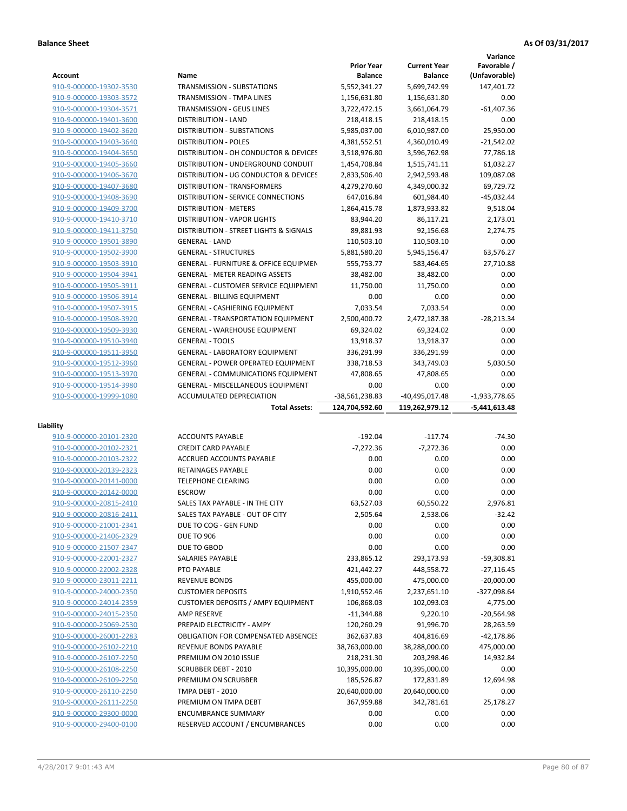|                                                    |                                                               |                                     |                                       | Variance                     |
|----------------------------------------------------|---------------------------------------------------------------|-------------------------------------|---------------------------------------|------------------------------|
| <b>Account</b>                                     | Name                                                          | <b>Prior Year</b><br><b>Balance</b> | <b>Current Year</b><br><b>Balance</b> | Favorable /<br>(Unfavorable) |
| 910-9-000000-19302-3530                            | <b>TRANSMISSION - SUBSTATIONS</b>                             | 5,552,341.27                        | 5,699,742.99                          | 147,401.72                   |
| 910-9-000000-19303-3572                            | TRANSMISSION - TMPA LINES                                     | 1,156,631.80                        | 1,156,631.80                          | 0.00                         |
| 910-9-000000-19304-3571                            | <b>TRANSMISSION - GEUS LINES</b>                              | 3,722,472.15                        | 3,661,064.79                          | $-61,407.36$                 |
| 910-9-000000-19401-3600                            | <b>DISTRIBUTION - LAND</b>                                    | 218,418.15                          | 218,418.15                            | 0.00                         |
| 910-9-000000-19402-3620                            | <b>DISTRIBUTION - SUBSTATIONS</b>                             | 5,985,037.00                        | 6,010,987.00                          | 25,950.00                    |
| 910-9-000000-19403-3640                            | <b>DISTRIBUTION - POLES</b>                                   | 4,381,552.51                        | 4,360,010.49                          | $-21,542.02$                 |
| 910-9-000000-19404-3650                            | DISTRIBUTION - OH CONDUCTOR & DEVICES                         | 3,518,976.80                        | 3,596,762.98                          | 77,786.18                    |
| 910-9-000000-19405-3660                            | DISTRIBUTION - UNDERGROUND CONDUIT                            | 1,454,708.84                        | 1,515,741.11                          | 61,032.27                    |
| 910-9-000000-19406-3670                            | DISTRIBUTION - UG CONDUCTOR & DEVICES                         | 2,833,506.40                        | 2,942,593.48                          | 109,087.08                   |
| 910-9-000000-19407-3680                            | DISTRIBUTION - TRANSFORMERS                                   | 4,279,270.60                        | 4,349,000.32                          | 69,729.72                    |
| 910-9-000000-19408-3690                            | DISTRIBUTION - SERVICE CONNECTIONS                            | 647,016.84                          | 601,984.40                            | $-45,032.44$                 |
| 910-9-000000-19409-3700                            | <b>DISTRIBUTION - METERS</b>                                  | 1,864,415.78                        | 1,873,933.82                          | 9,518.04                     |
| 910-9-000000-19410-3710                            | <b>DISTRIBUTION - VAPOR LIGHTS</b>                            | 83,944.20                           | 86,117.21                             | 2,173.01                     |
| 910-9-000000-19411-3750                            | DISTRIBUTION - STREET LIGHTS & SIGNALS                        | 89,881.93                           | 92,156.68                             | 2,274.75                     |
| 910-9-000000-19501-3890                            | <b>GENERAL - LAND</b>                                         | 110,503.10                          | 110,503.10                            | 0.00                         |
| 910-9-000000-19502-3900                            | <b>GENERAL - STRUCTURES</b>                                   | 5,881,580.20                        | 5,945,156.47                          | 63,576.27                    |
| 910-9-000000-19503-3910                            | <b>GENERAL - FURNITURE &amp; OFFICE EQUIPMEN</b>              | 555,753.77                          | 583,464.65                            | 27,710.88                    |
| 910-9-000000-19504-3941                            | <b>GENERAL - METER READING ASSETS</b>                         | 38,482.00                           | 38,482.00                             | 0.00                         |
| 910-9-000000-19505-3911                            | <b>GENERAL - CUSTOMER SERVICE EQUIPMENT</b>                   | 11,750.00                           | 11,750.00                             | 0.00                         |
| 910-9-000000-19506-3914                            | <b>GENERAL - BILLING EQUIPMENT</b>                            | 0.00                                | 0.00                                  | 0.00                         |
| 910-9-000000-19507-3915                            | <b>GENERAL - CASHIERING EQUIPMENT</b>                         | 7.033.54                            | 7.033.54                              | 0.00                         |
| 910-9-000000-19508-3920                            | <b>GENERAL - TRANSPORTATION EQUIPMENT</b>                     | 2,500,400.72                        | 2,472,187.38                          | $-28,213.34$                 |
| 910-9-000000-19509-3930                            | <b>GENERAL - WAREHOUSE EQUIPMENT</b>                          | 69,324.02                           | 69,324.02                             | 0.00                         |
| 910-9-000000-19510-3940                            | <b>GENERAL - TOOLS</b>                                        | 13,918.37                           | 13,918.37                             | 0.00                         |
| 910-9-000000-19511-3950                            | <b>GENERAL - LABORATORY EQUIPMENT</b>                         | 336,291.99                          | 336,291.99                            | 0.00                         |
| 910-9-000000-19512-3960                            | <b>GENERAL - POWER OPERATED EQUIPMENT</b>                     | 338,718.53                          | 343,749.03                            | 5,030.50                     |
| 910-9-000000-19513-3970                            | <b>GENERAL - COMMUNICATIONS EQUIPMENT</b>                     | 47,808.65                           | 47,808.65                             | 0.00                         |
| 910-9-000000-19514-3980                            | <b>GENERAL - MISCELLANEOUS EQUIPMENT</b>                      | 0.00                                | 0.00                                  | 0.00                         |
|                                                    |                                                               |                                     |                                       |                              |
| 910-9-000000-19999-1080                            | ACCUMULATED DEPRECIATION                                      | -38,561,238.83                      | -40,495,017.48                        | $-1,933,778.65$              |
|                                                    | <b>Total Assets:</b>                                          | 124,704,592.60                      | 119,262,979.12                        | $-5,441,613.48$              |
|                                                    |                                                               |                                     |                                       |                              |
| Liability                                          |                                                               |                                     |                                       |                              |
| 910-9-000000-20101-2320                            | <b>ACCOUNTS PAYABLE</b>                                       | $-192.04$                           | $-117.74$                             | $-74.30$                     |
| 910-9-000000-20102-2321                            | <b>CREDIT CARD PAYABLE</b><br><b>ACCRUED ACCOUNTS PAYABLE</b> | $-7.272.36$                         | $-7,272.36$                           | 0.00                         |
| 910-9-000000-20103-2322                            |                                                               | 0.00                                | 0.00                                  | 0.00                         |
| 910-9-000000-20139-2323                            | RETAINAGES PAYABLE<br><b>TELEPHONE CLEARING</b>               | 0.00                                | 0.00                                  | 0.00                         |
| 910-9-000000-20141-0000                            |                                                               | 0.00                                | 0.00                                  | 0.00                         |
| 910-9-000000-20142-0000                            | <b>ESCROW</b><br>SALES TAX PAYABLE - IN THE CITY              | 0.00<br>63,527.03                   | 0.00                                  | 0.00<br>2,976.81             |
| 910-9-000000-20815-2410                            |                                                               |                                     | 60,550.22                             |                              |
| 910-9-000000-20816-2411                            | SALES TAX PAYABLE - OUT OF CITY<br>DUE TO COG - GEN FUND      | 2,505.64                            | 2,538.06                              | $-32.42$                     |
| 910-9-000000-21001-2341                            |                                                               | 0.00                                | 0.00                                  | 0.00                         |
| 910-9-000000-21406-2329<br>910-9-000000-21507-2347 | <b>DUE TO 906</b><br>DUE TO GBOD                              | 0.00<br>0.00                        | 0.00<br>0.00                          | 0.00<br>0.00                 |
| 910-9-000000-22001-2327                            | SALARIES PAYABLE                                              | 233,865.12                          | 293,173.93                            | $-59,308.81$                 |
| 910-9-000000-22002-2328                            | PTO PAYABLE                                                   | 421,442.27                          | 448,558.72                            | $-27,116.45$                 |
| 910-9-000000-23011-2211                            | <b>REVENUE BONDS</b>                                          | 455,000.00                          | 475,000.00                            | $-20,000.00$                 |
| 910-9-000000-24000-2350                            | <b>CUSTOMER DEPOSITS</b>                                      | 1,910,552.46                        | 2,237,651.10                          | -327,098.64                  |
| 910-9-000000-24014-2359                            | <b>CUSTOMER DEPOSITS / AMPY EQUIPMENT</b>                     | 106,868.03                          | 102,093.03                            | 4,775.00                     |
| 910-9-000000-24015-2350                            | AMP RESERVE                                                   | $-11,344.88$                        | 9,220.10                              | $-20,564.98$                 |
| 910-9-000000-25069-2530                            | PREPAID ELECTRICITY - AMPY                                    | 120,260.29                          | 91,996.70                             | 28,263.59                    |
| 910-9-000000-26001-2283                            | OBLIGATION FOR COMPENSATED ABSENCES                           | 362,637.83                          | 404,816.69                            | -42,178.86                   |
| 910-9-000000-26102-2210                            | REVENUE BONDS PAYABLE                                         | 38,763,000.00                       | 38,288,000.00                         | 475,000.00                   |
| 910-9-000000-26107-2250                            | PREMIUM ON 2010 ISSUE                                         | 218,231.30                          | 203,298.46                            | 14,932.84                    |
| 910-9-000000-26108-2250                            | <b>SCRUBBER DEBT - 2010</b>                                   | 10,395,000.00                       | 10,395,000.00                         | 0.00                         |
| 910-9-000000-26109-2250                            | PREMIUM ON SCRUBBER                                           | 185,526.87                          | 172,831.89                            | 12,694.98                    |
| 910-9-000000-26110-2250                            | TMPA DEBT - 2010                                              | 20,640,000.00                       | 20,640,000.00                         | 0.00                         |
| 910-9-000000-26111-2250                            | PREMIUM ON TMPA DEBT                                          | 367,959.88                          | 342,781.61                            | 25,178.27                    |
| 910-9-000000-29300-0000                            | <b>ENCUMBRANCE SUMMARY</b>                                    | 0.00                                | 0.00                                  | 0.00                         |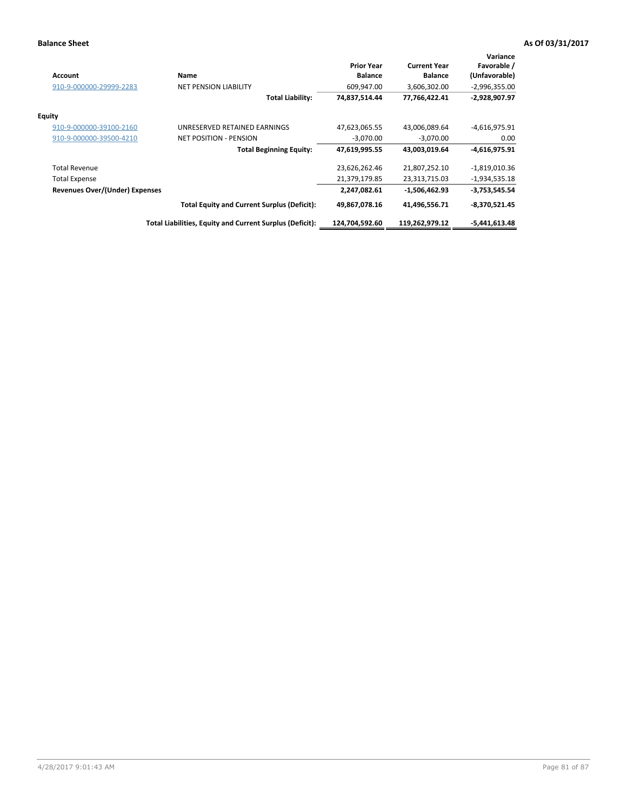| <b>Account</b>                 | Name                                                     | <b>Prior Year</b><br><b>Balance</b> | <b>Current Year</b><br><b>Balance</b> | Variance<br>Favorable /<br>(Unfavorable) |
|--------------------------------|----------------------------------------------------------|-------------------------------------|---------------------------------------|------------------------------------------|
| 910-9-000000-29999-2283        | <b>NET PENSION LIABILITY</b>                             | 609,947.00                          | 3,606,302.00                          | $-2,996,355.00$                          |
|                                | <b>Total Liability:</b>                                  | 74,837,514.44                       | 77,766,422.41                         | $-2,928,907.97$                          |
| <b>Equity</b>                  |                                                          |                                     |                                       |                                          |
| 910-9-000000-39100-2160        | UNRESERVED RETAINED EARNINGS                             | 47,623,065.55                       | 43,006,089.64                         | $-4,616,975.91$                          |
| 910-9-000000-39500-4210        | <b>NET POSITION - PENSION</b>                            | $-3.070.00$                         | $-3.070.00$                           | 0.00                                     |
|                                | <b>Total Beginning Equity:</b>                           | 47,619,995.55                       | 43,003,019.64                         | $-4,616,975.91$                          |
| <b>Total Revenue</b>           |                                                          | 23,626,262.46                       | 21,807,252.10                         | $-1,819,010.36$                          |
| <b>Total Expense</b>           |                                                          | 21,379,179.85                       | 23,313,715.03                         | $-1,934,535.18$                          |
| Revenues Over/(Under) Expenses |                                                          | 2,247,082.61                        | -1,506,462.93                         | $-3,753,545.54$                          |
|                                | <b>Total Equity and Current Surplus (Deficit):</b>       | 49,867,078.16                       | 41,496,556.71                         | $-8,370,521.45$                          |
|                                | Total Liabilities, Equity and Current Surplus (Deficit): | 124,704,592.60                      | 119,262,979.12                        | -5,441,613.48                            |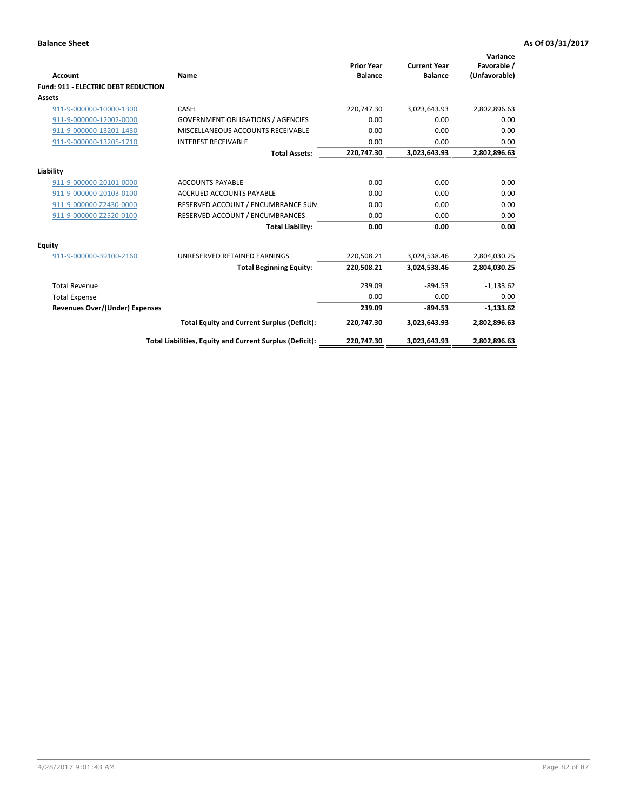| Account                                    | Name                                                     | <b>Prior Year</b><br><b>Balance</b> | <b>Current Year</b><br><b>Balance</b> | Variance<br>Favorable /<br>(Unfavorable) |
|--------------------------------------------|----------------------------------------------------------|-------------------------------------|---------------------------------------|------------------------------------------|
| <b>Fund: 911 - ELECTRIC DEBT REDUCTION</b> |                                                          |                                     |                                       |                                          |
| Assets                                     |                                                          |                                     |                                       |                                          |
| 911-9-000000-10000-1300                    | CASH                                                     | 220,747.30                          | 3,023,643.93                          | 2,802,896.63                             |
| 911-9-000000-12002-0000                    | <b>GOVERNMENT OBLIGATIONS / AGENCIES</b>                 | 0.00                                | 0.00                                  | 0.00                                     |
| 911-9-000000-13201-1430                    | MISCELLANEOUS ACCOUNTS RECEIVABLE                        | 0.00                                | 0.00                                  | 0.00                                     |
| 911-9-000000-13205-1710                    | <b>INTEREST RECEIVABLE</b>                               | 0.00                                | 0.00                                  | 0.00                                     |
|                                            | <b>Total Assets:</b>                                     | 220,747.30                          | 3,023,643.93                          | 2,802,896.63                             |
| Liability                                  |                                                          |                                     |                                       |                                          |
| 911-9-000000-20101-0000                    | <b>ACCOUNTS PAYABLE</b>                                  | 0.00                                | 0.00                                  | 0.00                                     |
| 911-9-000000-20103-0100                    | <b>ACCRUED ACCOUNTS PAYABLE</b>                          | 0.00                                | 0.00                                  | 0.00                                     |
| 911-9-000000-Z2430-0000                    | RESERVED ACCOUNT / ENCUMBRANCE SUM                       | 0.00                                | 0.00                                  | 0.00                                     |
| 911-9-000000-Z2520-0100                    | RESERVED ACCOUNT / ENCUMBRANCES                          | 0.00                                | 0.00                                  | 0.00                                     |
|                                            | <b>Total Liability:</b>                                  | 0.00                                | 0.00                                  | 0.00                                     |
| Equity                                     |                                                          |                                     |                                       |                                          |
| 911-9-000000-39100-2160                    | UNRESERVED RETAINED EARNINGS                             | 220,508.21                          | 3,024,538.46                          | 2,804,030.25                             |
|                                            | <b>Total Beginning Equity:</b>                           | 220,508.21                          | 3,024,538.46                          | 2,804,030.25                             |
| <b>Total Revenue</b>                       |                                                          | 239.09                              | $-894.53$                             | $-1,133.62$                              |
| <b>Total Expense</b>                       |                                                          | 0.00                                | 0.00                                  | 0.00                                     |
| <b>Revenues Over/(Under) Expenses</b>      |                                                          | 239.09                              | $-894.53$                             | $-1,133.62$                              |
|                                            | <b>Total Equity and Current Surplus (Deficit):</b>       | 220,747.30                          | 3,023,643.93                          | 2,802,896.63                             |
|                                            | Total Liabilities, Equity and Current Surplus (Deficit): | 220,747.30                          | 3,023,643.93                          | 2,802,896.63                             |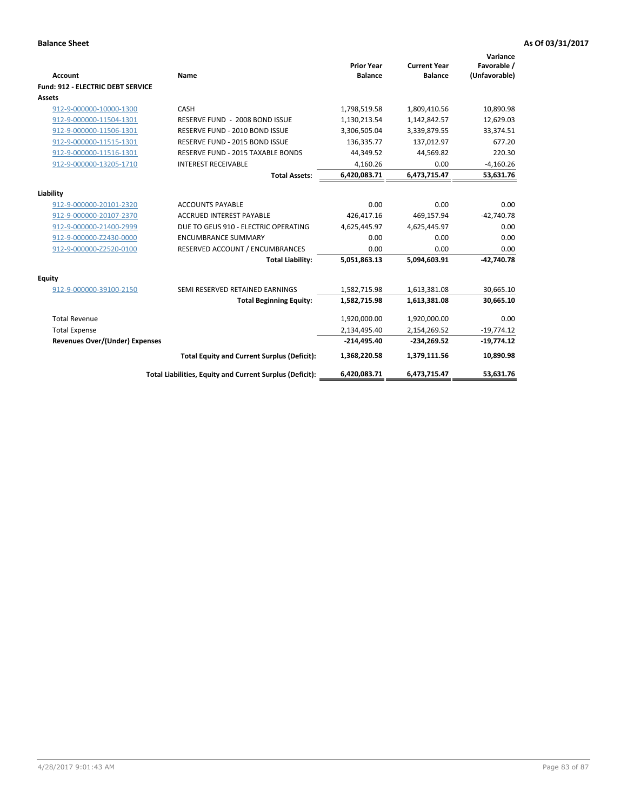| <b>Account</b>                        | Name                                                     | <b>Prior Year</b><br><b>Balance</b> | <b>Current Year</b><br><b>Balance</b> | Variance<br>Favorable /<br>(Unfavorable) |
|---------------------------------------|----------------------------------------------------------|-------------------------------------|---------------------------------------|------------------------------------------|
| Fund: 912 - ELECTRIC DEBT SERVICE     |                                                          |                                     |                                       |                                          |
| <b>Assets</b>                         |                                                          |                                     |                                       |                                          |
| 912-9-000000-10000-1300               | CASH                                                     | 1,798,519.58                        | 1,809,410.56                          | 10,890.98                                |
| 912-9-000000-11504-1301               | RESERVE FUND - 2008 BOND ISSUE                           | 1,130,213.54                        | 1,142,842.57                          | 12,629.03                                |
| 912-9-000000-11506-1301               | RESERVE FUND - 2010 BOND ISSUE                           | 3,306,505.04                        | 3,339,879.55                          | 33,374.51                                |
| 912-9-000000-11515-1301               | RESERVE FUND - 2015 BOND ISSUE                           | 136,335.77                          | 137,012.97                            | 677.20                                   |
| 912-9-000000-11516-1301               | RESERVE FUND - 2015 TAXABLE BONDS                        | 44,349.52                           | 44,569.82                             | 220.30                                   |
| 912-9-000000-13205-1710               | <b>INTEREST RECEIVABLE</b>                               | 4,160.26                            | 0.00                                  | $-4,160.26$                              |
|                                       | <b>Total Assets:</b>                                     | 6,420,083.71                        | 6,473,715.47                          | 53,631.76                                |
| Liability                             |                                                          |                                     |                                       |                                          |
| 912-9-000000-20101-2320               | <b>ACCOUNTS PAYABLE</b>                                  | 0.00                                | 0.00                                  | 0.00                                     |
| 912-9-000000-20107-2370               | <b>ACCRUED INTEREST PAYABLE</b>                          | 426,417.16                          | 469,157.94                            | $-42,740.78$                             |
| 912-9-000000-21400-2999               | DUE TO GEUS 910 - ELECTRIC OPERATING                     | 4,625,445.97                        | 4,625,445.97                          | 0.00                                     |
| 912-9-000000-Z2430-0000               | <b>ENCUMBRANCE SUMMARY</b>                               | 0.00                                | 0.00                                  | 0.00                                     |
| 912-9-000000-Z2520-0100               | RESERVED ACCOUNT / ENCUMBRANCES                          | 0.00                                | 0.00                                  | 0.00                                     |
|                                       | <b>Total Liability:</b>                                  | 5,051,863.13                        | 5,094,603.91                          | $-42.740.78$                             |
| Equity                                |                                                          |                                     |                                       |                                          |
| 912-9-000000-39100-2150               | SEMI RESERVED RETAINED EARNINGS                          | 1,582,715.98                        | 1,613,381.08                          | 30,665.10                                |
|                                       | <b>Total Beginning Equity:</b>                           | 1,582,715.98                        | 1,613,381.08                          | 30,665.10                                |
| <b>Total Revenue</b>                  |                                                          | 1,920,000.00                        | 1,920,000.00                          | 0.00                                     |
| <b>Total Expense</b>                  |                                                          | 2,134,495.40                        | 2,154,269.52                          | $-19,774.12$                             |
| <b>Revenues Over/(Under) Expenses</b> |                                                          | $-214,495.40$                       | $-234,269.52$                         | $-19,774.12$                             |
|                                       | <b>Total Equity and Current Surplus (Deficit):</b>       | 1,368,220.58                        | 1,379,111.56                          | 10,890.98                                |
|                                       | Total Liabilities, Equity and Current Surplus (Deficit): | 6,420,083.71                        | 6,473,715.47                          | 53.631.76                                |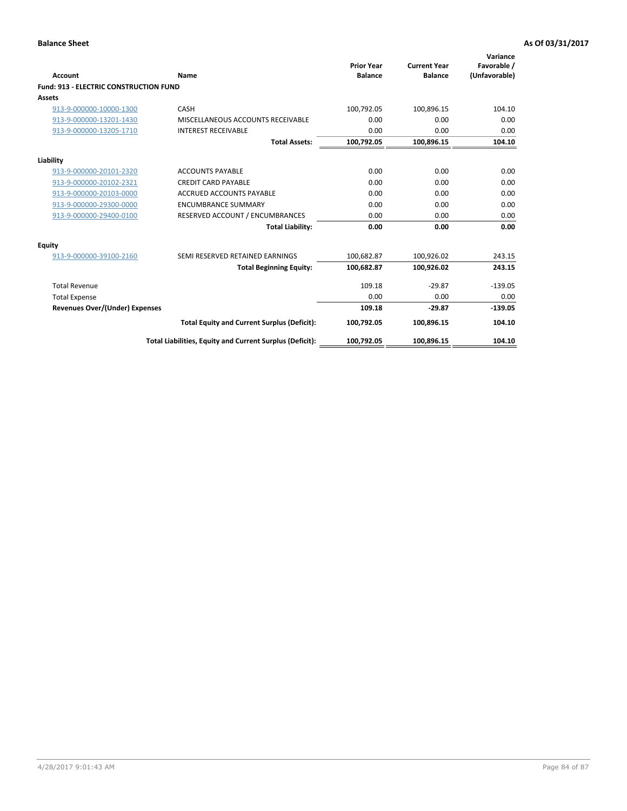| Account                                       | Name                                                     | <b>Prior Year</b><br><b>Balance</b> | <b>Current Year</b><br><b>Balance</b> | Variance<br>Favorable /<br>(Unfavorable) |
|-----------------------------------------------|----------------------------------------------------------|-------------------------------------|---------------------------------------|------------------------------------------|
| <b>Fund: 913 - ELECTRIC CONSTRUCTION FUND</b> |                                                          |                                     |                                       |                                          |
| <b>Assets</b>                                 |                                                          |                                     |                                       |                                          |
| 913-9-000000-10000-1300                       | CASH                                                     | 100,792.05                          | 100,896.15                            | 104.10                                   |
| 913-9-000000-13201-1430                       | MISCELLANEOUS ACCOUNTS RECEIVABLE                        | 0.00                                | 0.00                                  | 0.00                                     |
| 913-9-000000-13205-1710                       | <b>INTEREST RECEIVABLE</b>                               | 0.00                                | 0.00                                  | 0.00                                     |
|                                               | <b>Total Assets:</b>                                     | 100,792.05                          | 100,896.15                            | 104.10                                   |
| Liability                                     |                                                          |                                     |                                       |                                          |
| 913-9-000000-20101-2320                       | <b>ACCOUNTS PAYABLE</b>                                  | 0.00                                | 0.00                                  | 0.00                                     |
| 913-9-000000-20102-2321                       | <b>CREDIT CARD PAYABLE</b>                               | 0.00                                | 0.00                                  | 0.00                                     |
| 913-9-000000-20103-0000                       | <b>ACCRUED ACCOUNTS PAYABLE</b>                          | 0.00                                | 0.00                                  | 0.00                                     |
| 913-9-000000-29300-0000                       | <b>ENCUMBRANCE SUMMARY</b>                               | 0.00                                | 0.00                                  | 0.00                                     |
| 913-9-000000-29400-0100                       | RESERVED ACCOUNT / ENCUMBRANCES                          | 0.00                                | 0.00                                  | 0.00                                     |
|                                               | <b>Total Liability:</b>                                  | 0.00                                | 0.00                                  | 0.00                                     |
| <b>Equity</b>                                 |                                                          |                                     |                                       |                                          |
| 913-9-000000-39100-2160                       | SEMI RESERVED RETAINED EARNINGS                          | 100,682.87                          | 100,926.02                            | 243.15                                   |
|                                               | <b>Total Beginning Equity:</b>                           | 100,682.87                          | 100.926.02                            | 243.15                                   |
| <b>Total Revenue</b>                          |                                                          | 109.18                              | $-29.87$                              | $-139.05$                                |
| <b>Total Expense</b>                          |                                                          | 0.00                                | 0.00                                  | 0.00                                     |
| <b>Revenues Over/(Under) Expenses</b>         |                                                          | 109.18                              | $-29.87$                              | $-139.05$                                |
|                                               | <b>Total Equity and Current Surplus (Deficit):</b>       | 100,792.05                          | 100.896.15                            | 104.10                                   |
|                                               | Total Liabilities, Equity and Current Surplus (Deficit): | 100,792.05                          | 100,896.15                            | 104.10                                   |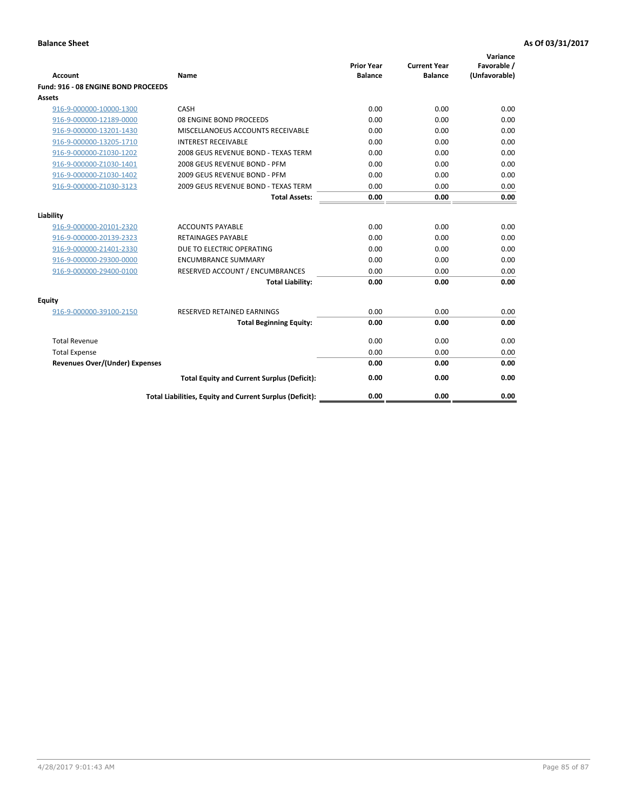| <b>Account</b>                        | Name                                                     | <b>Prior Year</b><br><b>Balance</b> | <b>Current Year</b><br><b>Balance</b> | Variance<br>Favorable /<br>(Unfavorable) |
|---------------------------------------|----------------------------------------------------------|-------------------------------------|---------------------------------------|------------------------------------------|
| Fund: 916 - 08 ENGINE BOND PROCEEDS   |                                                          |                                     |                                       |                                          |
| <b>Assets</b>                         |                                                          |                                     |                                       |                                          |
| 916-9-000000-10000-1300               | CASH                                                     | 0.00                                | 0.00                                  | 0.00                                     |
| 916-9-000000-12189-0000               | 08 ENGINE BOND PROCEEDS                                  | 0.00                                | 0.00                                  | 0.00                                     |
| 916-9-000000-13201-1430               | MISCELLANOEUS ACCOUNTS RECEIVABLE                        | 0.00                                | 0.00                                  | 0.00                                     |
| 916-9-000000-13205-1710               | <b>INTEREST RECEIVABLE</b>                               | 0.00                                | 0.00                                  | 0.00                                     |
| 916-9-000000-Z1030-1202               | 2008 GEUS REVENUE BOND - TEXAS TERM                      | 0.00                                | 0.00                                  | 0.00                                     |
| 916-9-000000-Z1030-1401               | 2008 GEUS REVENUE BOND - PFM                             | 0.00                                | 0.00                                  | 0.00                                     |
| 916-9-000000-Z1030-1402               | 2009 GEUS REVENUE BOND - PFM                             | 0.00                                | 0.00                                  | 0.00                                     |
| 916-9-000000-Z1030-3123               | 2009 GEUS REVENUE BOND - TEXAS TERM                      | 0.00                                | 0.00                                  | 0.00                                     |
|                                       | <b>Total Assets:</b>                                     | 0.00                                | 0.00                                  | 0.00                                     |
| Liability                             |                                                          |                                     |                                       |                                          |
| 916-9-000000-20101-2320               | <b>ACCOUNTS PAYABLE</b>                                  | 0.00                                | 0.00                                  | 0.00                                     |
| 916-9-000000-20139-2323               | <b>RETAINAGES PAYABLE</b>                                | 0.00                                | 0.00                                  | 0.00                                     |
| 916-9-000000-21401-2330               | DUE TO ELECTRIC OPERATING                                | 0.00                                | 0.00                                  | 0.00                                     |
| 916-9-000000-29300-0000               | <b>ENCUMBRANCE SUMMARY</b>                               | 0.00                                | 0.00                                  | 0.00                                     |
| 916-9-000000-29400-0100               | RESERVED ACCOUNT / ENCUMBRANCES                          | 0.00                                | 0.00                                  | 0.00                                     |
|                                       | <b>Total Liability:</b>                                  | 0.00                                | 0.00                                  | 0.00                                     |
| Equity                                |                                                          |                                     |                                       |                                          |
| 916-9-000000-39100-2150               | <b>RESERVED RETAINED EARNINGS</b>                        | 0.00                                | 0.00                                  | 0.00                                     |
|                                       | <b>Total Beginning Equity:</b>                           | 0.00                                | 0.00                                  | 0.00                                     |
| <b>Total Revenue</b>                  |                                                          | 0.00                                | 0.00                                  | 0.00                                     |
| <b>Total Expense</b>                  |                                                          | 0.00                                | 0.00                                  | 0.00                                     |
| <b>Revenues Over/(Under) Expenses</b> |                                                          | 0.00                                | 0.00                                  | 0.00                                     |
|                                       | <b>Total Equity and Current Surplus (Deficit):</b>       | 0.00                                | 0.00                                  | 0.00                                     |
|                                       | Total Liabilities, Equity and Current Surplus (Deficit): | 0.00                                | 0.00                                  | 0.00                                     |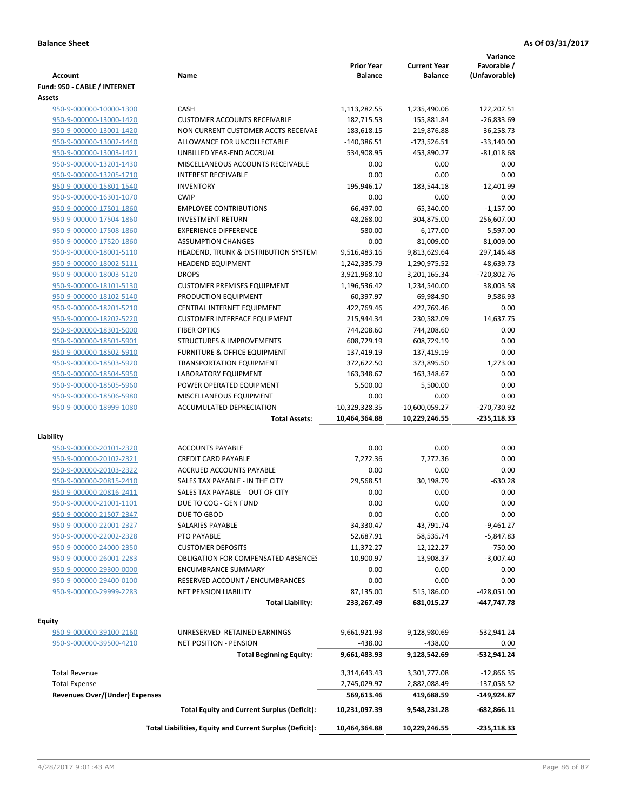|                                       |                                                          | <b>Prior Year</b> | <b>Current Year</b> | Variance<br>Favorable / |
|---------------------------------------|----------------------------------------------------------|-------------------|---------------------|-------------------------|
| <b>Account</b>                        | Name                                                     | <b>Balance</b>    | <b>Balance</b>      | (Unfavorable)           |
| Fund: 950 - CABLE / INTERNET          |                                                          |                   |                     |                         |
| Assets                                |                                                          |                   |                     |                         |
| 950-9-000000-10000-1300               | CASH                                                     | 1,113,282.55      | 1,235,490.06        | 122,207.51              |
| 950-9-000000-13000-1420               | <b>CUSTOMER ACCOUNTS RECEIVABLE</b>                      | 182,715.53        | 155,881.84          | $-26,833.69$            |
| 950-9-000000-13001-1420               | NON CURRENT CUSTOMER ACCTS RECEIVAE                      | 183,618.15        | 219,876.88          | 36,258.73               |
| 950-9-000000-13002-1440               | ALLOWANCE FOR UNCOLLECTABLE                              | $-140,386.51$     | $-173,526.51$       | $-33,140.00$            |
| 950-9-000000-13003-1421               | UNBILLED YEAR-END ACCRUAL                                | 534,908.95        | 453,890.27          | $-81,018.68$            |
| 950-9-000000-13201-1430               | MISCELLANEOUS ACCOUNTS RECEIVABLE                        | 0.00              | 0.00                | 0.00                    |
| 950-9-000000-13205-1710               | <b>INTEREST RECEIVABLE</b>                               | 0.00              | 0.00                | 0.00                    |
| 950-9-000000-15801-1540               | <b>INVENTORY</b>                                         | 195,946.17        | 183,544.18          | $-12,401.99$            |
| 950-9-000000-16301-1070               | <b>CWIP</b>                                              | 0.00              | 0.00                | 0.00                    |
| 950-9-000000-17501-1860               | <b>EMPLOYEE CONTRIBUTIONS</b>                            | 66,497.00         | 65,340.00           | $-1,157.00$             |
| 950-9-000000-17504-1860               | <b>INVESTMENT RETURN</b>                                 | 48,268.00         | 304,875.00          | 256,607.00              |
| 950-9-000000-17508-1860               | <b>EXPERIENCE DIFFERENCE</b>                             | 580.00            | 6,177.00            | 5,597.00                |
| 950-9-000000-17520-1860               | <b>ASSUMPTION CHANGES</b>                                | 0.00              | 81,009.00           | 81,009.00               |
| 950-9-000000-18001-5110               | HEADEND, TRUNK & DISTRIBUTION SYSTEM                     | 9,516,483.16      | 9,813,629.64        | 297,146.48              |
| 950-9-000000-18002-5111               | <b>HEADEND EQUIPMENT</b>                                 | 1,242,335.79      | 1,290,975.52        | 48,639.73               |
| 950-9-000000-18003-5120               | <b>DROPS</b>                                             | 3,921,968.10      | 3,201,165.34        | -720,802.76             |
| 950-9-000000-18101-5130               | <b>CUSTOMER PREMISES EQUIPMENT</b>                       | 1,196,536.42      | 1,234,540.00        | 38,003.58               |
| 950-9-000000-18102-5140               | PRODUCTION EQUIPMENT                                     | 60,397.97         | 69,984.90           | 9,586.93                |
| 950-9-000000-18201-5210               | CENTRAL INTERNET EQUIPMENT                               | 422,769.46        | 422,769.46          | 0.00                    |
| 950-9-000000-18202-5220               | <b>CUSTOMER INTERFACE EQUIPMENT</b>                      | 215,944.34        | 230,582.09          | 14,637.75               |
| 950-9-000000-18301-5000               | <b>FIBER OPTICS</b>                                      | 744,208.60        | 744,208.60          | 0.00                    |
| 950-9-000000-18501-5901               | <b>STRUCTURES &amp; IMPROVEMENTS</b>                     | 608,729.19        | 608,729.19          | 0.00                    |
| 950-9-000000-18502-5910               | <b>FURNITURE &amp; OFFICE EQUIPMENT</b>                  | 137,419.19        | 137,419.19          | 0.00                    |
| 950-9-000000-18503-5920               | <b>TRANSPORTATION EQUIPMENT</b>                          | 372,622.50        | 373,895.50          | 1,273.00                |
| 950-9-000000-18504-5950               | LABORATORY EQUIPMENT                                     | 163,348.67        | 163,348.67          | 0.00                    |
| 950-9-000000-18505-5960               | POWER OPERATED EQUIPMENT                                 | 5,500.00          | 5,500.00            | 0.00                    |
| 950-9-000000-18506-5980               | MISCELLANEOUS EQUIPMENT                                  | 0.00              | 0.00                | 0.00                    |
| 950-9-000000-18999-1080               | <b>ACCUMULATED DEPRECIATION</b>                          | $-10,329,328.35$  | $-10,600,059.27$    | -270,730.92             |
|                                       | <b>Total Assets:</b>                                     | 10,464,364.88     | 10,229,246.55       | $-235,118.33$           |
| Liability                             |                                                          |                   |                     |                         |
| 950-9-000000-20101-2320               | <b>ACCOUNTS PAYABLE</b>                                  | 0.00              | 0.00                | 0.00                    |
| 950-9-000000-20102-2321               | <b>CREDIT CARD PAYABLE</b>                               | 7,272.36          | 7,272.36            | 0.00                    |
| 950-9-000000-20103-2322               | ACCRUED ACCOUNTS PAYABLE                                 | 0.00              | 0.00                | 0.00                    |
| 950-9-000000-20815-2410               | SALES TAX PAYABLE - IN THE CITY                          | 29,568.51         | 30,198.79           | $-630.28$               |
| 950-9-000000-20816-2411               | SALES TAX PAYABLE - OUT OF CITY                          | 0.00              | 0.00                | 0.00                    |
| 950-9-000000-21001-1101               | DUE TO COG - GEN FUND                                    | 0.00              | 0.00                | 0.00                    |
| 950-9-000000-21507-2347               | DUE TO GBOD                                              | 0.00              | 0.00                | 0.00                    |
| 950-9-000000-22001-2327               | SALARIES PAYABLE                                         | 34,330.47         | 43,791.74           | $-9,461.27$             |
| 950-9-000000-22002-2328               | PTO PAYABLE                                              | 52,687.91         | 58,535.74           | -5,847.83               |
| 950-9-000000-24000-2350               | <b>CUSTOMER DEPOSITS</b>                                 | 11,372.27         | 12,122.27           | $-750.00$               |
| 950-9-000000-26001-2283               | <b>OBLIGATION FOR COMPENSATED ABSENCES</b>               | 10,900.97         | 13,908.37           | $-3,007.40$             |
| 950-9-000000-29300-0000               | <b>ENCUMBRANCE SUMMARY</b>                               | 0.00              | 0.00                | 0.00                    |
| 950-9-000000-29400-0100               | RESERVED ACCOUNT / ENCUMBRANCES                          | 0.00              | 0.00                | 0.00                    |
| 950-9-000000-29999-2283               | NET PENSION LIABILITY                                    | 87,135.00         | 515,186.00          | $-428,051.00$           |
|                                       | <b>Total Liability:</b>                                  | 233,267.49        | 681,015.27          | -447,747.78             |
|                                       |                                                          |                   |                     |                         |
| <b>Equity</b>                         |                                                          |                   |                     |                         |
| 950-9-000000-39100-2160               | UNRESERVED RETAINED EARNINGS                             | 9,661,921.93      | 9,128,980.69        | -532,941.24             |
| 950-9-000000-39500-4210               | <b>NET POSITION - PENSION</b>                            | $-438.00$         | $-438.00$           | 0.00                    |
|                                       | <b>Total Beginning Equity:</b>                           | 9,661,483.93      | 9,128,542.69        | -532,941.24             |
| <b>Total Revenue</b>                  |                                                          | 3,314,643.43      | 3,301,777.08        | $-12,866.35$            |
| <b>Total Expense</b>                  |                                                          | 2,745,029.97      | 2,882,088.49        | $-137,058.52$           |
| <b>Revenues Over/(Under) Expenses</b> |                                                          | 569,613.46        | 419,688.59          | -149,924.87             |
|                                       | <b>Total Equity and Current Surplus (Deficit):</b>       | 10,231,097.39     | 9,548,231.28        | $-682,866.11$           |
|                                       | Total Liabilities, Equity and Current Surplus (Deficit): |                   |                     | $-235,118.33$           |
|                                       |                                                          | 10,464,364.88     | 10,229,246.55       |                         |